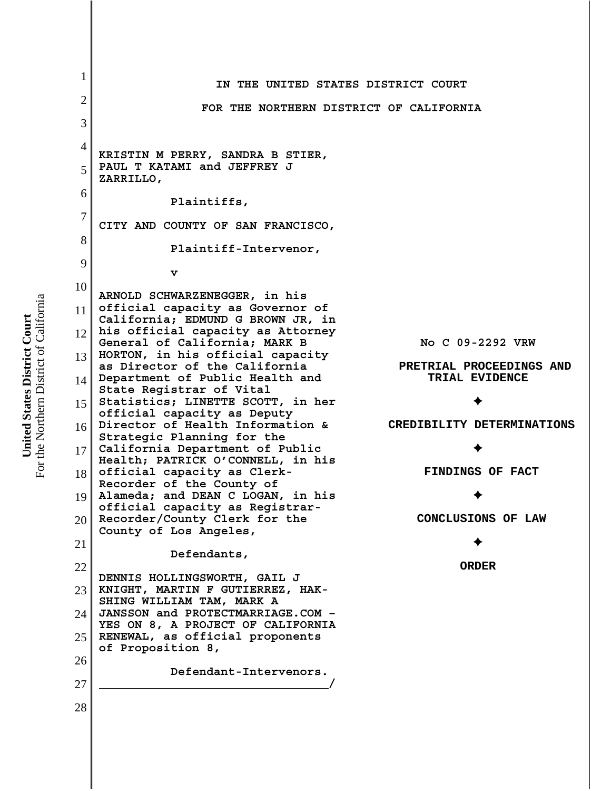1 2 3 4 5 6 7 8 9 10 11 12 13 14 15 16 17 18 19 20 21 22 23 24 25 26 27 28 **IN THE UNITED STATES DISTRICT COURT FOR THE NORTHERN DISTRICT OF CALIFORNIA KRISTIN M PERRY, SANDRA B STIER, PAUL T KATAMI and JEFFREY J ZARRILLO, Plaintiffs, CITY AND COUNTY OF SAN FRANCISCO, Plaintiff-Intervenor, v ARNOLD SCHWARZENEGGER, in his official capacity as Governor of California; EDMUND G BROWN JR, in his official capacity as Attorney General of California; MARK B HORTON, in his official capacity as Director of the California Department of Public Health and State Registrar of Vital Statistics; LINETTE SCOTT, in her official capacity as Deputy Director of Health Information & Strategic Planning for the California Department of Public Health; PATRICK O'CONNELL, in his official capacity as Clerk-Recorder of the County of Alameda; and DEAN C LOGAN, in his official capacity as Registrar-Recorder/County Clerk for the County of Los Angeles, Defendants, DENNIS HOLLINGSWORTH, GAIL J KNIGHT, MARTIN F GUTIERREZ, HAK-SHING WILLIAM TAM, MARK A JANSSON and PROTECTMARRIAGE.COM – YES ON 8, A PROJECT OF CALIFORNIA RENEWAL, as official proponents of Proposition 8, Defendant-Intervenors. / No C 09-2292 VRW PRETRIAL PROCEEDINGS AND TRIAL EVIDENCE**  $\blacklozenge$  **CREDIBILITY DETERMINATIONS**  $\blacklozenge$  **FINDINGS OF FACT**  $\blacklozenge$  **CONCLUSIONS OF LAW**  $\blacklozenge$ **ORDER**

For the Northern District of California For the Northern District of California United States District Court **United States District Court**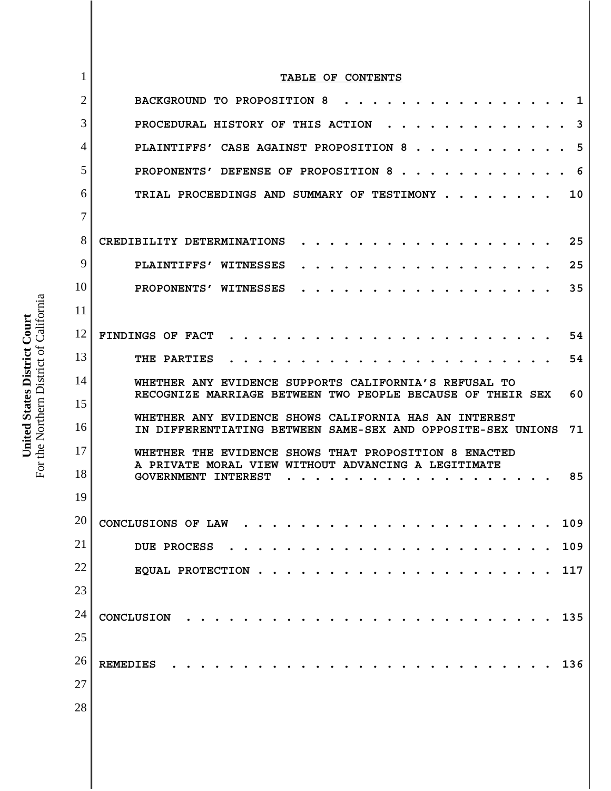|    | TABLE OF CONTENTS                                                                                                          |
|----|----------------------------------------------------------------------------------------------------------------------------|
| 2  | BACKGROUND TO PROPOSITION 8<br>ı                                                                                           |
| 3  | PROCEDURAL HISTORY OF THIS ACTION<br>3                                                                                     |
| 4  | PLAINTIFFS' CASE AGAINST PROPOSITION 8<br>5                                                                                |
| 5  | PROPONENTS' DEFENSE OF PROPOSITION 8.<br>6                                                                                 |
| 6  | TRIAL PROCEEDINGS AND SUMMARY OF TESTIMONY.<br>10                                                                          |
| 7  |                                                                                                                            |
| 8  | CREDIBILITY DETERMINATIONS<br>25                                                                                           |
| 9  | 25<br>PLAINTIFFS' WITNESSES                                                                                                |
| 10 | 35<br>PROPONENTS' WITNESSES                                                                                                |
| 11 |                                                                                                                            |
| 12 | FINDINGS OF FACT<br>54                                                                                                     |
| 13 | 54<br>THE PARTIES                                                                                                          |
| 14 | WHETHER ANY EVIDENCE SUPPORTS CALIFORNIA'S REFUSAL TO                                                                      |
|    | RECOGNIZE MARRIAGE BETWEEN TWO PEOPLE BECAUSE OF THEIR SEX<br>60                                                           |
| 15 |                                                                                                                            |
| 16 | WHETHER ANY EVIDENCE SHOWS CALIFORNIA HAS AN INTEREST<br>IN DIFFERENTIATING BETWEEN SAME-SEX AND OPPOSITE-SEX UNIONS<br>71 |
| 17 | WHETHER THE EVIDENCE SHOWS THAT PROPOSITION 8 ENACTED                                                                      |
| 18 | A PRIVATE MORAL VIEW WITHOUT ADVANCING A LEGITIMATE<br>85<br><b>GOVERNMENT INTEREST</b>                                    |
| 19 |                                                                                                                            |
| 20 | CONCLUSIONS OF LAW<br>109                                                                                                  |
| 21 | 109<br><b>DUE PROCESS</b>                                                                                                  |
| 22 | 117<br>EQUAL PROTECTION                                                                                                    |
| 23 |                                                                                                                            |
| 24 | CONCLUSION<br>135                                                                                                          |
| 25 |                                                                                                                            |
| 26 | 136<br><b>REMEDIES</b>                                                                                                     |
| 27 |                                                                                                                            |
| 28 |                                                                                                                            |

**United States District Court**<br>For the Northern District of California For the Northern District of California **United States District Court**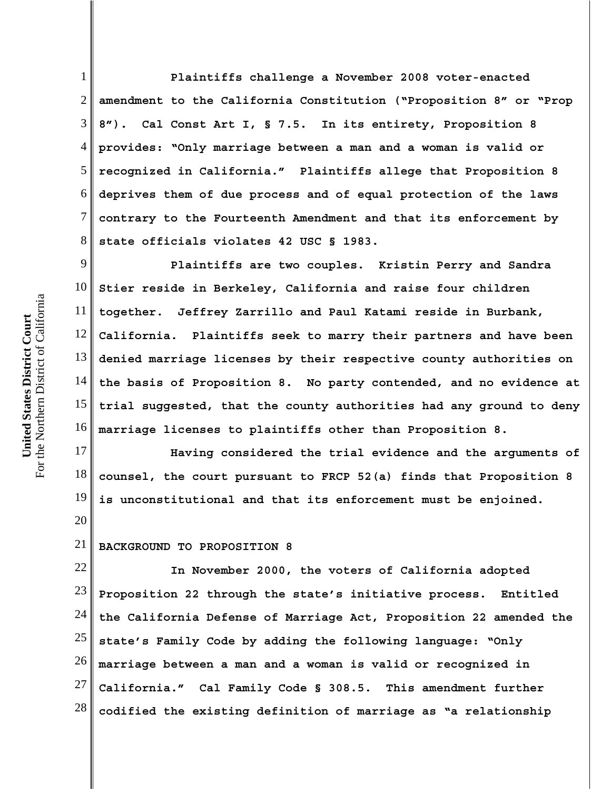1 2 3 4 5 6 7 8 **Plaintiffs challenge a November 2008 voter-enacted amendment to the California Constitution ("Proposition 8" or "Prop 8"). Cal Const Art I, § 7.5. In its entirety, Proposition 8 provides: "Only marriage between a man and a woman is valid or recognized in California." Plaintiffs allege that Proposition 8 deprives them of due process and of equal protection of the laws contrary to the Fourteenth Amendment and that its enforcement by state officials violates 42 USC § 1983.** 

9 10 11 12 13 14 15 16 **Plaintiffs are two couples. Kristin Perry and Sandra Stier reside in Berkeley, California and raise four children together. Jeffrey Zarrillo and Paul Katami reside in Burbank, California. Plaintiffs seek to marry their partners and have been denied marriage licenses by their respective county authorities on the basis of Proposition 8. No party contended, and no evidence at trial suggested, that the county authorities had any ground to deny marriage licenses to plaintiffs other than Proposition 8.** 

17 18 19 **Having considered the trial evidence and the arguments of counsel, the court pursuant to FRCP 52(a) finds that Proposition 8 is unconstitutional and that its enforcement must be enjoined.**

#### 21 **BACKGROUND TO PROPOSITION 8**

22 23 24 25 26 27 28 **In November 2000, the voters of California adopted Proposition 22 through the state's initiative process. Entitled the California Defense of Marriage Act, Proposition 22 amended the state's Family Code by adding the following language: "Only marriage between a man and a woman is valid or recognized in California." Cal Family Code § 308.5. This amendment further codified the existing definition of marriage as "a relationship**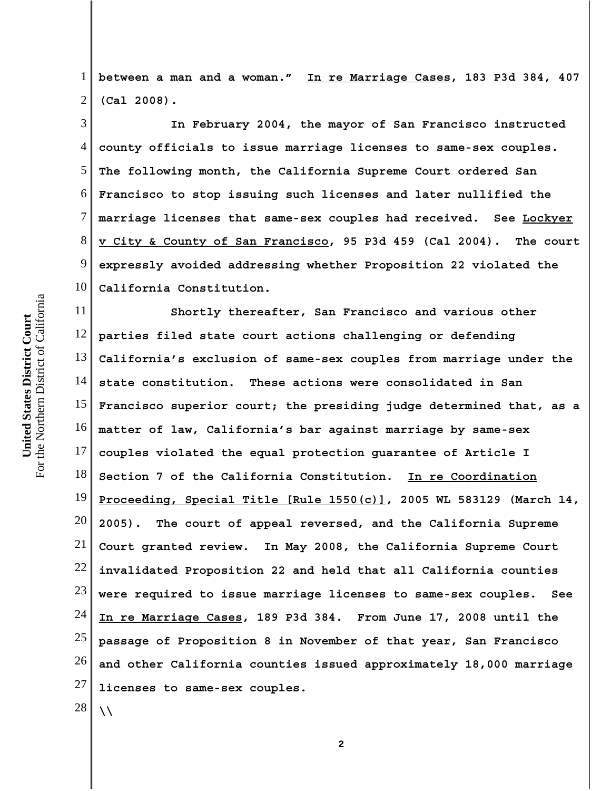1 2 **between a man and a woman." In re Marriage Cases, 183 P3d 384, 407 (Cal 2008).** 

3 4 5 6 7 8 9 10 **In February 2004, the mayor of San Francisco instructed county officials to issue marriage licenses to same-sex couples. The following month, the California Supreme Court ordered San Francisco to stop issuing such licenses and later nullified the marriage licenses that same-sex couples had received. See Lockyer v City & County of San Francisco, 95 P3d 459 (Cal 2004). The court expressly avoided addressing whether Proposition 22 violated the California Constitution.** 

11 12 13 14 15 16 17 18 19 20 21 22 23 24 25 26 27 **Shortly thereafter, San Francisco and various other parties filed state court actions challenging or defending California's exclusion of same-sex couples from marriage under the state constitution. These actions were consolidated in San Francisco superior court; the presiding judge determined that, as a matter of law, California's bar against marriage by same-sex couples violated the equal protection guarantee of Article I Section 7 of the California Constitution. In re Coordination Proceeding, Special Title [Rule 1550(c)], 2005 WL 583129 (March 14, 2005). The court of appeal reversed, and the California Supreme Court granted review. In May 2008, the California Supreme Court invalidated Proposition 22 and held that all California counties were required to issue marriage licenses to same-sex couples. See In re Marriage Cases, 189 P3d 384. From June 17, 2008 until the passage of Proposition 8 in November of that year, San Francisco and other California counties issued approximately 18,000 marriage licenses to same-sex couples.**

**2**

28

**\\**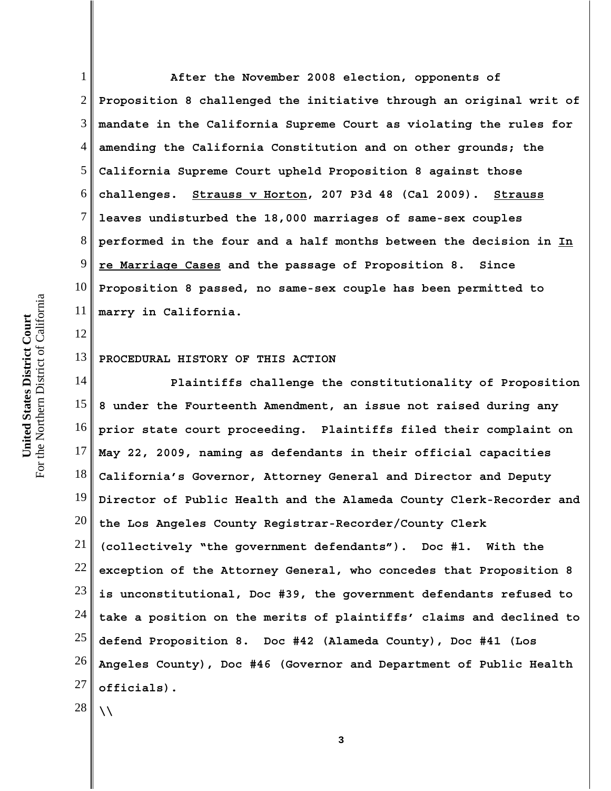2 3 4 5 6 7 8 9 10 11 12 13 **Proposition 8 challenged the initiative through an original writ of mandate in the California Supreme Court as violating the rules for amending the California Constitution and on other grounds; the California Supreme Court upheld Proposition 8 against those challenges. Strauss v Horton, 207 P3d 48 (Cal 2009). Strauss leaves undisturbed the 18,000 marriages of same-sex couples performed in the four and a half months between the decision in In re Marriage Cases and the passage of Proposition 8. Since Proposition 8 passed, no same-sex couple has been permitted to marry in California. PROCEDURAL HISTORY OF THIS ACTION**

14 15 16 17 18 19 20 21 22 23 24 25 26 27 28 **Plaintiffs challenge the constitutionality of Proposition 8 under the Fourteenth Amendment, an issue not raised during any prior state court proceeding. Plaintiffs filed their complaint on May 22, 2009, naming as defendants in their official capacities California's Governor, Attorney General and Director and Deputy Director of Public Health and the Alameda County Clerk-Recorder and the Los Angeles County Registrar-Recorder/County Clerk (collectively "the government defendants"). Doc #1. With the exception of the Attorney General, who concedes that Proposition 8 is unconstitutional, Doc #39, the government defendants refused to take a position on the merits of plaintiffs' claims and declined to defend Proposition 8. Doc #42 (Alameda County), Doc #41 (Los Angeles County), Doc #46 (Governor and Department of Public Health officials). \\**

**After the November 2008 election, opponents of**

For the Northern District of California For the Northern District of California United States District Court **United States District Court**

1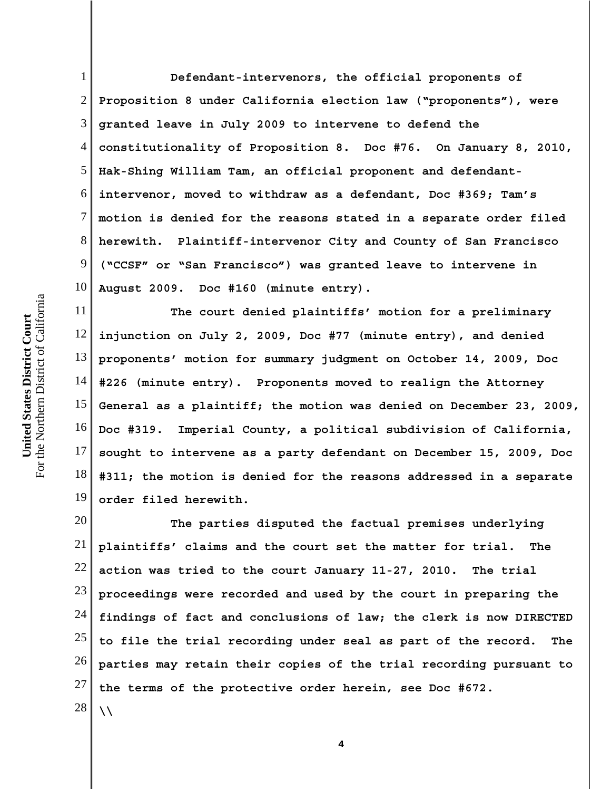1 2 3 4 5 6 7 8 9 10 **Defendant-intervenors, the official proponents of Proposition 8 under California election law ("proponents"), were granted leave in July 2009 to intervene to defend the constitutionality of Proposition 8. Doc #76. On January 8, 2010, Hak-Shing William Tam, an official proponent and defendantintervenor, moved to withdraw as a defendant, Doc #369; Tam's motion is denied for the reasons stated in a separate order filed herewith. Plaintiff-intervenor City and County of San Francisco ("CCSF" or "San Francisco") was granted leave to intervene in August 2009. Doc #160 (minute entry).**

11 12 13 14 15 16 17 18 19 **The court denied plaintiffs' motion for a preliminary injunction on July 2, 2009, Doc #77 (minute entry), and denied proponents' motion for summary judgment on October 14, 2009, Doc #226 (minute entry). Proponents moved to realign the Attorney General as a plaintiff; the motion was denied on December 23, 2009, Doc #319. Imperial County, a political subdivision of California, sought to intervene as a party defendant on December 15, 2009, Doc #311; the motion is denied for the reasons addressed in a separate order filed herewith.** 

20 21 22 23 24 25 26 27 28 **The parties disputed the factual premises underlying plaintiffs' claims and the court set the matter for trial. The action was tried to the court January 11-27, 2010. The trial proceedings were recorded and used by the court in preparing the findings of fact and conclusions of law; the clerk is now DIRECTED to file the trial recording under seal as part of the record. The parties may retain their copies of the trial recording pursuant to the terms of the protective order herein, see Doc #672. \\**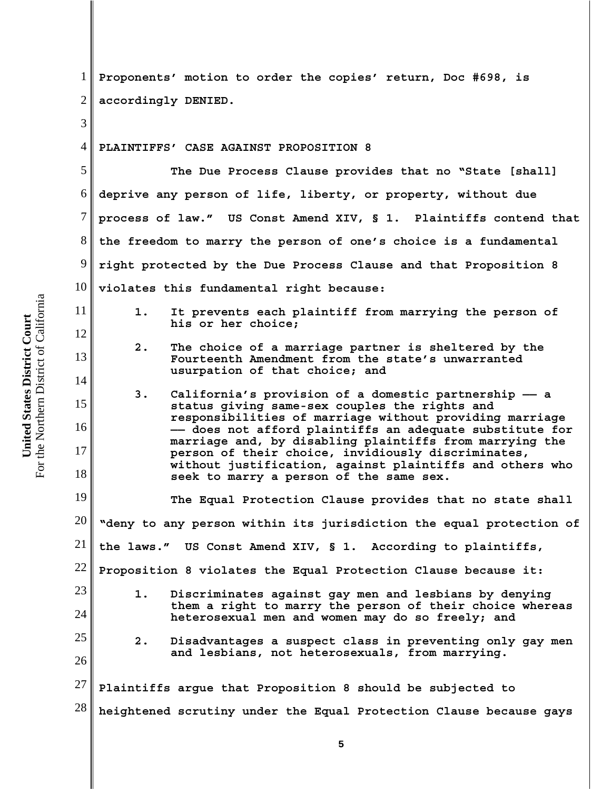1 2 3 4 5 6 7 8 9 10 11 12 13 14 15 16 17 18 19 20 21 22 23 24 25 26 27 28 **Proponents' motion to order the copies' return, Doc #698, is accordingly DENIED. PLAINTIFFS' CASE AGAINST PROPOSITION 8 The Due Process Clause provides that no "State [shall] deprive any person of life, liberty, or property, without due process of law." US Const Amend XIV, § 1. Plaintiffs contend that the freedom to marry the person of one's choice is a fundamental right protected by the Due Process Clause and that Proposition 8 violates this fundamental right because: 1. It prevents each plaintiff from marrying the person of his or her choice; 2. The choice of a marriage partner is sheltered by the Fourteenth Amendment from the state's unwarranted usurpation of that choice; and 3. California's provision of a domestic partnership —— a status giving same-sex couples the rights and responsibilities of marriage without providing marriage —— does not afford plaintiffs an adequate substitute for marriage and, by disabling plaintiffs from marrying the person of their choice, invidiously discriminates, without justification, against plaintiffs and others who seek to marry a person of the same sex. The Equal Protection Clause provides that no state shall "deny to any person within its jurisdiction the equal protection of the laws." US Const Amend XIV, § 1. According to plaintiffs, Proposition 8 violates the Equal Protection Clause because it: 1. Discriminates against gay men and lesbians by denying them a right to marry the person of their choice whereas heterosexual men and women may do so freely; and 2. Disadvantages a suspect class in preventing only gay men and lesbians, not heterosexuals, from marrying. Plaintiffs argue that Proposition 8 should be subjected to heightened scrutiny under the Equal Protection Clause because gays**

For the Northern District of California For the Northern District of California United States District Court **United States District Court**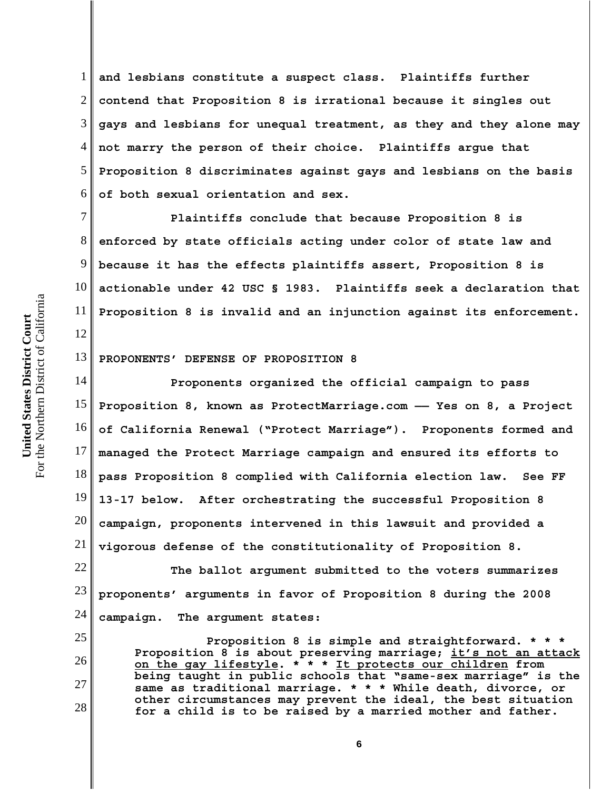1 2 3 4 5 6 **and lesbians constitute a suspect class. Plaintiffs further contend that Proposition 8 is irrational because it singles out gays and lesbians for unequal treatment, as they and they alone may not marry the person of their choice. Plaintiffs argue that Proposition 8 discriminates against gays and lesbians on the basis of both sexual orientation and sex.** 

7 8 9 10 11 **Plaintiffs conclude that because Proposition 8 is enforced by state officials acting under color of state law and because it has the effects plaintiffs assert, Proposition 8 is actionable under 42 USC § 1983. Plaintiffs seek a declaration that Proposition 8 is invalid and an injunction against its enforcement.**

#### 13 **PROPONENTS' DEFENSE OF PROPOSITION 8**

14 15 16 17 18 19 20 21 **Proponents organized the official campaign to pass Proposition 8, known as ProtectMarriage.com —— Yes on 8, a Project of California Renewal ("Protect Marriage"). Proponents formed and managed the Protect Marriage campaign and ensured its efforts to pass Proposition 8 complied with California election law. See FF 13-17 below. After orchestrating the successful Proposition 8 campaign, proponents intervened in this lawsuit and provided a vigorous defense of the constitutionality of Proposition 8.** 

22 23 24 **The ballot argument submitted to the voters summarizes proponents' arguments in favor of Proposition 8 during the 2008 campaign. The argument states:**

**Proposition 8 is simple and straightforward. \* \* \* Proposition 8 is about preserving marriage; it's not an attack on the gay lifestyle. \* \* \* It protects our children from being taught in public schools that "same-sex marriage" is the same as traditional marriage. \* \* \* While death, divorce, or other circumstances may prevent the ideal, the best situation for a child is to be raised by a married mother and father.**

12

25

26

27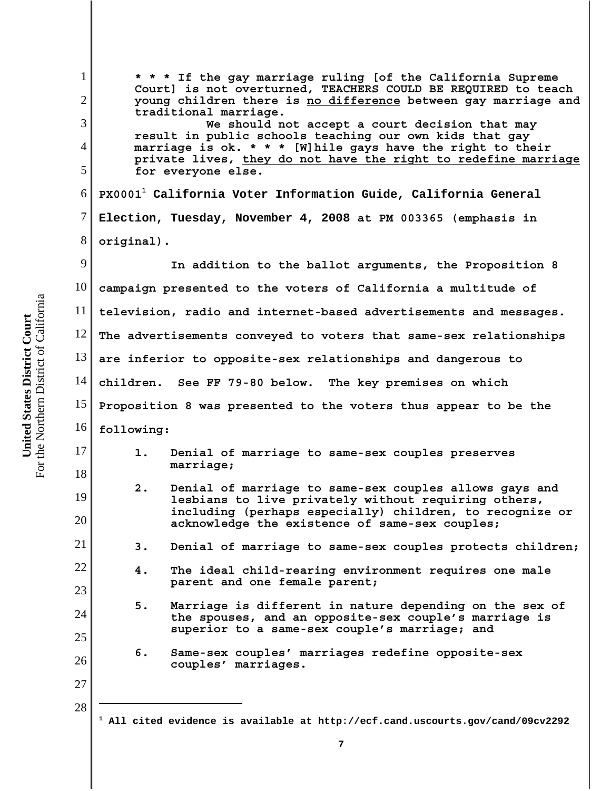**United States District Court**<br>For the Northern District of California For the Northern District of California **United States District Court**

| $\mathbf{1}$<br>$\overline{2}$ | * * * If the gay marriage ruling [of the California Supreme<br>Court] is not overturned, TEACHERS COULD BE REQUIRED to teach<br>young children there is no difference between gay marriage and<br>traditional marriage. |                                                                                                                                                                   |  |  |  |
|--------------------------------|-------------------------------------------------------------------------------------------------------------------------------------------------------------------------------------------------------------------------|-------------------------------------------------------------------------------------------------------------------------------------------------------------------|--|--|--|
| 3                              | We should not accept a court decision that may                                                                                                                                                                          |                                                                                                                                                                   |  |  |  |
| $\overline{4}$                 | result in public schools teaching our own kids that gay<br>marriage is ok. * * * [W] hile gays have the right to their                                                                                                  |                                                                                                                                                                   |  |  |  |
| 5                              | private lives, they do not have the right to redefine marriage<br>for everyone else.                                                                                                                                    |                                                                                                                                                                   |  |  |  |
| 6                              | PX0001 <sup>1</sup> California Voter Information Guide, California General                                                                                                                                              |                                                                                                                                                                   |  |  |  |
| 7                              | Election, Tuesday, November 4, 2008 at PM 003365 (emphasis in                                                                                                                                                           |                                                                                                                                                                   |  |  |  |
| 8                              | original).                                                                                                                                                                                                              |                                                                                                                                                                   |  |  |  |
| 9                              | In addition to the ballot arguments, the Proposition 8                                                                                                                                                                  |                                                                                                                                                                   |  |  |  |
| 10                             | campaign presented to the voters of California a multitude of                                                                                                                                                           |                                                                                                                                                                   |  |  |  |
| 11                             | television, radio and internet-based advertisements and messages.                                                                                                                                                       |                                                                                                                                                                   |  |  |  |
| 12                             | The advertisements conveyed to voters that same-sex relationships                                                                                                                                                       |                                                                                                                                                                   |  |  |  |
| 13                             | are inferior to opposite-sex relationships and dangerous to                                                                                                                                                             |                                                                                                                                                                   |  |  |  |
| 14                             | children. See FF 79-80 below. The key premises on which                                                                                                                                                                 |                                                                                                                                                                   |  |  |  |
| 15                             | Proposition 8 was presented to the voters thus appear to be the                                                                                                                                                         |                                                                                                                                                                   |  |  |  |
| 16                             | following:                                                                                                                                                                                                              |                                                                                                                                                                   |  |  |  |
| 17                             | $1$ .                                                                                                                                                                                                                   | Denial of marriage to same-sex couples preserves<br>marriage;                                                                                                     |  |  |  |
| 18                             | 2.                                                                                                                                                                                                                      | Denial of marriage to same-sex couples allows gays and                                                                                                            |  |  |  |
| 19                             |                                                                                                                                                                                                                         | lesbians to live privately without requiring others,<br>including (perhaps especially) children, to recognize or                                                  |  |  |  |
| 20                             |                                                                                                                                                                                                                         | acknowledge the existence of same-sex couples;                                                                                                                    |  |  |  |
| 21                             | 3.                                                                                                                                                                                                                      | Denial of marriage to same-sex couples protects children;                                                                                                         |  |  |  |
| 22                             | 4.                                                                                                                                                                                                                      | The ideal child-rearing environment requires one male<br>parent and one female parent;                                                                            |  |  |  |
| 23                             |                                                                                                                                                                                                                         |                                                                                                                                                                   |  |  |  |
| 24                             | 5.                                                                                                                                                                                                                      | Marriage is different in nature depending on the sex of<br>the spouses, and an opposite-sex couple's marriage is<br>superior to a same-sex couple's marriage; and |  |  |  |
| 25                             | 6.                                                                                                                                                                                                                      | Same-sex couples' marriages redefine opposite-sex                                                                                                                 |  |  |  |
| 26                             |                                                                                                                                                                                                                         | couples' marriages.                                                                                                                                               |  |  |  |
| 27                             |                                                                                                                                                                                                                         |                                                                                                                                                                   |  |  |  |
| 28                             | 1                                                                                                                                                                                                                       | All cited evidence is available at http://ecf.cand.uscourts.gov/cand/09cv2292                                                                                     |  |  |  |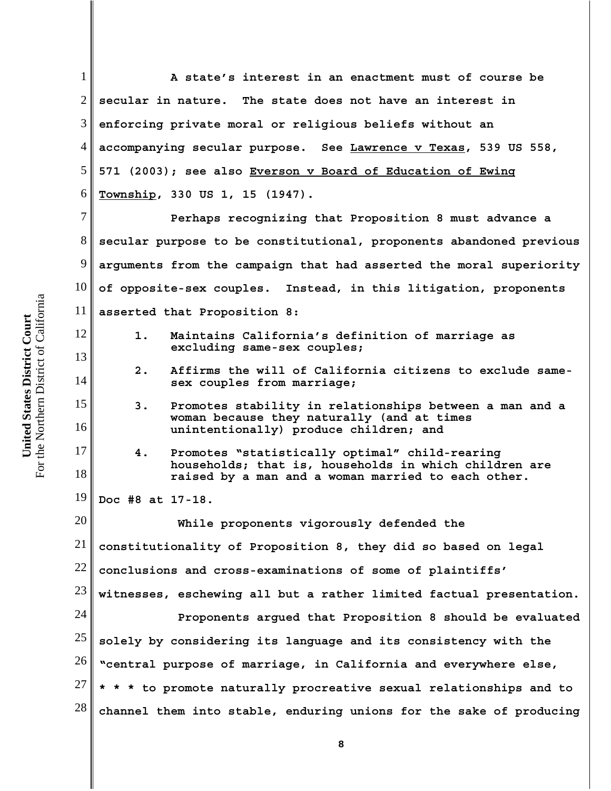1 2 3 4 5 6 7 8 9 10 11 12 13 14 15 16 17 18 19 20 21 22 23 24 25 26 27 28 **A state's interest in an enactment must of course be secular in nature. The state does not have an interest in enforcing private moral or religious beliefs without an accompanying secular purpose. See Lawrence v Texas, 539 US 558, 571 (2003); see also Everson v Board of Education of Ewing Township, 330 US 1, 15 (1947). Perhaps recognizing that Proposition 8 must advance a secular purpose to be constitutional, proponents abandoned previous arguments from the campaign that had asserted the moral superiority of opposite-sex couples. Instead, in this litigation, proponents asserted that Proposition 8: 1. Maintains California's definition of marriage as excluding same-sex couples; 2. Affirms the will of California citizens to exclude samesex couples from marriage; 3. Promotes stability in relationships between a man and a woman because they naturally (and at times unintentionally) produce children; and 4. Promotes "statistically optimal" child-rearing households; that is, households in which children are raised by a man and a woman married to each other. Doc #8 at 17-18. While proponents vigorously defended the constitutionality of Proposition 8, they did so based on legal conclusions and cross-examinations of some of plaintiffs' witnesses, eschewing all but a rather limited factual presentation. Proponents argued that Proposition 8 should be evaluated solely by considering its language and its consistency with the "central purpose of marriage, in California and everywhere else, \* \* \* to promote naturally procreative sexual relationships and to channel them into stable, enduring unions for the sake of producing**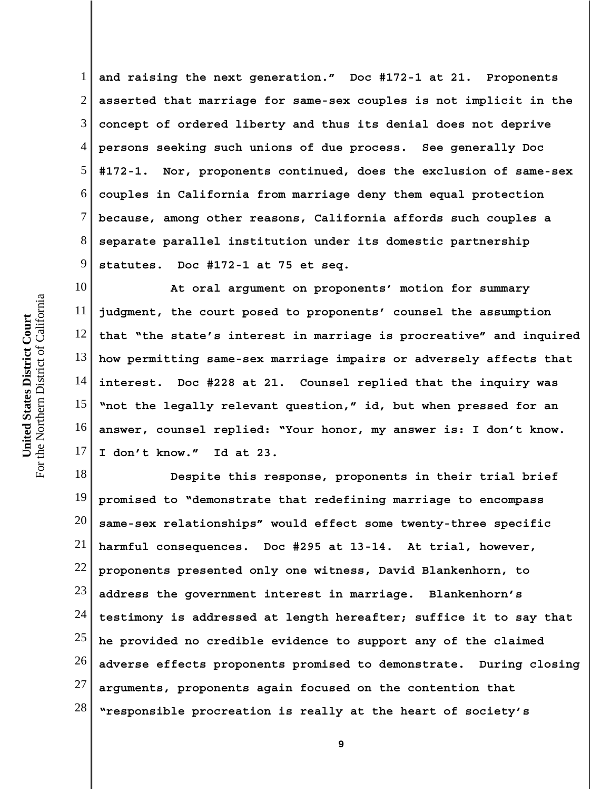1 2 3 4 5 6 7 8 9 **and raising the next generation." Doc #172-1 at 21. Proponents asserted that marriage for same-sex couples is not implicit in the concept of ordered liberty and thus its denial does not deprive persons seeking such unions of due process. See generally Doc #172-1. Nor, proponents continued, does the exclusion of same-sex couples in California from marriage deny them equal protection because, among other reasons, California affords such couples a separate parallel institution under its domestic partnership statutes. Doc #172-1 at 75 et seq.** 

10 11 12 13 14 15 16 17 **At oral argument on proponents' motion for summary judgment, the court posed to proponents' counsel the assumption that "the state's interest in marriage is procreative" and inquired how permitting same-sex marriage impairs or adversely affects that interest. Doc #228 at 21. Counsel replied that the inquiry was "not the legally relevant question," id, but when pressed for an answer, counsel replied: "Your honor, my answer is: I don't know. I don't know." Id at 23.** 

18 19 20 21 22 23 24 25 26 27 28 **Despite this response, proponents in their trial brief promised to "demonstrate that redefining marriage to encompass same-sex relationships" would effect some twenty-three specific harmful consequences. Doc #295 at 13-14. At trial, however, proponents presented only one witness, David Blankenhorn, to address the government interest in marriage. Blankenhorn's testimony is addressed at length hereafter; suffice it to say that he provided no credible evidence to support any of the claimed adverse effects proponents promised to demonstrate. During closing arguments, proponents again focused on the contention that "responsible procreation is really at the heart of society's**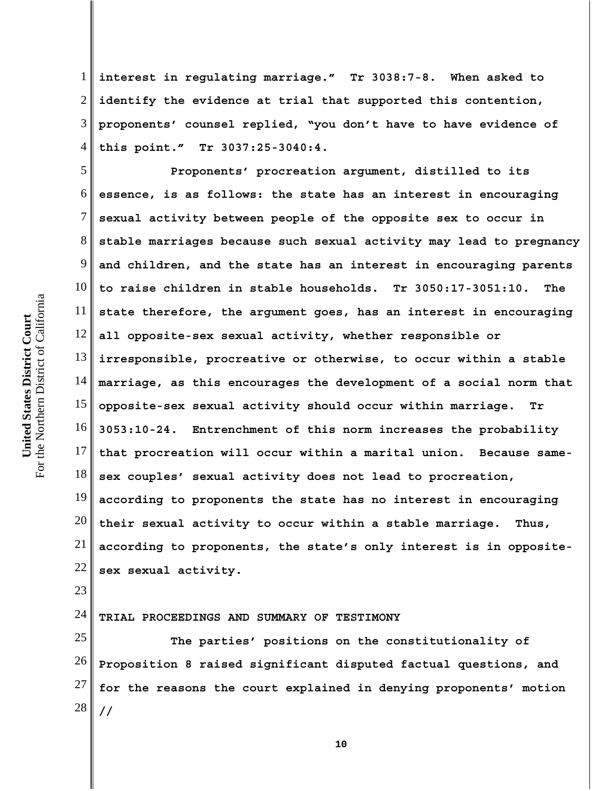1 2 3 4 **interest in regulating marriage." Tr 3038:7-8. When asked to identify the evidence at trial that supported this contention, proponents' counsel replied, "you don't have to have evidence of this point." Tr 3037:25-3040:4.**

5 6 7 8 9 10 11 12 13 14 15 16 17 18 19 20 21 22 **Proponents' procreation argument, distilled to its essence, is as follows: the state has an interest in encouraging sexual activity between people of the opposite sex to occur in stable marriages because such sexual activity may lead to pregnancy and children, and the state has an interest in encouraging parents to raise children in stable households. Tr 3050:17-3051:10. The state therefore, the argument goes, has an interest in encouraging all opposite-sex sexual activity, whether responsible or irresponsible, procreative or otherwise, to occur within a stable marriage, as this encourages the development of a social norm that opposite-sex sexual activity should occur within marriage. Tr 3053:10-24. Entrenchment of this norm increases the probability that procreation will occur within a marital union. Because samesex couples' sexual activity does not lead to procreation, according to proponents the state has no interest in encouraging their sexual activity to occur within a stable marriage. Thus, according to proponents, the state's only interest is in oppositesex sexual activity.**

### 24 **TRIAL PROCEEDINGS AND SUMMARY OF TESTIMONY**

25 26 27 28 **The parties' positions on the constitutionality of Proposition 8 raised significant disputed factual questions, and for the reasons the court explained in denying proponents' motion //**

23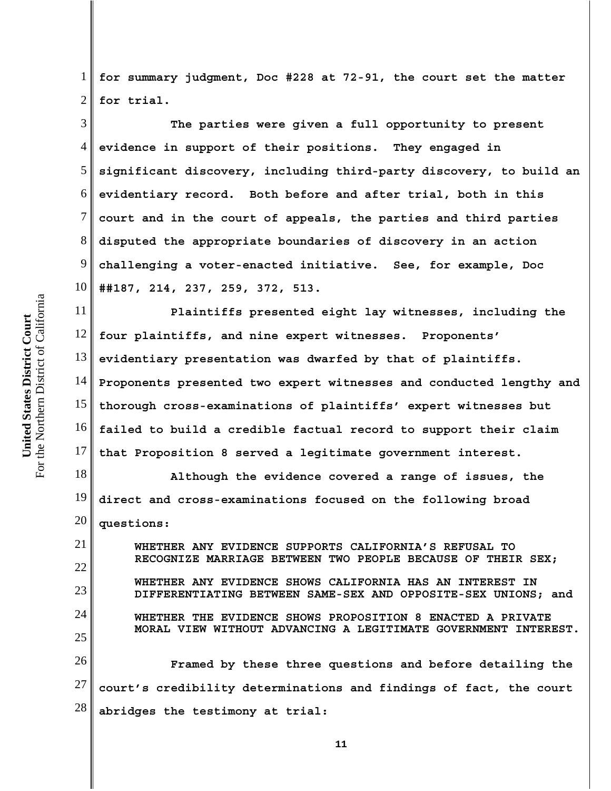1 2 **for summary judgment, Doc #228 at 72-91, the court set the matter for trial.** 

3 4 5 6 7 8 9 10 **The parties were given a full opportunity to present evidence in support of their positions. They engaged in significant discovery, including third-party discovery, to build an evidentiary record. Both before and after trial, both in this court and in the court of appeals, the parties and third parties disputed the appropriate boundaries of discovery in an action challenging a voter-enacted initiative. See, for example, Doc ##187, 214, 237, 259, 372, 513.**

11 12 13 14 15 16 17 **Plaintiffs presented eight lay witnesses, including the four plaintiffs, and nine expert witnesses. Proponents' evidentiary presentation was dwarfed by that of plaintiffs. Proponents presented two expert witnesses and conducted lengthy and thorough cross-examinations of plaintiffs' expert witnesses but failed to build a credible factual record to support their claim that Proposition 8 served a legitimate government interest.**

18 19 20 **Although the evidence covered a range of issues, the direct and cross-examinations focused on the following broad questions:**

21 22 23 24 25 26 27 28 **WHETHER ANY EVIDENCE SUPPORTS CALIFORNIA'S REFUSAL TO RECOGNIZE MARRIAGE BETWEEN TWO PEOPLE BECAUSE OF THEIR SEX; WHETHER ANY EVIDENCE SHOWS CALIFORNIA HAS AN INTEREST IN DIFFERENTIATING BETWEEN SAME-SEX AND OPPOSITE-SEX UNIONS; and WHETHER THE EVIDENCE SHOWS PROPOSITION 8 ENACTED A PRIVATE MORAL VIEW WITHOUT ADVANCING A LEGITIMATE GOVERNMENT INTEREST. Framed by these three questions and before detailing the court's credibility determinations and findings of fact, the court abridges the testimony at trial:**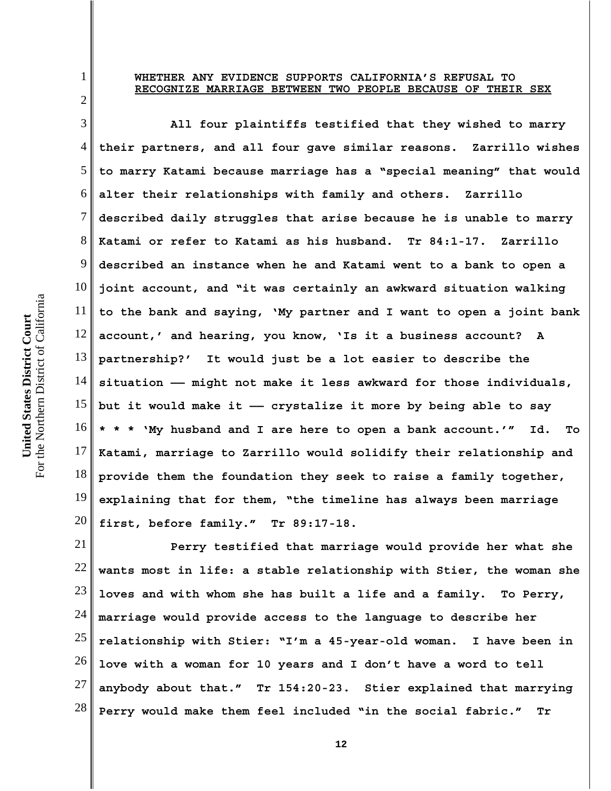### **WHETHER ANY EVIDENCE SUPPORTS CALIFORNIA'S REFUSAL TO RECOGNIZE MARRIAGE BETWEEN TWO PEOPLE BECAUSE OF THEIR SEX**

3 4 5 6 7 8 9 10 11 12 13 14 15 16 17 18 19 20 **All four plaintiffs testified that they wished to marry their partners, and all four gave similar reasons. Zarrillo wishes to marry Katami because marriage has a "special meaning" that would alter their relationships with family and others. Zarrillo described daily struggles that arise because he is unable to marry Katami or refer to Katami as his husband. Tr 84:1-17. Zarrillo described an instance when he and Katami went to a bank to open a joint account, and "it was certainly an awkward situation walking to the bank and saying, 'My partner and I want to open a joint bank account,' and hearing, you know, 'Is it a business account? A partnership?' It would just be a lot easier to describe the situation —— might not make it less awkward for those individuals, but it would make it —— crystalize it more by being able to say \* \* \* 'My husband and I are here to open a bank account.'" Id. To Katami, marriage to Zarrillo would solidify their relationship and provide them the foundation they seek to raise a family together, explaining that for them, "the timeline has always been marriage first, before family." Tr 89:17-18.** 

21 22 23 24 25 26 27 28 **Perry testified that marriage would provide her what she wants most in life: a stable relationship with Stier, the woman she loves and with whom she has built a life and a family. To Perry, marriage would provide access to the language to describe her relationship with Stier: "I'm a 45-year-old woman. I have been in love with a woman for 10 years and I don't have a word to tell anybody about that." Tr 154:20-23. Stier explained that marrying Perry would make them feel included "in the social fabric." Tr**

1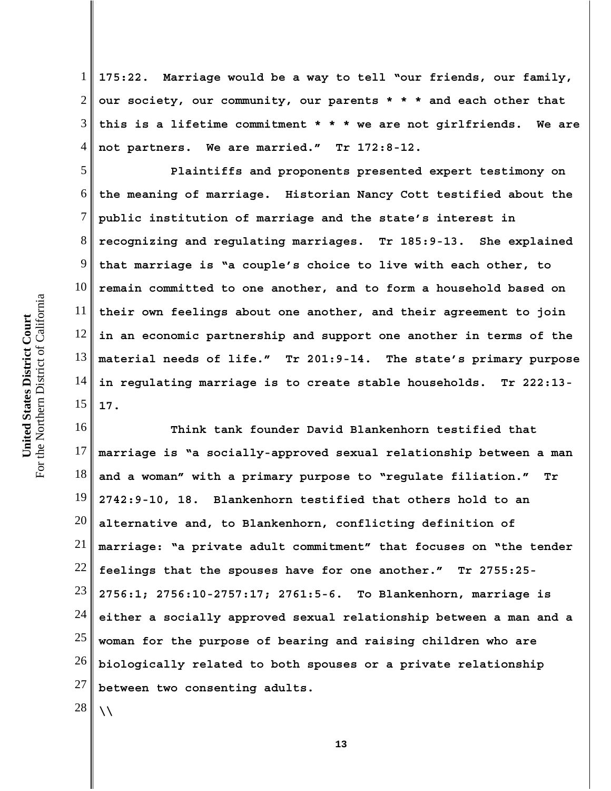1 2 3 4 **175:22. Marriage would be a way to tell "our friends, our family, our society, our community, our parents \* \* \* and each other that this is a lifetime commitment \* \* \* we are not girlfriends. We are not partners. We are married." Tr 172:8-12.**

5 6 7 8 9 10 11 12 13 14 15 **Plaintiffs and proponents presented expert testimony on the meaning of marriage. Historian Nancy Cott testified about the public institution of marriage and the state's interest in recognizing and regulating marriages. Tr 185:9-13. She explained that marriage is "a couple's choice to live with each other, to remain committed to one another, and to form a household based on their own feelings about one another, and their agreement to join in an economic partnership and support one another in terms of the material needs of life." Tr 201:9-14. The state's primary purpose in regulating marriage is to create stable households. Tr 222:13- 17.** 

16 17 18 19 20 21 22 23 24 25 26 27 28 **Think tank founder David Blankenhorn testified that marriage is "a socially-approved sexual relationship between a man and a woman" with a primary purpose to "regulate filiation." Tr 2742:9-10, 18. Blankenhorn testified that others hold to an alternative and, to Blankenhorn, conflicting definition of marriage: "a private adult commitment" that focuses on "the tender feelings that the spouses have for one another." Tr 2755:25- 2756:1; 2756:10-2757:17; 2761:5-6. To Blankenhorn, marriage is either a socially approved sexual relationship between a man and a woman for the purpose of bearing and raising children who are biologically related to both spouses or a private relationship between two consenting adults. \\**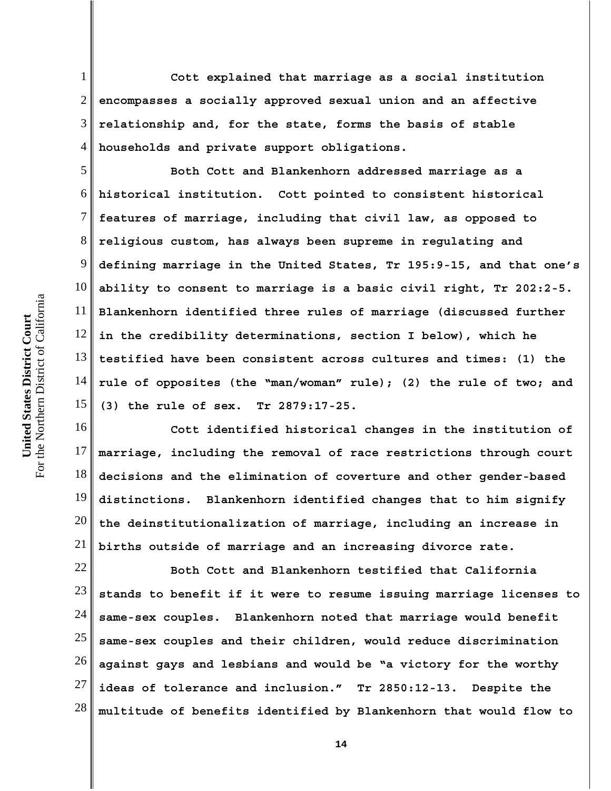1 2 3 4 **Cott explained that marriage as a social institution encompasses a socially approved sexual union and an affective relationship and, for the state, forms the basis of stable households and private support obligations.** 

5 6 7 8 9 10 11 12 13 14 15 **Both Cott and Blankenhorn addressed marriage as a historical institution. Cott pointed to consistent historical features of marriage, including that civil law, as opposed to religious custom, has always been supreme in regulating and defining marriage in the United States, Tr 195:9-15, and that one's ability to consent to marriage is a basic civil right, Tr 202:2-5. Blankenhorn identified three rules of marriage (discussed further in the credibility determinations, section I below), which he testified have been consistent across cultures and times: (1) the rule of opposites (the "man/woman" rule); (2) the rule of two; and (3) the rule of sex. Tr 2879:17-25.** 

16 17 18 19 20 21 **Cott identified historical changes in the institution of marriage, including the removal of race restrictions through court decisions and the elimination of coverture and other gender-based distinctions. Blankenhorn identified changes that to him signify the deinstitutionalization of marriage, including an increase in births outside of marriage and an increasing divorce rate.**

22 23 24 25 26 27 28 **Both Cott and Blankenhorn testified that California stands to benefit if it were to resume issuing marriage licenses to same-sex couples. Blankenhorn noted that marriage would benefit same-sex couples and their children, would reduce discrimination against gays and lesbians and would be "a victory for the worthy ideas of tolerance and inclusion." Tr 2850:12-13. Despite the multitude of benefits identified by Blankenhorn that would flow to**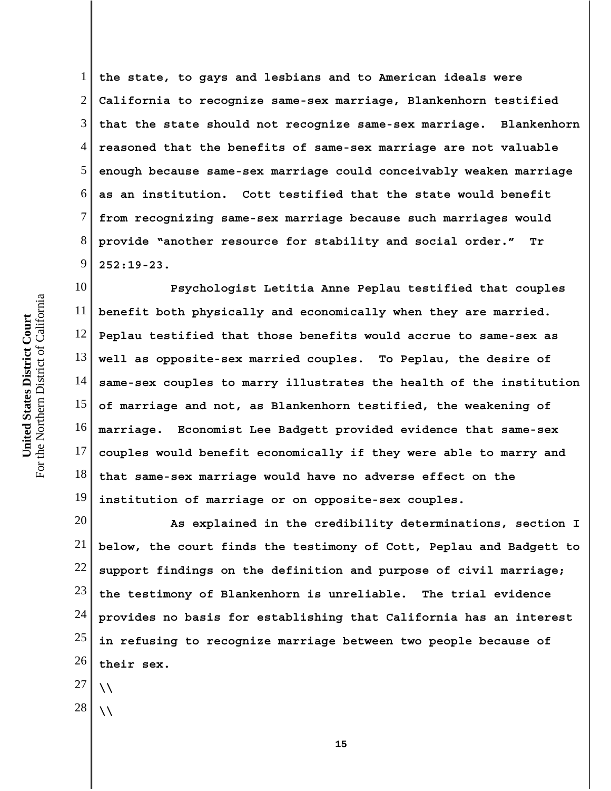1 2 3 4 5 6 7 8 9 **the state, to gays and lesbians and to American ideals were California to recognize same-sex marriage, Blankenhorn testified that the state should not recognize same-sex marriage. Blankenhorn reasoned that the benefits of same-sex marriage are not valuable enough because same-sex marriage could conceivably weaken marriage as an institution. Cott testified that the state would benefit from recognizing same-sex marriage because such marriages would provide "another resource for stability and social order." Tr 252:19-23.**

10 11 12 13 14 15 16 17 18 19 **Psychologist Letitia Anne Peplau testified that couples benefit both physically and economically when they are married. Peplau testified that those benefits would accrue to same-sex as well as opposite-sex married couples. To Peplau, the desire of same-sex couples to marry illustrates the health of the institution of marriage and not, as Blankenhorn testified, the weakening of marriage. Economist Lee Badgett provided evidence that same-sex couples would benefit economically if they were able to marry and that same-sex marriage would have no adverse effect on the institution of marriage or on opposite-sex couples.** 

20 21 22 23 24 25 26 **As explained in the credibility determinations, section I below, the court finds the testimony of Cott, Peplau and Badgett to support findings on the definition and purpose of civil marriage; the testimony of Blankenhorn is unreliable. The trial evidence provides no basis for establishing that California has an interest in refusing to recognize marriage between two people because of their sex.**

- 27
- 28 **\\**

**\\**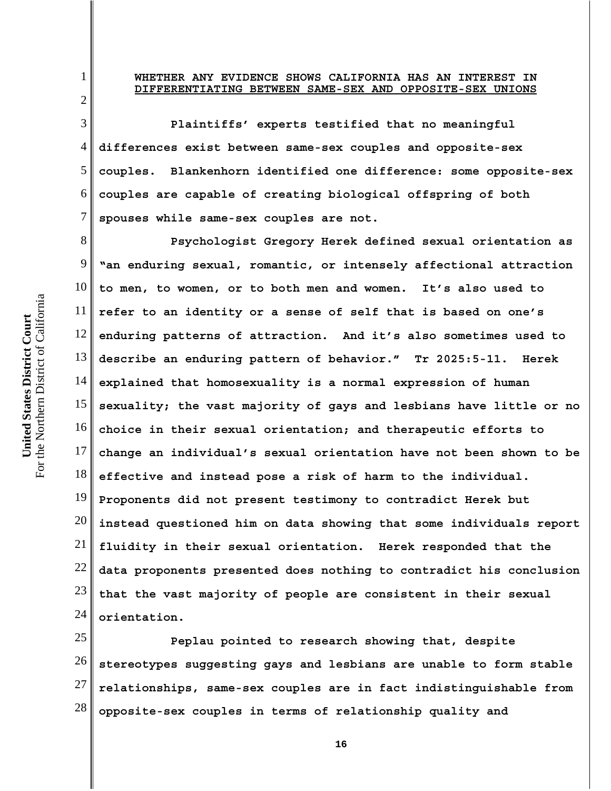# **WHETHER ANY EVIDENCE SHOWS CALIFORNIA HAS AN INTEREST IN DIFFERENTIATING BETWEEN SAME-SEX AND OPPOSITE-SEX UNIONS**

4 6 **Plaintiffs' experts testified that no meaningful differences exist between same-sex couples and opposite-sex couples. Blankenhorn identified one difference: some opposite-sex couples are capable of creating biological offspring of both spouses while same-sex couples are not.**

8 9 10 11 12 13 14 15 16 17 18 19 20 21 22 23 24 **Psychologist Gregory Herek defined sexual orientation as "an enduring sexual, romantic, or intensely affectional attraction to men, to women, or to both men and women. It's also used to refer to an identity or a sense of self that is based on one's enduring patterns of attraction. And it's also sometimes used to describe an enduring pattern of behavior." Tr 2025:5-11. Herek explained that homosexuality is a normal expression of human sexuality; the vast majority of gays and lesbians have little or no choice in their sexual orientation; and therapeutic efforts to change an individual's sexual orientation have not been shown to be effective and instead pose a risk of harm to the individual. Proponents did not present testimony to contradict Herek but instead questioned him on data showing that some individuals report fluidity in their sexual orientation. Herek responded that the data proponents presented does nothing to contradict his conclusion that the vast majority of people are consistent in their sexual orientation.**

25 26 27 28 **Peplau pointed to research showing that, despite stereotypes suggesting gays and lesbians are unable to form stable relationships, same-sex couples are in fact indistinguishable from opposite-sex couples in terms of relationship quality and**

1

2

3

5

7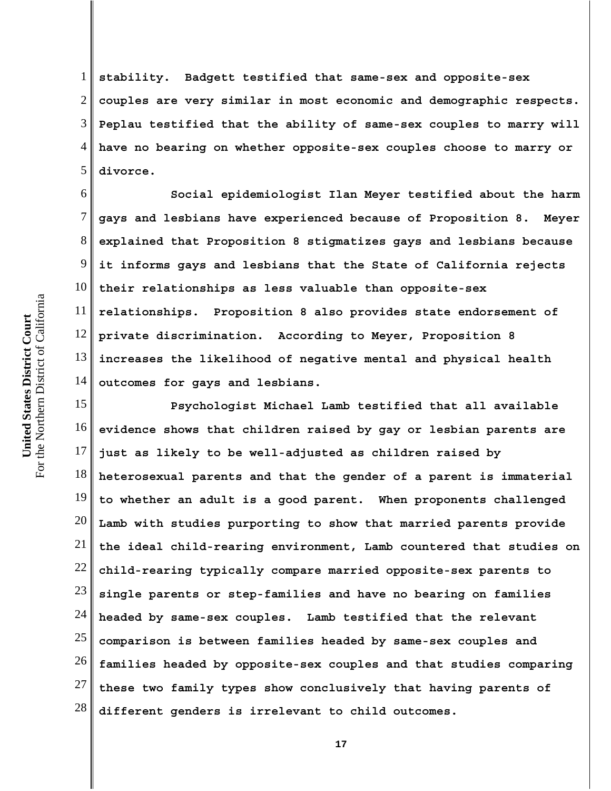For the Northern District of California For the Northern District of California United States District Court **United States District Court**

1 2 3 4 5 **stability. Badgett testified that same-sex and opposite-sex couples are very similar in most economic and demographic respects. Peplau testified that the ability of same-sex couples to marry will have no bearing on whether opposite-sex couples choose to marry or divorce.** 

6 7 8 9 10 11 12 13 14 **Social epidemiologist Ilan Meyer testified about the harm gays and lesbians have experienced because of Proposition 8. Meyer explained that Proposition 8 stigmatizes gays and lesbians because it informs gays and lesbians that the State of California rejects their relationships as less valuable than opposite-sex relationships. Proposition 8 also provides state endorsement of private discrimination. According to Meyer, Proposition 8 increases the likelihood of negative mental and physical health outcomes for gays and lesbians.**

15 16 17 18 19 20 21 22 23 24 25 26 27 28 **Psychologist Michael Lamb testified that all available evidence shows that children raised by gay or lesbian parents are just as likely to be well-adjusted as children raised by heterosexual parents and that the gender of a parent is immaterial to whether an adult is a good parent. When proponents challenged Lamb with studies purporting to show that married parents provide the ideal child-rearing environment, Lamb countered that studies on child-rearing typically compare married opposite-sex parents to single parents or step-families and have no bearing on families headed by same-sex couples. Lamb testified that the relevant comparison is between families headed by same-sex couples and families headed by opposite-sex couples and that studies comparing these two family types show conclusively that having parents of different genders is irrelevant to child outcomes.**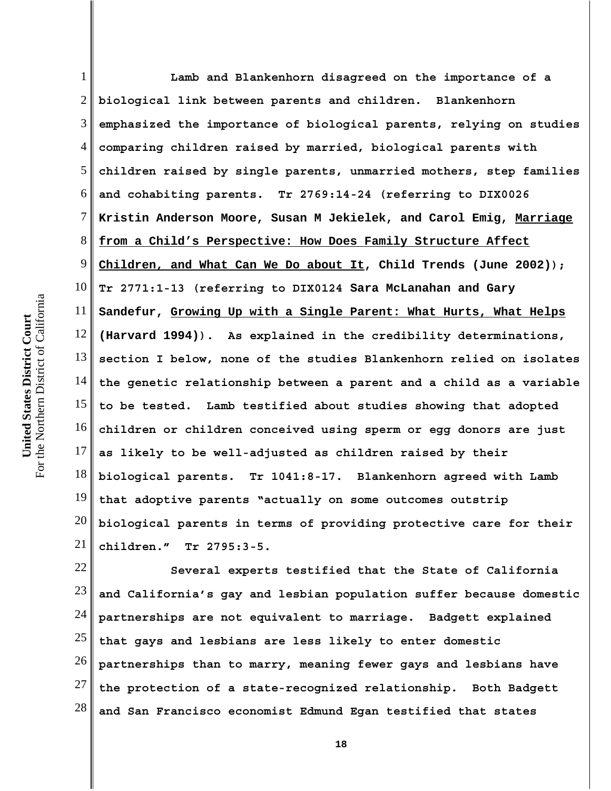1 2 3 4 5 6 7 8 9 10 11 12 13 14 15 16 17 18 19 20 21 **Lamb and Blankenhorn disagreed on the importance of a biological link between parents and children. Blankenhorn emphasized the importance of biological parents, relying on studies comparing children raised by married, biological parents with children raised by single parents, unmarried mothers, step families and cohabiting parents. Tr 2769:14-24 (referring to DIX0026 Kristin Anderson Moore, Susan M Jekielek, and Carol Emig, Marriage from a Child's Perspective: How Does Family Structure Affect Children, and What Can We Do about It, Child Trends (June 2002)); Tr 2771:1-13 (referring to DIX0124 Sara McLanahan and Gary Sandefur, Growing Up with a Single Parent: What Hurts, What Helps (Harvard 1994)). As explained in the credibility determinations, section I below, none of the studies Blankenhorn relied on isolates the genetic relationship between a parent and a child as a variable to be tested. Lamb testified about studies showing that adopted children or children conceived using sperm or egg donors are just as likely to be well-adjusted as children raised by their biological parents. Tr 1041:8-17. Blankenhorn agreed with Lamb that adoptive parents "actually on some outcomes outstrip biological parents in terms of providing protective care for their children." Tr 2795:3-5.**

22 23 24 25 26 27 28 **Several experts testified that the State of California and California's gay and lesbian population suffer because domestic partnerships are not equivalent to marriage. Badgett explained that gays and lesbians are less likely to enter domestic partnerships than to marry, meaning fewer gays and lesbians have the protection of a state-recognized relationship. Both Badgett and San Francisco economist Edmund Egan testified that states**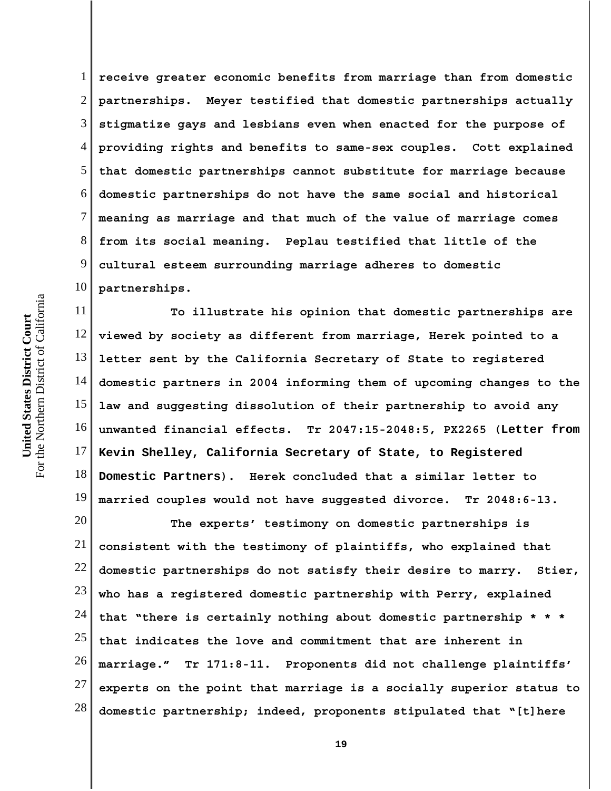1 2 3 4 5 6 7 8 9 10 **receive greater economic benefits from marriage than from domestic partnerships. Meyer testified that domestic partnerships actually stigmatize gays and lesbians even when enacted for the purpose of providing rights and benefits to same-sex couples. Cott explained that domestic partnerships cannot substitute for marriage because domestic partnerships do not have the same social and historical meaning as marriage and that much of the value of marriage comes from its social meaning. Peplau testified that little of the cultural esteem surrounding marriage adheres to domestic partnerships.** 

11 12 13 14 15 16 17 18 19 **To illustrate his opinion that domestic partnerships are viewed by society as different from marriage, Herek pointed to a letter sent by the California Secretary of State to registered domestic partners in 2004 informing them of upcoming changes to the law and suggesting dissolution of their partnership to avoid any unwanted financial effects. Tr 2047:15-2048:5, PX2265 (Letter from Kevin Shelley, California Secretary of State, to Registered Domestic Partners). Herek concluded that a similar letter to married couples would not have suggested divorce. Tr 2048:6-13.**

20 21 22 23 24 25 26 27 28 **The experts' testimony on domestic partnerships is consistent with the testimony of plaintiffs, who explained that domestic partnerships do not satisfy their desire to marry. Stier, who has a registered domestic partnership with Perry, explained that "there is certainly nothing about domestic partnership \* \* \* that indicates the love and commitment that are inherent in marriage." Tr 171:8-11. Proponents did not challenge plaintiffs' experts on the point that marriage is a socially superior status to domestic partnership; indeed, proponents stipulated that "[t]here**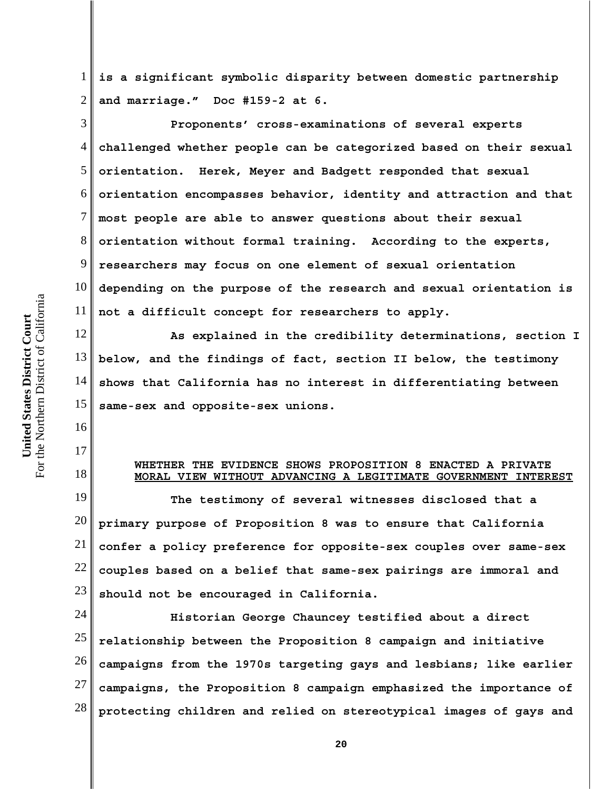1 2 **is a significant symbolic disparity between domestic partnership and marriage." Doc #159-2 at 6.** 

3 4 5 6 7 8 9 10 11 **Proponents' cross-examinations of several experts challenged whether people can be categorized based on their sexual orientation. Herek, Meyer and Badgett responded that sexual orientation encompasses behavior, identity and attraction and that most people are able to answer questions about their sexual orientation without formal training. According to the experts, researchers may focus on one element of sexual orientation depending on the purpose of the research and sexual orientation is not a difficult concept for researchers to apply.**

12 13 14 15 **As explained in the credibility determinations, section I below, and the findings of fact, section II below, the testimony shows that California has no interest in differentiating between same-sex and opposite-sex unions.**

## **WHETHER THE EVIDENCE SHOWS PROPOSITION 8 ENACTED A PRIVATE MORAL VIEW WITHOUT ADVANCING A LEGITIMATE GOVERNMENT INTEREST**

19 20 21 22 23 **The testimony of several witnesses disclosed that a primary purpose of Proposition 8 was to ensure that California confer a policy preference for opposite-sex couples over same-sex couples based on a belief that same-sex pairings are immoral and should not be encouraged in California.**

24 25 26 27 28 **Historian George Chauncey testified about a direct relationship between the Proposition 8 campaign and initiative campaigns from the 1970s targeting gays and lesbians; like earlier campaigns, the Proposition 8 campaign emphasized the importance of protecting children and relied on stereotypical images of gays and**

16

17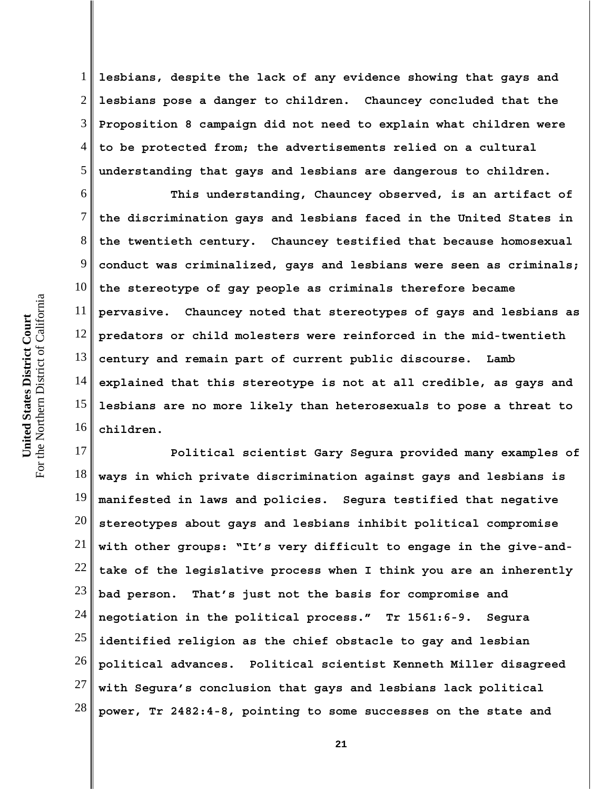For the Northern District of California For the Northern District of California United States District Court **United States District Court**

1 2 3 4 5 **lesbians, despite the lack of any evidence showing that gays and lesbians pose a danger to children. Chauncey concluded that the Proposition 8 campaign did not need to explain what children were to be protected from; the advertisements relied on a cultural understanding that gays and lesbians are dangerous to children.**

6 7 8 9 10 11 12 13 14 15 16 **This understanding, Chauncey observed, is an artifact of the discrimination gays and lesbians faced in the United States in the twentieth century. Chauncey testified that because homosexual conduct was criminalized, gays and lesbians were seen as criminals; the stereotype of gay people as criminals therefore became pervasive. Chauncey noted that stereotypes of gays and lesbians as predators or child molesters were reinforced in the mid-twentieth century and remain part of current public discourse. Lamb explained that this stereotype is not at all credible, as gays and lesbians are no more likely than heterosexuals to pose a threat to children.**

17 18 19 20 21 22 23 24 25 26 27 28 **Political scientist Gary Segura provided many examples of ways in which private discrimination against gays and lesbians is manifested in laws and policies. Segura testified that negative stereotypes about gays and lesbians inhibit political compromise with other groups: "It's very difficult to engage in the give-andtake of the legislative process when I think you are an inherently bad person. That's just not the basis for compromise and negotiation in the political process." Tr 1561:6-9. Segura identified religion as the chief obstacle to gay and lesbian political advances. Political scientist Kenneth Miller disagreed with Segura's conclusion that gays and lesbians lack political power, Tr 2482:4-8, pointing to some successes on the state and**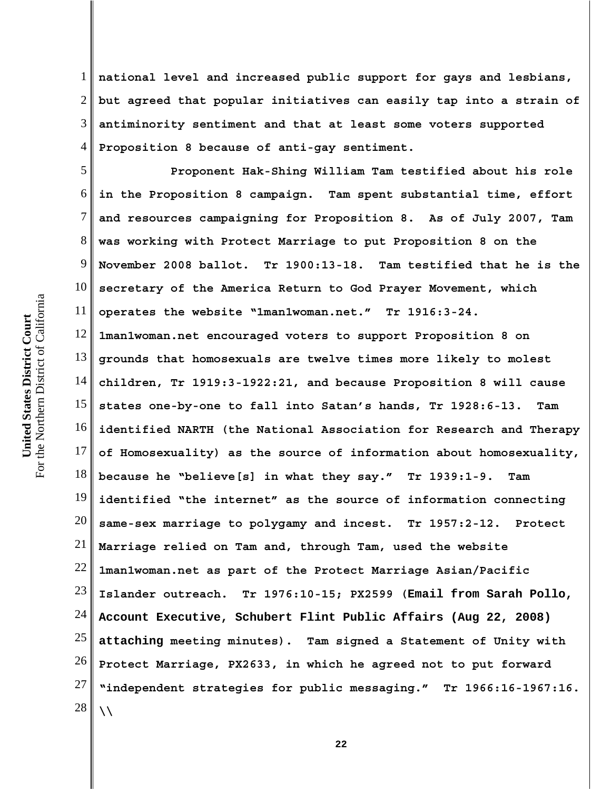1 2 3 4 **national level and increased public support for gays and lesbians, but agreed that popular initiatives can easily tap into a strain of antiminority sentiment and that at least some voters supported Proposition 8 because of anti-gay sentiment.**

5 6 7 8 9 10 11 12 13 14 15 16 17 18 19 20 21 22 23 24 25 26 27 28 **Proponent Hak-Shing William Tam testified about his role in the Proposition 8 campaign. Tam spent substantial time, effort and resources campaigning for Proposition 8. As of July 2007, Tam was working with Protect Marriage to put Proposition 8 on the November 2008 ballot. Tr 1900:13-18. Tam testified that he is the secretary of the America Return to God Prayer Movement, which operates the website "1man1woman.net." Tr 1916:3-24. 1man1woman.net encouraged voters to support Proposition 8 on grounds that homosexuals are twelve times more likely to molest children, Tr 1919:3-1922:21, and because Proposition 8 will cause states one-by-one to fall into Satan's hands, Tr 1928:6-13. Tam identified NARTH (the National Association for Research and Therapy of Homosexuality) as the source of information about homosexuality, because he "believe[s] in what they say." Tr 1939:1-9. Tam identified "the internet" as the source of information connecting same-sex marriage to polygamy and incest. Tr 1957:2-12. Protect Marriage relied on Tam and, through Tam, used the website 1man1woman.net as part of the Protect Marriage Asian/Pacific Islander outreach. Tr 1976:10-15; PX2599 (Email from Sarah Pollo, Account Executive, Schubert Flint Public Affairs (Aug 22, 2008) attaching meeting minutes). Tam signed a Statement of Unity with Protect Marriage, PX2633, in which he agreed not to put forward "independent strategies for public messaging." Tr 1966:16-1967:16. \\**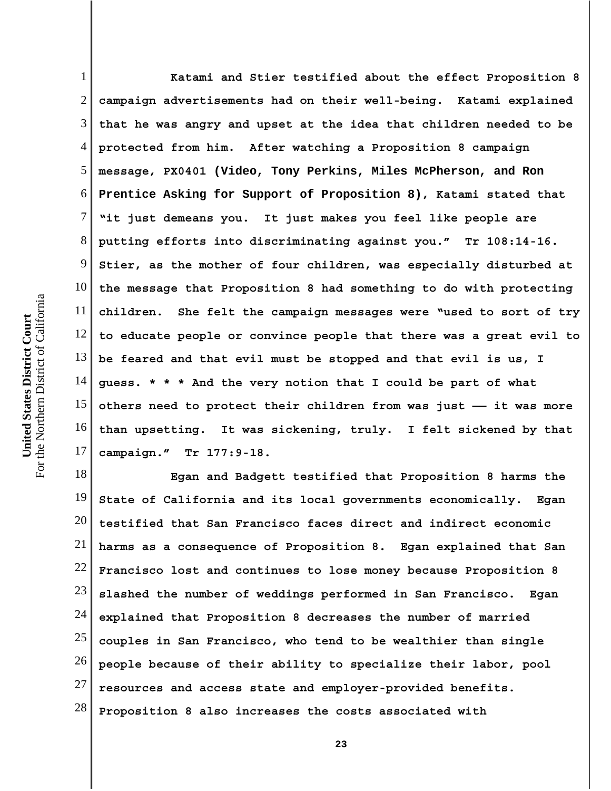1 2 3 4 5 6 7 8 9 10 11 12 13 14 15 16 17 **Katami and Stier testified about the effect Proposition 8 campaign advertisements had on their well-being. Katami explained that he was angry and upset at the idea that children needed to be protected from him. After watching a Proposition 8 campaign message, PX0401 (Video, Tony Perkins, Miles McPherson, and Ron Prentice Asking for Support of Proposition 8), Katami stated that "it just demeans you. It just makes you feel like people are putting efforts into discriminating against you." Tr 108:14-16. Stier, as the mother of four children, was especially disturbed at the message that Proposition 8 had something to do with protecting children. She felt the campaign messages were "used to sort of try to educate people or convince people that there was a great evil to be feared and that evil must be stopped and that evil is us, I guess. \* \* \* And the very notion that I could be part of what others need to protect their children from was just —— it was more than upsetting. It was sickening, truly. I felt sickened by that campaign." Tr 177:9-18.**

18 19 20 21 22 23 24 25 26 27 28 **Egan and Badgett testified that Proposition 8 harms the State of California and its local governments economically. Egan testified that San Francisco faces direct and indirect economic harms as a consequence of Proposition 8. Egan explained that San Francisco lost and continues to lose money because Proposition 8 slashed the number of weddings performed in San Francisco. Egan explained that Proposition 8 decreases the number of married couples in San Francisco, who tend to be wealthier than single people because of their ability to specialize their labor, pool resources and access state and employer-provided benefits. Proposition 8 also increases the costs associated with**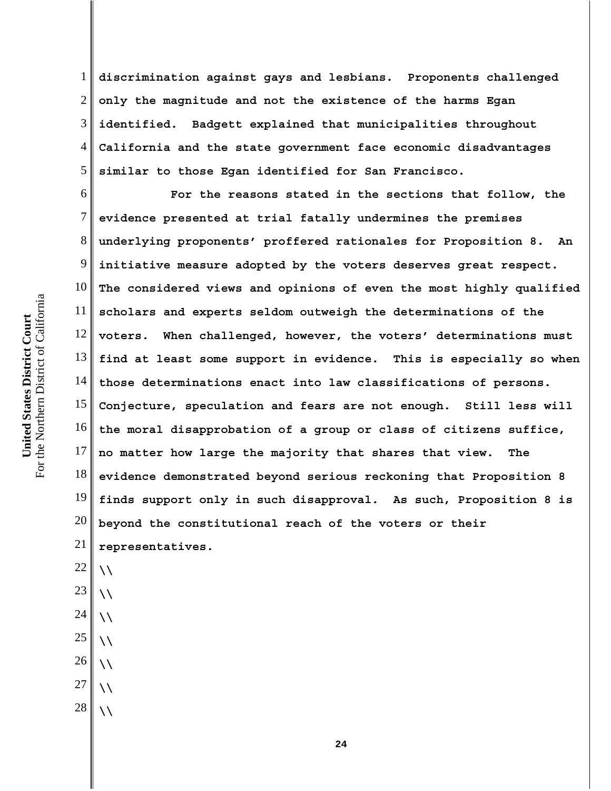1 2 3 4 5 **discrimination against gays and lesbians. Proponents challenged only the magnitude and not the existence of the harms Egan identified. Badgett explained that municipalities throughout California and the state government face economic disadvantages similar to those Egan identified for San Francisco.**

6 7 8 9 10 11 12 13 14 15 16 17 18 19 20 21 **For the reasons stated in the sections that follow, the evidence presented at trial fatally undermines the premises underlying proponents' proffered rationales for Proposition 8. An initiative measure adopted by the voters deserves great respect. The considered views and opinions of even the most highly qualified scholars and experts seldom outweigh the determinations of the voters. When challenged, however, the voters' determinations must find at least some support in evidence. This is especially so when those determinations enact into law classifications of persons. Conjecture, speculation and fears are not enough. Still less will the moral disapprobation of a group or class of citizens suffice, no matter how large the majority that shares that view. The evidence demonstrated beyond serious reckoning that Proposition 8 finds support only in such disapproval. As such, Proposition 8 is beyond the constitutional reach of the voters or their representatives.**

For the Northern District of California For the Northern District of California United States District Court **United States District Court**

> 23 **\\**

**\\**

22

- 24 25 **\\**
- **\\**
- 26 **\\**
- 27 **\\**
- 28 **\\**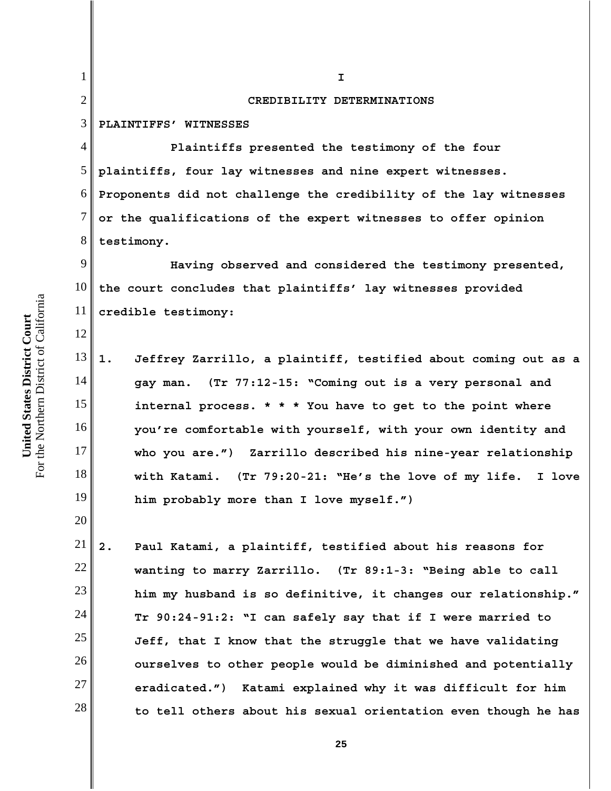1 2 3 4 5 6 7 8 9 10 11 12 13 14 15 16 17 18 19 20 21 22 23 24 25 26 27 28 **I CREDIBILITY DETERMINATIONS PLAINTIFFS' WITNESSES Plaintiffs presented the testimony of the four plaintiffs, four lay witnesses and nine expert witnesses. Proponents did not challenge the credibility of the lay witnesses or the qualifications of the expert witnesses to offer opinion testimony. Having observed and considered the testimony presented, the court concludes that plaintiffs' lay witnesses provided credible testimony: 1. Jeffrey Zarrillo, a plaintiff, testified about coming out as a gay man. (Tr 77:12-15: "Coming out is a very personal and internal process. \* \* \* You have to get to the point where you're comfortable with yourself, with your own identity and who you are.") Zarrillo described his nine-year relationship with Katami. (Tr 79:20-21: "He's the love of my life. I love him probably more than I love myself.") 2. Paul Katami, a plaintiff, testified about his reasons for wanting to marry Zarrillo. (Tr 89:1-3: "Being able to call him my husband is so definitive, it changes our relationship." Tr 90:24-91:2: "I can safely say that if I were married to Jeff, that I know that the struggle that we have validating ourselves to other people would be diminished and potentially eradicated.") Katami explained why it was difficult for him**

For the Northern District of California For the Northern District of California United States District Court **United States District Court**

**25**

**to tell others about his sexual orientation even though he has**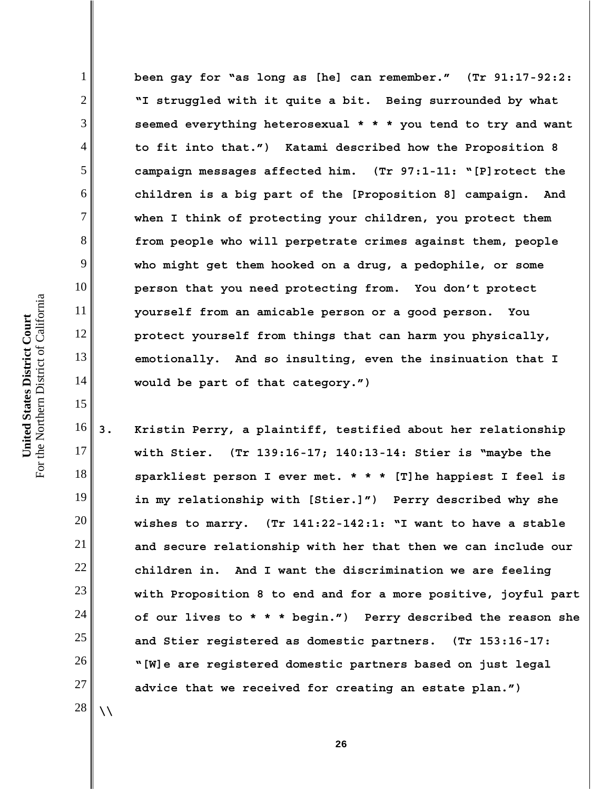**been gay for "as long as [he] can remember." (Tr 91:17-92:2: "I struggled with it quite a bit. Being surrounded by what seemed everything heterosexual \* \* \* you tend to try and want to fit into that.") Katami described how the Proposition 8 campaign messages affected him. (Tr 97:1-11: "[P]rotect the children is a big part of the [Proposition 8] campaign. And when I think of protecting your children, you protect them from people who will perpetrate crimes against them, people who might get them hooked on a drug, a pedophile, or some person that you need protecting from. You don't protect yourself from an amicable person or a good person. You protect yourself from things that can harm you physically, emotionally. And so insulting, even the insinuation that I would be part of that category.")**

16 17 18 19 20 21 22 23 24 25 26 27 **3. Kristin Perry, a plaintiff, testified about her relationship with Stier. (Tr 139:16-17; 140:13-14: Stier is "maybe the sparkliest person I ever met. \* \* \* [T]he happiest I feel is in my relationship with [Stier.]") Perry described why she wishes to marry. (Tr 141:22-142:1: "I want to have a stable and secure relationship with her that then we can include our children in. And I want the discrimination we are feeling with Proposition 8 to end and for a more positive, joyful part of our lives to \* \* \* begin.") Perry described the reason she and Stier registered as domestic partners. (Tr 153:16-17: "[W]e are registered domestic partners based on just legal advice that we received for creating an estate plan.")** 

28 **\\**

For the Northern District of California For the Northern District of California United States District Court **United States District Court**

1

2

3

4

5

6

7

8

9

10

11

12

13

14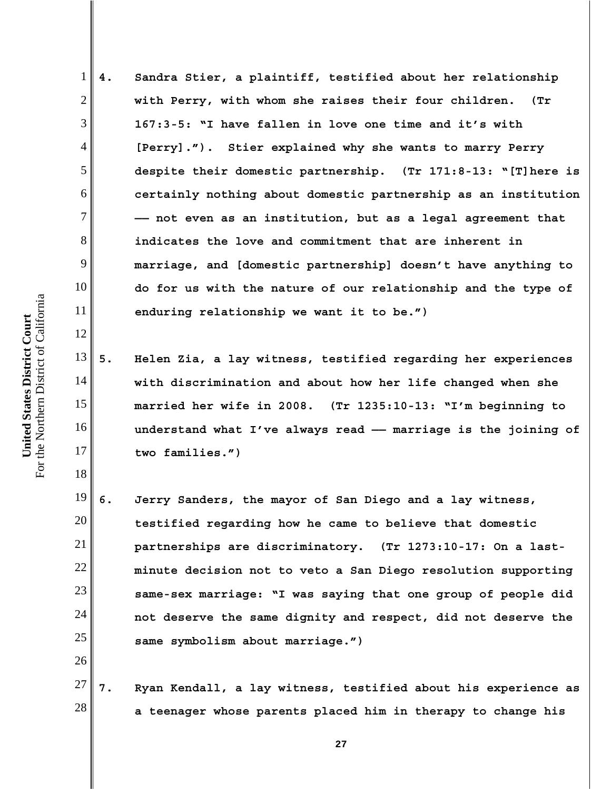**4. Sandra Stier, a plaintiff, testified about her relationship with Perry, with whom she raises their four children. (Tr 167:3-5: "I have fallen in love one time and it's with [Perry]."). Stier explained why she wants to marry Perry despite their domestic partnership. (Tr 171:8-13: "[T]here is certainly nothing about domestic partnership as an institution —— not even as an institution, but as a legal agreement that indicates the love and commitment that are inherent in marriage, and [domestic partnership] doesn't have anything to do for us with the nature of our relationship and the type of enduring relationship we want it to be.")**

**5. Helen Zia, a lay witness, testified regarding her experiences with discrimination and about how her life changed when she married her wife in 2008. (Tr 1235:10-13: "I'm beginning to understand what I've always read —— marriage is the joining of two families.")**

19 20 21 22 23 24 25 **6. Jerry Sanders, the mayor of San Diego and a lay witness, testified regarding how he came to believe that domestic partnerships are discriminatory. (Tr 1273:10-17: On a lastminute decision not to veto a San Diego resolution supporting same-sex marriage: "I was saying that one group of people did not deserve the same dignity and respect, did not deserve the same symbolism about marriage.")**

27 28 **7. Ryan Kendall, a lay witness, testified about his experience as a teenager whose parents placed him in therapy to change his**

1

2

3

4

5

6

7

8

9

10

11

12

13

14

15

16

17

18

26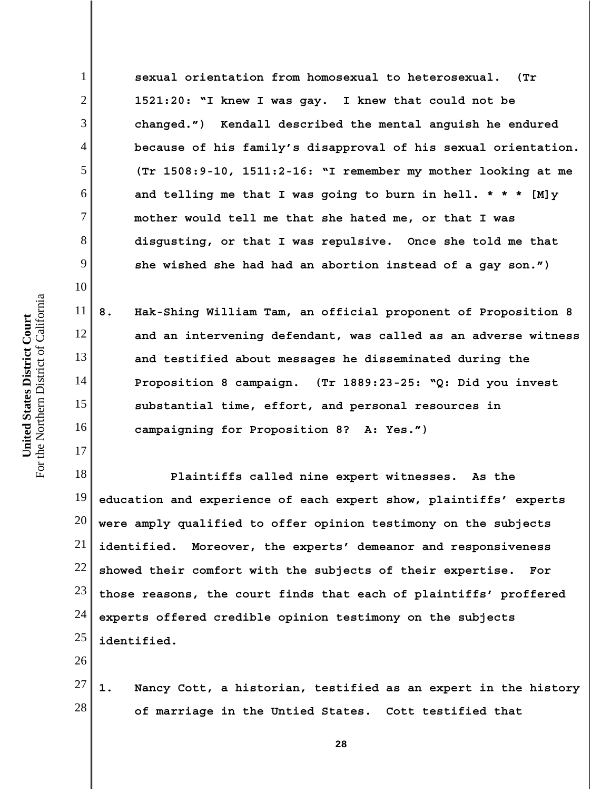**sexual orientation from homosexual to heterosexual. (Tr 1521:20: "I knew I was gay. I knew that could not be changed.") Kendall described the mental anguish he endured because of his family's disapproval of his sexual orientation. (Tr 1508:9-10, 1511:2-16: "I remember my mother looking at me and telling me that I was going to burn in hell. \* \* \* [M]y mother would tell me that she hated me, or that I was disgusting, or that I was repulsive. Once she told me that she wished she had had an abortion instead of a gay son.")**

13 14 16 **8. Hak-Shing William Tam, an official proponent of Proposition 8 and an intervening defendant, was called as an adverse witness and testified about messages he disseminated during the Proposition 8 campaign. (Tr 1889:23-25: "Q: Did you invest substantial time, effort, and personal resources in campaigning for Proposition 8? A: Yes.")**

18 19 20 21 22 23 24 25 **Plaintiffs called nine expert witnesses. As the education and experience of each expert show, plaintiffs' experts were amply qualified to offer opinion testimony on the subjects identified. Moreover, the experts' demeanor and responsiveness showed their comfort with the subjects of their expertise. For those reasons, the court finds that each of plaintiffs' proffered experts offered credible opinion testimony on the subjects identified.**

26

27 28 **1. Nancy Cott, a historian, testified as an expert in the history of marriage in the Untied States. Cott testified that**

1

2

3

4

5

6

7

8

9

10

11

12

15

17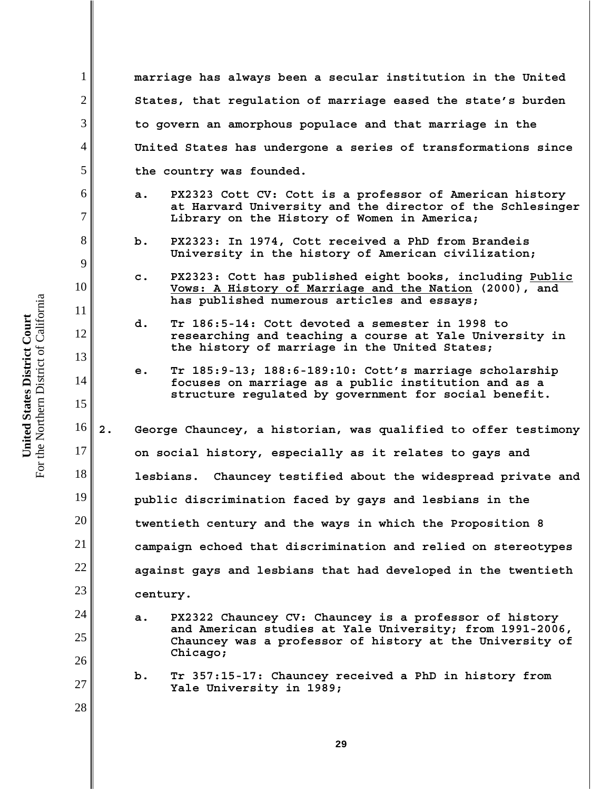**marriage has always been a secular institution in the United States, that regulation of marriage eased the state's burden to govern an amorphous populace and that marriage in the United States has undergone a series of transformations since the country was founded.**

- **a. PX2323 Cott CV: Cott is a professor of American history at Harvard University and the director of the Schlesinger Library on the History of Women in America;**
- **b. PX2323: In 1974, Cott received a PhD from Brandeis University in the history of American civilization;**
- **c. PX2323: Cott has published eight books, including Public Vows: A History of Marriage and the Nation (2000), and has published numerous articles and essays;**
- **d. Tr 186:5-14: Cott devoted a semester in 1998 to researching and teaching a course at Yale University in the history of marriage in the United States;**
- **e. Tr 185:9-13; 188:6-189:10: Cott's marriage scholarship focuses on marriage as a public institution and as a structure regulated by government for social benefit.**
- 16 17 18 19 20 21 22 23 **2. George Chauncey, a historian, was qualified to offer testimony on social history, especially as it relates to gays and lesbians. Chauncey testified about the widespread private and public discrimination faced by gays and lesbians in the twentieth century and the ways in which the Proposition 8 campaign echoed that discrimination and relied on stereotypes against gays and lesbians that had developed in the twentieth century.**
	- **a. PX2322 Chauncey CV: Chauncey is a professor of history and American studies at Yale University; from 1991-2006, Chauncey was a professor of history at the University of Chicago;**
		- **b. Tr 357:15-17: Chauncey received a PhD in history from Yale University in 1989;**

1

2

3

4

5

6

7

8

9

10

11

12

13

14

15

24

25

26

27

28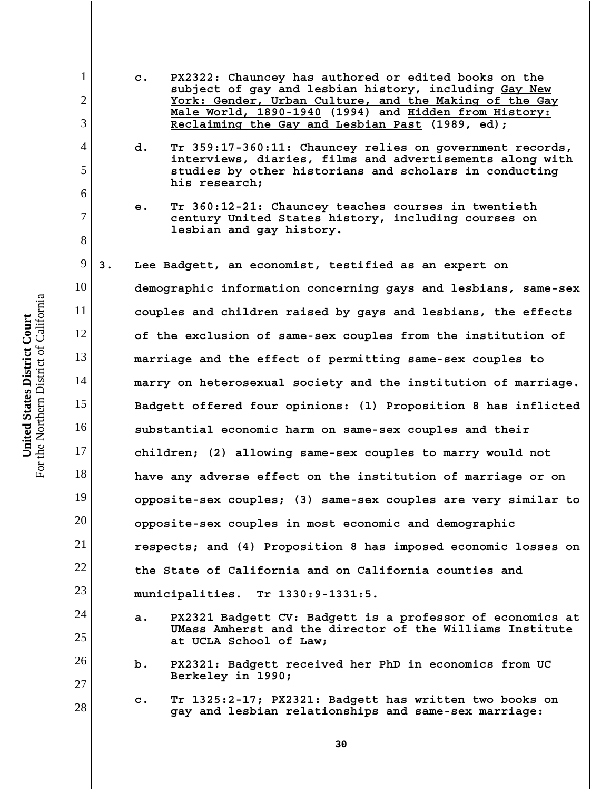- **c. PX2322: Chauncey has authored or edited books on the subject of gay and lesbian history, including Gay New York: Gender, Urban Culture, and the Making of the Gay Male World, 1890-1940 (1994) and Hidden from History: Reclaiming the Gay and Lesbian Past (1989, ed);**
- **d. Tr 359:17-360:11: Chauncey relies on government records, interviews, diaries, films and advertisements along with studies by other historians and scholars in conducting his research;**
- **e. Tr 360:12-21: Chauncey teaches courses in twentieth century United States history, including courses on lesbian and gay history.**

9 10 11 12 13 14 15 16 17 18 19 20 21 22 23 **3. Lee Badgett, an economist, testified as an expert on demographic information concerning gays and lesbians, same-sex couples and children raised by gays and lesbians, the effects of the exclusion of same-sex couples from the institution of marriage and the effect of permitting same-sex couples to marry on heterosexual society and the institution of marriage. Badgett offered four opinions: (1) Proposition 8 has inflicted substantial economic harm on same-sex couples and their children; (2) allowing same-sex couples to marry would not have any adverse effect on the institution of marriage or on opposite-sex couples; (3) same-sex couples are very similar to opposite-sex couples in most economic and demographic respects; and (4) Proposition 8 has imposed economic losses on the State of California and on California counties and municipalities. Tr 1330:9-1331:5.**

- **a. PX2321 Badgett CV: Badgett is a professor of economics at UMass Amherst and the director of the Williams Institute at UCLA School of Law;**
- **b. PX2321: Badgett received her PhD in economics from UC Berkeley in 1990;**
- **c. Tr 1325:2-17; PX2321: Badgett has written two books on gay and lesbian relationships and same-sex marriage:**

For the Northern District of California For the Northern District of California United States District Court **United States District Court**

1

2

3

4

5

6

7

8

24

25

26

27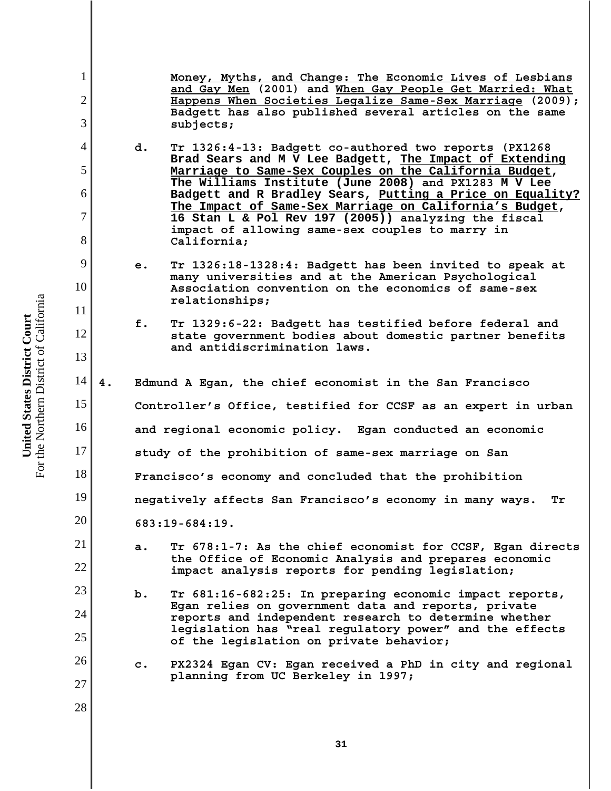**Money, Myths, and Change: The Economic Lives of Lesbians and Gay Men (2001) and When Gay People Get Married: What Happens When Societies Legalize Same-Sex Marriage (2009); Badgett has also published several articles on the same subjects;**

- **d. Tr 1326:4-13: Badgett co-authored two reports (PX1268 Brad Sears and M V Lee Badgett, The Impact of Extending Marriage to Same-Sex Couples on the California Budget, The Williams Institute (June 2008) and PX1283 M V Lee Badgett and R Bradley Sears, Putting a Price on Equality? The Impact of Same-Sex Marriage on California's Budget, 16 Stan L & Pol Rev 197 (2005)) analyzing the fiscal impact of allowing same-sex couples to marry in California;**
- **e. Tr 1326:18-1328:4: Badgett has been invited to speak at many universities and at the American Psychological Association convention on the economics of same-sex relationships;**
- **f. Tr 1329:6-22: Badgett has testified before federal and state government bodies about domestic partner benefits and antidiscrimination laws.**
- 14 15 16 17 18 19 20 21 **4. Edmund A Egan, the chief economist in the San Francisco Controller's Office, testified for CCSF as an expert in urban and regional economic policy. Egan conducted an economic study of the prohibition of same-sex marriage on San Francisco's economy and concluded that the prohibition negatively affects San Francisco's economy in many ways. Tr 683:19-684:19. a. Tr 678:1-7: As the chief economist for CCSF, Egan directs**
	- **the Office of Economic Analysis and prepares economic impact analysis reports for pending legislation;**
	- **b. Tr 681:16-682:25: In preparing economic impact reports, Egan relies on government data and reports, private reports and independent research to determine whether legislation has "real regulatory power" and the effects of the legislation on private behavior;**
	- **c. PX2324 Egan CV: Egan received a PhD in city and regional planning from UC Berkeley in 1997;**

1

2

3

4

5

6

7

8

9

10

11

12

13

22

23

24

25

26

27

28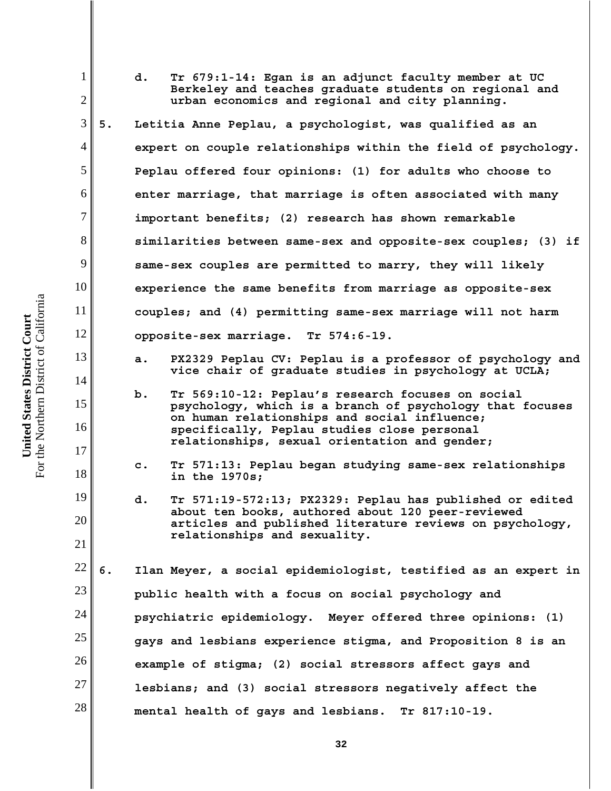1 2 3 4 5 6 7 8 9 10 11 12 13 14 15 16 17 18 19 20 21 22 23 24 25 26 27 28 **d. Tr 679:1-14: Egan is an adjunct faculty member at UC Berkeley and teaches graduate students on regional and urban economics and regional and city planning. 5. Letitia Anne Peplau, a psychologist, was qualified as an expert on couple relationships within the field of psychology. Peplau offered four opinions: (1) for adults who choose to enter marriage, that marriage is often associated with many important benefits; (2) research has shown remarkable similarities between same-sex and opposite-sex couples; (3) if same-sex couples are permitted to marry, they will likely experience the same benefits from marriage as opposite-sex couples; and (4) permitting same-sex marriage will not harm opposite-sex marriage. Tr 574:6-19. a. PX2329 Peplau CV: Peplau is a professor of psychology and vice chair of graduate studies in psychology at UCLA; b. Tr 569:10-12: Peplau's research focuses on social psychology, which is a branch of psychology that focuses on human relationships and social influence; specifically, Peplau studies close personal relationships, sexual orientation and gender; c. Tr 571:13: Peplau began studying same-sex relationships in the 1970s; d. Tr 571:19-572:13; PX2329: Peplau has published or edited about ten books, authored about 120 peer-reviewed articles and published literature reviews on psychology, relationships and sexuality. 6. Ilan Meyer, a social epidemiologist, testified as an expert in public health with a focus on social psychology and psychiatric epidemiology. Meyer offered three opinions: (1) gays and lesbians experience stigma, and Proposition 8 is an example of stigma; (2) social stressors affect gays and lesbians; and (3) social stressors negatively affect the mental health of gays and lesbians. Tr 817:10-19.** 

For the Northern District of California For the Northern District of California United States District Court **United States District Court**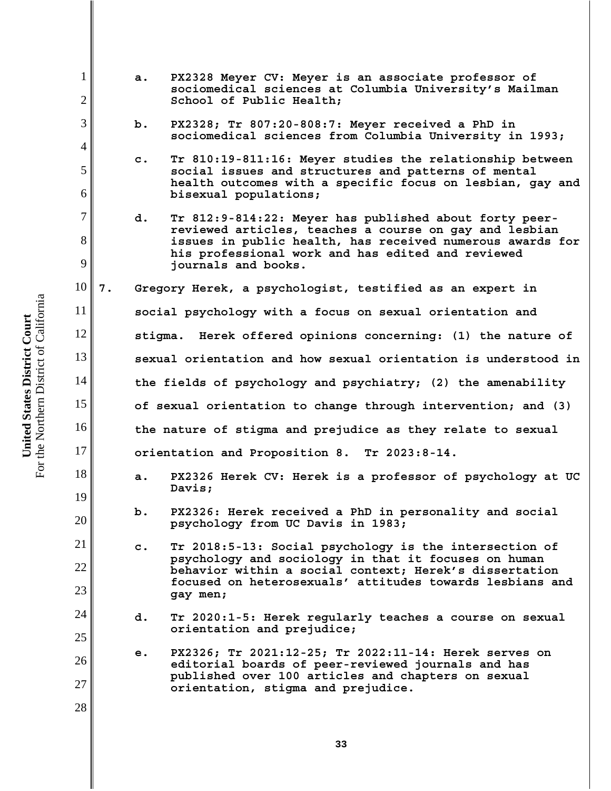| $\mathbf{1}$   |    | a.                                                             | PX2328 Meyer CV: Meyer is an associate professor of<br>sociomedical sciences at Columbia University's Mailman                             |  |  |  |
|----------------|----|----------------------------------------------------------------|-------------------------------------------------------------------------------------------------------------------------------------------|--|--|--|
| $\overline{2}$ |    |                                                                | School of Public Health;                                                                                                                  |  |  |  |
| 3              |    | b.                                                             | PX2328; Tr 807:20-808:7: Meyer received a PhD in<br>sociomedical sciences from Columbia University in 1993;                               |  |  |  |
| $\overline{4}$ |    | $\mathbf c$ .                                                  | Tr 810:19-811:16: Meyer studies the relationship between                                                                                  |  |  |  |
| 5<br>6         |    |                                                                | social issues and structures and patterns of mental<br>health outcomes with a specific focus on lesbian, gay and<br>bisexual populations; |  |  |  |
| $\overline{7}$ |    |                                                                |                                                                                                                                           |  |  |  |
|                |    | d.                                                             | Tr 812:9-814:22: Meyer has published about forty peer-<br>reviewed articles, teaches a course on gay and lesbian                          |  |  |  |
| 8              |    |                                                                | issues in public health, has received numerous awards for<br>his professional work and has edited and reviewed                            |  |  |  |
| 9              |    |                                                                | journals and books.                                                                                                                       |  |  |  |
| 10             | 7. | Gregory Herek, a psychologist, testified as an expert in       |                                                                                                                                           |  |  |  |
| 11             |    | social psychology with a focus on sexual orientation and       |                                                                                                                                           |  |  |  |
| 12             |    | stigma. Herek offered opinions concerning: (1) the nature of   |                                                                                                                                           |  |  |  |
| 13             |    | sexual orientation and how sexual orientation is understood in |                                                                                                                                           |  |  |  |
| 14             |    | the fields of psychology and psychiatry; (2) the amenability   |                                                                                                                                           |  |  |  |
| 15             |    | of sexual orientation to change through intervention; and (3)  |                                                                                                                                           |  |  |  |
| 16             |    | the nature of stigma and prejudice as they relate to sexual    |                                                                                                                                           |  |  |  |
| 17             |    | orientation and Proposition 8. Tr 2023:8-14.                   |                                                                                                                                           |  |  |  |
| 18             |    | a.                                                             | PX2326 Herek CV: Herek is a professor of psychology at UC<br>Davis;                                                                       |  |  |  |
| 19             |    |                                                                |                                                                                                                                           |  |  |  |
| 20             |    | b.                                                             | PX2326: Herek received a PhD in personality and social<br>psychology from UC Davis in 1983;                                               |  |  |  |
| 21             |    | $\mathbf{c}$ .                                                 | Tr 2018:5-13: Social psychology is the intersection of                                                                                    |  |  |  |
| 22             |    |                                                                | psychology and sociology in that it focuses on human<br>behavior within a social context; Herek's dissertation                            |  |  |  |
| 23             |    |                                                                | focused on heterosexuals' attitudes towards lesbians and<br>gay men;                                                                      |  |  |  |
| 24             | d. | Tr 2020:1-5: Herek regularly teaches a course on sexual        |                                                                                                                                           |  |  |  |
| 25             |    |                                                                | orientation and prejudice;                                                                                                                |  |  |  |
| 26             |    | е.                                                             | PX2326; Tr 2021:12-25; Tr 2022:11-14: Herek serves on<br>editorial boards of peer-reviewed journals and has                               |  |  |  |
| 27             |    |                                                                | published over 100 articles and chapters on sexual<br>orientation, stigma and prejudice.                                                  |  |  |  |
| 28             |    |                                                                |                                                                                                                                           |  |  |  |
|                |    |                                                                |                                                                                                                                           |  |  |  |

**United States District Court**<br>For the Northern District of California For the Northern District of California **United States District Court**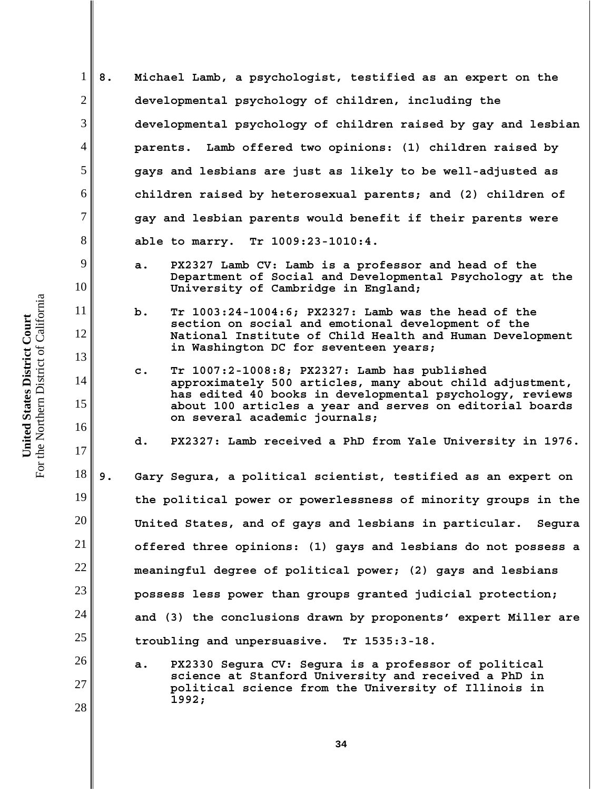- 6 **8. Michael Lamb, a psychologist, testified as an expert on the developmental psychology of children, including the developmental psychology of children raised by gay and lesbian parents. Lamb offered two opinions: (1) children raised by gays and lesbians are just as likely to be well-adjusted as children raised by heterosexual parents; and (2) children of gay and lesbian parents would benefit if their parents were able to marry. Tr 1009:23-1010:4.**
	- **a. PX2327 Lamb CV: Lamb is a professor and head of the Department of Social and Developmental Psychology at the University of Cambridge in England;**
	- **b. Tr 1003:24-1004:6; PX2327: Lamb was the head of the section on social and emotional development of the National Institute of Child Health and Human Development in Washington DC for seventeen years;**
	- **c. Tr 1007:2-1008:8; PX2327: Lamb has published approximately 500 articles, many about child adjustment, has edited 40 books in developmental psychology, reviews about 100 articles a year and serves on editorial boards on several academic journals;**

**d. PX2327: Lamb received a PhD from Yale University in 1976.**

18 19 20 21 22 23 24 25 **9. Gary Segura, a political scientist, testified as an expert on the political power or powerlessness of minority groups in the United States, and of gays and lesbians in particular. Segura offered three opinions: (1) gays and lesbians do not possess a meaningful degree of political power; (2) gays and lesbians possess less power than groups granted judicial protection; and (3) the conclusions drawn by proponents' expert Miller are troubling and unpersuasive. Tr 1535:3-18.**

**a. PX2330 Segura CV: Segura is a professor of political science at Stanford University and received a PhD in political science from the University of Illinois in 1992;**

1

2

3

4

5

7

8

9

10

11

12

13

14

15

16

17

26

27

28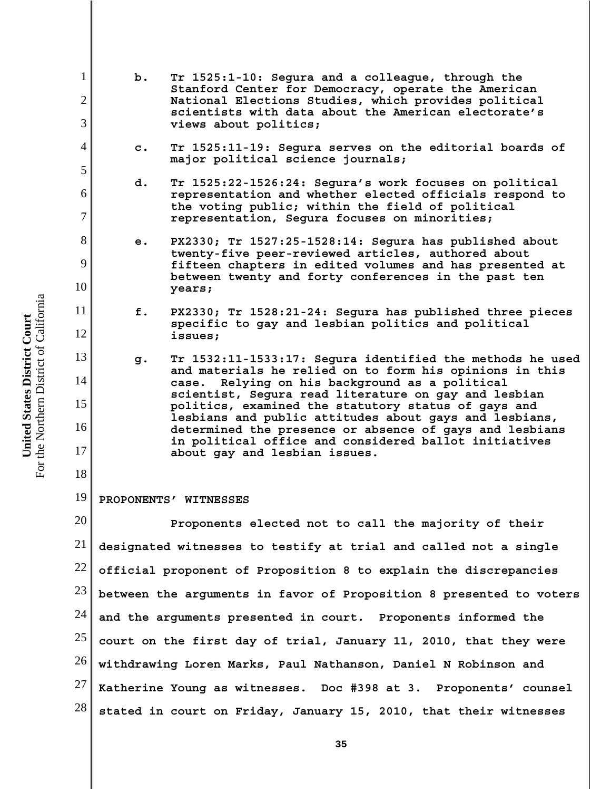For the Northern District of California For the Northern District of California United States District Court **United States District Court**

1

2

3

4

5

6

7

8

9

10

11

12

13

14

15

16

17

18

**b. Tr 1525:1-10: Segura and a colleague, through the Stanford Center for Democracy, operate the American National Elections Studies, which provides political scientists with data about the American electorate's views about politics;**

- **c. Tr 1525:11-19: Segura serves on the editorial boards of major political science journals;**
- **d. Tr 1525:22-1526:24: Segura's work focuses on political representation and whether elected officials respond to the voting public; within the field of political representation, Segura focuses on minorities;**
- **e. PX2330; Tr 1527:25-1528:14: Segura has published about twenty-five peer-reviewed articles, authored about fifteen chapters in edited volumes and has presented at between twenty and forty conferences in the past ten years;**
	- **f. PX2330; Tr 1528:21-24: Segura has published three pieces specific to gay and lesbian politics and political issues;**
- **g. Tr 1532:11-1533:17: Segura identified the methods he used and materials he relied on to form his opinions in this case. Relying on his background as a political scientist, Segura read literature on gay and lesbian politics, examined the statutory status of gays and lesbians and public attitudes about gays and lesbians, determined the presence or absence of gays and lesbians in political office and considered ballot initiatives about gay and lesbian issues.**

### 19 **PROPONENTS' WITNESSES**

20 21 22 23 24 25 26 27 28 **Proponents elected not to call the majority of their designated witnesses to testify at trial and called not a single official proponent of Proposition 8 to explain the discrepancies between the arguments in favor of Proposition 8 presented to voters and the arguments presented in court. Proponents informed the court on the first day of trial, January 11, 2010, that they were withdrawing Loren Marks, Paul Nathanson, Daniel N Robinson and Katherine Young as witnesses. Doc #398 at 3. Proponents' counsel stated in court on Friday, January 15, 2010, that their witnesses**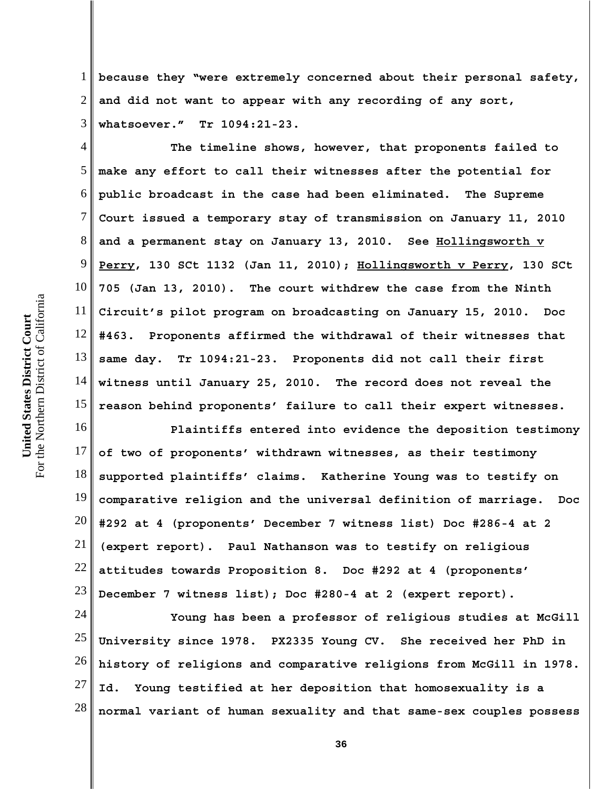1 2 3 **because they "were extremely concerned about their personal safety, and did not want to appear with any recording of any sort, whatsoever." Tr 1094:21-23.**

4 5 6 7 8 9 10 11 12 13 14 15 **The timeline shows, however, that proponents failed to make any effort to call their witnesses after the potential for public broadcast in the case had been eliminated. The Supreme Court issued a temporary stay of transmission on January 11, 2010 and a permanent stay on January 13, 2010. See Hollingsworth v Perry, 130 SCt 1132 (Jan 11, 2010); Hollingsworth v Perry, 130 SCt 705 (Jan 13, 2010). The court withdrew the case from the Ninth Circuit's pilot program on broadcasting on January 15, 2010. Doc #463. Proponents affirmed the withdrawal of their witnesses that same day. Tr 1094:21-23. Proponents did not call their first witness until January 25, 2010. The record does not reveal the reason behind proponents' failure to call their expert witnesses.**

16 17 18 19 20 21 22 23 **Plaintiffs entered into evidence the deposition testimony of two of proponents' withdrawn witnesses, as their testimony supported plaintiffs' claims. Katherine Young was to testify on comparative religion and the universal definition of marriage. Doc #292 at 4 (proponents' December 7 witness list) Doc #286-4 at 2 (expert report). Paul Nathanson was to testify on religious attitudes towards Proposition 8. Doc #292 at 4 (proponents' December 7 witness list); Doc #280-4 at 2 (expert report).**

24 25 26 27 28 **Young has been a professor of religious studies at McGill University since 1978. PX2335 Young CV. She received her PhD in history of religions and comparative religions from McGill in 1978. Id. Young testified at her deposition that homosexuality is a normal variant of human sexuality and that same-sex couples possess**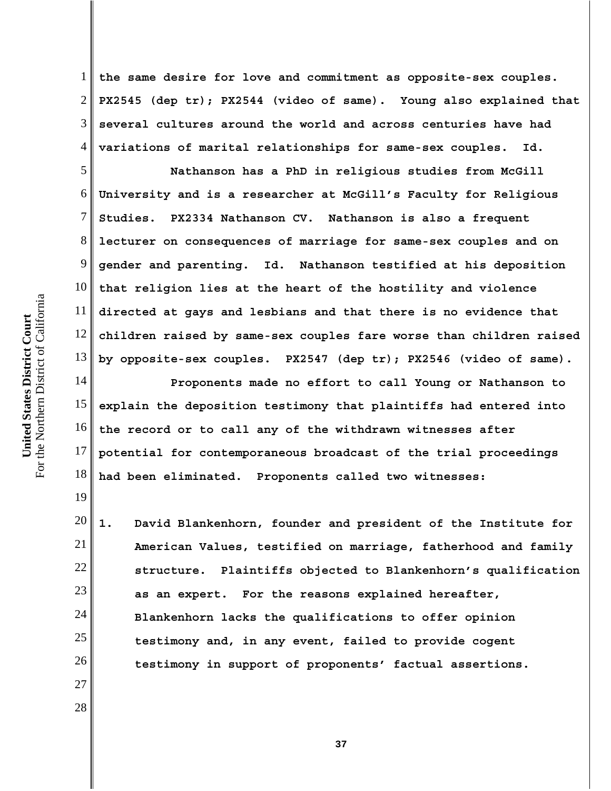7 8 9 10 For the Northern District of California For the Northern District of California 11 United States District Court **United States District Court** 12 13 14 15

19

27

28

1 2 3 4 **the same desire for love and commitment as opposite-sex couples. PX2545 (dep tr); PX2544 (video of same). Young also explained that several cultures around the world and across centuries have had variations of marital relationships for same-sex couples. Id.**

5 6 **Nathanson has a PhD in religious studies from McGill University and is a researcher at McGill's Faculty for Religious Studies. PX2334 Nathanson CV. Nathanson is also a frequent lecturer on consequences of marriage for same-sex couples and on gender and parenting. Id. Nathanson testified at his deposition that religion lies at the heart of the hostility and violence directed at gays and lesbians and that there is no evidence that children raised by same-sex couples fare worse than children raised by opposite-sex couples. PX2547 (dep tr); PX2546 (video of same).**

16 17 18 **Proponents made no effort to call Young or Nathanson to explain the deposition testimony that plaintiffs had entered into the record or to call any of the withdrawn witnesses after potential for contemporaneous broadcast of the trial proceedings had been eliminated. Proponents called two witnesses:**

20 21 22 23 24 25 26 **1. David Blankenhorn, founder and president of the Institute for American Values, testified on marriage, fatherhood and family structure. Plaintiffs objected to Blankenhorn's qualification as an expert. For the reasons explained hereafter, Blankenhorn lacks the qualifications to offer opinion testimony and, in any event, failed to provide cogent testimony in support of proponents' factual assertions.**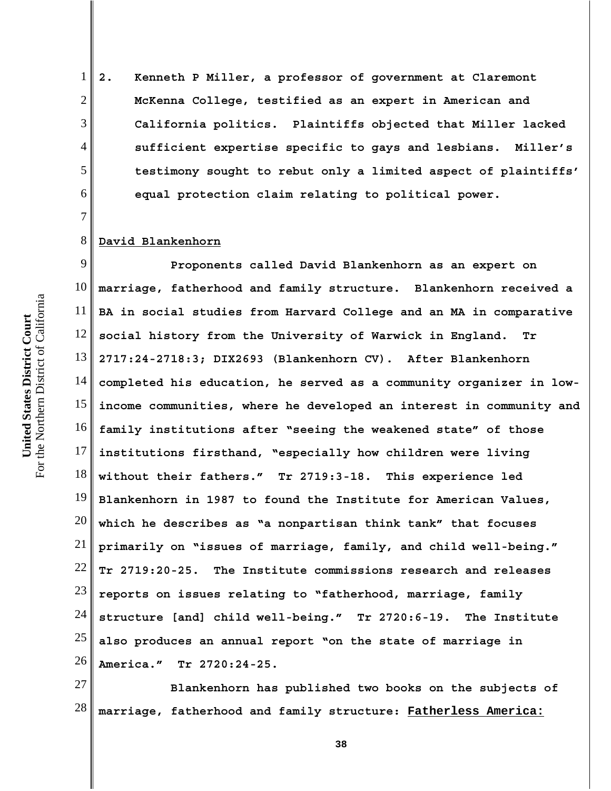**2. Kenneth P Miller, a professor of government at Claremont McKenna College, testified as an expert in American and California politics. Plaintiffs objected that Miller lacked sufficient expertise specific to gays and lesbians. Miller's testimony sought to rebut only a limited aspect of plaintiffs' equal protection claim relating to political power.**

#### 8 **David Blankenhorn**

1

2

3

4

5

6

7

9 10 11 12 13 14 15 16 17 18 19 20 21 22 23 24 25 26 **Proponents called David Blankenhorn as an expert on marriage, fatherhood and family structure. Blankenhorn received a BA in social studies from Harvard College and an MA in comparative social history from the University of Warwick in England. Tr 2717:24-2718:3; DIX2693 (Blankenhorn CV). After Blankenhorn completed his education, he served as a community organizer in lowincome communities, where he developed an interest in community and family institutions after "seeing the weakened state" of those institutions firsthand, "especially how children were living without their fathers." Tr 2719:3-18. This experience led Blankenhorn in 1987 to found the Institute for American Values, which he describes as "a nonpartisan think tank" that focuses primarily on "issues of marriage, family, and child well-being." Tr 2719:20-25. The Institute commissions research and releases reports on issues relating to "fatherhood, marriage, family structure [and] child well-being." Tr 2720:6-19. The Institute also produces an annual report "on the state of marriage in America." Tr 2720:24-25.** 

27 28 **Blankenhorn has published two books on the subjects of marriage, fatherhood and family structure: Fatherless America:**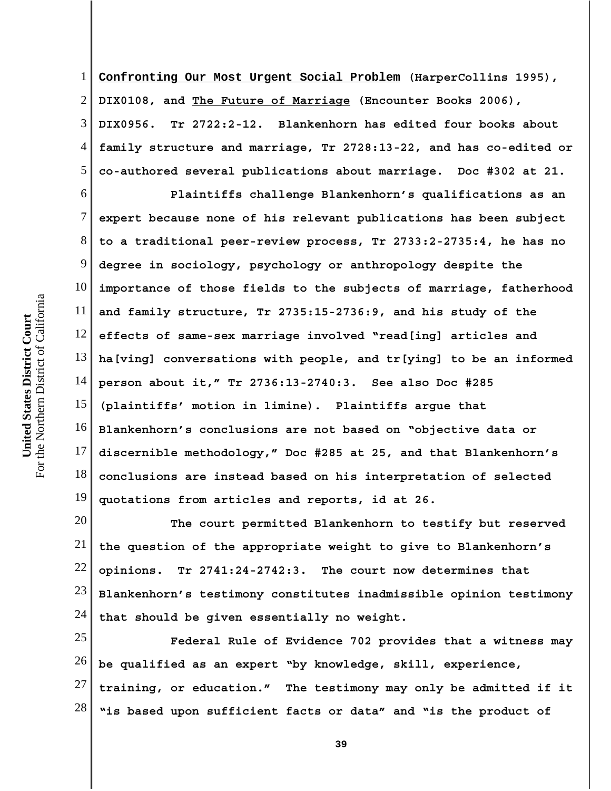1 2 3 4 5 **Confronting Our Most Urgent Social Problem (HarperCollins 1995), DIX0108, and The Future of Marriage (Encounter Books 2006), DIX0956. Tr 2722:2-12. Blankenhorn has edited four books about family structure and marriage, Tr 2728:13-22, and has co-edited or co-authored several publications about marriage. Doc #302 at 21.**

6 7 8 9 10 11 12 13 14 15 16 17 18 19 **Plaintiffs challenge Blankenhorn's qualifications as an expert because none of his relevant publications has been subject to a traditional peer-review process, Tr 2733:2-2735:4, he has no degree in sociology, psychology or anthropology despite the importance of those fields to the subjects of marriage, fatherhood and family structure, Tr 2735:15-2736:9, and his study of the effects of same-sex marriage involved "read[ing] articles and ha[ving] conversations with people, and tr[ying] to be an informed person about it," Tr 2736:13-2740:3. See also Doc #285 (plaintiffs' motion in limine). Plaintiffs argue that Blankenhorn's conclusions are not based on "objective data or discernible methodology," Doc #285 at 25, and that Blankenhorn's conclusions are instead based on his interpretation of selected quotations from articles and reports, id at 26.**

20 21 22 23 24 **The court permitted Blankenhorn to testify but reserved the question of the appropriate weight to give to Blankenhorn's opinions. Tr 2741:24-2742:3. The court now determines that Blankenhorn's testimony constitutes inadmissible opinion testimony that should be given essentially no weight.** 

25 26 27 28 **Federal Rule of Evidence 702 provides that a witness may be qualified as an expert "by knowledge, skill, experience, training, or education." The testimony may only be admitted if it "is based upon sufficient facts or data" and "is the product of**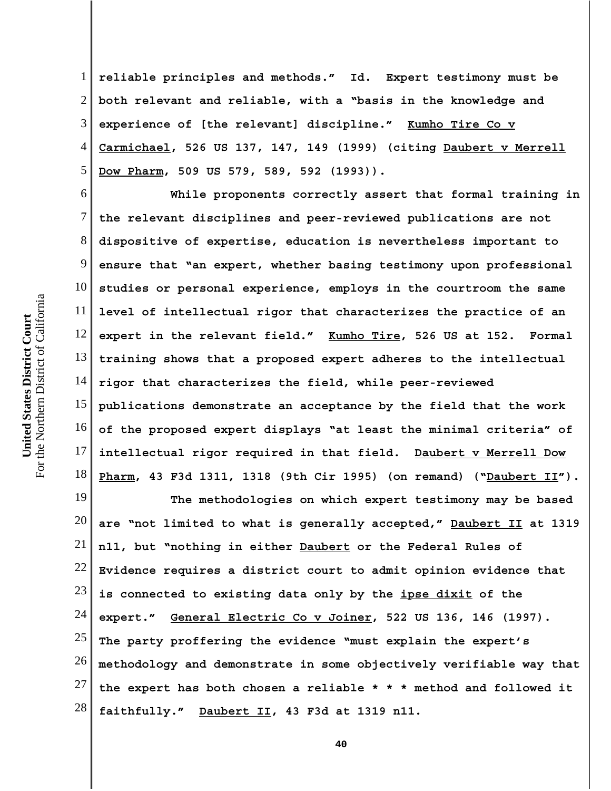1 2 3 4 5 **reliable principles and methods." Id. Expert testimony must be both relevant and reliable, with a "basis in the knowledge and experience of [the relevant] discipline." Kumho Tire Co v Carmichael, 526 US 137, 147, 149 (1999) (citing Daubert v Merrell Dow Pharm, 509 US 579, 589, 592 (1993)).**

6 7 8 9 10 11 12 13 14 15 16 17 18 **While proponents correctly assert that formal training in the relevant disciplines and peer-reviewed publications are not dispositive of expertise, education is nevertheless important to ensure that "an expert, whether basing testimony upon professional studies or personal experience, employs in the courtroom the same level of intellectual rigor that characterizes the practice of an expert in the relevant field." Kumho Tire, 526 US at 152. Formal training shows that a proposed expert adheres to the intellectual rigor that characterizes the field, while peer-reviewed publications demonstrate an acceptance by the field that the work of the proposed expert displays "at least the minimal criteria" of intellectual rigor required in that field. Daubert v Merrell Dow Pharm, 43 F3d 1311, 1318 (9th Cir 1995) (on remand) ("Daubert II").**

19 20 21 22 23 24 25 26 27 28 **The methodologies on which expert testimony may be based are "not limited to what is generally accepted," Daubert II at 1319 n11, but "nothing in either Daubert or the Federal Rules of Evidence requires a district court to admit opinion evidence that is connected to existing data only by the ipse dixit of the expert." General Electric Co v Joiner, 522 US 136, 146 (1997). The party proffering the evidence "must explain the expert's methodology and demonstrate in some objectively verifiable way that the expert has both chosen a reliable \* \* \* method and followed it faithfully." Daubert II, 43 F3d at 1319 n11.**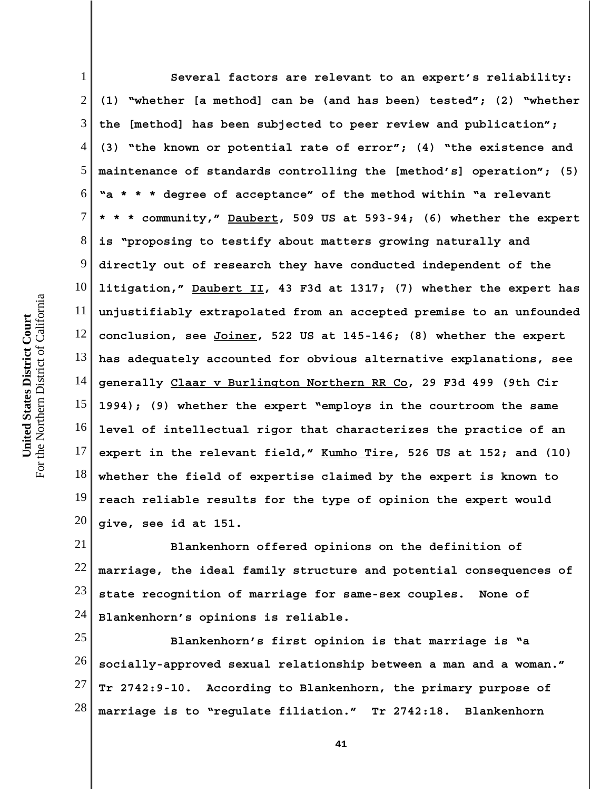For the Northern District of California For the Northern District of California United States District Court **United States District Court**

1 2 3 4 5 6 7 8 9 10 11 12 13 14 15 16 17 18 19 20 **Several factors are relevant to an expert's reliability: (1) "whether [a method] can be (and has been) tested"; (2) "whether the [method] has been subjected to peer review and publication"; (3) "the known or potential rate of error"; (4) "the existence and maintenance of standards controlling the [method's] operation"; (5) "a \* \* \* degree of acceptance" of the method within "a relevant \* \* \* community," Daubert, 509 US at 593-94; (6) whether the expert is "proposing to testify about matters growing naturally and directly out of research they have conducted independent of the litigation," Daubert II, 43 F3d at 1317; (7) whether the expert has unjustifiably extrapolated from an accepted premise to an unfounded conclusion, see Joiner, 522 US at 145-146; (8) whether the expert has adequately accounted for obvious alternative explanations, see generally Claar v Burlington Northern RR Co, 29 F3d 499 (9th Cir 1994); (9) whether the expert "employs in the courtroom the same level of intellectual rigor that characterizes the practice of an expert in the relevant field," Kumho Tire, 526 US at 152; and (10) whether the field of expertise claimed by the expert is known to reach reliable results for the type of opinion the expert would give, see id at 151.**

21 22 23 24 **Blankenhorn offered opinions on the definition of marriage, the ideal family structure and potential consequences of state recognition of marriage for same-sex couples. None of Blankenhorn's opinions is reliable.**

25 26 27 28 **Blankenhorn's first opinion is that marriage is "a socially-approved sexual relationship between a man and a woman." Tr 2742:9-10. According to Blankenhorn, the primary purpose of marriage is to "regulate filiation." Tr 2742:18. Blankenhorn**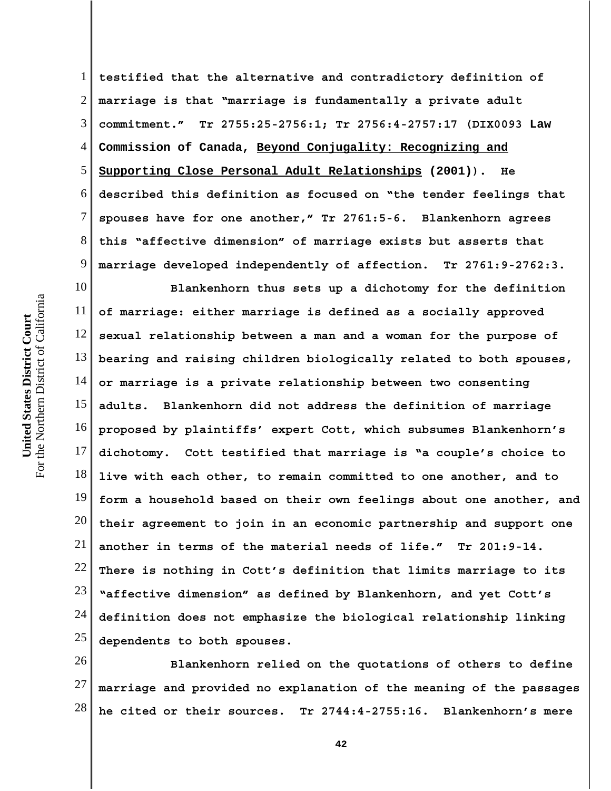1 2 3 4 5 6 7 8 9 **testified that the alternative and contradictory definition of marriage is that "marriage is fundamentally a private adult commitment." Tr 2755:25-2756:1; Tr 2756:4-2757:17 (DIX0093 Law Commission of Canada, Beyond Conjugality: Recognizing and Supporting Close Personal Adult Relationships (2001)). He described this definition as focused on "the tender feelings that spouses have for one another," Tr 2761:5-6. Blankenhorn agrees this "affective dimension" of marriage exists but asserts that marriage developed independently of affection. Tr 2761:9-2762:3.**

10 11 12 13 14 15 16 17 18 19 20 21 22 23 24 25 **Blankenhorn thus sets up a dichotomy for the definition of marriage: either marriage is defined as a socially approved sexual relationship between a man and a woman for the purpose of bearing and raising children biologically related to both spouses, or marriage is a private relationship between two consenting adults. Blankenhorn did not address the definition of marriage proposed by plaintiffs' expert Cott, which subsumes Blankenhorn's dichotomy. Cott testified that marriage is "a couple's choice to live with each other, to remain committed to one another, and to form a household based on their own feelings about one another, and their agreement to join in an economic partnership and support one another in terms of the material needs of life." Tr 201:9-14. There is nothing in Cott's definition that limits marriage to its "affective dimension" as defined by Blankenhorn, and yet Cott's definition does not emphasize the biological relationship linking dependents to both spouses.** 

26 27 28 **Blankenhorn relied on the quotations of others to define marriage and provided no explanation of the meaning of the passages he cited or their sources. Tr 2744:4-2755:16. Blankenhorn's mere**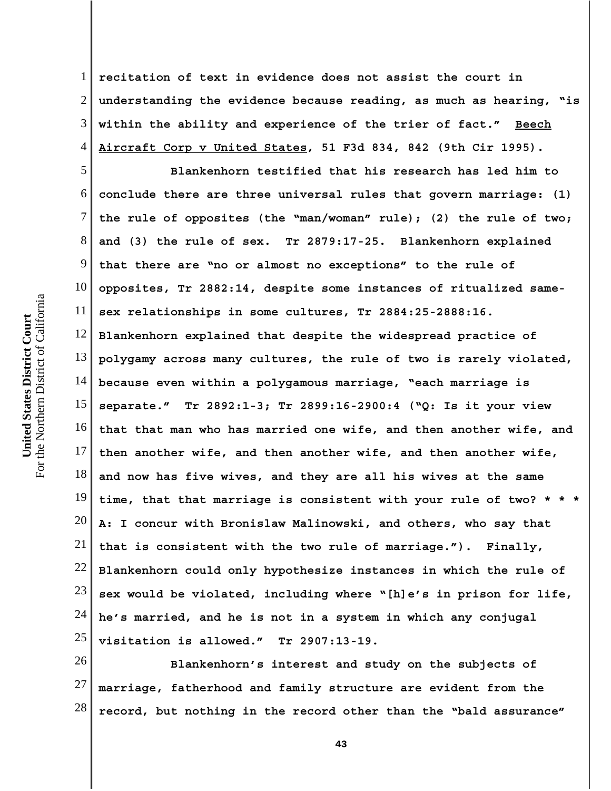1 2 3 4 **recitation of text in evidence does not assist the court in understanding the evidence because reading, as much as hearing, "is within the ability and experience of the trier of fact." Beech Aircraft Corp v United States, 51 F3d 834, 842 (9th Cir 1995).**

5 6 7 8 9 10 11 12 13 14 15 16 17 18 19 20 21 22 23 24 25 **Blankenhorn testified that his research has led him to conclude there are three universal rules that govern marriage: (1) the rule of opposites (the "man/woman" rule); (2) the rule of two; and (3) the rule of sex. Tr 2879:17-25. Blankenhorn explained that there are "no or almost no exceptions" to the rule of opposites, Tr 2882:14, despite some instances of ritualized samesex relationships in some cultures, Tr 2884:25-2888:16. Blankenhorn explained that despite the widespread practice of polygamy across many cultures, the rule of two is rarely violated, because even within a polygamous marriage, "each marriage is separate." Tr 2892:1-3; Tr 2899:16-2900:4 ("Q: Is it your view that that man who has married one wife, and then another wife, and then another wife, and then another wife, and then another wife, and now has five wives, and they are all his wives at the same time, that that marriage is consistent with your rule of two? \* \* \* A: I concur with Bronislaw Malinowski, and others, who say that that is consistent with the two rule of marriage."). Finally, Blankenhorn could only hypothesize instances in which the rule of sex would be violated, including where "[h]e's in prison for life, he's married, and he is not in a system in which any conjugal visitation is allowed." Tr 2907:13-19.** 

26 27 28 **Blankenhorn's interest and study on the subjects of marriage, fatherhood and family structure are evident from the record, but nothing in the record other than the "bald assurance"**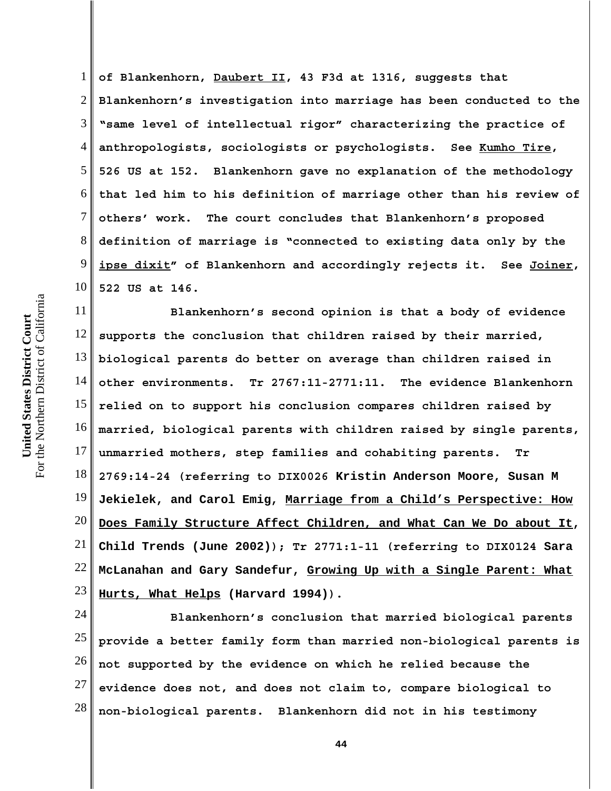1 2 3 4 5 6 7 8 9 10 **of Blankenhorn, Daubert II, 43 F3d at 1316, suggests that Blankenhorn's investigation into marriage has been conducted to the "same level of intellectual rigor" characterizing the practice of anthropologists, sociologists or psychologists. See Kumho Tire, 526 US at 152. Blankenhorn gave no explanation of the methodology that led him to his definition of marriage other than his review of others' work. The court concludes that Blankenhorn's proposed definition of marriage is "connected to existing data only by the ipse dixit" of Blankenhorn and accordingly rejects it. See Joiner, 522 US at 146.**

11 12 13 14 15 16 17 18 19 20 21 22 23 **Blankenhorn's second opinion is that a body of evidence supports the conclusion that children raised by their married, biological parents do better on average than children raised in other environments. Tr 2767:11-2771:11. The evidence Blankenhorn relied on to support his conclusion compares children raised by married, biological parents with children raised by single parents, unmarried mothers, step families and cohabiting parents. Tr 2769:14-24 (referring to DIX0026 Kristin Anderson Moore, Susan M Jekielek, and Carol Emig, Marriage from a Child's Perspective: How Does Family Structure Affect Children, and What Can We Do about It, Child Trends (June 2002)); Tr 2771:1-11 (referring to DIX0124 Sara McLanahan and Gary Sandefur, Growing Up with a Single Parent: What Hurts, What Helps (Harvard 1994)).**

24 25 26 27 28 **Blankenhorn's conclusion that married biological parents provide a better family form than married non-biological parents is not supported by the evidence on which he relied because the evidence does not, and does not claim to, compare biological to non-biological parents. Blankenhorn did not in his testimony**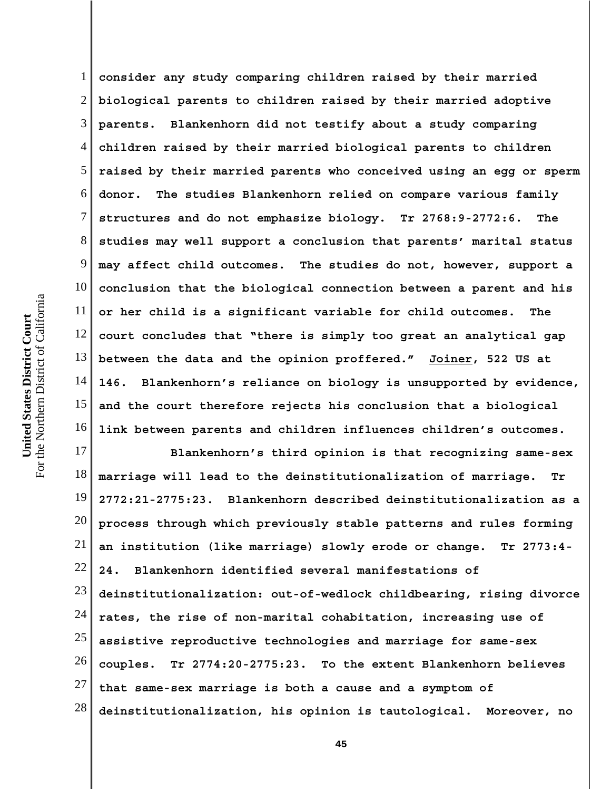1 2 3 4 5 6 7 8 9 10 11 12 13 14 15 16 **consider any study comparing children raised by their married biological parents to children raised by their married adoptive parents. Blankenhorn did not testify about a study comparing children raised by their married biological parents to children raised by their married parents who conceived using an egg or sperm donor. The studies Blankenhorn relied on compare various family structures and do not emphasize biology. Tr 2768:9-2772:6. The studies may well support a conclusion that parents' marital status may affect child outcomes. The studies do not, however, support a conclusion that the biological connection between a parent and his or her child is a significant variable for child outcomes. The court concludes that "there is simply too great an analytical gap between the data and the opinion proffered." Joiner, 522 US at 146. Blankenhorn's reliance on biology is unsupported by evidence, and the court therefore rejects his conclusion that a biological link between parents and children influences children's outcomes.** 

17 18 19 20 21 22 23 24 25 26 27 28 **Blankenhorn's third opinion is that recognizing same-sex marriage will lead to the deinstitutionalization of marriage. Tr 2772:21-2775:23. Blankenhorn described deinstitutionalization as a process through which previously stable patterns and rules forming an institution (like marriage) slowly erode or change. Tr 2773:4- 24. Blankenhorn identified several manifestations of deinstitutionalization: out-of-wedlock childbearing, rising divorce rates, the rise of non-marital cohabitation, increasing use of assistive reproductive technologies and marriage for same-sex couples. Tr 2774:20-2775:23. To the extent Blankenhorn believes that same-sex marriage is both a cause and a symptom of deinstitutionalization, his opinion is tautological. Moreover, no**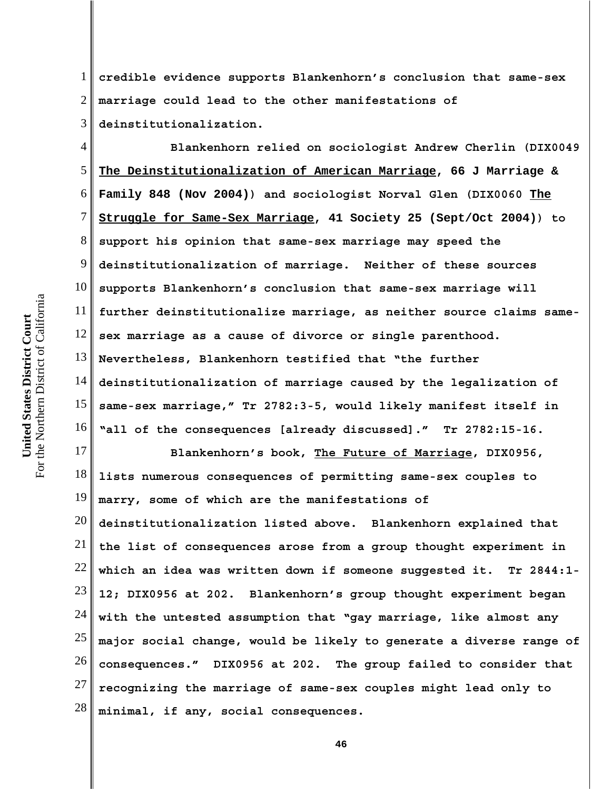For the Northern District of California For the Northern District of California United States District Court **United States District Court**

1 2 3 **credible evidence supports Blankenhorn's conclusion that same-sex marriage could lead to the other manifestations of deinstitutionalization.**

4 5 6 7 8 9 10 11 12 13 14 15 16 **Blankenhorn relied on sociologist Andrew Cherlin (DIX0049 The Deinstitutionalization of American Marriage, 66 J Marriage & Family 848 (Nov 2004)) and sociologist Norval Glen (DIX0060 The Struggle for Same-Sex Marriage, 41 Society 25 (Sept/Oct 2004)) to support his opinion that same-sex marriage may speed the deinstitutionalization of marriage. Neither of these sources supports Blankenhorn's conclusion that same-sex marriage will further deinstitutionalize marriage, as neither source claims samesex marriage as a cause of divorce or single parenthood. Nevertheless, Blankenhorn testified that "the further deinstitutionalization of marriage caused by the legalization of same-sex marriage," Tr 2782:3-5, would likely manifest itself in "all of the consequences [already discussed]." Tr 2782:15-16.** 

17 18 19 20 21 22 23 24 25 26 **Blankenhorn's book, The Future of Marriage, DIX0956, lists numerous consequences of permitting same-sex couples to marry, some of which are the manifestations of deinstitutionalization listed above. Blankenhorn explained that the list of consequences arose from a group thought experiment in which an idea was written down if someone suggested it. Tr 2844:1- 12; DIX0956 at 202. Blankenhorn's group thought experiment began with the untested assumption that "gay marriage, like almost any major social change, would be likely to generate a diverse range of consequences." DIX0956 at 202. The group failed to consider that**

27 28 **recognizing the marriage of same-sex couples might lead only to minimal, if any, social consequences.**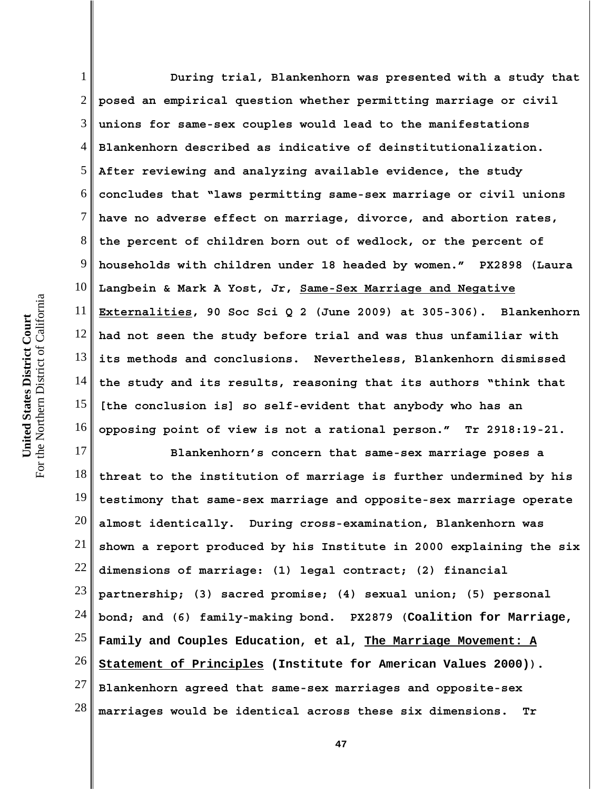1 2 3 4 5 6 7 8 9 10 11 12 13 14 15 16 **During trial, Blankenhorn was presented with a study that posed an empirical question whether permitting marriage or civil unions for same-sex couples would lead to the manifestations Blankenhorn described as indicative of deinstitutionalization. After reviewing and analyzing available evidence, the study concludes that "laws permitting same-sex marriage or civil unions have no adverse effect on marriage, divorce, and abortion rates, the percent of children born out of wedlock, or the percent of households with children under 18 headed by women." PX2898 (Laura Langbein & Mark A Yost, Jr, Same-Sex Marriage and Negative Externalities, 90 Soc Sci Q 2 (June 2009) at 305-306). Blankenhorn had not seen the study before trial and was thus unfamiliar with its methods and conclusions. Nevertheless, Blankenhorn dismissed the study and its results, reasoning that its authors "think that [the conclusion is] so self-evident that anybody who has an opposing point of view is not a rational person." Tr 2918:19-21.**

17 18 19 20 21 22 23 24 25 26 27 28 **Blankenhorn's concern that same-sex marriage poses a threat to the institution of marriage is further undermined by his testimony that same-sex marriage and opposite-sex marriage operate almost identically. During cross-examination, Blankenhorn was shown a report produced by his Institute in 2000 explaining the six dimensions of marriage: (1) legal contract; (2) financial partnership; (3) sacred promise; (4) sexual union; (5) personal bond; and (6) family-making bond. PX2879 (Coalition for Marriage, Family and Couples Education, et al, The Marriage Movement: A Statement of Principles (Institute for American Values 2000)). Blankenhorn agreed that same-sex marriages and opposite-sex marriages would be identical across these six dimensions. Tr**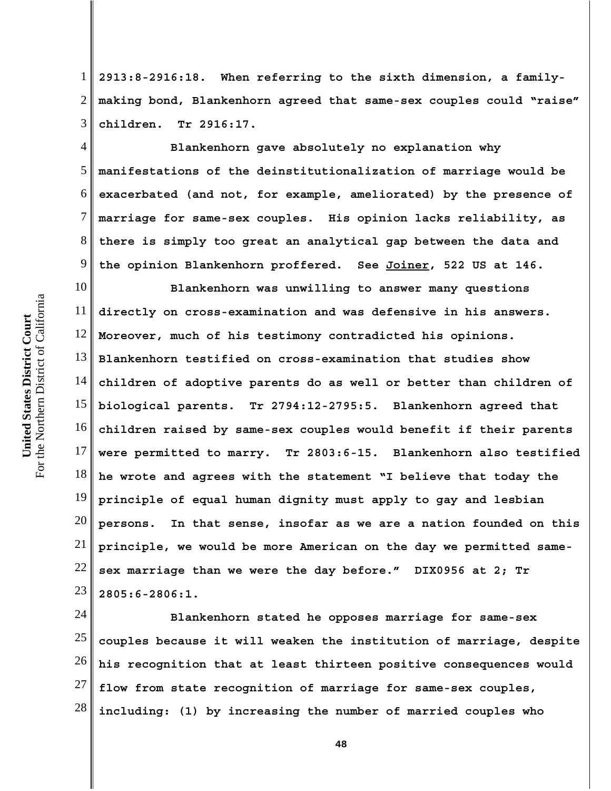1 2 3 **2913:8-2916:18. When referring to the sixth dimension, a familymaking bond, Blankenhorn agreed that same-sex couples could "raise" children. Tr 2916:17.** 

4 5 6 7 8 9 **Blankenhorn gave absolutely no explanation why manifestations of the deinstitutionalization of marriage would be exacerbated (and not, for example, ameliorated) by the presence of marriage for same-sex couples. His opinion lacks reliability, as there is simply too great an analytical gap between the data and the opinion Blankenhorn proffered. See Joiner, 522 US at 146.**

10 11 12 13 14 15 16 17 18 19 20 21 22 23 **Blankenhorn was unwilling to answer many questions directly on cross-examination and was defensive in his answers. Moreover, much of his testimony contradicted his opinions. Blankenhorn testified on cross-examination that studies show children of adoptive parents do as well or better than children of biological parents. Tr 2794:12-2795:5. Blankenhorn agreed that children raised by same-sex couples would benefit if their parents were permitted to marry. Tr 2803:6-15. Blankenhorn also testified he wrote and agrees with the statement "I believe that today the principle of equal human dignity must apply to gay and lesbian persons. In that sense, insofar as we are a nation founded on this principle, we would be more American on the day we permitted samesex marriage than we were the day before." DIX0956 at 2; Tr 2805:6-2806:1.** 

24 25 26 27 28 **Blankenhorn stated he opposes marriage for same-sex couples because it will weaken the institution of marriage, despite his recognition that at least thirteen positive consequences would flow from state recognition of marriage for same-sex couples, including: (1) by increasing the number of married couples who**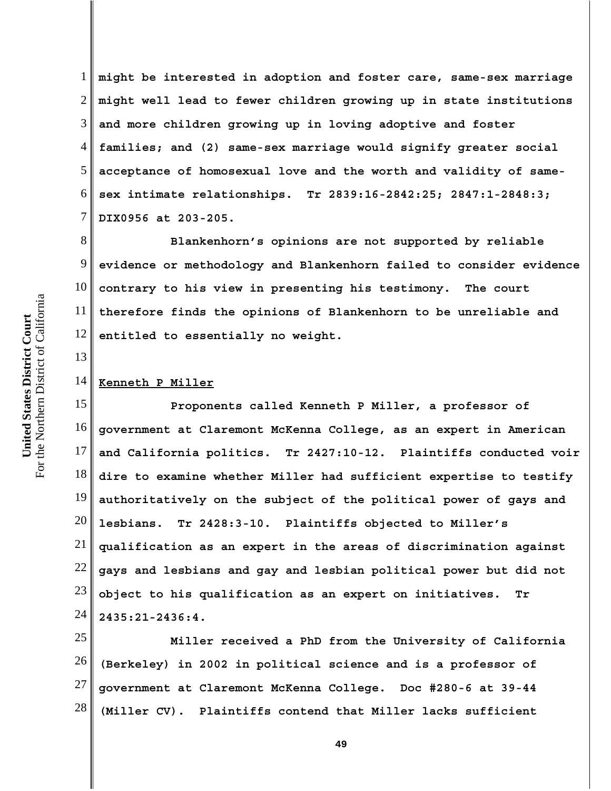6 7 8 9 10 For the Northern District of California For the Northern District of California 11 United States District Court **United States District Court** 12 13 14 15 16

1 2 3 4 5 **might be interested in adoption and foster care, same-sex marriage might well lead to fewer children growing up in state institutions and more children growing up in loving adoptive and foster families; and (2) same-sex marriage would signify greater social acceptance of homosexual love and the worth and validity of samesex intimate relationships. Tr 2839:16-2842:25; 2847:1-2848:3; DIX0956 at 203-205.** 

**Blankenhorn's opinions are not supported by reliable evidence or methodology and Blankenhorn failed to consider evidence contrary to his view in presenting his testimony. The court therefore finds the opinions of Blankenhorn to be unreliable and entitled to essentially no weight.**

## **Kenneth P Miller**

17 18 19 20 21 22 23 24 **Proponents called Kenneth P Miller, a professor of government at Claremont McKenna College, as an expert in American and California politics. Tr 2427:10-12. Plaintiffs conducted voir dire to examine whether Miller had sufficient expertise to testify authoritatively on the subject of the political power of gays and lesbians. Tr 2428:3-10. Plaintiffs objected to Miller's qualification as an expert in the areas of discrimination against gays and lesbians and gay and lesbian political power but did not object to his qualification as an expert on initiatives. Tr 2435:21-2436:4.** 

25 26 27 28 **Miller received a PhD from the University of California (Berkeley) in 2002 in political science and is a professor of government at Claremont McKenna College. Doc #280-6 at 39-44 (Miller CV). Plaintiffs contend that Miller lacks sufficient**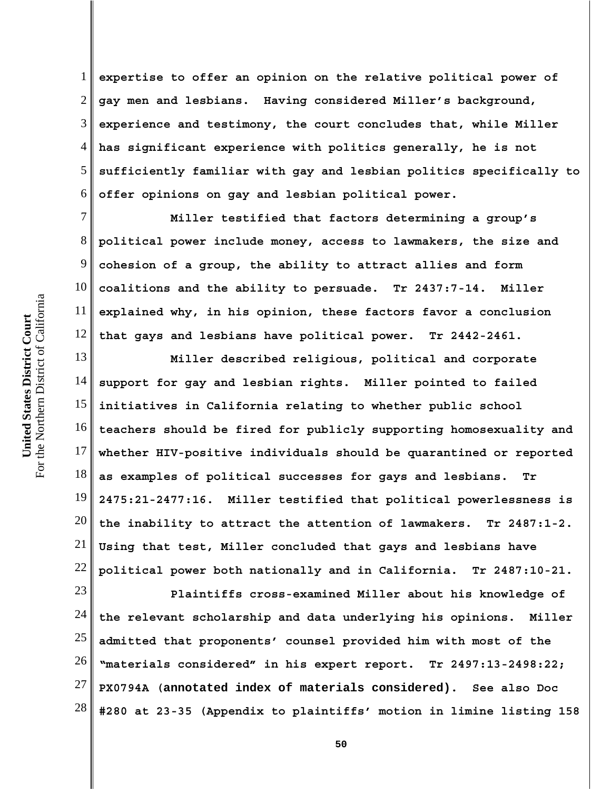1 2 3 4 5 6 **expertise to offer an opinion on the relative political power of gay men and lesbians. Having considered Miller's background, experience and testimony, the court concludes that, while Miller has significant experience with politics generally, he is not sufficiently familiar with gay and lesbian politics specifically to offer opinions on gay and lesbian political power.**

7 8 9 10 11 12 **Miller testified that factors determining a group's political power include money, access to lawmakers, the size and cohesion of a group, the ability to attract allies and form coalitions and the ability to persuade. Tr 2437:7-14. Miller explained why, in his opinion, these factors favor a conclusion that gays and lesbians have political power. Tr 2442-2461.**

13 14 15 16 17 18 19 20 21 22 **Miller described religious, political and corporate support for gay and lesbian rights. Miller pointed to failed initiatives in California relating to whether public school teachers should be fired for publicly supporting homosexuality and whether HIV-positive individuals should be quarantined or reported as examples of political successes for gays and lesbians. Tr 2475:21-2477:16. Miller testified that political powerlessness is the inability to attract the attention of lawmakers. Tr 2487:1-2. Using that test, Miller concluded that gays and lesbians have political power both nationally and in California. Tr 2487:10-21.**

23 24 25 26 27 28 **Plaintiffs cross-examined Miller about his knowledge of the relevant scholarship and data underlying his opinions. Miller admitted that proponents' counsel provided him with most of the "materials considered" in his expert report. Tr 2497:13-2498:22; PX0794A (annotated index of materials considered). See also Doc #280 at 23-35 (Appendix to plaintiffs' motion in limine listing 158**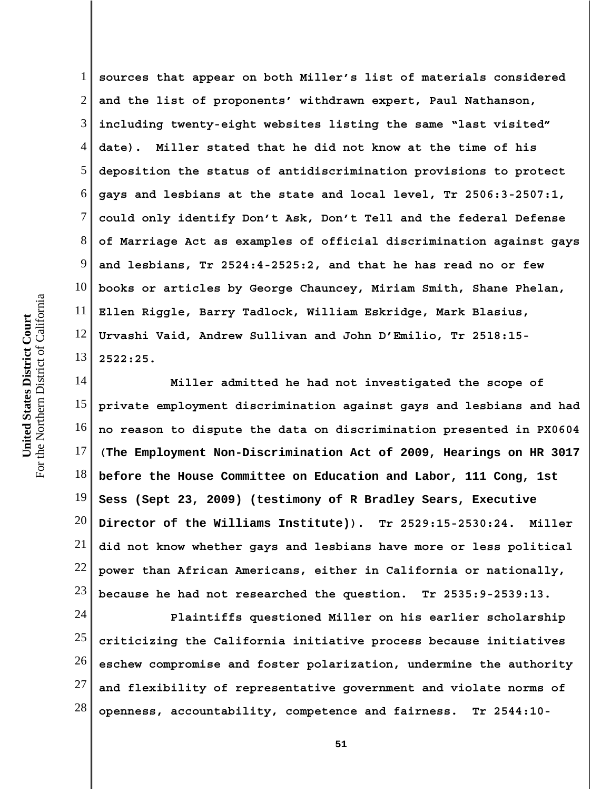1 2 3 4 5 6 7 8 9 10 11 12 13 **sources that appear on both Miller's list of materials considered and the list of proponents' withdrawn expert, Paul Nathanson, including twenty-eight websites listing the same "last visited" date). Miller stated that he did not know at the time of his deposition the status of antidiscrimination provisions to protect gays and lesbians at the state and local level, Tr 2506:3-2507:1, could only identify Don't Ask, Don't Tell and the federal Defense of Marriage Act as examples of official discrimination against gays and lesbians, Tr 2524:4-2525:2, and that he has read no or few books or articles by George Chauncey, Miriam Smith, Shane Phelan, Ellen Riggle, Barry Tadlock, William Eskridge, Mark Blasius, Urvashi Vaid, Andrew Sullivan and John D'Emilio, Tr 2518:15- 2522:25.** 

14 15 16 17 18 19 20 21 22 23 **Miller admitted he had not investigated the scope of private employment discrimination against gays and lesbians and had no reason to dispute the data on discrimination presented in PX0604 (The Employment Non-Discrimination Act of 2009, Hearings on HR 3017 before the House Committee on Education and Labor, 111 Cong, 1st Sess (Sept 23, 2009) (testimony of R Bradley Sears, Executive Director of the Williams Institute)). Tr 2529:15-2530:24. Miller did not know whether gays and lesbians have more or less political power than African Americans, either in California or nationally, because he had not researched the question. Tr 2535:9-2539:13.**

24 25 26 27 28 **Plaintiffs questioned Miller on his earlier scholarship criticizing the California initiative process because initiatives eschew compromise and foster polarization, undermine the authority and flexibility of representative government and violate norms of openness, accountability, competence and fairness. Tr 2544:10-**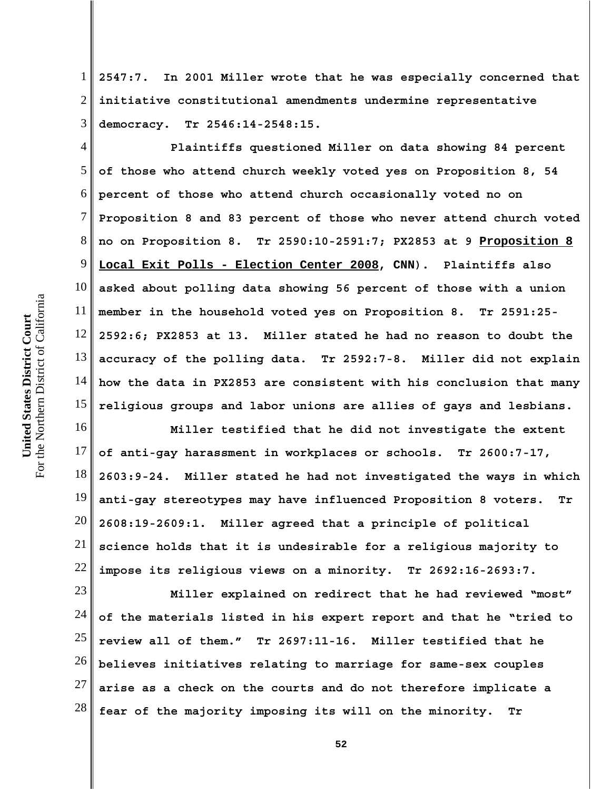1 2 3 **2547:7. In 2001 Miller wrote that he was especially concerned that initiative constitutional amendments undermine representative democracy. Tr 2546:14-2548:15.**

4 5 6 7 8 9 10 11 12 13 14 15 **Plaintiffs questioned Miller on data showing 84 percent of those who attend church weekly voted yes on Proposition 8, 54 percent of those who attend church occasionally voted no on Proposition 8 and 83 percent of those who never attend church voted no on Proposition 8. Tr 2590:10-2591:7; PX2853 at 9 Proposition 8 Local Exit Polls - Election Center 2008, CNN). Plaintiffs also asked about polling data showing 56 percent of those with a union member in the household voted yes on Proposition 8. Tr 2591:25- 2592:6; PX2853 at 13. Miller stated he had no reason to doubt the accuracy of the polling data. Tr 2592:7-8. Miller did not explain how the data in PX2853 are consistent with his conclusion that many religious groups and labor unions are allies of gays and lesbians.**

16 17 18 19 20 21 22 **Miller testified that he did not investigate the extent of anti-gay harassment in workplaces or schools. Tr 2600:7-17, 2603:9-24. Miller stated he had not investigated the ways in which anti-gay stereotypes may have influenced Proposition 8 voters. Tr 2608:19-2609:1. Miller agreed that a principle of political science holds that it is undesirable for a religious majority to impose its religious views on a minority. Tr 2692:16-2693:7.**

23 24 25 26 27 28 **Miller explained on redirect that he had reviewed "most" of the materials listed in his expert report and that he "tried to review all of them." Tr 2697:11-16. Miller testified that he believes initiatives relating to marriage for same-sex couples arise as a check on the courts and do not therefore implicate a fear of the majority imposing its will on the minority. Tr**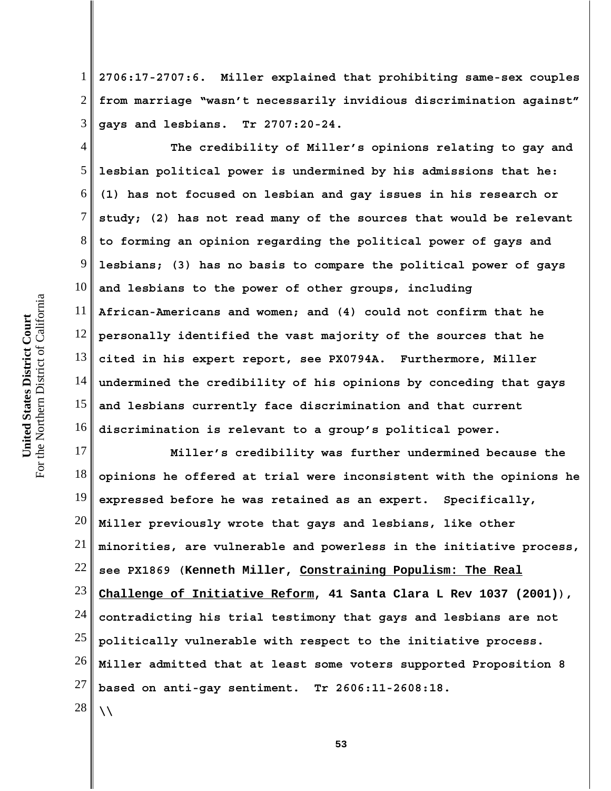1 2 3 **2706:17-2707:6. Miller explained that prohibiting same-sex couples from marriage "wasn't necessarily invidious discrimination against" gays and lesbians. Tr 2707:20-24.**

4 5 6 7 8 9 10 11 12 13 14 15 16 **The credibility of Miller's opinions relating to gay and lesbian political power is undermined by his admissions that he: (1) has not focused on lesbian and gay issues in his research or study; (2) has not read many of the sources that would be relevant to forming an opinion regarding the political power of gays and lesbians; (3) has no basis to compare the political power of gays and lesbians to the power of other groups, including African-Americans and women; and (4) could not confirm that he personally identified the vast majority of the sources that he cited in his expert report, see PX0794A. Furthermore, Miller undermined the credibility of his opinions by conceding that gays and lesbians currently face discrimination and that current discrimination is relevant to a group's political power.** 

17 18 19 20 21 22 23 24 25 26 27 28 **Miller's credibility was further undermined because the opinions he offered at trial were inconsistent with the opinions he expressed before he was retained as an expert. Specifically, Miller previously wrote that gays and lesbians, like other minorities, are vulnerable and powerless in the initiative process, see PX1869 (Kenneth Miller, Constraining Populism: The Real Challenge of Initiative Reform, 41 Santa Clara L Rev 1037 (2001)), contradicting his trial testimony that gays and lesbians are not politically vulnerable with respect to the initiative process. Miller admitted that at least some voters supported Proposition 8 based on anti-gay sentiment. Tr 2606:11-2608:18. \\**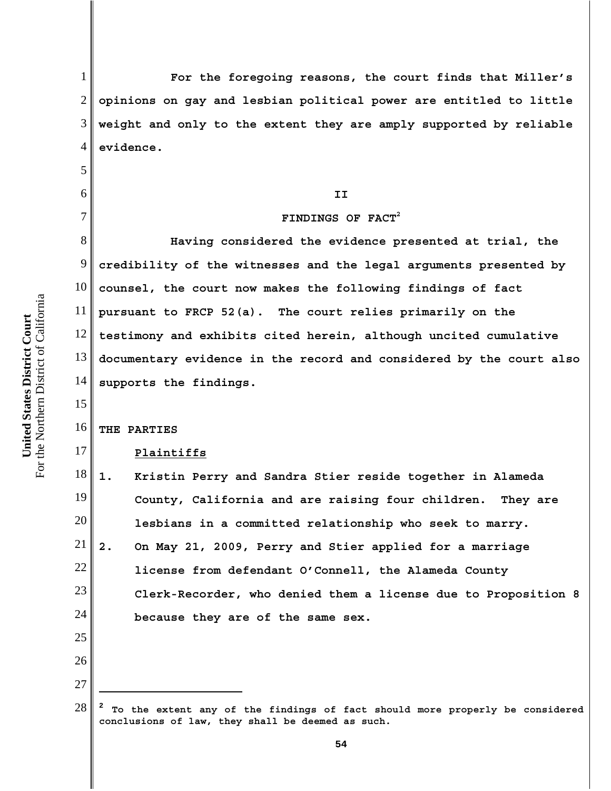For the Northern District of California For the Northern District of California United States District Court **United States District Court**

13

14

15

17

# 1 2 3 4 5 6 7 8 9 10 11 12 **For the foregoing reasons, the court finds that Miller's opinions on gay and lesbian political power are entitled to little weight and only to the extent they are amply supported by reliable evidence. II FINDINGS OF FACT2 Having considered the evidence presented at trial, the credibility of the witnesses and the legal arguments presented by counsel, the court now makes the following findings of fact pursuant to FRCP 52(a). The court relies primarily on the**

**testimony and exhibits cited herein, although uncited cumulative documentary evidence in the record and considered by the court also supports the findings.**

### 16 **THE PARTIES**

## **Plaintiffs**

18 19 20 21 22 23 24 **1. Kristin Perry and Sandra Stier reside together in Alameda County, California and are raising four children. They are lesbians in a committed relationship who seek to marry. 2. On May 21, 2009, Perry and Stier applied for a marriage license from defendant O'Connell, the Alameda County Clerk-Recorder, who denied them a license due to Proposition 8 because they are of the same sex.**

<sup>26</sup> 27

<sup>28</sup> **<sup>2</sup> To the extent any of the findings of fact should more properly be considered conclusions of law, they shall be deemed as such.**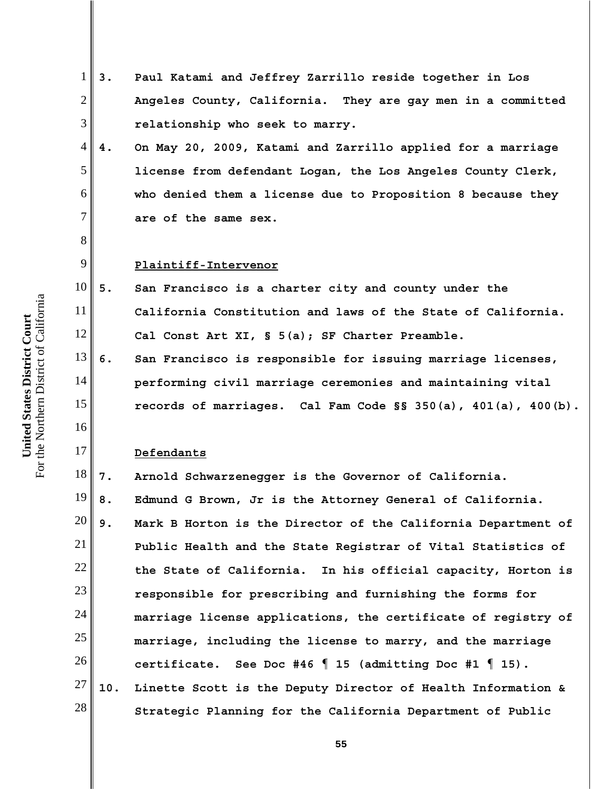- 1 2 3 4 5 6 7 8 9 10 11 12 13 14 15 16 17 18 19 20 21 22 23 24 25 26 27 28 **3. Paul Katami and Jeffrey Zarrillo reside together in Los Angeles County, California. They are gay men in a committed relationship who seek to marry. 4. On May 20, 2009, Katami and Zarrillo applied for a marriage license from defendant Logan, the Los Angeles County Clerk, who denied them a license due to Proposition 8 because they are of the same sex. Plaintiff-Intervenor 5. San Francisco is a charter city and county under the California Constitution and laws of the State of California. Cal Const Art XI, § 5(a); SF Charter Preamble. 6. San Francisco is responsible for issuing marriage licenses, performing civil marriage ceremonies and maintaining vital records of marriages. Cal Fam Code §§ 350(a), 401(a), 400(b). Defendants 7. Arnold Schwarzenegger is the Governor of California. 8. Edmund G Brown, Jr is the Attorney General of California. 9. Mark B Horton is the Director of the California Department of Public Health and the State Registrar of Vital Statistics of the State of California. In his official capacity, Horton is responsible for prescribing and furnishing the forms for marriage license applications, the certificate of registry of marriage, including the license to marry, and the marriage certificate. See Doc #46 ¶ 15 (admitting Doc #1 ¶ 15). 10. Linette Scott is the Deputy Director of Health Information & Strategic Planning for the California Department of Public**
- For the Northern District of California For the Northern District of California United States District Court **United States District Court**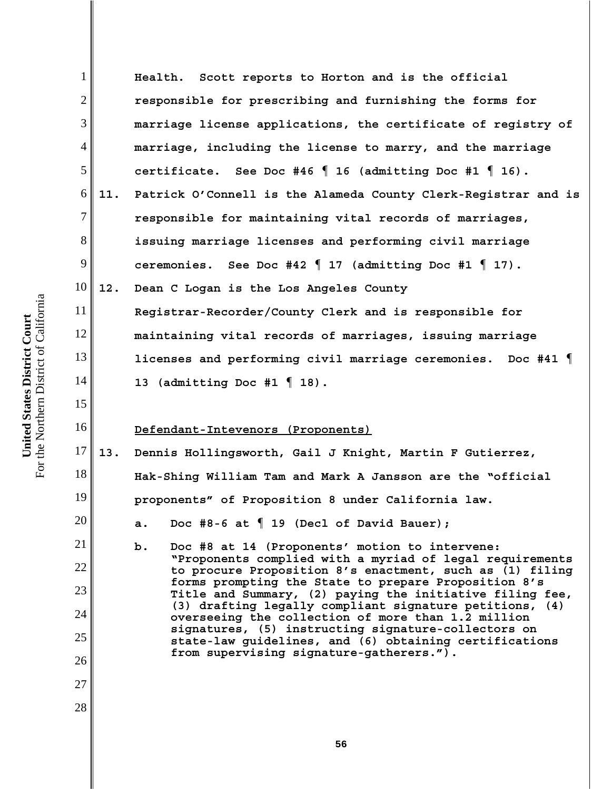1 2 3 4 5 6 7 8 9 10 11 12 13 14 15 16 17 18 19 20 21 22 23 24 25 26 27 28 **Health. Scott reports to Horton and is the official responsible for prescribing and furnishing the forms for marriage license applications, the certificate of registry of marriage, including the license to marry, and the marriage certificate. See Doc #46 ¶ 16 (admitting Doc #1 ¶ 16). 11. Patrick O'Connell is the Alameda County Clerk-Registrar and is responsible for maintaining vital records of marriages, issuing marriage licenses and performing civil marriage ceremonies. See Doc #42 ¶ 17 (admitting Doc #1 ¶ 17). 12. Dean C Logan is the Los Angeles County Registrar-Recorder/County Clerk and is responsible for maintaining vital records of marriages, issuing marriage licenses and performing civil marriage ceremonies. Doc #41 ¶ 13 (admitting Doc #1 ¶ 18). Defendant-Intevenors (Proponents) 13. Dennis Hollingsworth, Gail J Knight, Martin F Gutierrez, Hak-Shing William Tam and Mark A Jansson are the "official proponents" of Proposition 8 under California law. a. Doc #8-6 at ¶ 19 (Decl of David Bauer); b. Doc #8 at 14 (Proponents' motion to intervene: "Proponents complied with a myriad of legal requirements to procure Proposition 8's enactment, such as (1) filing forms prompting the State to prepare Proposition 8's Title and Summary, (2) paying the initiative filing fee, (3) drafting legally compliant signature petitions, (4) overseeing the collection of more than 1.2 million signatures, (5) instructing signature-collectors on state-law guidelines, and (6) obtaining certifications from supervising signature-gatherers.").**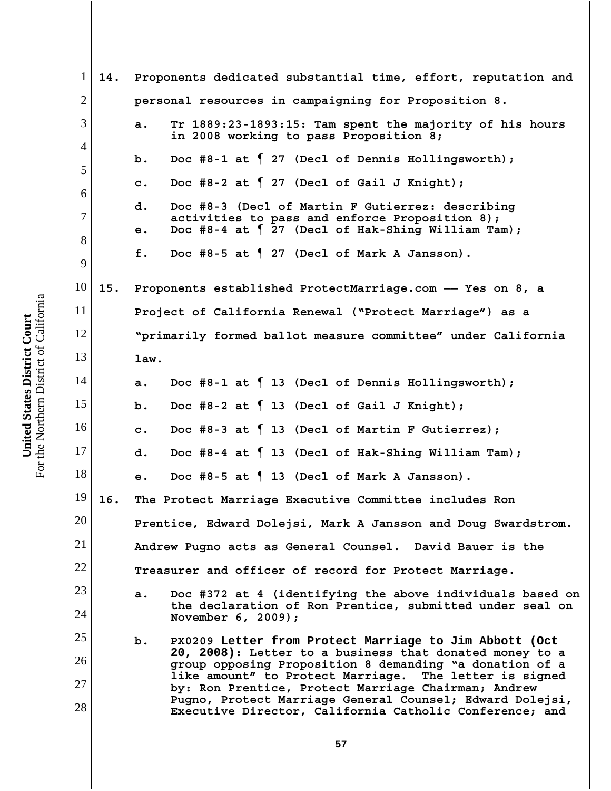1 2 3 4 5 6 7 8 9 10 11 12 13 14 15 16 17 18 19 20 21 22 23 24 25 26 27 28 **14. Proponents dedicated substantial time, effort, reputation and personal resources in campaigning for Proposition 8. a. Tr 1889:23-1893:15: Tam spent the majority of his hours in 2008 working to pass Proposition 8; b. Doc #8-1 at ¶ 27 (Decl of Dennis Hollingsworth); c. Doc #8-2 at ¶ 27 (Decl of Gail J Knight); d. Doc #8-3 (Decl of Martin F Gutierrez: describing activities to pass and enforce Proposition 8); e. Doc #8-4 at ¶ 27 (Decl of Hak-Shing William Tam); f. Doc #8-5 at ¶ 27 (Decl of Mark A Jansson). 15. Proponents established ProtectMarriage.com —— Yes on 8, a Project of California Renewal ("Protect Marriage") as a "primarily formed ballot measure committee" under California law. a. Doc #8-1 at ¶ 13 (Decl of Dennis Hollingsworth); b. Doc #8-2 at ¶ 13 (Decl of Gail J Knight); c. Doc #8-3 at ¶ 13 (Decl of Martin F Gutierrez); d. Doc #8-4 at ¶ 13 (Decl of Hak-Shing William Tam); e. Doc #8-5 at ¶ 13 (Decl of Mark A Jansson). 16. The Protect Marriage Executive Committee includes Ron Prentice, Edward Dolejsi, Mark A Jansson and Doug Swardstrom. Andrew Pugno acts as General Counsel. David Bauer is the Treasurer and officer of record for Protect Marriage. a. Doc #372 at 4 (identifying the above individuals based on the declaration of Ron Prentice, submitted under seal on November 6, 2009); b. PX0209 Letter from Protect Marriage to Jim Abbott (Oct 20, 2008): Letter to a business that donated money to a group opposing Proposition 8 demanding "a donation of a like amount" to Protect Marriage. The letter is signed by: Ron Prentice, Protect Marriage Chairman; Andrew Pugno, Protect Marriage General Counsel; Edward Dolejsi, Executive Director, California Catholic Conference; and**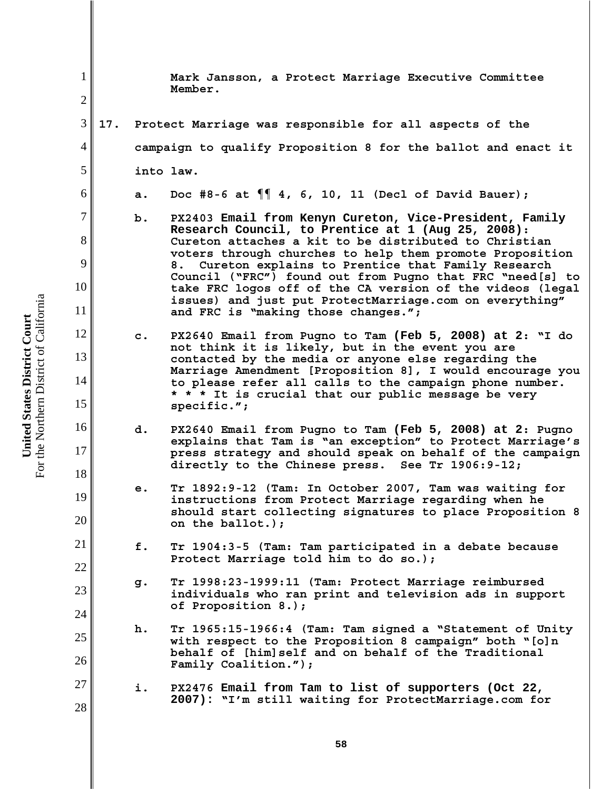1 2 3 4 5 6 7 8 9 10 11 12 13 14 15 16 17 18 19 20 21 22 23 24 25 26 27 28 **Mark Jansson, a Protect Marriage Executive Committee Member. 17. Protect Marriage was responsible for all aspects of the campaign to qualify Proposition 8 for the ballot and enact it into law. a. Doc #8-6 at ¶¶ 4, 6, 10, 11 (Decl of David Bauer); b. PX2403 Email from Kenyn Cureton, Vice-President, Family Research Council, to Prentice at 1 (Aug 25, 2008): Cureton attaches a kit to be distributed to Christian voters through churches to help them promote Proposition 8. Cureton explains to Prentice that Family Research Council ("FRC") found out from Pugno that FRC "need[s] to take FRC logos off of the CA version of the videos (legal issues) and just put ProtectMarriage.com on everything" and FRC is "making those changes."; c. PX2640 Email from Pugno to Tam (Feb 5, 2008) at 2: "I do not think it is likely, but in the event you are contacted by the media or anyone else regarding the Marriage Amendment [Proposition 8], I would encourage you to please refer all calls to the campaign phone number. \* \* \* It is crucial that our public message be very specific."; d. PX2640 Email from Pugno to Tam (Feb 5, 2008) at 2: Pugno explains that Tam is "an exception" to Protect Marriage's press strategy and should speak on behalf of the campaign directly to the Chinese press. See Tr 1906:9-12; e. Tr 1892:9-12 (Tam: In October 2007, Tam was waiting for instructions from Protect Marriage regarding when he should start collecting signatures to place Proposition 8 on the ballot.); f. Tr 1904:3-5 (Tam: Tam participated in a debate because Protect Marriage told him to do so.); g. Tr 1998:23-1999:11 (Tam: Protect Marriage reimbursed individuals who ran print and television ads in support of Proposition 8.); h. Tr 1965:15-1966:4 (Tam: Tam signed a "Statement of Unity with respect to the Proposition 8 campaign" both "[o]n behalf of [him]self and on behalf of the Traditional Family Coalition."); i. PX2476 Email from Tam to list of supporters (Oct 22, 2007): "I'm still waiting for ProtectMarriage.com for**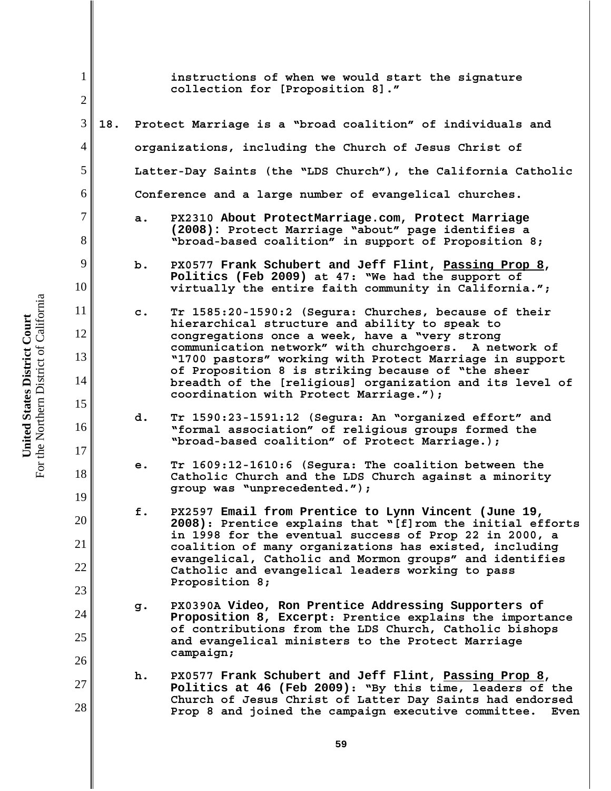| $\mathbf{1}$<br>$\overline{2}$ |     |                                                               | instructions of when we would start the signature<br>collection for [Proposition 8]."                                                                                         |  |  |  |
|--------------------------------|-----|---------------------------------------------------------------|-------------------------------------------------------------------------------------------------------------------------------------------------------------------------------|--|--|--|
|                                |     |                                                               |                                                                                                                                                                               |  |  |  |
| 3                              | 18. |                                                               | Protect Marriage is a "broad coalition" of individuals and                                                                                                                    |  |  |  |
| $\overline{4}$                 |     | organizations, including the Church of Jesus Christ of        |                                                                                                                                                                               |  |  |  |
| 5                              |     | Latter-Day Saints (the "LDS Church"), the California Catholic |                                                                                                                                                                               |  |  |  |
| 6                              |     | Conference and a large number of evangelical churches.        |                                                                                                                                                                               |  |  |  |
| $\tau$<br>8                    |     | a.                                                            | PX2310 About ProtectMarriage.com, Protect Marriage<br>(2008): Protect Marriage "about" page identifies a<br>"broad-based coalition" in support of Proposition 8;              |  |  |  |
| 9<br>10                        |     | b.                                                            | PX0577 Frank Schubert and Jeff Flint, Passing Prop 8,<br>Politics (Feb 2009) at 47: "We had the support of<br>virtually the entire faith community in California.";           |  |  |  |
| 11                             |     | $\mathbf{c}$ .                                                | Tr 1585:20-1590:2 (Segura: Churches, because of their                                                                                                                         |  |  |  |
| 12                             |     |                                                               | hierarchical structure and ability to speak to<br>congregations once a week, have a "very strong<br>communication network" with churchgoers. A network of                     |  |  |  |
| 13                             |     |                                                               | "1700 pastors" working with Protect Marriage in support<br>of Proposition 8 is striking because of "the sheer                                                                 |  |  |  |
| 14                             |     |                                                               | breadth of the [religious] organization and its level of<br>coordination with Protect Marriage.");                                                                            |  |  |  |
| 15<br>16                       |     | d.                                                            | Tr 1590:23-1591:12 (Segura: An "organized effort" and<br>"formal association" of religious groups formed the<br>"broad-based coalition" of Protect Marriage.);                |  |  |  |
| 17<br>18                       |     | e.                                                            | Tr 1609:12-1610:6 (Segura: The coalition between the<br>Catholic Church and the LDS Church against a minority<br>group was "unprecedented.");                                 |  |  |  |
| 19<br>20                       |     | f.                                                            | PX2597 Email from Prentice to Lynn Vincent (June 19,                                                                                                                          |  |  |  |
| 21                             |     |                                                               | 2008): Prentice explains that "[f]rom the initial efforts<br>in 1998 for the eventual success of Prop 22 in 2000, a<br>coalition of many organizations has existed, including |  |  |  |
| 22                             |     |                                                               | evangelical, Catholic and Mormon groups" and identifies<br>Catholic and evangelical leaders working to pass                                                                   |  |  |  |
| 23                             |     |                                                               | Proposition 8;                                                                                                                                                                |  |  |  |
| 24                             |     | g.                                                            | PX0390A Video, Ron Prentice Addressing Supporters of<br>Proposition 8, Excerpt: Prentice explains the importance<br>of contributions from the LDS Church, Catholic bishops    |  |  |  |
| 25                             |     |                                                               | and evangelical ministers to the Protect Marriage<br>campaign;                                                                                                                |  |  |  |
| 26                             |     |                                                               |                                                                                                                                                                               |  |  |  |
| 27                             |     | h.                                                            | PX0577 Frank Schubert and Jeff Flint, Passing Prop 8,<br>Politics at 46 (Feb 2009): "By this time, leaders of the                                                             |  |  |  |
| 28                             |     |                                                               | Church of Jesus Christ of Latter Day Saints had endorsed<br>Prop 8 and joined the campaign executive committee.<br>Even                                                       |  |  |  |

**United States District Court**<br>For the Northern District of California For the Northern District of California **United States District Court**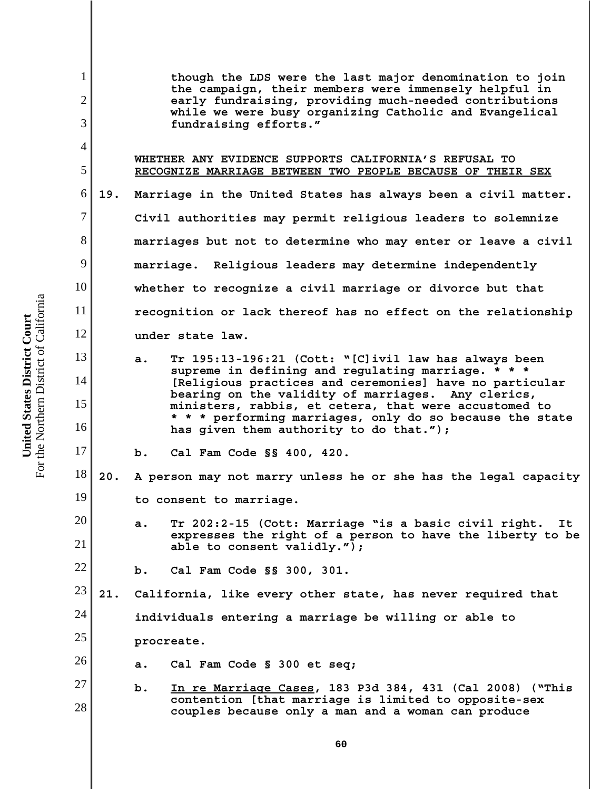1 2 3 4 5 6 7 8 9 10 11 12 13 14 15 16 17 18 19 20 21 22 23 24 25 26 27 28 **though the LDS were the last major denomination to join the campaign, their members were immensely helpful in early fundraising, providing much-needed contributions while we were busy organizing Catholic and Evangelical fundraising efforts."** **WHETHER ANY EVIDENCE SUPPORTS CALIFORNIA'S REFUSAL TO RECOGNIZE MARRIAGE BETWEEN TWO PEOPLE BECAUSE OF THEIR SEX 19. Marriage in the United States has always been a civil matter. Civil authorities may permit religious leaders to solemnize marriages but not to determine who may enter or leave a civil marriage. Religious leaders may determine independently whether to recognize a civil marriage or divorce but that recognition or lack thereof has no effect on the relationship under state law. a. Tr 195:13-196:21 (Cott: "[C]ivil law has always been supreme in defining and regulating marriage. \* \* \* [Religious practices and ceremonies] have no particular bearing on the validity of marriages. Any clerics, ministers, rabbis, et cetera, that were accustomed to \* \* \* performing marriages, only do so because the state has given them authority to do that."); b. Cal Fam Code §§ 400, 420. 20. A person may not marry unless he or she has the legal capacity to consent to marriage. a. Tr 202:2-15 (Cott: Marriage "is a basic civil right. It expresses the right of a person to have the liberty to be able to consent validly."); b. Cal Fam Code §§ 300, 301. 21. California, like every other state, has never required that individuals entering a marriage be willing or able to procreate. a. Cal Fam Code § 300 et seq; b. In re Marriage Cases, 183 P3d 384, 431 (Cal 2008) ("This contention [that marriage is limited to opposite-sex couples because only a man and a woman can produce**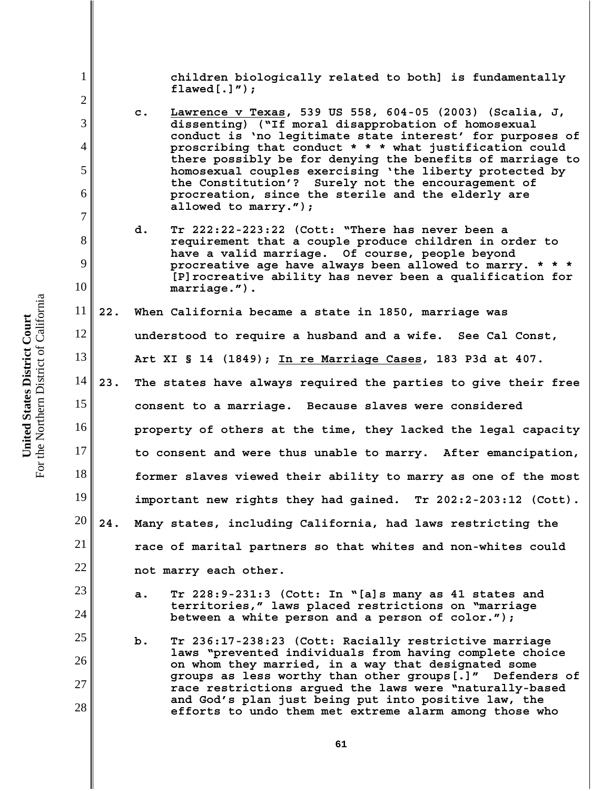**children biologically related to both] is fundamentally flawed[.]");**

- **c. Lawrence v Texas, 539 US 558, 604-05 (2003) (Scalia, J, dissenting) ("If moral disapprobation of homosexual conduct is 'no legitimate state interest' for purposes of proscribing that conduct \* \* \* what justification could there possibly be for denying the benefits of marriage to homosexual couples exercising 'the liberty protected by the Constitution'? Surely not the encouragement of procreation, since the sterile and the elderly are allowed to marry.");**
- **d. Tr 222:22-223:22 (Cott: "There has never been a requirement that a couple produce children in order to have a valid marriage. Of course, people beyond procreative age have always been allowed to marry. \* \* \* [P]rocreative ability has never been a qualification for marriage.").**

11 12 13 14 15 16 17 **22. When California became a state in 1850, marriage was understood to require a husband and a wife. See Cal Const, Art XI § 14 (1849); In re Marriage Cases, 183 P3d at 407. 23. The states have always required the parties to give their free consent to a marriage. Because slaves were considered property of others at the time, they lacked the legal capacity to consent and were thus unable to marry. After emancipation,**

- 18 19 20 **former slaves viewed their ability to marry as one of the most important new rights they had gained. Tr 202:2-203:12 (Cott). 24. Many states, including California, had laws restricting the**
	- **race of marital partners so that whites and non-whites could not marry each other.**
		- **a. Tr 228:9-231:3 (Cott: In "[a]s many as 41 states and territories," laws placed restrictions on "marriage between a white person and a person of color.");**
	- **b. Tr 236:17-238:23 (Cott: Racially restrictive marriage laws "prevented individuals from having complete choice on whom they married, in a way that designated some groups as less worthy than other groups[.]" Defenders of race restrictions argued the laws were "naturally-based and God's plan just being put into positive law, the efforts to undo them met extreme alarm among those who**

For the Northern District of California For the Northern District of California United States District Court **United States District Court**

1

2

3

4

5

6

7

8

9

10

21

22

23

24

25

26

27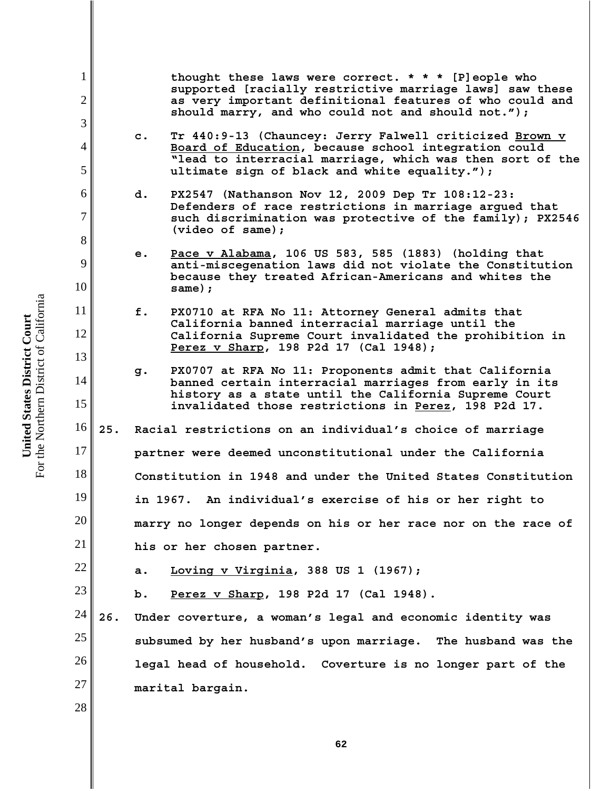**thought these laws were correct. \* \* \* [P]eople who supported [racially restrictive marriage laws] saw these as very important definitional features of who could and should marry, and who could not and should not.");**

- **c. Tr 440:9-13 (Chauncey: Jerry Falwell criticized Brown v Board of Education, because school integration could "lead to interracial marriage, which was then sort of the ultimate sign of black and white equality.");**
- **d. PX2547 (Nathanson Nov 12, 2009 Dep Tr 108:12-23: Defenders of race restrictions in marriage argued that such discrimination was protective of the family); PX2546 (video of same);**
- **e. Pace v Alabama, 106 US 583, 585 (1883) (holding that anti-miscegenation laws did not violate the Constitution because they treated African-Americans and whites the same);**
- **f. PX0710 at RFA No 11: Attorney General admits that California banned interracial marriage until the California Supreme Court invalidated the prohibition in Perez v Sharp, 198 P2d 17 (Cal 1948);**
- **g. PX0707 at RFA No 11: Proponents admit that California banned certain interracial marriages from early in its history as a state until the California Supreme Court invalidated those restrictions in Perez, 198 P2d 17.**
- 16 17 18 19 20 21 **25. Racial restrictions on an individual's choice of marriage partner were deemed unconstitutional under the California Constitution in 1948 and under the United States Constitution in 1967. An individual's exercise of his or her right to marry no longer depends on his or her race nor on the race of his or her chosen partner.**
	- **a. Loving v Virginia, 388 US 1 (1967);**
		- **b. Perez v Sharp, 198 P2d 17 (Cal 1948).**
- 24 25 26 27 **26. Under coverture, a woman's legal and economic identity was subsumed by her husband's upon marriage. The husband was the legal head of household. Coverture is no longer part of the marital bargain.**

For the Northern District of California For the Northern District of California United States District Court **United States District Court**

1

2

3

4

5

6

7

8

9

10

11

12

13

14

15

22

23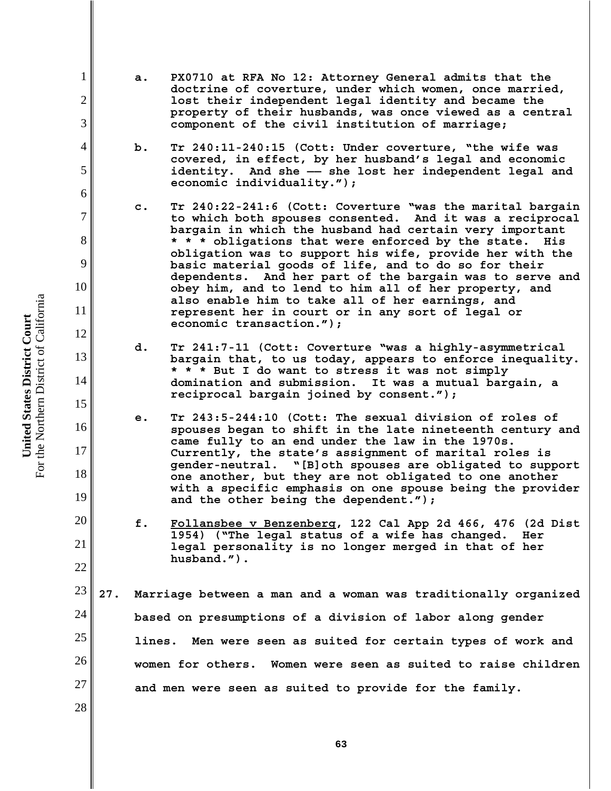For the Northern District of California For the Northern District of California United States District Court **United States District Court**

1

2

3

4

5

6

7

8

9

10

11

12

13

14

15

16

17

18

19

20

21

22

28

- **a. PX0710 at RFA No 12: Attorney General admits that the doctrine of coverture, under which women, once married, lost their independent legal identity and became the property of their husbands, was once viewed as a central component of the civil institution of marriage;**
- **b. Tr 240:11-240:15 (Cott: Under coverture, "the wife was covered, in effect, by her husband's legal and economic identity. And she —— she lost her independent legal and economic individuality.");**
- **c. Tr 240:22-241:6 (Cott: Coverture "was the marital bargain to which both spouses consented. And it was a reciprocal bargain in which the husband had certain very important \* \* \* obligations that were enforced by the state. His obligation was to support his wife, provide her with the basic material goods of life, and to do so for their dependents. And her part of the bargain was to serve and obey him, and to lend to him all of her property, and also enable him to take all of her earnings, and represent her in court or in any sort of legal or economic transaction.");**
- **d. Tr 241:7-11 (Cott: Coverture "was a highly-asymmetrical bargain that, to us today, appears to enforce inequality. \* \* \* But I do want to stress it was not simply domination and submission. It was a mutual bargain, a reciprocal bargain joined by consent.");**
- **e. Tr 243:5-244:10 (Cott: The sexual division of roles of spouses began to shift in the late nineteenth century and came fully to an end under the law in the 1970s. Currently, the state's assignment of marital roles is gender-neutral. "[B]oth spouses are obligated to support one another, but they are not obligated to one another with a specific emphasis on one spouse being the provider and the other being the dependent.");**
- **f. Follansbee v Benzenberg, 122 Cal App 2d 466, 476 (2d Dist 1954) ("The legal status of a wife has changed. Her legal personality is no longer merged in that of her husband.").**

23 24 25 26 27 **27. Marriage between a man and a woman was traditionally organized based on presumptions of a division of labor along gender lines. Men were seen as suited for certain types of work and women for others. Women were seen as suited to raise children and men were seen as suited to provide for the family.**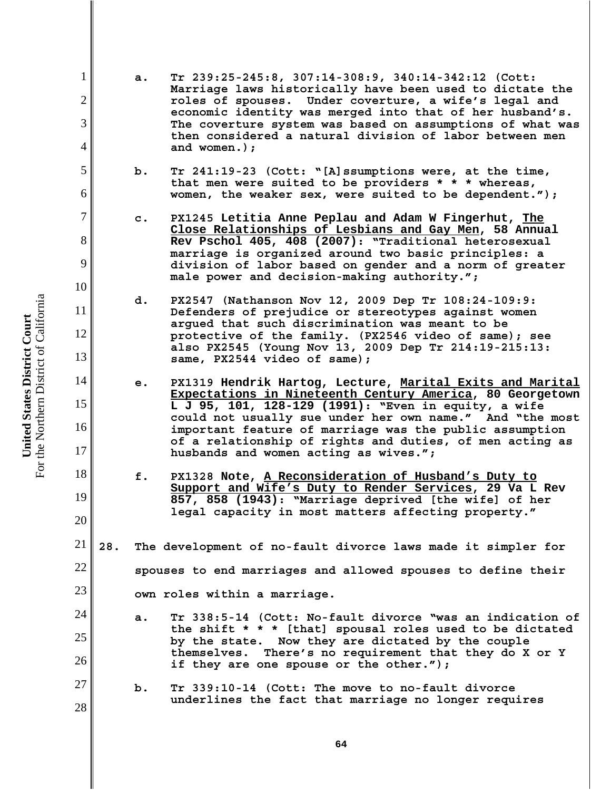For the Northern District of California For the Northern District of California United States District Court **United States District Court**

1

2

3

4

5

6

7

8

9

10

11

12

13

14

15

16

17

18

19

20

23

24

25

26

**a. Tr 239:25-245:8, 307:14-308:9, 340:14-342:12 (Cott: Marriage laws historically have been used to dictate the roles of spouses. Under coverture, a wife's legal and economic identity was merged into that of her husband's. The coverture system was based on assumptions of what was then considered a natural division of labor between men and women.);**

- **b. Tr 241:19-23 (Cott: "[A]ssumptions were, at the time, that men were suited to be providers \* \* \* whereas, women, the weaker sex, were suited to be dependent.");**
- **c. PX1245 Letitia Anne Peplau and Adam W Fingerhut, The Close Relationships of Lesbians and Gay Men, 58 Annual Rev Pschol 405, 408 (2007): "Traditional heterosexual marriage is organized around two basic principles: a division of labor based on gender and a norm of greater male power and decision-making authority.";**
- **d. PX2547 (Nathanson Nov 12, 2009 Dep Tr 108:24-109:9: Defenders of prejudice or stereotypes against women argued that such discrimination was meant to be protective of the family. (PX2546 video of same); see also PX2545 (Young Nov 13, 2009 Dep Tr 214:19-215:13: same, PX2544 video of same);**
- **e. PX1319 Hendrik Hartog, Lecture, Marital Exits and Marital Expectations in Nineteenth Century America, 80 Georgetown L J 95, 101, 128-129 (1991): "Even in equity, a wife could not usually sue under her own name." And "the most important feature of marriage was the public assumption of a relationship of rights and duties, of men acting as husbands and women acting as wives.";**
- **f. PX1328 Note, A Reconsideration of Husband's Duty to Support and Wife's Duty to Render Services, 29 Va L Rev 857, 858 (1943): "Marriage deprived [the wife] of her legal capacity in most matters affecting property."**
- 21 22 **28. The development of no-fault divorce laws made it simpler for spouses to end marriages and allowed spouses to define their**

**own roles within a marriage.** 

- **a. Tr 338:5-14 (Cott: No-fault divorce "was an indication of the shift \* \* \* [that] spousal roles used to be dictated by the state. Now they are dictated by the couple themselves. There's no requirement that they do X or Y if they are one spouse or the other.");**
- 27 28 **b. Tr 339:10-14 (Cott: The move to no-fault divorce underlines the fact that marriage no longer requires**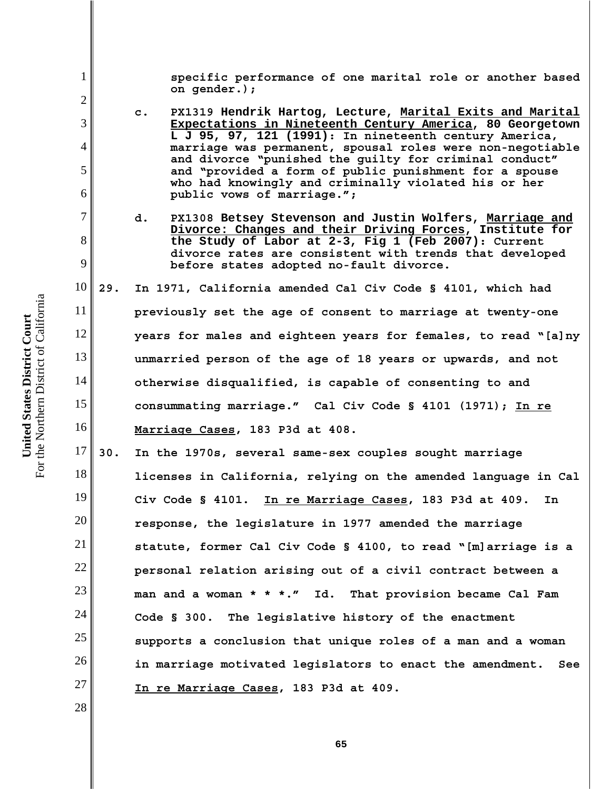1 2 3 4 5 6 7 8 9 10 11 12 13 14 15 16 17 18 19 20 21 22 23 24 25 26 27 28 **specific performance of one marital role or another based on gender.); c. PX1319 Hendrik Hartog, Lecture, Marital Exits and Marital Expectations in Nineteenth Century America, 80 Georgetown L J 95, 97, 121 (1991): In nineteenth century America, marriage was permanent, spousal roles were non-negotiable and divorce "punished the guilty for criminal conduct" and "provided a form of public punishment for a spouse who had knowingly and criminally violated his or her public vows of marriage."; d. PX1308 Betsey Stevenson and Justin Wolfers, Marriage and Divorce: Changes and their Driving Forces, Institute for the Study of Labor at 2-3, Fig 1 (Feb 2007): Current divorce rates are consistent with trends that developed before states adopted no-fault divorce. 29. In 1971, California amended Cal Civ Code § 4101, which had previously set the age of consent to marriage at twenty-one years for males and eighteen years for females, to read "[a]ny unmarried person of the age of 18 years or upwards, and not otherwise disqualified, is capable of consenting to and consummating marriage." Cal Civ Code § 4101 (1971); In re Marriage Cases, 183 P3d at 408. 30. In the 1970s, several same-sex couples sought marriage licenses in California, relying on the amended language in Cal Civ Code § 4101. In re Marriage Cases, 183 P3d at 409. In response, the legislature in 1977 amended the marriage statute, former Cal Civ Code § 4100, to read "[m]arriage is a personal relation arising out of a civil contract between a man and a woman \* \* \*." Id. That provision became Cal Fam Code § 300. The legislative history of the enactment supports a conclusion that unique roles of a man and a woman in marriage motivated legislators to enact the amendment. See In re Marriage Cases, 183 P3d at 409.** 

the Northern District of California For the Northern District of California United States District Court **United States District Court**  $For 1$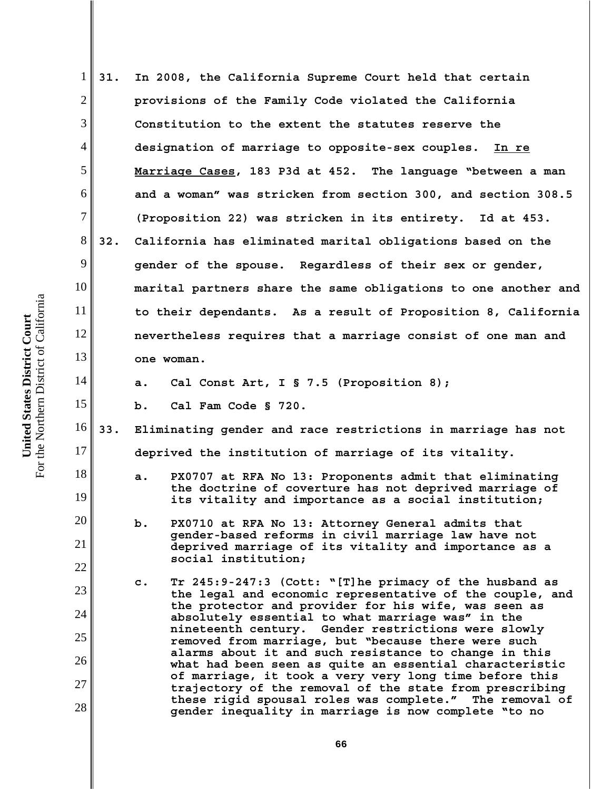1 2 3 4 5 6 7 8 9 10 11 12 13 14 15 16 17 18 19 20 21 22 23 24 25 26 27 28 **31. In 2008, the California Supreme Court held that certain provisions of the Family Code violated the California Constitution to the extent the statutes reserve the designation of marriage to opposite-sex couples. In re Marriage Cases, 183 P3d at 452. The language "between a man and a woman" was stricken from section 300, and section 308.5 (Proposition 22) was stricken in its entirety. Id at 453. 32. California has eliminated marital obligations based on the gender of the spouse. Regardless of their sex or gender, marital partners share the same obligations to one another and to their dependants. As a result of Proposition 8, California nevertheless requires that a marriage consist of one man and one woman. a. Cal Const Art, I § 7.5 (Proposition 8); b. Cal Fam Code § 720. 33. Eliminating gender and race restrictions in marriage has not deprived the institution of marriage of its vitality. a. PX0707 at RFA No 13: Proponents admit that eliminating the doctrine of coverture has not deprived marriage of its vitality and importance as a social institution; b. PX0710 at RFA No 13: Attorney General admits that gender-based reforms in civil marriage law have not deprived marriage of its vitality and importance as a social institution; c. Tr 245:9-247:3 (Cott: "[T]he primacy of the husband as the legal and economic representative of the couple, and the protector and provider for his wife, was seen as absolutely essential to what marriage was" in the nineteenth century. Gender restrictions were slowly removed from marriage, but "because there were such alarms about it and such resistance to change in this what had been seen as quite an essential characteristic of marriage, it took a very very long time before this trajectory of the removal of the state from prescribing these rigid spousal roles was complete." The removal of gender inequality in marriage is now complete "to no**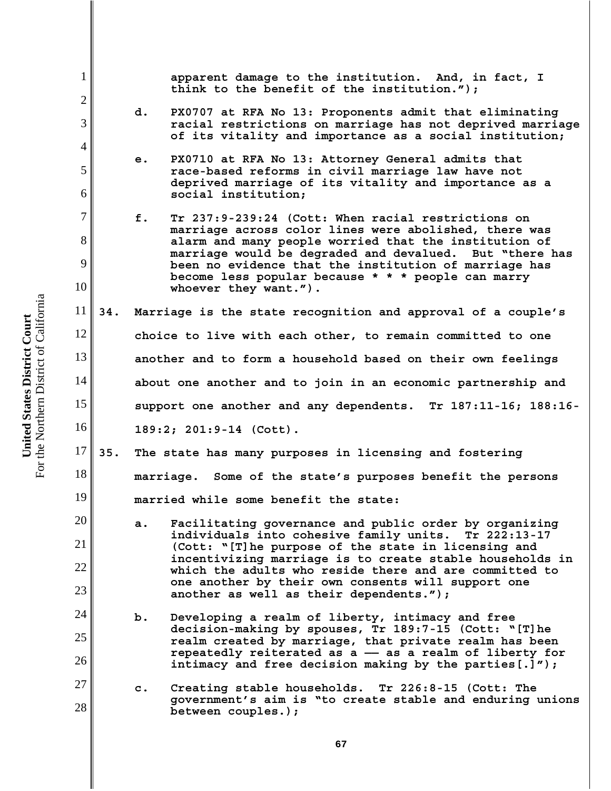1 2 3 4 5 6 7 8 9 10 11 12 13 14 15 16 17 18 19 20 21 22 23 24 25 26 27 28 **apparent damage to the institution. And, in fact, I think to the benefit of the institution."); d. PX0707 at RFA No 13: Proponents admit that eliminating racial restrictions on marriage has not deprived marriage of its vitality and importance as a social institution; e. PX0710 at RFA No 13: Attorney General admits that race-based reforms in civil marriage law have not deprived marriage of its vitality and importance as a social institution; f. Tr 237:9-239:24 (Cott: When racial restrictions on marriage across color lines were abolished, there was alarm and many people worried that the institution of marriage would be degraded and devalued. But "there has been no evidence that the institution of marriage has become less popular because \* \* \* people can marry whoever they want."). 34. Marriage is the state recognition and approval of a couple's choice to live with each other, to remain committed to one another and to form a household based on their own feelings about one another and to join in an economic partnership and support one another and any dependents. Tr 187:11-16; 188:16- 189:2; 201:9-14 (Cott). 35. The state has many purposes in licensing and fostering marriage. Some of the state's purposes benefit the persons married while some benefit the state: a. Facilitating governance and public order by organizing individuals into cohesive family units. Tr 222:13-17 (Cott: "[T]he purpose of the state in licensing and incentivizing marriage is to create stable households in which the adults who reside there and are committed to one another by their own consents will support one another as well as their dependents."); b. Developing a realm of liberty, intimacy and free decision-making by spouses, Tr 189:7-15 (Cott: "[T]he realm created by marriage, that private realm has been repeatedly reiterated as a —— as a realm of liberty for intimacy and free decision making by the parties[.]"); c. Creating stable households. Tr 226:8-15 (Cott: The government's aim is "to create stable and enduring unions between couples.);**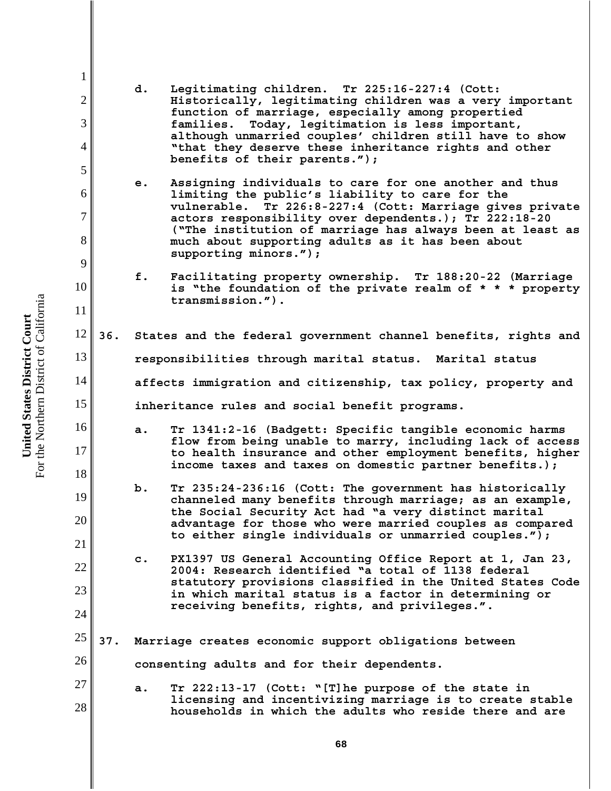1 2 3 4 5 6 7 8 9 10 11 12 13 14 15 16 17 18 19 20 21 22 23 24 25 26 27 28 **d. Legitimating children. Tr 225:16-227:4 (Cott: Historically, legitimating children was a very important function of marriage, especially among propertied families. Today, legitimation is less important, although unmarried couples' children still have to show "that they deserve these inheritance rights and other benefits of their parents."); e. Assigning individuals to care for one another and thus limiting the public's liability to care for the vulnerable. Tr 226:8-227:4 (Cott: Marriage gives private actors responsibility over dependents.); Tr 222:18-20 ("The institution of marriage has always been at least as much about supporting adults as it has been about supporting minors."); f. Facilitating property ownership. Tr 188:20-22 (Marriage is "the foundation of the private realm of \* \* \* property transmission."). 36. States and the federal government channel benefits, rights and responsibilities through marital status. Marital status affects immigration and citizenship, tax policy, property and inheritance rules and social benefit programs. a. Tr 1341:2-16 (Badgett: Specific tangible economic harms flow from being unable to marry, including lack of access to health insurance and other employment benefits, higher income taxes and taxes on domestic partner benefits.); b. Tr 235:24-236:16 (Cott: The government has historically channeled many benefits through marriage; as an example, the Social Security Act had "a very distinct marital advantage for those who were married couples as compared to either single individuals or unmarried couples."); c. PX1397 US General Accounting Office Report at 1, Jan 23, 2004: Research identified "a total of 1138 federal statutory provisions classified in the United States Code in which marital status is a factor in determining or receiving benefits, rights, and privileges.". 37. Marriage creates economic support obligations between consenting adults and for their dependents. a. Tr 222:13-17 (Cott: "[T]he purpose of the state in licensing and incentivizing marriage is to create stable households in which the adults who reside there and are**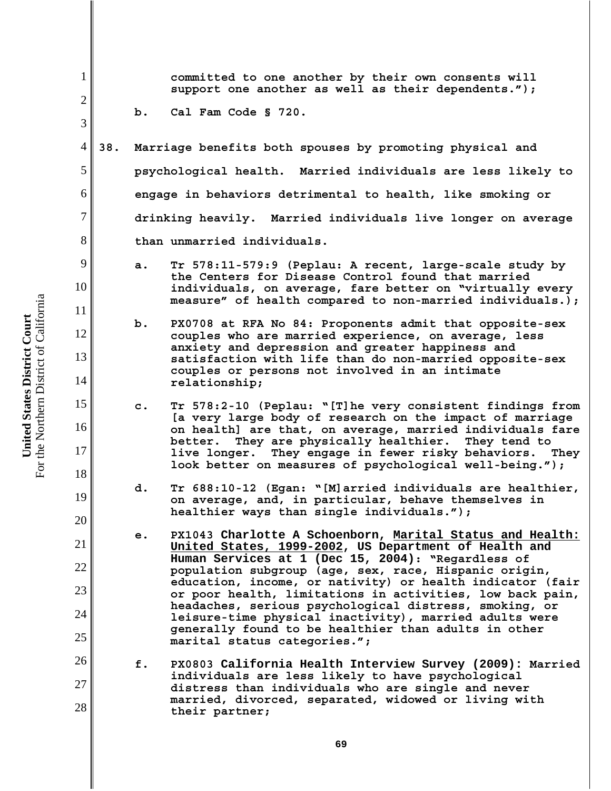1 2 3 4 5 6 7 8 9 10 11 12 13 14 15 16 17 18 19 20 21 22 23 24 25 26 27 28 **committed to one another by their own consents will support one another as well as their dependents."); b. Cal Fam Code § 720. 38. Marriage benefits both spouses by promoting physical and psychological health. Married individuals are less likely to engage in behaviors detrimental to health, like smoking or drinking heavily. Married individuals live longer on average than unmarried individuals. a. Tr 578:11-579:9 (Peplau: A recent, large-scale study by the Centers for Disease Control found that married individuals, on average, fare better on "virtually every measure" of health compared to non-married individuals.); b. PX0708 at RFA No 84: Proponents admit that opposite-sex couples who are married experience, on average, less anxiety and depression and greater happiness and satisfaction with life than do non-married opposite-sex couples or persons not involved in an intimate relationship; c. Tr 578:2-10 (Peplau: "[T]he very consistent findings from [a very large body of research on the impact of marriage on health] are that, on average, married individuals fare better. They are physically healthier. They tend to live longer. They engage in fewer risky behaviors. They look better on measures of psychological well-being."); d. Tr 688:10-12 (Egan: "[M]arried individuals are healthier, on average, and, in particular, behave themselves in healthier ways than single individuals."); e. PX1043 Charlotte A Schoenborn, Marital Status and Health: United States, 1999-2002, US Department of Health and Human Services at 1 (Dec 15, 2004): "Regardless of population subgroup (age, sex, race, Hispanic origin, education, income, or nativity) or health indicator (fair or poor health, limitations in activities, low back pain, headaches, serious psychological distress, smoking, or leisure-time physical inactivity), married adults were generally found to be healthier than adults in other marital status categories."; f. PX0803 California Health Interview Survey (2009): Married individuals are less likely to have psychological distress than individuals who are single and never married, divorced, separated, widowed or living with their partner;**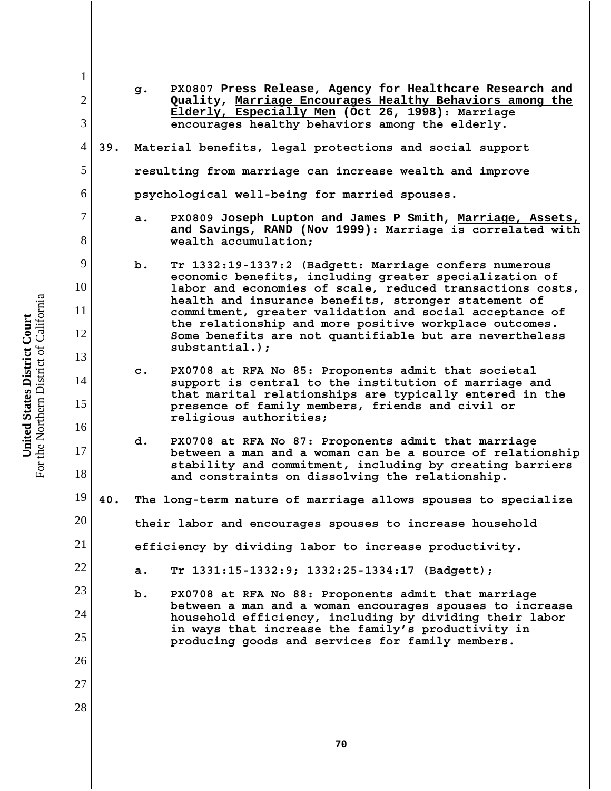| $\mathbf{1}$        |                |                                                        |                                                                                                                                                                                                                             |  |  |
|---------------------|----------------|--------------------------------------------------------|-----------------------------------------------------------------------------------------------------------------------------------------------------------------------------------------------------------------------------|--|--|
| $\mathfrak{2}$<br>3 |                | g.                                                     | PX0807 Press Release, Agency for Healthcare Research and<br>Quality, Marriage Encourages Healthy Behaviors among the<br>Elderly, Especially Men (Oct 26, 1998): Marriage<br>encourages healthy behaviors among the elderly. |  |  |
| $\overline{4}$      | 39.            |                                                        | Material benefits, legal protections and social support                                                                                                                                                                     |  |  |
|                     |                |                                                        |                                                                                                                                                                                                                             |  |  |
| 5                   |                |                                                        | resulting from marriage can increase wealth and improve                                                                                                                                                                     |  |  |
| 6                   |                | psychological well-being for married spouses.          |                                                                                                                                                                                                                             |  |  |
| 7<br>8              |                | a.                                                     | PX0809 Joseph Lupton and James P Smith, Marriage, Assets,<br>and Savings, RAND (Nov 1999): Marriage is correlated with<br>wealth accumulation;                                                                              |  |  |
| 9                   |                | b.                                                     | Tr 1332:19-1337:2 (Badgett: Marriage confers numerous                                                                                                                                                                       |  |  |
| 10                  |                |                                                        | economic benefits, including greater specialization of<br>labor and economies of scale, reduced transactions costs,                                                                                                         |  |  |
| 11                  |                |                                                        | health and insurance benefits, stronger statement of<br>commitment, greater validation and social acceptance of                                                                                                             |  |  |
| 12                  |                |                                                        | the relationship and more positive workplace outcomes.<br>Some benefits are not quantifiable but are nevertheless                                                                                                           |  |  |
| 13                  |                |                                                        | $substantial.)$ ;                                                                                                                                                                                                           |  |  |
| 14                  | $\mathbf{c}$ . |                                                        | PX0708 at RFA No 85: Proponents admit that societal<br>support is central to the institution of marriage and                                                                                                                |  |  |
| 15                  |                |                                                        | that marital relationships are typically entered in the                                                                                                                                                                     |  |  |
| 16                  |                |                                                        | presence of family members, friends and civil or<br>religious authorities;                                                                                                                                                  |  |  |
| 17                  |                | d.                                                     | PX0708 at RFA No 87: Proponents admit that marriage                                                                                                                                                                         |  |  |
| 18                  |                |                                                        | between a man and a woman can be a source of relationship<br>stability and commitment, including by creating barriers<br>and constraints on dissolving the relationship.                                                    |  |  |
| 19                  | 40.            |                                                        | The long-term nature of marriage allows spouses to specialize                                                                                                                                                               |  |  |
| 20                  |                |                                                        | their labor and encourages spouses to increase household                                                                                                                                                                    |  |  |
| 21                  |                | efficiency by dividing labor to increase productivity. |                                                                                                                                                                                                                             |  |  |
| 22                  |                | a.                                                     | Tr 1331:15-1332:9; 1332:25-1334:17 (Badgett);                                                                                                                                                                               |  |  |
| 23                  |                | $b$ .                                                  | PX0708 at RFA No 88: Proponents admit that marriage<br>between a man and a woman encourages spouses to increase<br>household efficiency, including by dividing their labor                                                  |  |  |
| 24                  |                |                                                        |                                                                                                                                                                                                                             |  |  |
| 25                  |                |                                                        | in ways that increase the family's productivity in<br>producing goods and services for family members.                                                                                                                      |  |  |
| 26                  |                |                                                        |                                                                                                                                                                                                                             |  |  |
| 27                  |                |                                                        |                                                                                                                                                                                                                             |  |  |
| 28                  |                |                                                        |                                                                                                                                                                                                                             |  |  |
|                     |                |                                                        |                                                                                                                                                                                                                             |  |  |

**United States District Court**<br>For the Northern District of California For the Northern District of California **United States District Court**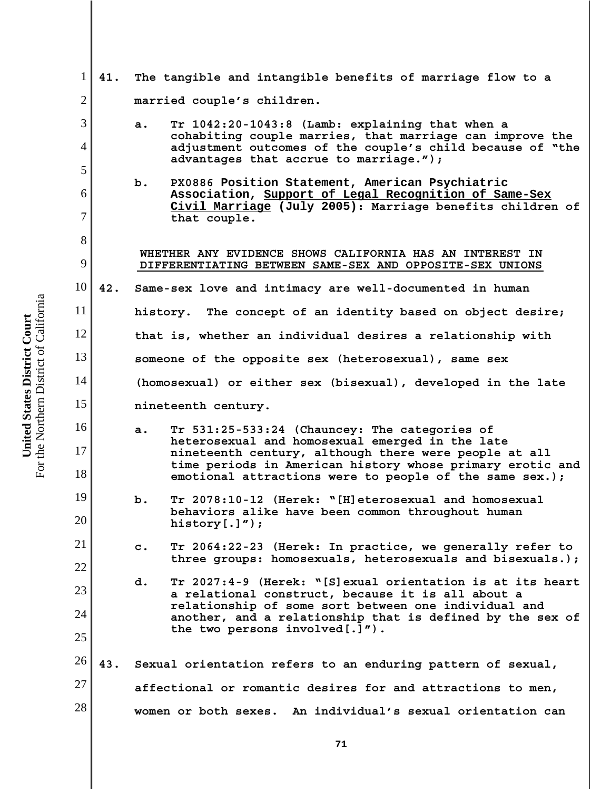1 2 3 4 5 6 7 8 9 10 11 12 13 14 15 16 17 18 19 20 21 22 23 24 25 26 27 28 **41. The tangible and intangible benefits of marriage flow to a married couple's children. a. Tr 1042:20-1043:8 (Lamb: explaining that when a cohabiting couple marries, that marriage can improve the adjustment outcomes of the couple's child because of "the advantages that accrue to marriage."); b. PX0886 Position Statement, American Psychiatric Association, Support of Legal Recognition of Same-Sex Civil Marriage (July 2005): Marriage benefits children of that couple. WHETHER ANY EVIDENCE SHOWS CALIFORNIA HAS AN INTEREST IN DIFFERENTIATING BETWEEN SAME-SEX AND OPPOSITE-SEX UNIONS 42. Same-sex love and intimacy are well-documented in human history. The concept of an identity based on object desire; that is, whether an individual desires a relationship with someone of the opposite sex (heterosexual), same sex (homosexual) or either sex (bisexual), developed in the late nineteenth century. a. Tr 531:25-533:24 (Chauncey: The categories of heterosexual and homosexual emerged in the late nineteenth century, although there were people at all time periods in American history whose primary erotic and emotional attractions were to people of the same sex.); b. Tr 2078:10-12 (Herek: "[H]eterosexual and homosexual behaviors alike have been common throughout human history[.]"); c. Tr 2064:22-23 (Herek: In practice, we generally refer to three groups: homosexuals, heterosexuals and bisexuals.); d. Tr 2027:4-9 (Herek: "[S]exual orientation is at its heart a relational construct, because it is all about a relationship of some sort between one individual and another, and a relationship that is defined by the sex of the two persons involved[.]"). 43. Sexual orientation refers to an enduring pattern of sexual, affectional or romantic desires for and attractions to men, women or both sexes. An individual's sexual orientation can**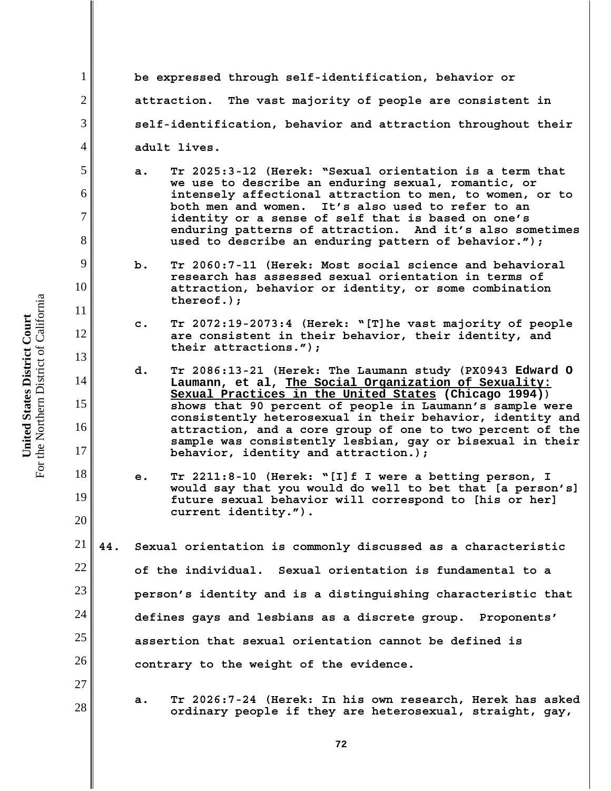**be expressed through self-identification, behavior or attraction. The vast majority of people are consistent in self-identification, behavior and attraction throughout their adult lives.**

- **a. Tr 2025:3-12 (Herek: "Sexual orientation is a term that we use to describe an enduring sexual, romantic, or intensely affectional attraction to men, to women, or to both men and women. It's also used to refer to an identity or a sense of self that is based on one's enduring patterns of attraction. And it's also sometimes used to describe an enduring pattern of behavior.");**
- **b. Tr 2060:7-11 (Herek: Most social science and behavioral research has assessed sexual orientation in terms of attraction, behavior or identity, or some combination thereof.);**
- **c. Tr 2072:19-2073:4 (Herek: "[T]he vast majority of people are consistent in their behavior, their identity, and their attractions.");**
- **d. Tr 2086:13-21 (Herek: The Laumann study (PX0943 Edward O Laumann, et al, The Social Organization of Sexuality: Sexual Practices in the United States (Chicago 1994)) shows that 90 percent of people in Laumann's sample were consistently heterosexual in their behavior, identity and attraction, and a core group of one to two percent of the sample was consistently lesbian, gay or bisexual in their behavior, identity and attraction.);**
- **e. Tr 2211:8-10 (Herek: "[I]f I were a betting person, I would say that you would do well to bet that [a person's] future sexual behavior will correspond to [his or her] current identity.").**
- 21 22 23 24 25 26 **44. Sexual orientation is commonly discussed as a characteristic of the individual. Sexual orientation is fundamental to a person's identity and is a distinguishing characteristic that defines gays and lesbians as a discrete group. Proponents' assertion that sexual orientation cannot be defined is contrary to the weight of the evidence.**
	- **a. Tr 2026:7-24 (Herek: In his own research, Herek has asked ordinary people if they are heterosexual, straight, gay,**

1

2

3

4

5

6

7

8

9

10

11

12

13

14

15

16

17

18

19

20

27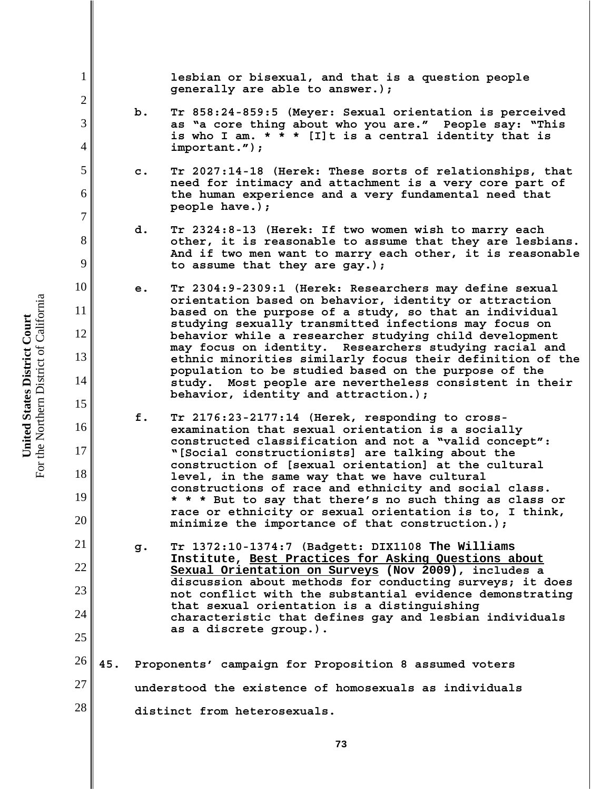**lesbian or bisexual, and that is a question people generally are able to answer.);**

- **b. Tr 858:24-859:5 (Meyer: Sexual orientation is perceived as "a core thing about who you are." People say: "This is who I am. \* \* \* [I]t is a central identity that is important.");**
- **c. Tr 2027:14-18 (Herek: These sorts of relationships, that need for intimacy and attachment is a very core part of the human experience and a very fundamental need that people have.);**
- **d. Tr 2324:8-13 (Herek: If two women wish to marry each other, it is reasonable to assume that they are lesbians. And if two men want to marry each other, it is reasonable to assume that they are gay.);**
- **e. Tr 2304:9-2309:1 (Herek: Researchers may define sexual orientation based on behavior, identity or attraction based on the purpose of a study, so that an individual studying sexually transmitted infections may focus on behavior while a researcher studying child development may focus on identity. Researchers studying racial and ethnic minorities similarly focus their definition of the population to be studied based on the purpose of the study. Most people are nevertheless consistent in their behavior, identity and attraction.);**
- **f. Tr 2176:23-2177:14 (Herek, responding to crossexamination that sexual orientation is a socially constructed classification and not a "valid concept": "[Social constructionists] are talking about the construction of [sexual orientation] at the cultural level, in the same way that we have cultural constructions of race and ethnicity and social class. \* \* \* But to say that there's no such thing as class or race or ethnicity or sexual orientation is to, I think, minimize the importance of that construction.);**
- **g. Tr 1372:10-1374:7 (Badgett: DIX1108 The Williams Institute, Best Practices for Asking Questions about Sexual Orientation on Surveys (Nov 2009), includes a discussion about methods for conducting surveys; it does not conflict with the substantial evidence demonstrating that sexual orientation is a distinguishing characteristic that defines gay and lesbian individuals as a discrete group.).**
- 26 27 28 **45. Proponents' campaign for Proposition 8 assumed voters understood the existence of homosexuals as individuals distinct from heterosexuals.**

1

2

3

4

5

6

7

8

9

10

11

12

13

14

15

16

17

18

19

20

21

22

23

24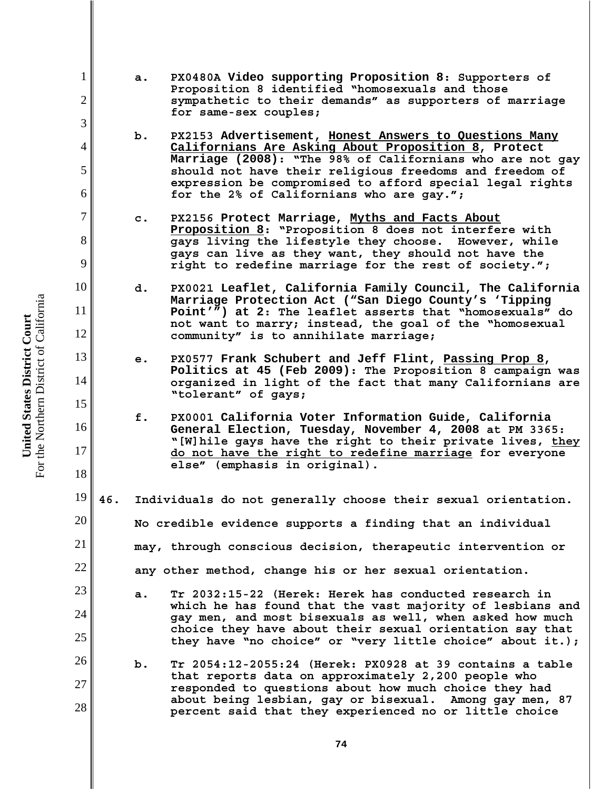- **a. PX0480A Video supporting Proposition 8: Supporters of Proposition 8 identified "homosexuals and those sympathetic to their demands" as supporters of marriage for same-sex couples;**
- **b. PX2153 Advertisement, Honest Answers to Questions Many Californians Are Asking About Proposition 8, Protect Marriage (2008): "The 98% of Californians who are not gay should not have their religious freedoms and freedom of expression be compromised to afford special legal rights for the 2% of Californians who are gay.";**
- **c. PX2156 Protect Marriage, Myths and Facts About Proposition 8: "Proposition 8 does not interfere with gays living the lifestyle they choose. However, while gays can live as they want, they should not have the right to redefine marriage for the rest of society.";**
- **d. PX0021 Leaflet, California Family Council, The California Marriage Protection Act ("San Diego County's 'Tipping Point'") at 2: The leaflet asserts that "homosexuals" do not want to marry; instead, the goal of the "homosexual community" is to annihilate marriage;**
- **e. PX0577 Frank Schubert and Jeff Flint, Passing Prop 8, Politics at 45 (Feb 2009): The Proposition 8 campaign was organized in light of the fact that many Californians are "tolerant" of gays;**
- **f. PX0001 California Voter Information Guide, California General Election, Tuesday, November 4, 2008 at PM 3365: "[W]hile gays have the right to their private lives, they do not have the right to redefine marriage for everyone else" (emphasis in original).**
- 19 20 21 22 **46. Individuals do not generally choose their sexual orientation. No credible evidence supports a finding that an individual may, through conscious decision, therapeutic intervention or any other method, change his or her sexual orientation.**
	- **a. Tr 2032:15-22 (Herek: Herek has conducted research in which he has found that the vast majority of lesbians and gay men, and most bisexuals as well, when asked how much choice they have about their sexual orientation say that they have "no choice" or "very little choice" about it.);**
- 26 27 28 **b. Tr 2054:12-2055:24 (Herek: PX0928 at 39 contains a table that reports data on approximately 2,200 people who responded to questions about how much choice they had about being lesbian, gay or bisexual. Among gay men, 87 percent said that they experienced no or little choice**

For the Northern District of California For the Northern District of California United States District Court **United States District Court**

1

2

3

4

5

6

7

8

9

10

11

12

13

14

15

16

17

18

23

24

25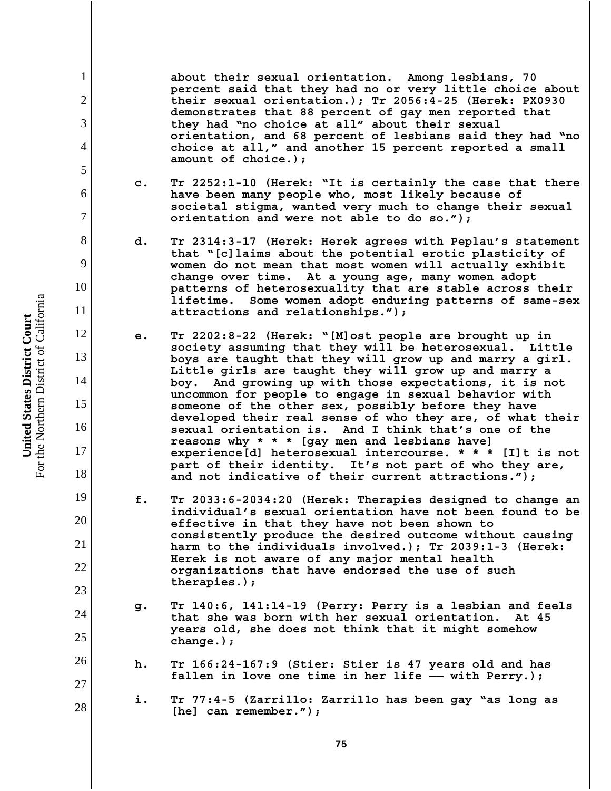**about their sexual orientation. Among lesbians, 70 percent said that they had no or very little choice about their sexual orientation.); Tr 2056:4-25 (Herek: PX0930 demonstrates that 88 percent of gay men reported that they had "no choice at all" about their sexual orientation, and 68 percent of lesbians said they had "no choice at all," and another 15 percent reported a small amount of choice.);**

- **c. Tr 2252:1-10 (Herek: "It is certainly the case that there have been many people who, most likely because of societal stigma, wanted very much to change their sexual orientation and were not able to do so.");**
- **d. Tr 2314:3-17 (Herek: Herek agrees with Peplau's statement that "[c]laims about the potential erotic plasticity of women do not mean that most women will actually exhibit change over time. At a young age, many women adopt patterns of heterosexuality that are stable across their lifetime. Some women adopt enduring patterns of same-sex attractions and relationships.");**
- **e. Tr 2202:8-22 (Herek: "[M]ost people are brought up in society assuming that they will be heterosexual. Little boys are taught that they will grow up and marry a girl. Little girls are taught they will grow up and marry a boy. And growing up with those expectations, it is not uncommon for people to engage in sexual behavior with someone of the other sex, possibly before they have developed their real sense of who they are, of what their sexual orientation is. And I think that's one of the reasons why \* \* \* [gay men and lesbians have] experience[d] heterosexual intercourse. \* \* \* [I]t is not part of their identity. It's not part of who they are, and not indicative of their current attractions.");**
- **f. Tr 2033:6-2034:20 (Herek: Therapies designed to change an individual's sexual orientation have not been found to be effective in that they have not been shown to consistently produce the desired outcome without causing harm to the individuals involved.); Tr 2039:1-3 (Herek: Herek is not aware of any major mental health organizations that have endorsed the use of such therapies.);**
- **g. Tr 140:6, 141:14-19 (Perry: Perry is a lesbian and feels that she was born with her sexual orientation. At 45 years old, she does not think that it might somehow change.);**
- **h. Tr 166:24-167:9 (Stier: Stier is 47 years old and has** fallen in love one time in her life -- with Perry.);
	- **i. Tr 77:4-5 (Zarrillo: Zarrillo has been gay "as long as [he] can remember.");**

For the Northern District of California For the Northern District of California United States District Court **United States District Court**

1

2

3

4

5

6

7

8

9

10

11

12

13

14

15

16

17

18

19

20

21

22

23

24

25

26

27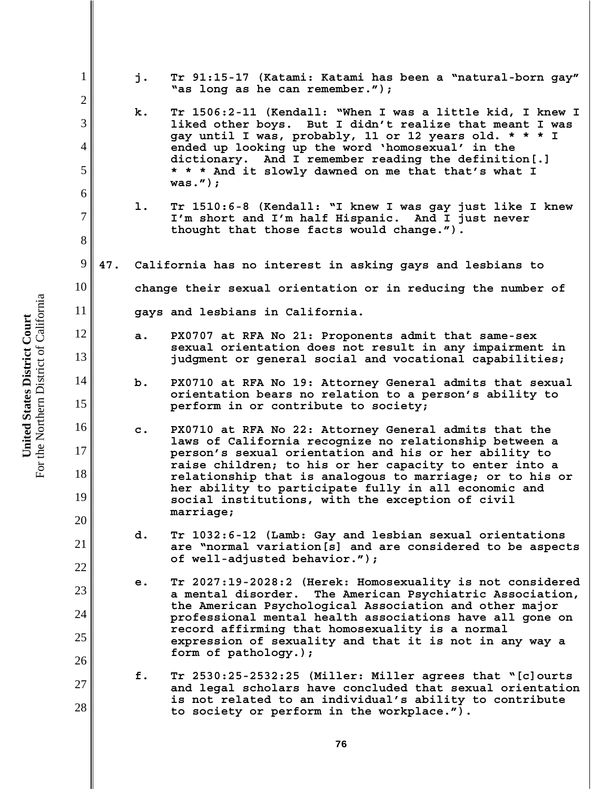**United States District Court**<br>For the Northern District of California For the Northern District of California **United States District Court**

| $\mathbf{1}$   |     | j.             | Tr 91:15-17 (Katami: Katami has been a "natural-born gay"<br>"as long as he can remember.");                                                                                                                                          |
|----------------|-----|----------------|---------------------------------------------------------------------------------------------------------------------------------------------------------------------------------------------------------------------------------------|
| $\overline{2}$ |     | k.             | Tr 1506:2-11 (Kendall: "When I was a little kid, I knew I                                                                                                                                                                             |
| 3              |     |                | liked other boys. But I didn't realize that meant I was<br>gay until I was, probably, 11 or 12 years old. * * * I<br>ended up looking up the word 'homosexual' in the<br>dictionary. And I remember reading the definition[.]         |
| $\overline{4}$ |     |                |                                                                                                                                                                                                                                       |
| 5<br>6         |     |                | * * * And it slowly dawned on me that that's what I<br>was. $'$ );                                                                                                                                                                    |
| 7              |     | 1.             | Tr 1510:6-8 (Kendall: "I knew I was gay just like I knew                                                                                                                                                                              |
| 8              |     |                | I'm short and I'm half Hispanic. And I just never<br>thought that those facts would change.").                                                                                                                                        |
| 9              | 47. |                |                                                                                                                                                                                                                                       |
|                |     |                | California has no interest in asking gays and lesbians to                                                                                                                                                                             |
| 10             |     |                | change their sexual orientation or in reducing the number of                                                                                                                                                                          |
| 11             |     |                | gays and lesbians in California.                                                                                                                                                                                                      |
| 12             |     | a.             | PX0707 at RFA No 21: Proponents admit that same-sex                                                                                                                                                                                   |
| 13             |     |                | sexual orientation does not result in any impairment in<br>judgment or general social and vocational capabilities;                                                                                                                    |
| 14             |     | b.             | PX0710 at RFA No 19: Attorney General admits that sexual                                                                                                                                                                              |
| 15             |     |                | orientation bears no relation to a person's ability to<br>perform in or contribute to society;                                                                                                                                        |
| 16             |     | $\mathbf{c}$ . | PX0710 at RFA No 22: Attorney General admits that the                                                                                                                                                                                 |
| 17             |     |                | laws of California recognize no relationship between a<br>person's sexual orientation and his or her ability to<br>raise children; to his or her capacity to enter into a<br>relationship that is analogous to marriage; or to his or |
| 18             |     |                |                                                                                                                                                                                                                                       |
| 19             |     |                | her ability to participate fully in all economic and<br>social institutions, with the exception of civil                                                                                                                              |
| 20             |     |                | marriage;                                                                                                                                                                                                                             |
| 21             |     | d.             | Tr 1032:6-12 (Lamb: Gay and lesbian sexual orientations<br>are "normal variation[s] and are considered to be aspects                                                                                                                  |
| 22             |     |                | of well-adjusted behavior.");                                                                                                                                                                                                         |
| 23             |     | е.             | Tr 2027:19-2028:2 (Herek: Homosexuality is not considered<br>The American Psychiatric Association,<br>a mental disorder.                                                                                                              |
| 24             |     |                | the American Psychological Association and other major<br>professional mental health associations have all gone on                                                                                                                    |
| 25             |     |                | record affirming that homosexuality is a normal<br>expression of sexuality and that it is not in any way a                                                                                                                            |
| 26             |     |                | form of pathology.);                                                                                                                                                                                                                  |
| 27             |     | f.             | Tr 2530:25-2532:25 (Miller: Miller agrees that "[c]ourts                                                                                                                                                                              |
| 28             |     |                | and legal scholars have concluded that sexual orientation<br>is not related to an individual's ability to contribute<br>to society or perform in the workplace.").                                                                    |
|                |     |                |                                                                                                                                                                                                                                       |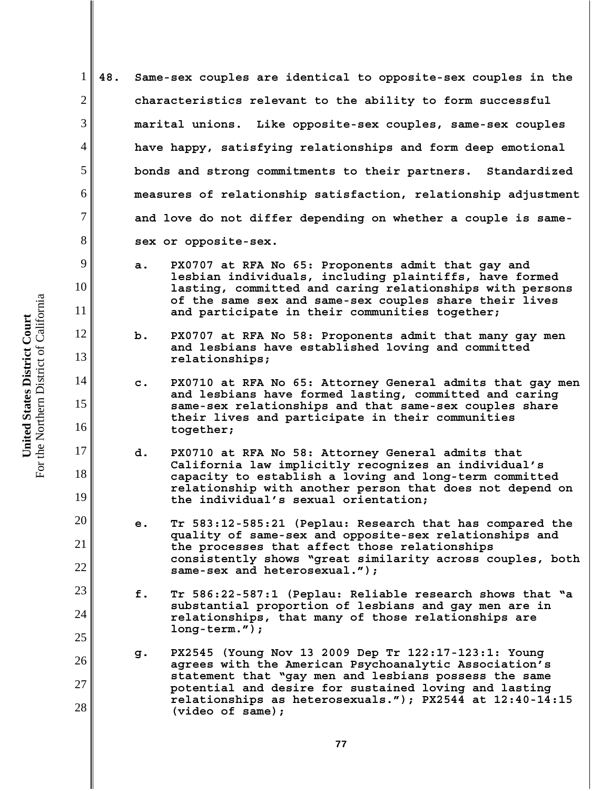**48. Same-sex couples are identical to opposite-sex couples in the characteristics relevant to the ability to form successful marital unions. Like opposite-sex couples, same-sex couples have happy, satisfying relationships and form deep emotional bonds and strong commitments to their partners. Standardized measures of relationship satisfaction, relationship adjustment and love do not differ depending on whether a couple is samesex or opposite-sex.**

- **a. PX0707 at RFA No 65: Proponents admit that gay and lesbian individuals, including plaintiffs, have formed lasting, committed and caring relationships with persons of the same sex and same-sex couples share their lives and participate in their communities together;**
- **b. PX0707 at RFA No 58: Proponents admit that many gay men and lesbians have established loving and committed relationships;**
- **c. PX0710 at RFA No 65: Attorney General admits that gay men and lesbians have formed lasting, committed and caring same-sex relationships and that same-sex couples share their lives and participate in their communities together;**
- **d. PX0710 at RFA No 58: Attorney General admits that California law implicitly recognizes an individual's capacity to establish a loving and long-term committed relationship with another person that does not depend on the individual's sexual orientation;**
- **e. Tr 583:12-585:21 (Peplau: Research that has compared the quality of same-sex and opposite-sex relationships and the processes that affect those relationships consistently shows "great similarity across couples, both same-sex and heterosexual.");**
- **f. Tr 586:22-587:1 (Peplau: Reliable research shows that "a substantial proportion of lesbians and gay men are in relationships, that many of those relationships are long-term.");**
- **g. PX2545 (Young Nov 13 2009 Dep Tr 122:17-123:1: Young agrees with the American Psychoanalytic Association's statement that "gay men and lesbians possess the same potential and desire for sustained loving and lasting relationships as heterosexuals."); PX2544 at 12:40-14:15 (video of same);**

For the Northern District of California For the Northern District of California United States District Court **United States District Court**

1

2

3

4

5

6

7

8

9

10

11

12

13

14

15

16

17

18

19

20

21

22

23

24

25

26

27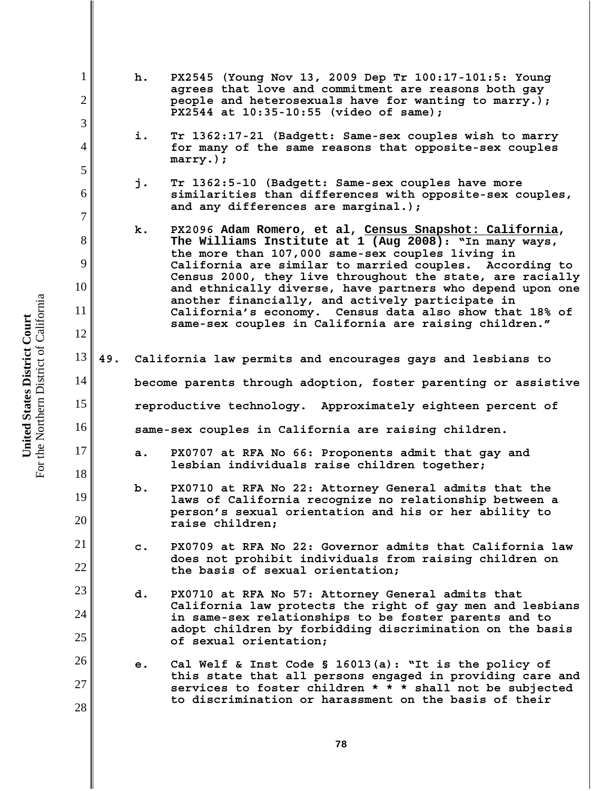1 2 3 4 5 6 7 8 9 10 11 12 13 14 15 16 17 18 19 20 21 22 23 24 25 26 27 28 **h. PX2545 (Young Nov 13, 2009 Dep Tr 100:17-101:5: Young agrees that love and commitment are reasons both gay people and heterosexuals have for wanting to marry.); PX2544 at 10:35-10:55 (video of same); i. Tr 1362:17-21 (Badgett: Same-sex couples wish to marry for many of the same reasons that opposite-sex couples marry.); j. Tr 1362:5-10 (Badgett: Same-sex couples have more similarities than differences with opposite-sex couples, and any differences are marginal.); k. PX2096 Adam Romero, et al, Census Snapshot: California, The Williams Institute at 1 (Aug 2008): "In many ways, the more than 107,000 same-sex couples living in California are similar to married couples. According to Census 2000, they live throughout the state, are racially and ethnically diverse, have partners who depend upon one another financially, and actively participate in California's economy. Census data also show that 18% of same-sex couples in California are raising children." 49. California law permits and encourages gays and lesbians to become parents through adoption, foster parenting or assistive reproductive technology. Approximately eighteen percent of same-sex couples in California are raising children. a. PX0707 at RFA No 66: Proponents admit that gay and lesbian individuals raise children together; b. PX0710 at RFA No 22: Attorney General admits that the laws of California recognize no relationship between a person's sexual orientation and his or her ability to raise children; c. PX0709 at RFA No 22: Governor admits that California law does not prohibit individuals from raising children on the basis of sexual orientation; d. PX0710 at RFA No 57: Attorney General admits that California law protects the right of gay men and lesbians in same-sex relationships to be foster parents and to adopt children by forbidding discrimination on the basis of sexual orientation; e. Cal Welf & Inst Code § 16013(a): "It is the policy of this state that all persons engaged in providing care and services to foster children \* \* \* shall not be subjected to discrimination or harassment on the basis of their**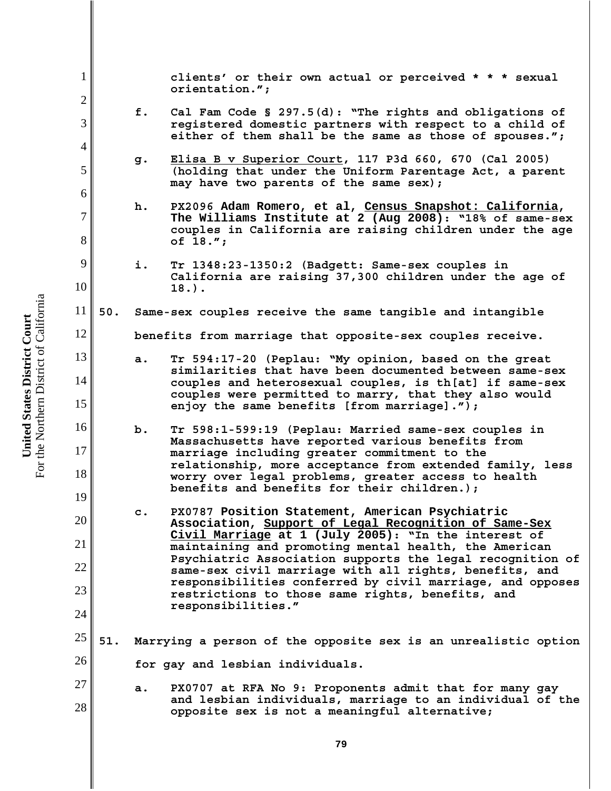1 2 3 4 5 6 7 8 9 10 11 12 13 14 15 16 17 18 19 20 21 22 23 24 25 26 27 28 **clients' or their own actual or perceived \* \* \* sexual orientation."; f. Cal Fam Code § 297.5(d): "The rights and obligations of registered domestic partners with respect to a child of either of them shall be the same as those of spouses."; g. Elisa B v Superior Court, 117 P3d 660, 670 (Cal 2005) (holding that under the Uniform Parentage Act, a parent may have two parents of the same sex); h. PX2096 Adam Romero, et al, Census Snapshot: California, The Williams Institute at 2 (Aug 2008): "18% of same-sex couples in California are raising children under the age of 18."; i. Tr 1348:23-1350:2 (Badgett: Same-sex couples in California are raising 37,300 children under the age of 18.). 50. Same-sex couples receive the same tangible and intangible benefits from marriage that opposite-sex couples receive. a. Tr 594:17-20 (Peplau: "My opinion, based on the great similarities that have been documented between same-sex couples and heterosexual couples, is th[at] if same-sex couples were permitted to marry, that they also would enjoy the same benefits [from marriage]."); b. Tr 598:1-599:19 (Peplau: Married same-sex couples in Massachusetts have reported various benefits from marriage including greater commitment to the relationship, more acceptance from extended family, less worry over legal problems, greater access to health benefits and benefits for their children.); c. PX0787 Position Statement, American Psychiatric Association, Support of Legal Recognition of Same-Sex Civil Marriage at 1 (July 2005): "In the interest of maintaining and promoting mental health, the American Psychiatric Association supports the legal recognition of same-sex civil marriage with all rights, benefits, and responsibilities conferred by civil marriage, and opposes restrictions to those same rights, benefits, and responsibilities." 51. Marrying a person of the opposite sex is an unrealistic option for gay and lesbian individuals. a. PX0707 at RFA No 9: Proponents admit that for many gay and lesbian individuals, marriage to an individual of the opposite sex is not a meaningful alternative;**

For the Northern District of California For the Northern District of California United States District Court **United States District Court**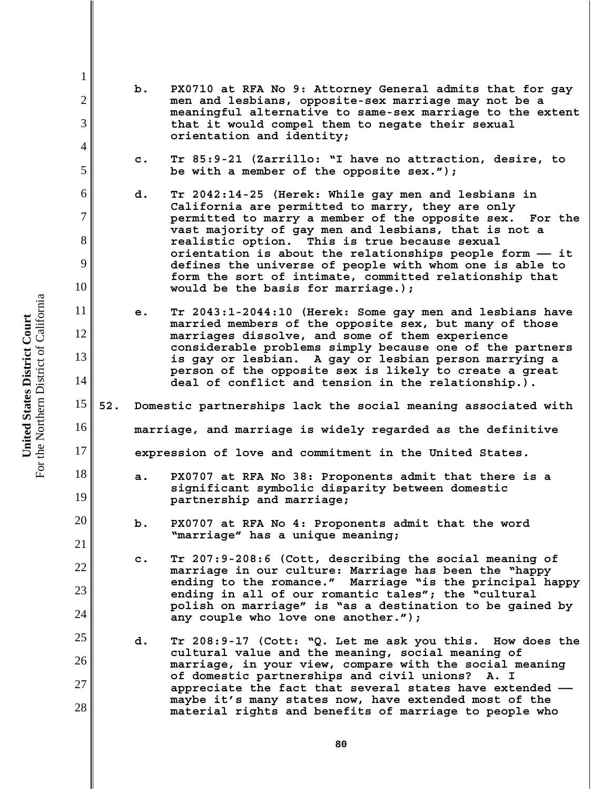For the Northern District of California For the Northern District of California United States District Court **United States District Court**

1

2

3

4

5

6

7

8

9

10

11

12

13

14

17

18

19

20

21

22

23

24

25

26

27

28

- **b. PX0710 at RFA No 9: Attorney General admits that for gay men and lesbians, opposite-sex marriage may not be a meaningful alternative to same-sex marriage to the extent that it would compel them to negate their sexual orientation and identity;**
	- **c. Tr 85:9-21 (Zarrillo: "I have no attraction, desire, to be with a member of the opposite sex.");**
- **d. Tr 2042:14-25 (Herek: While gay men and lesbians in California are permitted to marry, they are only permitted to marry a member of the opposite sex. For the vast majority of gay men and lesbians, that is not a realistic option. This is true because sexual orientation is about the relationships people form —— it defines the universe of people with whom one is able to form the sort of intimate, committed relationship that would be the basis for marriage.);**
- **e. Tr 2043:1-2044:10 (Herek: Some gay men and lesbians have married members of the opposite sex, but many of those marriages dissolve, and some of them experience considerable problems simply because one of the partners is gay or lesbian. A gay or lesbian person marrying a person of the opposite sex is likely to create a great deal of conflict and tension in the relationship.).**
- 15 16 **52. Domestic partnerships lack the social meaning associated with marriage, and marriage is widely regarded as the definitive**

**expression of love and commitment in the United States.**

- **a. PX0707 at RFA No 38: Proponents admit that there is a significant symbolic disparity between domestic partnership and marriage;**
- **b. PX0707 at RFA No 4: Proponents admit that the word "marriage" has a unique meaning;**
	- **c. Tr 207:9-208:6 (Cott, describing the social meaning of marriage in our culture: Marriage has been the "happy ending to the romance." Marriage "is the principal happy ending in all of our romantic tales"; the "cultural polish on marriage" is "as a destination to be gained by any couple who love one another.");**
- **d. Tr 208:9-17 (Cott: "Q. Let me ask you this. How does the cultural value and the meaning, social meaning of marriage, in your view, compare with the social meaning of domestic partnerships and civil unions? A. I appreciate the fact that several states have extended — maybe it's many states now, have extended most of the material rights and benefits of marriage to people who**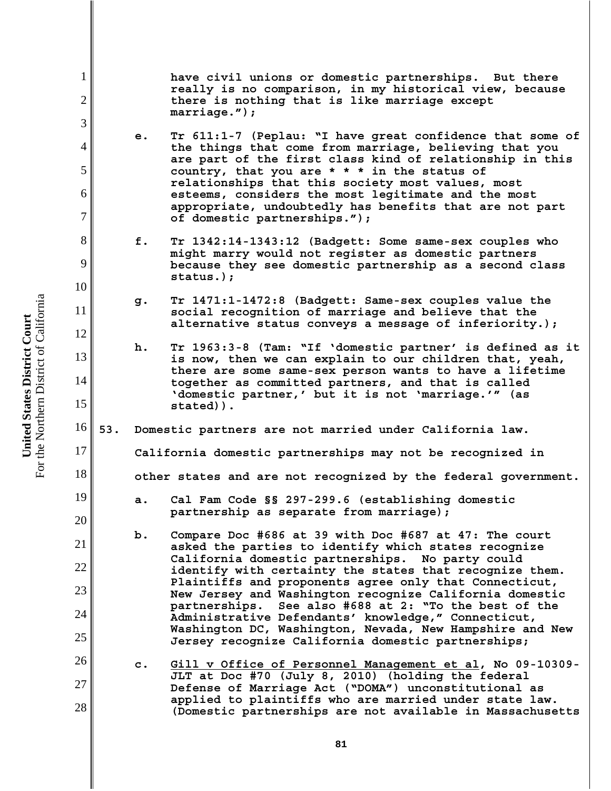**have civil unions or domestic partnerships. But there really is no comparison, in my historical view, because there is nothing that is like marriage except marriage.");**

- **e. Tr 611:1-7 (Peplau: "I have great confidence that some of the things that come from marriage, believing that you are part of the first class kind of relationship in this country, that you are \* \* \* in the status of relationships that this society most values, most esteems, considers the most legitimate and the most appropriate, undoubtedly has benefits that are not part of domestic partnerships.");**
- **f. Tr 1342:14-1343:12 (Badgett: Some same-sex couples who might marry would not register as domestic partners because they see domestic partnership as a second class status.);**
- **g. Tr 1471:1-1472:8 (Badgett: Same-sex couples value the social recognition of marriage and believe that the alternative status conveys a message of inferiority.);**
- **h. Tr 1963:3-8 (Tam: "If 'domestic partner' is defined as it is now, then we can explain to our children that, yeah, there are some same-sex person wants to have a lifetime together as committed partners, and that is called 'domestic partner,' but it is not 'marriage.'" (as stated)).**
- 16 **53. Domestic partners are not married under California law.**

**California domestic partnerships may not be recognized in**

**other states and are not recognized by the federal government.**

- **a. Cal Fam Code §§ 297-299.6 (establishing domestic partnership as separate from marriage);**
- **b. Compare Doc #686 at 39 with Doc #687 at 47: The court asked the parties to identify which states recognize California domestic partnerships. No party could identify with certainty the states that recognize them. Plaintiffs and proponents agree only that Connecticut, New Jersey and Washington recognize California domestic partnerships. See also #688 at 2: "To the best of the Administrative Defendants' knowledge," Connecticut, Washington DC, Washington, Nevada, New Hampshire and New Jersey recognize California domestic partnerships;**
- 26 27 28 **c. Gill v Office of Personnel Management et al, No 09-10309- JLT at Doc #70 (July 8, 2010) (holding the federal Defense of Marriage Act ("DOMA") unconstitutional as applied to plaintiffs who are married under state law. (Domestic partnerships are not available in Massachusetts**

1

2

3

4

5

6

7

8

9

10

11

12

13

14

15

17

18

19

20

21

22

23

24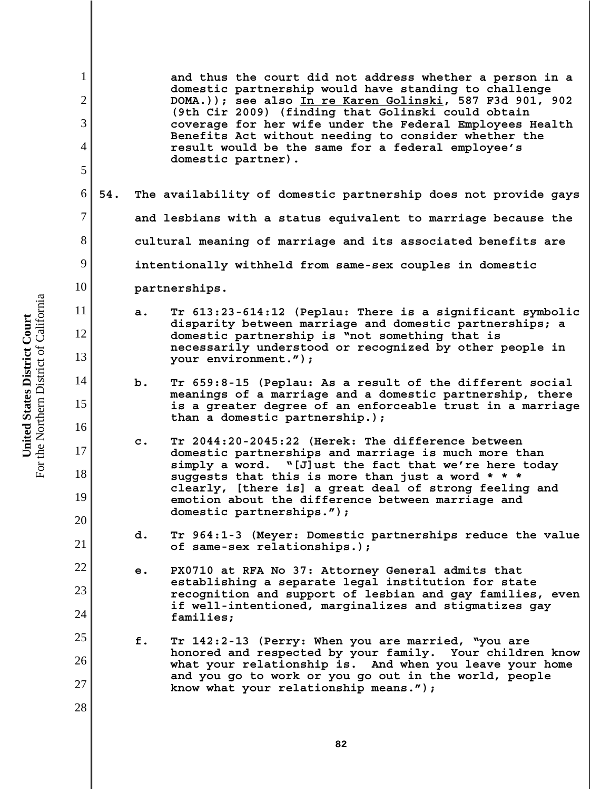For the Northern District of California For the Northern District of California United States District Court **United States District Court**

1 2 3 4 5 6 7 8 9 10 11 12 13 14 15 16 17 18 19 20 21 22 23 24 25 26 27 28 **82 and thus the court did not address whether a person in a domestic partnership would have standing to challenge DOMA.)); see also In re Karen Golinski, 587 F3d 901, 902 (9th Cir 2009) (finding that Golinski could obtain coverage for her wife under the Federal Employees Health Benefits Act without needing to consider whether the result would be the same for a federal employee's domestic partner). 54. The availability of domestic partnership does not provide gays and lesbians with a status equivalent to marriage because the cultural meaning of marriage and its associated benefits are intentionally withheld from same-sex couples in domestic partnerships. a. Tr 613:23-614:12 (Peplau: There is a significant symbolic disparity between marriage and domestic partnerships; a domestic partnership is "not something that is necessarily understood or recognized by other people in your environment."); b. Tr 659:8-15 (Peplau: As a result of the different social meanings of a marriage and a domestic partnership, there is a greater degree of an enforceable trust in a marriage than a domestic partnership.); c. Tr 2044:20-2045:22 (Herek: The difference between domestic partnerships and marriage is much more than simply a word. "[J]ust the fact that we're here today suggests that this is more than just a word \* \* \* clearly, [there is] a great deal of strong feeling and emotion about the difference between marriage and domestic partnerships."); d. Tr 964:1-3 (Meyer: Domestic partnerships reduce the value of same-sex relationships.); e. PX0710 at RFA No 37: Attorney General admits that establishing a separate legal institution for state recognition and support of lesbian and gay families, even if well-intentioned, marginalizes and stigmatizes gay families; f. Tr 142:2-13 (Perry: When you are married, "you are honored and respected by your family. Your children know what your relationship is. And when you leave your home and you go to work or you go out in the world, people know what your relationship means.");**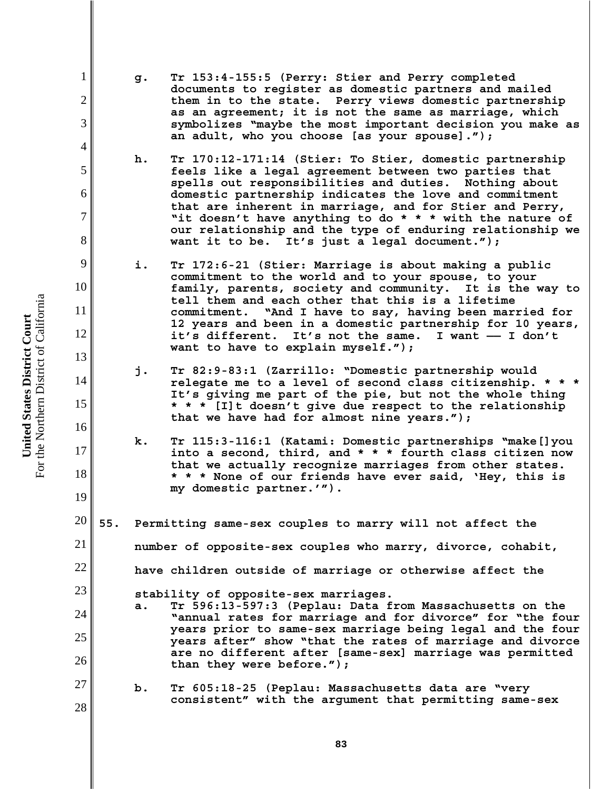For the Northern District of California For the Northern District of California United States District Court **United States District Court**

1

2

3

4

5

6

7

8

9

10

11

12

13

14

15

16

17

18

19

27

- **g. Tr 153:4-155:5 (Perry: Stier and Perry completed documents to register as domestic partners and mailed them in to the state. Perry views domestic partnership as an agreement; it is not the same as marriage, which symbolizes "maybe the most important decision you make as an adult, who you choose [as your spouse].");**
- **h. Tr 170:12-171:14 (Stier: To Stier, domestic partnership feels like a legal agreement between two parties that spells out responsibilities and duties. Nothing about domestic partnership indicates the love and commitment that are inherent in marriage, and for Stier and Perry, "it doesn't have anything to do \* \* \* with the nature of our relationship and the type of enduring relationship we want it to be. It's just a legal document.");**
- **i. Tr 172:6-21 (Stier: Marriage is about making a public commitment to the world and to your spouse, to your family, parents, society and community. It is the way to tell them and each other that this is a lifetime commitment. "And I have to say, having been married for 12 years and been in a domestic partnership for 10 years, it's different. It's not the same. I want —— I don't want to have to explain myself.");**
- **j. Tr 82:9-83:1 (Zarrillo: "Domestic partnership would relegate me to a level of second class citizenship. \* \* \* It's giving me part of the pie, but not the whole thing \* \* \* [I]t doesn't give due respect to the relationship that we have had for almost nine years.");**
- **k. Tr 115:3-116:1 (Katami: Domestic partnerships "make[]you into a second, third, and \* \* \* fourth class citizen now that we actually recognize marriages from other states. \* \* \* None of our friends have ever said, 'Hey, this is my domestic partner.'").**
- 20 21 22 23 24 25 26 **55. Permitting same-sex couples to marry will not affect the number of opposite-sex couples who marry, divorce, cohabit, have children outside of marriage or otherwise affect the stability of opposite-sex marriages. a. Tr 596:13-597:3 (Peplau: Data from Massachusetts on the "annual rates for marriage and for divorce" for "the four years prior to same-sex marriage being legal and the four years after" show "that the rates of marriage and divorce are no different after [same-sex] marriage was permitted than they were before.");**
	- **b. Tr 605:18-25 (Peplau: Massachusetts data are "very consistent" with the argument that permitting same-sex**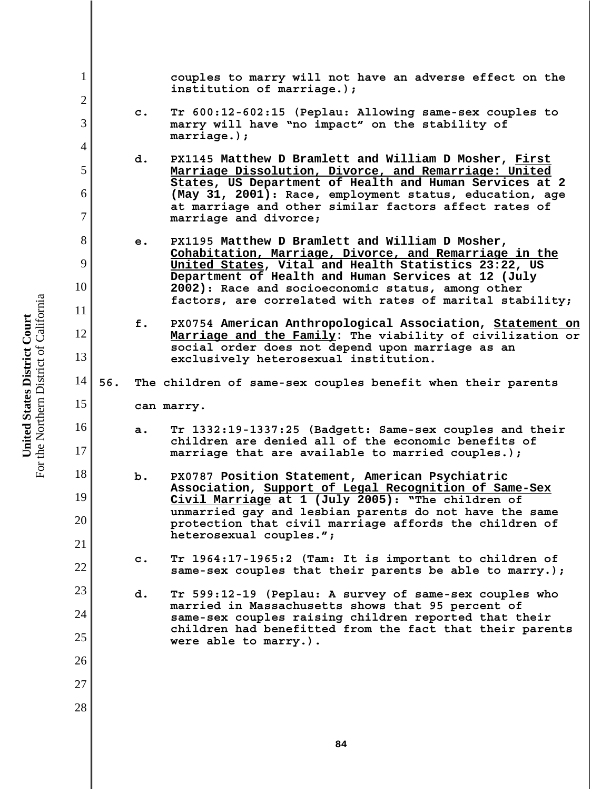1 2 3 4 5 6 7 8 9 10 11 12 13 14 15 16 17 18 19 20 21 22 23 24 25 26 27 28 **couples to marry will not have an adverse effect on the institution of marriage.); c. Tr 600:12-602:15 (Peplau: Allowing same-sex couples to marry will have "no impact" on the stability of marriage.); d. PX1145 Matthew D Bramlett and William D Mosher, First Marriage Dissolution, Divorce, and Remarriage: United States, US Department of Health and Human Services at 2 (May 31, 2001): Race, employment status, education, age at marriage and other similar factors affect rates of marriage and divorce; e. PX1195 Matthew D Bramlett and William D Mosher, Cohabitation, Marriage, Divorce, and Remarriage in the United States, Vital and Health Statistics 23:22, US Department of Health and Human Services at 12 (July 2002): Race and socioeconomic status, among other factors, are correlated with rates of marital stability; f. PX0754 American Anthropological Association, Statement on Marriage and the Family: The viability of civilization or social order does not depend upon marriage as an exclusively heterosexual institution. 56. The children of same-sex couples benefit when their parents can marry. a. Tr 1332:19-1337:25 (Badgett: Same-sex couples and their children are denied all of the economic benefits of marriage that are available to married couples.); b. PX0787 Position Statement, American Psychiatric Association, Support of Legal Recognition of Same-Sex Civil Marriage at 1 (July 2005): "The children of unmarried gay and lesbian parents do not have the same protection that civil marriage affords the children of heterosexual couples."; c. Tr 1964:17-1965:2 (Tam: It is important to children of same-sex couples that their parents be able to marry.); d. Tr 599:12-19 (Peplau: A survey of same-sex couples who married in Massachusetts shows that 95 percent of same-sex couples raising children reported that their children had benefitted from the fact that their parents were able to marry.).**

For the Northern District of California For the Northern District of California United States District Court **United States District Court**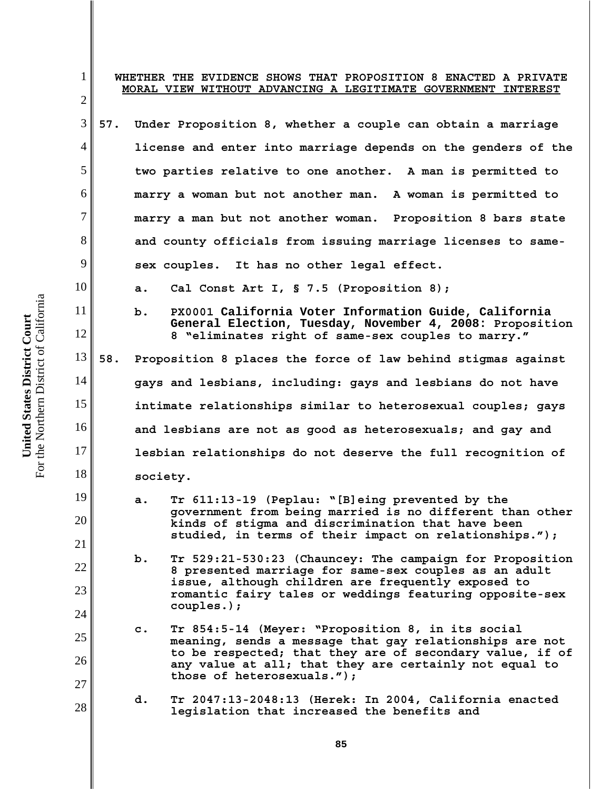| 1 <sup>1</sup><br>$\overline{2}$ | WHETHER THE EVIDENCE SHOWS THAT PROPOSITION 8 ENACTED A PRIVATE<br>MORAL VIEW WITHOUT ADVANCING A LEGITIMATE GOVERNMENT INTEREST                                                                                                 |  |  |
|----------------------------------|----------------------------------------------------------------------------------------------------------------------------------------------------------------------------------------------------------------------------------|--|--|
| 3                                | 57.<br>Under Proposition 8, whether a couple can obtain a marriage                                                                                                                                                               |  |  |
| $\overline{4}$                   | license and enter into marriage depends on the genders of the                                                                                                                                                                    |  |  |
| 5                                | two parties relative to one another. A man is permitted to                                                                                                                                                                       |  |  |
| 6                                | marry a woman but not another man. A woman is permitted to                                                                                                                                                                       |  |  |
| $\overline{7}$                   | marry a man but not another woman. Proposition 8 bars state                                                                                                                                                                      |  |  |
| 8                                | and county officials from issuing marriage licenses to same-                                                                                                                                                                     |  |  |
| 9                                | sex couples. It has no other legal effect.                                                                                                                                                                                       |  |  |
| 10                               | Cal Const Art I, § 7.5 (Proposition 8);<br>а.                                                                                                                                                                                    |  |  |
| 11<br>12                         | PX0001 California Voter Information Guide, California<br>b.<br>General Election, Tuesday, November 4, 2008: Proposition<br>8 "eliminates right of same-sex couples to marry."                                                    |  |  |
| 13                               | 58.<br>Proposition 8 places the force of law behind stigmas against                                                                                                                                                              |  |  |
| 14                               | gays and lesbians, including: gays and lesbians do not have                                                                                                                                                                      |  |  |
| 15                               | intimate relationships similar to heterosexual couples; gays                                                                                                                                                                     |  |  |
| 16                               | and lesbians are not as good as heterosexuals; and gay and                                                                                                                                                                       |  |  |
| 17                               | lesbian relationships do not deserve the full recognition of                                                                                                                                                                     |  |  |
| 18                               | society.                                                                                                                                                                                                                         |  |  |
| 19<br>20 <sup>1</sup>            | Tr 611:13-19 (Peplau: "[B]eing prevented by the<br>a.<br>government from being married is no different than other<br>kinds of stigma and discrimination that have been<br>studied, in terms of their impact on relationships."); |  |  |
| 21                               | $b$ .<br>Tr 529:21-530:23 (Chauncey: The campaign for Proposition                                                                                                                                                                |  |  |
| 22<br>23                         | 8 presented marriage for same-sex couples as an adult<br>issue, although children are frequently exposed to                                                                                                                      |  |  |
| 24                               | romantic fairy tales or weddings featuring opposite-sex<br>$couplies.)$ ;                                                                                                                                                        |  |  |
| 25                               | Tr 854:5-14 (Meyer: "Proposition 8, in its social<br>$\mathbf{c}$ .<br>meaning, sends a message that gay relationships are not                                                                                                   |  |  |
| 26<br>27                         | to be respected; that they are of secondary value, if of<br>any value at all; that they are certainly not equal to<br>those of heterosexuals.");                                                                                 |  |  |
| 28                               | d.<br>Tr 2047:13-2048:13 (Herek: In 2004, California enacted<br>legislation that increased the benefits and                                                                                                                      |  |  |
|                                  |                                                                                                                                                                                                                                  |  |  |

**United States District Court**<br>For the Northern District of California For the Northern District of California **United States District Court**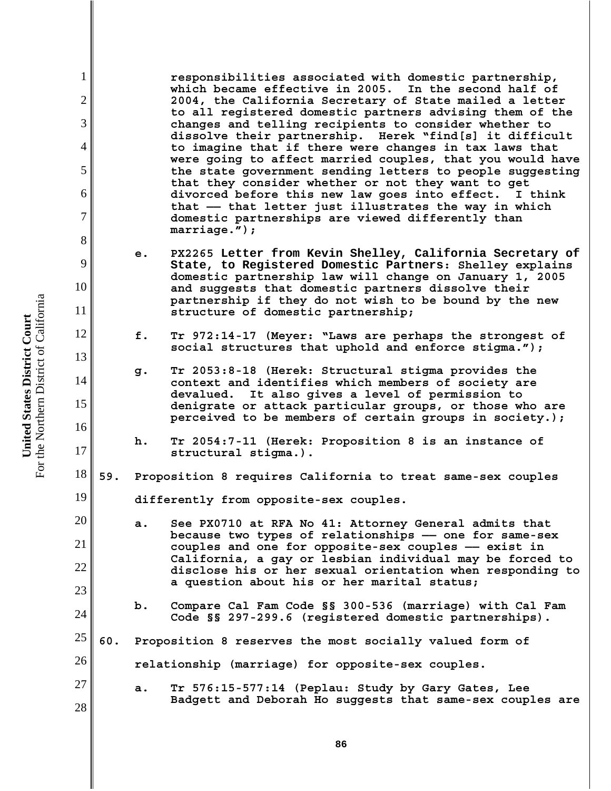**responsibilities associated with domestic partnership, which became effective in 2005. In the second half of 2004, the California Secretary of State mailed a letter to all registered domestic partners advising them of the changes and telling recipients to consider whether to dissolve their partnership. Herek "find[s] it difficult to imagine that if there were changes in tax laws that were going to affect married couples, that you would have the state government sending letters to people suggesting that they consider whether or not they want to get divorced before this new law goes into effect. I think that —— that letter just illustrates the way in which domestic partnerships are viewed differently than marriage.");**

- **e. PX2265 Letter from Kevin Shelley, California Secretary of State, to Registered Domestic Partners: Shelley explains domestic partnership law will change on January 1, 2005 and suggests that domestic partners dissolve their partnership if they do not wish to be bound by the new structure of domestic partnership;**
- **f. Tr 972:14-17 (Meyer: "Laws are perhaps the strongest of social structures that uphold and enforce stigma.");**
- **g. Tr 2053:8-18 (Herek: Structural stigma provides the context and identifies which members of society are devalued. It also gives a level of permission to denigrate or attack particular groups, or those who are perceived to be members of certain groups in society.);**
	- **h. Tr 2054:7-11 (Herek: Proposition 8 is an instance of structural stigma.).**
- 18 **59. Proposition 8 requires California to treat same-sex couples**
	- **differently from opposite-sex couples.**
	- **a. See PX0710 at RFA No 41: Attorney General admits that because two types of relationships —— one for same-sex couples and one for opposite-sex couples —— exist in California, a gay or lesbian individual may be forced to disclose his or her sexual orientation when responding to a question about his or her marital status;**
		- **b. Compare Cal Fam Code §§ 300-536 (marriage) with Cal Fam Code §§ 297-299.6 (registered domestic partnerships).**
- 25 **60. Proposition 8 reserves the most socially valued form of**
	- **relationship (marriage) for opposite-sex couples.**
- 27 28 **a. Tr 576:15-577:14 (Peplau: Study by Gary Gates, Lee Badgett and Deborah Ho suggests that same-sex couples are**

For the Northern District of California For the Northern District of California United States District Court **United States District Court**

1

2

3

4

5

6

7

8

9

10

11

12

13

14

15

16

17

19

20

21

22

23

24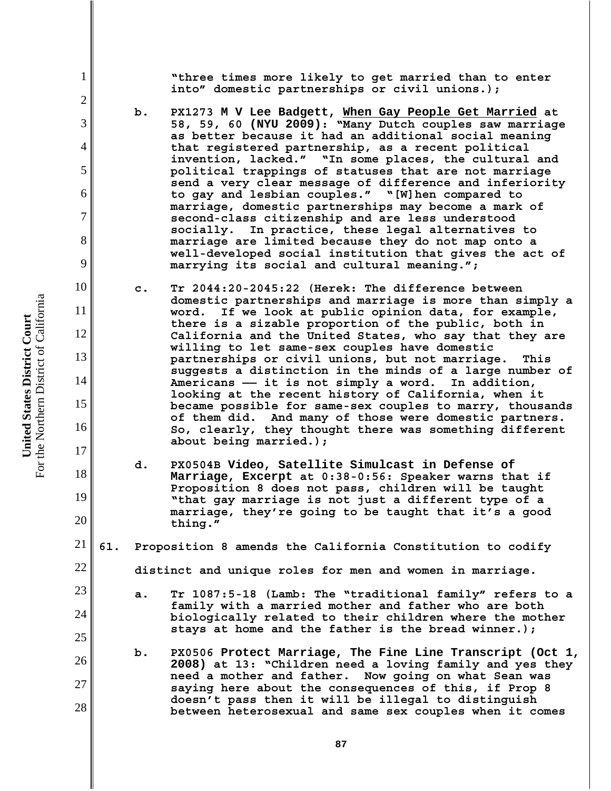**"three times more likely to get married than to enter into" domestic partnerships or civil unions.);**

- **b. PX1273 M V Lee Badgett, When Gay People Get Married at 58, 59, 60 (NYU 2009): "Many Dutch couples saw marriage as better because it had an additional social meaning that registered partnership, as a recent political invention, lacked." "In some places, the cultural and political trappings of statuses that are not marriage send a very clear message of difference and inferiority to gay and lesbian couples." "[W]hen compared to marriage, domestic partnerships may become a mark of second-class citizenship and are less understood socially. In practice, these legal alternatives to marriage are limited because they do not map onto a well-developed social institution that gives the act of marrying its social and cultural meaning.";**
- **c. Tr 2044:20-2045:22 (Herek: The difference between domestic partnerships and marriage is more than simply a word. If we look at public opinion data, for example, there is a sizable proportion of the public, both in California and the United States, who say that they are willing to let same-sex couples have domestic partnerships or civil unions, but not marriage. This suggests a distinction in the minds of a large number of Americans —— it is not simply a word. In addition, looking at the recent history of California, when it became possible for same-sex couples to marry, thousands of them did. And many of those were domestic partners. So, clearly, they thought there was something different about being married.);**
- **d. PX0504B Video, Satellite Simulcast in Defense of Marriage, Excerpt at 0:38-0:56: Speaker warns that if Proposition 8 does not pass, children will be taught "that gay marriage is not just a different type of a marriage, they're going to be taught that it's a good thing."**
- 21 **61. Proposition 8 amends the California Constitution to codify**

**distinct and unique roles for men and women in marriage.**

- **a. Tr 1087:5-18 (Lamb: The "traditional family" refers to a family with a married mother and father who are both biologically related to their children where the mother stays at home and the father is the bread winner.);**
- **b. PX0506 Protect Marriage, The Fine Line Transcript (Oct 1, 2008) at 13: "Children need a loving family and yes they need a mother and father. Now going on what Sean was saying here about the consequences of this, if Prop 8 doesn't pass then it will be illegal to distinguish between heterosexual and same sex couples when it comes**

1

2

3

4

5

6

7

8

9

10

11

12

13

14

15

16

17

18

19

20

22

23

24

25

26

27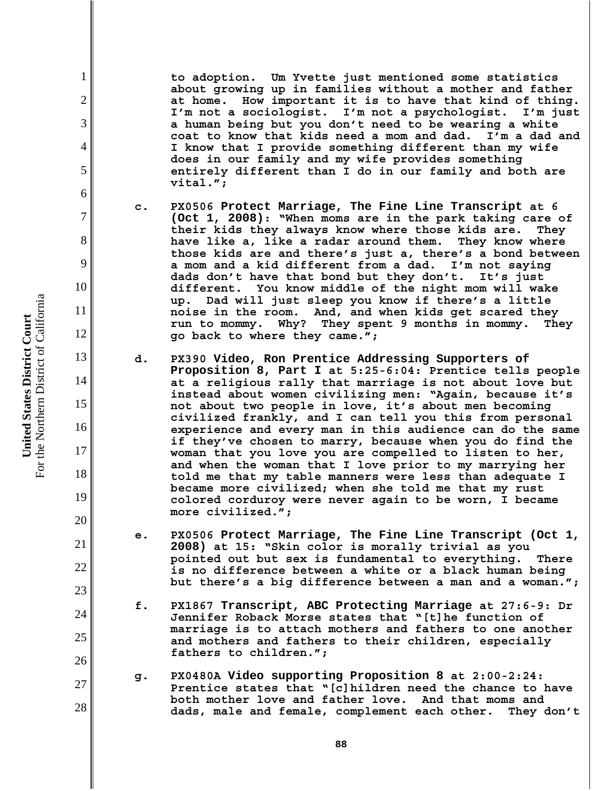**to adoption. Um Yvette just mentioned some statistics about growing up in families without a mother and father at home. How important it is to have that kind of thing. I'm not a sociologist. I'm not a psychologist. I'm just a human being but you don't need to be wearing a white coat to know that kids need a mom and dad. I'm a dad and I know that I provide something different than my wife does in our family and my wife provides something entirely different than I do in our family and both are vital.";**

- **c. PX0506 Protect Marriage, The Fine Line Transcript at 6 (Oct 1, 2008): "When moms are in the park taking care of their kids they always know where those kids are. They have like a, like a radar around them. They know where those kids are and there's just a, there's a bond between a mom and a kid different from a dad. I'm not saying dads don't have that bond but they don't. It's just different. You know middle of the night mom will wake up. Dad will just sleep you know if there's a little noise in the room. And, and when kids get scared they run to mommy. Why? They spent 9 months in mommy. They go back to where they came.";**
- **d. PX390 Video, Ron Prentice Addressing Supporters of Proposition 8, Part I at 5:25-6:04: Prentice tells people at a religious rally that marriage is not about love but instead about women civilizing men: "Again, because it's not about two people in love, it's about men becoming civilized frankly, and I can tell you this from personal experience and every man in this audience can do the same if they've chosen to marry, because when you do find the woman that you love you are compelled to listen to her, and when the woman that I love prior to my marrying her told me that my table manners were less than adequate I became more civilized; when she told me that my rust colored corduroy were never again to be worn, I became more civilized.";**
- **e. PX0506 Protect Marriage, The Fine Line Transcript (Oct 1, 2008) at 15: "Skin color is morally trivial as you pointed out but sex is fundamental to everything. There is no difference between a white or a black human being but there's a big difference between a man and a woman.";**
- **f. PX1867 Transcript, ABC Protecting Marriage at 27:6-9: Dr Jennifer Roback Morse states that "[t]he function of marriage is to attach mothers and fathers to one another and mothers and fathers to their children, especially fathers to children.";**
- **g. PX0480A Video supporting Proposition 8 at 2:00-2:24: Prentice states that "[c]hildren need the chance to have both mother love and father love. And that moms and dads, male and female, complement each other. They don't**

1

2

3

4

5

6

7

8

9

10

11

12

13

14

15

16

17

18

19

20

21

22

23

24

25

26

27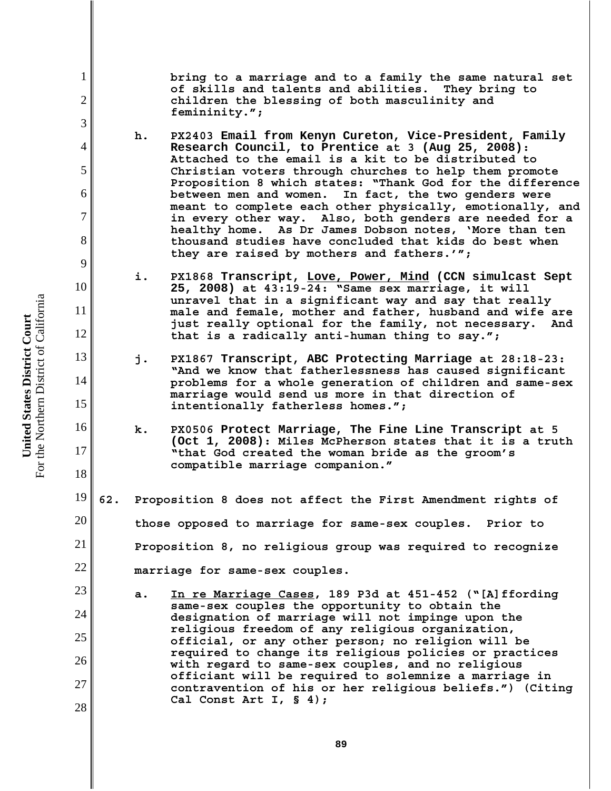**bring to a marriage and to a family the same natural set of skills and talents and abilities. They bring to children the blessing of both masculinity and femininity.";**

- **h. PX2403 Email from Kenyn Cureton, Vice-President, Family Research Council, to Prentice at 3 (Aug 25, 2008): Attached to the email is a kit to be distributed to Christian voters through churches to help them promote Proposition 8 which states: "Thank God for the difference between men and women. In fact, the two genders were meant to complete each other physically, emotionally, and in every other way. Also, both genders are needed for a healthy home. As Dr James Dobson notes, 'More than ten thousand studies have concluded that kids do best when they are raised by mothers and fathers.'";**
- **i. PX1868 Transcript, Love, Power, Mind (CCN simulcast Sept 25, 2008) at 43:19-24: "Same sex marriage, it will unravel that in a significant way and say that really male and female, mother and father, husband and wife are just really optional for the family, not necessary. And that is a radically anti-human thing to say.";**
- **j. PX1867 Transcript, ABC Protecting Marriage at 28:18-23: "And we know that fatherlessness has caused significant problems for a whole generation of children and same-sex marriage would send us more in that direction of intentionally fatherless homes.";**
	- **k. PX0506 Protect Marriage, The Fine Line Transcript at 5 (Oct 1, 2008): Miles McPherson states that it is a truth "that God created the woman bride as the groom's compatible marriage companion."**
- 19 20 21 22 **62. Proposition 8 does not affect the First Amendment rights of those opposed to marriage for same-sex couples. Prior to Proposition 8, no religious group was required to recognize marriage for same-sex couples.** 
	- **a. In re Marriage Cases, 189 P3d at 451-452 ("[A]ffording same-sex couples the opportunity to obtain the designation of marriage will not impinge upon the religious freedom of any religious organization, official, or any other person; no religion will be required to change its religious policies or practices with regard to same-sex couples, and no religious officiant will be required to solemnize a marriage in contravention of his or her religious beliefs.") (Citing Cal Const Art I, § 4);**

1

2

3

4

5

6

7

8

9

10

11

12

13

14

15

16

17

18

23

24

25

26

27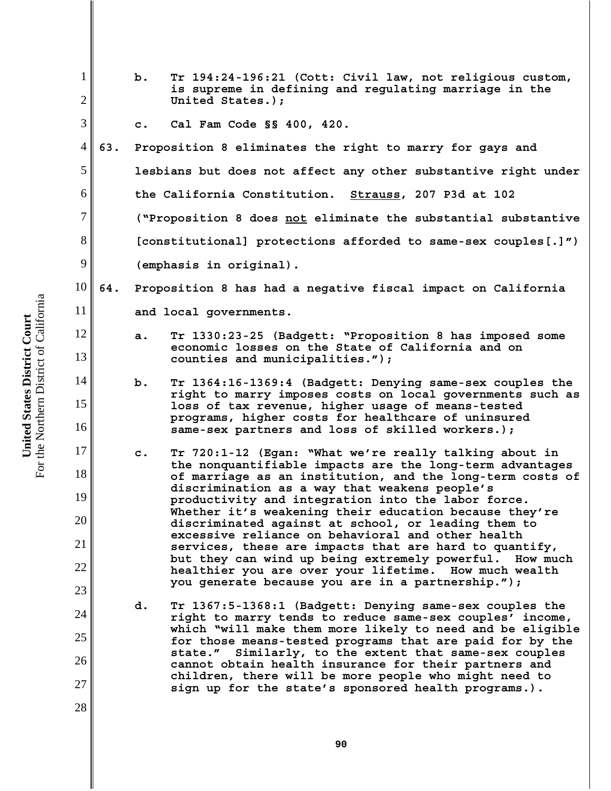| $\mathbf{1}$<br>$\overline{2}$ |     | b.                                                             | Tr 194:24-196:21 (Cott: Civil law, not religious custom,<br>is supreme in defining and regulating marriage in the<br>United States.); |  |
|--------------------------------|-----|----------------------------------------------------------------|---------------------------------------------------------------------------------------------------------------------------------------|--|
|                                |     |                                                                |                                                                                                                                       |  |
| 3                              |     | $\mathbf{c}$ .                                                 | Cal Fam Code §§ 400, 420.                                                                                                             |  |
| 4                              | 63. |                                                                | Proposition 8 eliminates the right to marry for gays and                                                                              |  |
| 5                              |     |                                                                | lesbians but does not affect any other substantive right under                                                                        |  |
| 6                              |     |                                                                | the California Constitution. Strauss, 207 P3d at 102                                                                                  |  |
| 7                              |     |                                                                | ("Proposition 8 does not eliminate the substantial substantive                                                                        |  |
| 8                              |     | [constitutional] protections afforded to same-sex couples[.]") |                                                                                                                                       |  |
| 9                              |     | (emphasis in original).                                        |                                                                                                                                       |  |
| 10                             | 64. | Proposition 8 has had a negative fiscal impact on California   |                                                                                                                                       |  |
| 11                             |     | and local governments.                                         |                                                                                                                                       |  |
| 12                             |     | a.                                                             | Tr 1330:23-25 (Badgett: "Proposition 8 has imposed some                                                                               |  |
| 13                             |     |                                                                | economic losses on the State of California and on<br>counties and municipalities.");                                                  |  |
| 14                             |     | $b$ .                                                          | Tr 1364:16-1369:4 (Badgett: Denying same-sex couples the                                                                              |  |
| 15                             |     |                                                                | right to marry imposes costs on local governments such as<br>loss of tax revenue, higher usage of means-tested                        |  |
| 16                             |     |                                                                | programs, higher costs for healthcare of uninsured<br>same-sex partners and loss of skilled workers.);                                |  |
| 17                             |     | $\mathbf{c}$ .                                                 | Tr 720:1-12 (Egan: "What we're really talking about in                                                                                |  |
| 18                             |     |                                                                | the nonquantifiable impacts are the long-term advantages<br>of marriage as an institution, and the long-term costs of                 |  |
| 19                             |     |                                                                | discrimination as a way that weakens people's<br>productivity and integration into the labor force.                                   |  |
| 20                             |     |                                                                | Whether it's weakening their education because they're<br>discriminated against at school, or leading them to                         |  |
| 21                             |     |                                                                | excessive reliance on behavioral and other health<br>services, these are impacts that are hard to quantify,                           |  |
| 22                             |     |                                                                | but they can wind up being extremely powerful. How much<br>healthier you are over your lifetime. How much wealth                      |  |
| 23                             |     |                                                                | you generate because you are in a partnership.");                                                                                     |  |
| 24                             |     | d.                                                             | Tr 1367:5-1368:1 (Badgett: Denying same-sex couples the                                                                               |  |
|                                |     |                                                                | right to marry tends to reduce same-sex couples' income,<br>which "will make them more likely to need and be eligible                 |  |
| 25                             |     |                                                                | for those means-tested programs that are paid for by the<br>state." Similarly, to the extent that same-sex couples                    |  |
| 26                             |     |                                                                | cannot obtain health insurance for their partners and<br>children, there will be more people who might need to                        |  |
| 27                             |     |                                                                | sign up for the state's sponsored health programs.).                                                                                  |  |
| 28                             |     |                                                                |                                                                                                                                       |  |
|                                |     |                                                                |                                                                                                                                       |  |

**United States District Court**<br>For the Northern District of California For the Northern District of California **United States District Court**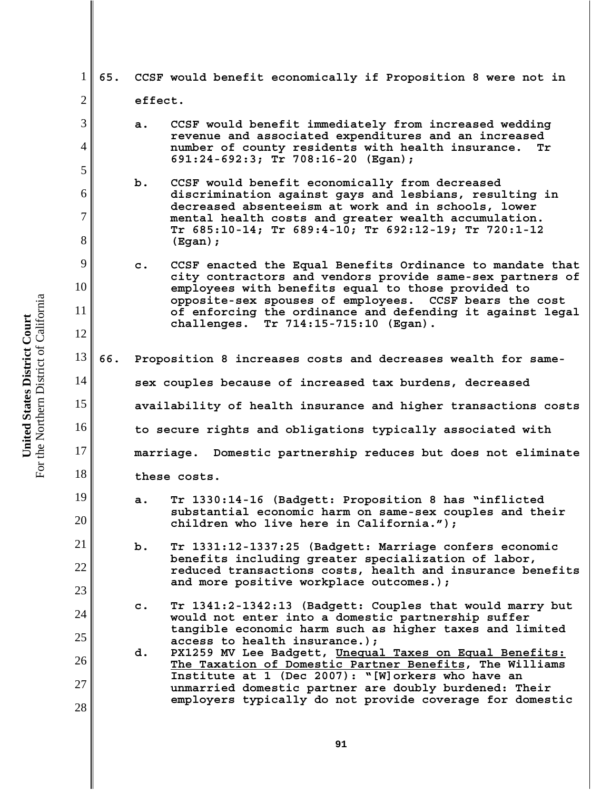1 2 3 4 5 6 7 8 9 10 11 12 13 14 15 16 17 18 19 20 21 22 23 24 25 26 27 28 **65. CCSF would benefit economically if Proposition 8 were not in effect. a. CCSF would benefit immediately from increased wedding revenue and associated expenditures and an increased number of county residents with health insurance. Tr 691:24-692:3; Tr 708:16-20 (Egan); b. CCSF would benefit economically from decreased discrimination against gays and lesbians, resulting in decreased absenteeism at work and in schools, lower mental health costs and greater wealth accumulation. Tr 685:10-14; Tr 689:4-10; Tr 692:12-19; Tr 720:1-12 (Egan); c. CCSF enacted the Equal Benefits Ordinance to mandate that city contractors and vendors provide same-sex partners of employees with benefits equal to those provided to opposite-sex spouses of employees. CCSF bears the cost of enforcing the ordinance and defending it against legal challenges. Tr 714:15-715:10 (Egan). 66. Proposition 8 increases costs and decreases wealth for samesex couples because of increased tax burdens, decreased availability of health insurance and higher transactions costs to secure rights and obligations typically associated with marriage. Domestic partnership reduces but does not eliminate these costs. a. Tr 1330:14-16 (Badgett: Proposition 8 has "inflicted substantial economic harm on same-sex couples and their children who live here in California."); b. Tr 1331:12-1337:25 (Badgett: Marriage confers economic benefits including greater specialization of labor, reduced transactions costs, health and insurance benefits and more positive workplace outcomes.); c. Tr 1341:2-1342:13 (Badgett: Couples that would marry but would not enter into a domestic partnership suffer tangible economic harm such as higher taxes and limited access to health insurance.); d. PX1259 MV Lee Badgett, Unequal Taxes on Equal Benefits: The Taxation of Domestic Partner Benefits, The Williams Institute at 1 (Dec 2007): "[W]orkers who have an unmarried domestic partner are doubly burdened: Their employers typically do not provide coverage for domestic**

For the Northern District of California For the Northern District of California United States District Court **United States District Court**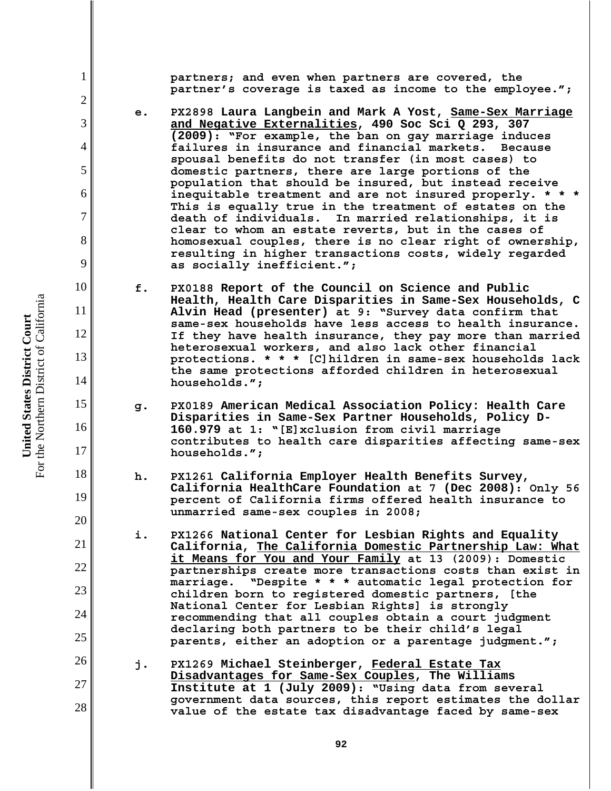**partners; and even when partners are covered, the partner's coverage is taxed as income to the employee.";**

- **e. PX2898 Laura Langbein and Mark A Yost, Same-Sex Marriage and Negative Externalities, 490 Soc Sci Q 293, 307 (2009): "For example, the ban on gay marriage induces failures in insurance and financial markets. Because spousal benefits do not transfer (in most cases) to domestic partners, there are large portions of the population that should be insured, but instead receive inequitable treatment and are not insured properly. \* \* \* This is equally true in the treatment of estates on the death of individuals. In married relationships, it is clear to whom an estate reverts, but in the cases of homosexual couples, there is no clear right of ownership, resulting in higher transactions costs, widely regarded as socially inefficient.";**
- **f. PX0188 Report of the Council on Science and Public Health, Health Care Disparities in Same-Sex Households, C Alvin Head (presenter) at 9: "Survey data confirm that same-sex households have less access to health insurance. If they have health insurance, they pay more than married heterosexual workers, and also lack other financial protections. \* \* \* [C]hildren in same-sex households lack the same protections afforded children in heterosexual households.";**
- **g. PX0189 American Medical Association Policy: Health Care Disparities in Same-Sex Partner Households, Policy D-160.979 at 1: "[E]xclusion from civil marriage contributes to health care disparities affecting same-sex households.";**
- **h. PX1261 California Employer Health Benefits Survey, California HealthCare Foundation at 7 (Dec 2008): Only 56 percent of California firms offered health insurance to unmarried same-sex couples in 2008;**
- **i. PX1266 National Center for Lesbian Rights and Equality California, The California Domestic Partnership Law: What it Means for You and Your Family at 13 (2009): Domestic partnerships create more transactions costs than exist in marriage. "Despite \* \* \* automatic legal protection for children born to registered domestic partners, [the National Center for Lesbian Rights] is strongly recommending that all couples obtain a court judgment declaring both partners to be their child's legal parents, either an adoption or a parentage judgment.";**
- 26 27 28 **j. PX1269 Michael Steinberger, Federal Estate Tax Disadvantages for Same-Sex Couples, The Williams Institute at 1 (July 2009): "Using data from several government data sources, this report estimates the dollar value of the estate tax disadvantage faced by same-sex**

1

2

3

4

5

6

7

8

9

10

11

12

13

14

15

16

17

18

19

20

21

22

23

24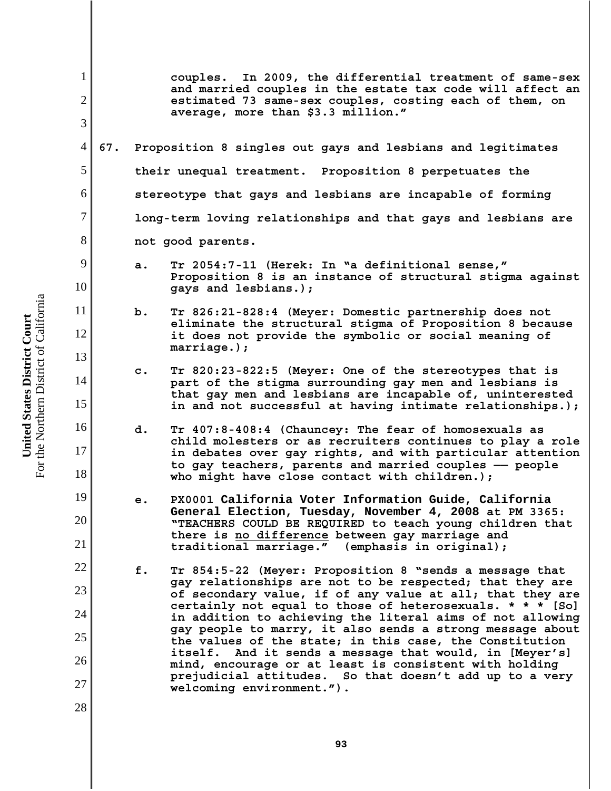| $\mathbf 1$<br>$\overline{2}$<br>3 |     |                                                               | couples. In 2009, the differential treatment of same-sex<br>and married couples in the estate tax code will affect an<br>estimated 73 same-sex couples, costing each of them, on<br>average, more than \$3.3 million."                                                                   |  |
|------------------------------------|-----|---------------------------------------------------------------|------------------------------------------------------------------------------------------------------------------------------------------------------------------------------------------------------------------------------------------------------------------------------------------|--|
| 4                                  | 67. |                                                               | Proposition 8 singles out gays and lesbians and legitimates                                                                                                                                                                                                                              |  |
| 5                                  |     |                                                               | their unequal treatment. Proposition 8 perpetuates the                                                                                                                                                                                                                                   |  |
| 6                                  |     | stereotype that gays and lesbians are incapable of forming    |                                                                                                                                                                                                                                                                                          |  |
| 7                                  |     | long-term loving relationships and that gays and lesbians are |                                                                                                                                                                                                                                                                                          |  |
| 8                                  |     | not good parents.                                             |                                                                                                                                                                                                                                                                                          |  |
| 9<br>10                            |     | а.                                                            | Tr 2054:7-11 (Herek: In "a definitional sense,"<br>Proposition 8 is an instance of structural stigma against<br>gays and lesbians.);                                                                                                                                                     |  |
| 11<br>12                           |     | b.                                                            | Tr 826:21-828:4 (Meyer: Domestic partnership does not<br>eliminate the structural stigma of Proposition 8 because<br>it does not provide the symbolic or social meaning of<br>$martiaqe.$ ;                                                                                              |  |
| 13<br>14<br>15                     |     | $\mathbf{c}$ .                                                | Tr 820:23-822:5 (Meyer: One of the stereotypes that is<br>part of the stigma surrounding gay men and lesbians is<br>that gay men and lesbians are incapable of, uninterested<br>in and not successful at having intimate relationships.);                                                |  |
| 16<br>17<br>18                     |     | d.                                                            | Tr 407:8-408:4 (Chauncey: The fear of homosexuals as<br>child molesters or as recruiters continues to play a role<br>in debates over gay rights, and with particular attention<br>to gay teachers, parents and married couples - people<br>who might have close contact with children.); |  |
| 19<br>20<br>21                     |     | e.                                                            | PX0001 California Voter Information Guide, California<br>General Election, Tuesday, November 4, 2008 at PM 3365:<br>"TEACHERS COULD BE REQUIRED to teach young children that<br>there is no difference between gay marriage and<br>traditional marriage." (emphasis in original);        |  |
| 22                                 |     | f.                                                            | Tr 854:5-22 (Meyer: Proposition 8 "sends a message that<br>gay relationships are not to be respected; that they are                                                                                                                                                                      |  |
| 23<br>24<br>25                     |     |                                                               | of secondary value, if of any value at all; that they are<br>certainly not equal to those of heterosexuals. * * * [So]<br>in addition to achieving the literal aims of not allowing<br>gay people to marry, it also sends a strong message about                                         |  |
| 26                                 |     |                                                               | the values of the state; in this case, the Constitution<br>itself. And it sends a message that would, in [Meyer's]<br>mind, encourage or at least is consistent with holding                                                                                                             |  |
| 27<br>28                           |     |                                                               | prejudicial attitudes. So that doesn't add up to a very<br>welcoming environment.").                                                                                                                                                                                                     |  |
|                                    |     |                                                               |                                                                                                                                                                                                                                                                                          |  |

**United States District Court**<br>For the Northern District of California For the Northern District of California **United States District Court**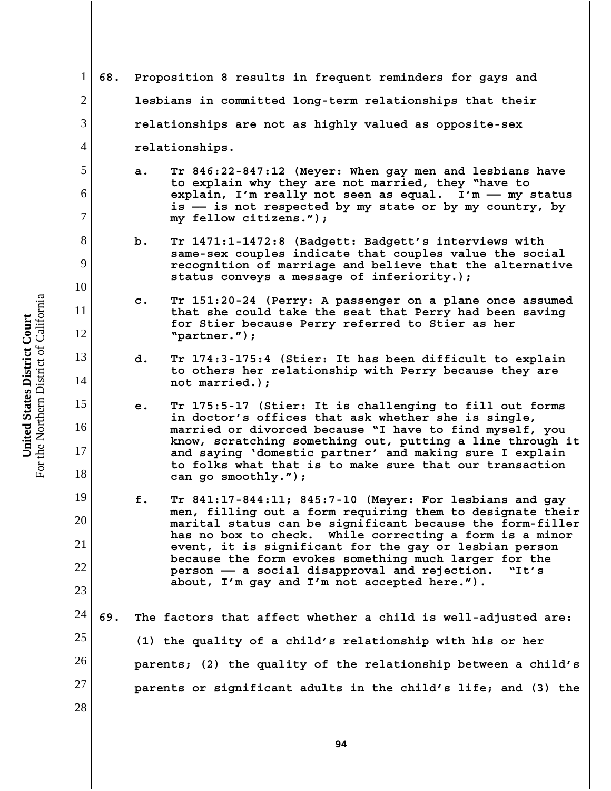| 1              | 68. | Proposition 8 results in frequent reminders for gays and                                                                   |  |  |
|----------------|-----|----------------------------------------------------------------------------------------------------------------------------|--|--|
| $\mathfrak{2}$ |     | lesbians in committed long-term relationships that their                                                                   |  |  |
| 3              |     | relationships are not as highly valued as opposite-sex                                                                     |  |  |
| 4              |     | relationships.                                                                                                             |  |  |
| 5              |     | Tr 846:22-847:12 (Meyer: When gay men and lesbians have<br>a.<br>to explain why they are not married, they "have to        |  |  |
| 6              |     | explain, I'm really not seen as equal. I'm - my status<br>is -- is not respected by my state or by my country, by          |  |  |
| $\overline{7}$ |     | my fellow citizens.");                                                                                                     |  |  |
| 8              |     | Tr 1471:1-1472:8 (Badgett: Badgett's interviews with<br>same-sex couples indicate that couples value the social            |  |  |
| 9              |     | recognition of marriage and believe that the alternative<br>status conveys a message of inferiority.);                     |  |  |
| 10             |     | Tr 151:20-24 (Perry: A passenger on a plane once assumed<br>c.                                                             |  |  |
| 11             |     | that she could take the seat that Perry had been saving<br>for Stier because Perry referred to Stier as her                |  |  |
| 12             |     | "partner.");                                                                                                               |  |  |
| 13             |     | d.<br>Tr 174:3-175:4 (Stier: It has been difficult to explain<br>to others her relationship with Perry because they are    |  |  |
| 14             |     | not married.);                                                                                                             |  |  |
| 15             |     | Tr 175:5-17 (Stier: It is challenging to fill out forms<br>е.<br>in doctor's offices that ask whether she is single,       |  |  |
| 16             |     | married or divorced because "I have to find myself, you<br>know, scratching something out, putting a line through it       |  |  |
| 17             |     | and saying 'domestic partner' and making sure I explain<br>to folks what that is to make sure that our transaction         |  |  |
| 18             |     | can go smoothly.");                                                                                                        |  |  |
| 19             |     | f.<br>Tr 841:17-844:11; 845:7-10 (Meyer: For lesbians and gay<br>men, filling out a form requiring them to designate their |  |  |
| 20             |     | marital status can be significant because the form-filler<br>has no box to check. While correcting a form is a minor       |  |  |
| 21             |     | event, it is significant for the gay or lesbian person<br>because the form evokes something much larger for the            |  |  |
| 22             |     | person - a social disapproval and rejection.<br>"It's<br>about, I'm gay and I'm not accepted here.").                      |  |  |
| 23             |     |                                                                                                                            |  |  |
| 24             | 69. | The factors that affect whether a child is well-adjusted are:                                                              |  |  |
| 25             |     | (1) the quality of a child's relationship with his or her                                                                  |  |  |
| 26             |     | parents; (2) the quality of the relationship between a child's                                                             |  |  |
| 27             |     | parents or significant adults in the child's life; and (3) the                                                             |  |  |
| 28             |     |                                                                                                                            |  |  |
|                |     |                                                                                                                            |  |  |

**United States District Court**<br>For the Northern District of California For the Northern District of California **United States District Court**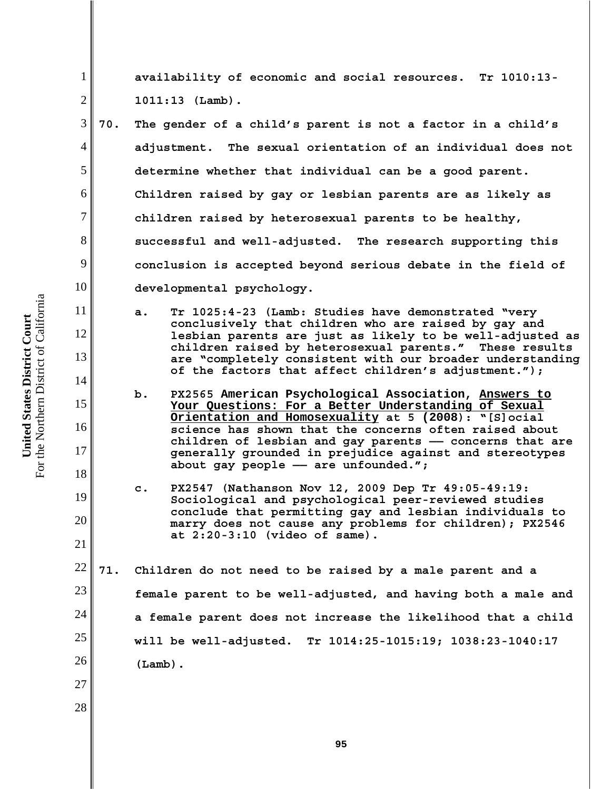**availability of economic and social resources. Tr 1010:13- 1011:13 (Lamb).**

- 3 4 5 6 8 9 10 **70. The gender of a child's parent is not a factor in a child's adjustment. The sexual orientation of an individual does not determine whether that individual can be a good parent. Children raised by gay or lesbian parents are as likely as children raised by heterosexual parents to be healthy, successful and well-adjusted. The research supporting this conclusion is accepted beyond serious debate in the field of developmental psychology.** 
	- **a. Tr 1025:4-23 (Lamb: Studies have demonstrated "very conclusively that children who are raised by gay and lesbian parents are just as likely to be well-adjusted as children raised by heterosexual parents." These results are "completely consistent with our broader understanding of the factors that affect children's adjustment.");**
	- **b. PX2565 American Psychological Association, Answers to Your Questions: For a Better Understanding of Sexual Orientation and Homosexuality at 5 (2008): "[S]ocial science has shown that the concerns often raised about children of lesbian and gay parents —— concerns that are generally grounded in prejudice against and stereotypes about gay people —— are unfounded.";**
	- **c. PX2547 (Nathanson Nov 12, 2009 Dep Tr 49:05-49:19: Sociological and psychological peer-reviewed studies conclude that permitting gay and lesbian individuals to marry does not cause any problems for children); PX2546 at 2:20-3:10 (video of same).**

22 23 24 25 26 **71. Children do not need to be raised by a male parent and a female parent to be well-adjusted, and having both a male and a female parent does not increase the likelihood that a child will be well-adjusted. Tr 1014:25-1015:19; 1038:23-1040:17 (Lamb).**

For the Northern District of California For the Northern District of California United States District Court **United States District Court**

1

2

7

11

12

13

14

15

16

17

18

19

20

21

27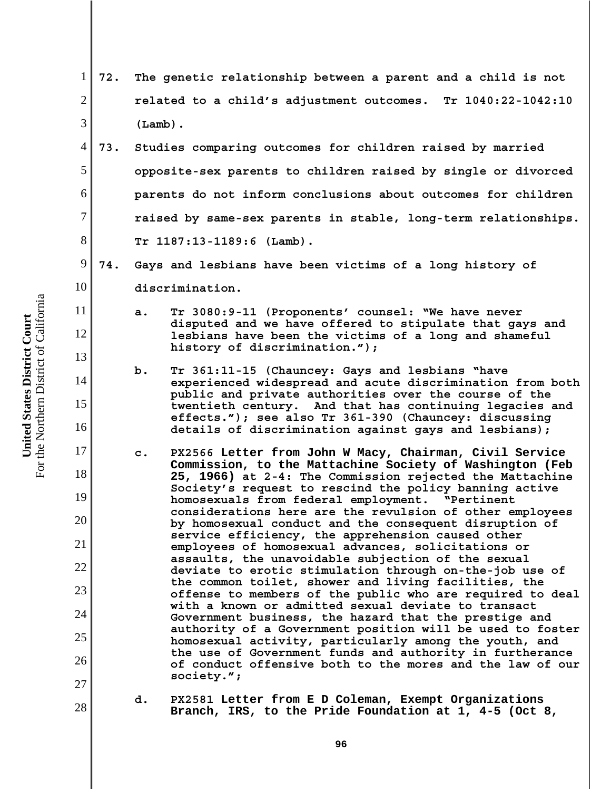| $\mathbf 1$    | 72. | The genetic relationship between a parent and a child is not   |                                                                                                                       |  |
|----------------|-----|----------------------------------------------------------------|-----------------------------------------------------------------------------------------------------------------------|--|
| $\overline{2}$ |     |                                                                | related to a child's adjustment outcomes. Tr 1040:22-1042:10                                                          |  |
| 3              |     | $(Lamb)$ .                                                     |                                                                                                                       |  |
| 4              | 73. |                                                                | Studies comparing outcomes for children raised by married                                                             |  |
| 5              |     |                                                                | opposite-sex parents to children raised by single or divorced                                                         |  |
| 6              |     | parents do not inform conclusions about outcomes for children  |                                                                                                                       |  |
| $\overline{7}$ |     | raised by same-sex parents in stable, long-term relationships. |                                                                                                                       |  |
| 8              |     | $Tr 1187:13-1189:6 (Lamb).$                                    |                                                                                                                       |  |
| 9              | 74. |                                                                | Gays and lesbians have been victims of a long history of                                                              |  |
| 10             |     |                                                                | discrimination.                                                                                                       |  |
| 11             |     | a.                                                             | Tr 3080:9-11 (Proponents' counsel: "We have never                                                                     |  |
| 12             |     |                                                                | disputed and we have offered to stipulate that gays and<br>lesbians have been the victims of a long and shameful      |  |
| 13             |     |                                                                | history of discrimination.");                                                                                         |  |
| 14             |     | b.                                                             | Tr 361:11-15 (Chauncey: Gays and lesbians "have<br>experienced widespread and acute discrimination from both          |  |
| 15             |     |                                                                | public and private authorities over the course of the<br>twentieth century. And that has continuing legacies and      |  |
| 16             |     |                                                                | effects."); see also Tr 361-390 (Chauncey: discussing<br>details of discrimination against gays and lesbians);        |  |
| 17             |     | c.                                                             | PX2566 Letter from John W Macy, Chairman, Civil Service                                                               |  |
| 18             |     |                                                                | Commission, to the Mattachine Society of Washington (Feb<br>25, 1966) at 2-4: The Commission rejected the Mattachine  |  |
| 19             |     |                                                                | Society's request to rescind the policy banning active<br>homosexuals from federal employment. "Pertinent             |  |
| 20             |     |                                                                | considerations here are the revulsion of other employees<br>by homosexual conduct and the consequent disruption of    |  |
| 21             |     |                                                                | service efficiency, the apprehension caused other<br>employees of homosexual advances, solicitations or               |  |
| 22             |     |                                                                | assaults, the unavoidable subjection of the sexual<br>deviate to erotic stimulation through on-the-job use of         |  |
| 23             |     |                                                                | the common toilet, shower and living facilities, the<br>offense to members of the public who are required to deal     |  |
| 24             |     |                                                                | with a known or admitted sexual deviate to transact<br>Government business, the hazard that the prestige and          |  |
| 25             |     |                                                                | authority of a Government position will be used to foster<br>homosexual activity, particularly among the youth, and   |  |
| 26             |     |                                                                | the use of Government funds and authority in furtherance<br>of conduct offensive both to the mores and the law of our |  |
| 27             |     |                                                                | society.";                                                                                                            |  |
| 28             |     | d.                                                             | PX2581 Letter from E D Coleman, Exempt Organizations<br>Branch, IRS, to the Pride Foundation at 1, 4-5 (Oct 8,        |  |

**United States District Court**<br>For the Northern District of California For the Northern District of California **United States District Court**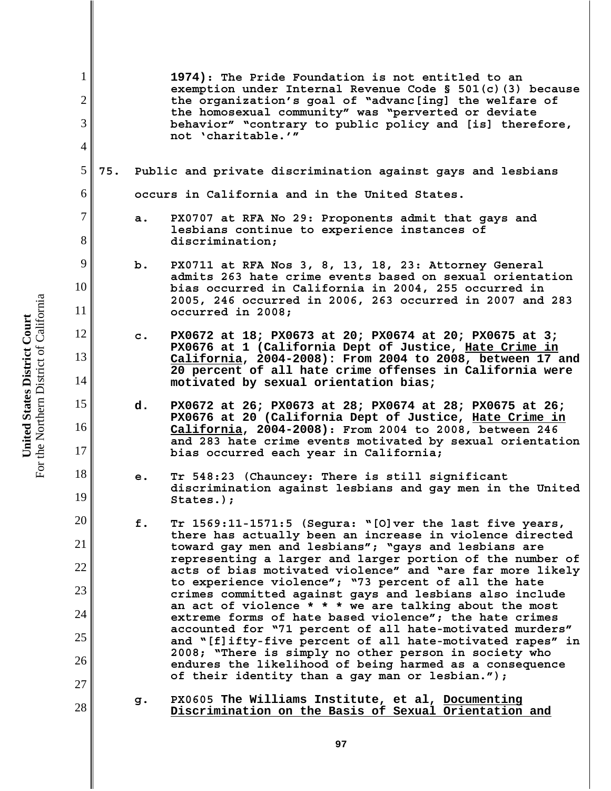1 2 3 4 5 6 7 8 9 10 11 12 13 14 15 16 17 18 19 20 21 22 23 24 25 26 27 28 **1974): The Pride Foundation is not entitled to an exemption under Internal Revenue Code § 501(c)(3) because the organization's goal of "advanc[ing] the welfare of the homosexual community" was "perverted or deviate behavior" "contrary to public policy and [is] therefore, not 'charitable.'" 75. Public and private discrimination against gays and lesbians occurs in California and in the United States. a. PX0707 at RFA No 29: Proponents admit that gays and lesbians continue to experience instances of discrimination; b. PX0711 at RFA Nos 3, 8, 13, 18, 23: Attorney General admits 263 hate crime events based on sexual orientation bias occurred in California in 2004, 255 occurred in 2005, 246 occurred in 2006, 263 occurred in 2007 and 283 occurred in 2008; c. PX0672 at 18; PX0673 at 20; PX0674 at 20; PX0675 at 3; PX0676 at 1 (California Dept of Justice, Hate Crime in California, 2004-2008): From 2004 to 2008, between 17 and 20 percent of all hate crime offenses in California were motivated by sexual orientation bias; d. PX0672 at 26; PX0673 at 28; PX0674 at 28; PX0675 at 26; PX0676 at 20 (California Dept of Justice, Hate Crime in California, 2004-2008): From 2004 to 2008, between 246 and 283 hate crime events motivated by sexual orientation bias occurred each year in California; e. Tr 548:23 (Chauncey: There is still significant discrimination against lesbians and gay men in the United States.); f. Tr 1569:11-1571:5 (Segura: "[O]ver the last five years, there has actually been an increase in violence directed toward gay men and lesbians"; "gays and lesbians are representing a larger and larger portion of the number of acts of bias motivated violence" and "are far more likely to experience violence"; "73 percent of all the hate crimes committed against gays and lesbians also include an act of violence \* \* \* we are talking about the most extreme forms of hate based violence"; the hate crimes accounted for "71 percent of all hate-motivated murders" and "[f]ifty-five percent of all hate-motivated rapes" in 2008; "There is simply no other person in society who endures the likelihood of being harmed as a consequence of their identity than a gay man or lesbian."); g. PX0605 The Williams Institute, et al, Documenting Discrimination on the Basis of Sexual Orientation and**

For the Northern District of California For the Northern District of California United States District Court **United States District Court**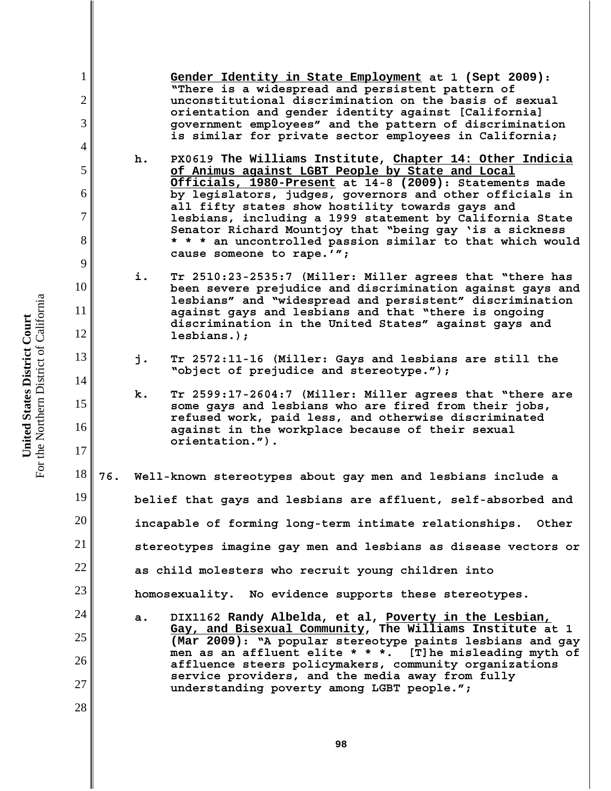**Gender Identity in State Employment at 1 (Sept 2009): "There is a widespread and persistent pattern of unconstitutional discrimination on the basis of sexual orientation and gender identity against [California] government employees" and the pattern of discrimination is similar for private sector employees in California;**

- **h. PX0619 The Williams Institute, Chapter 14: Other Indicia of Animus against LGBT People by State and Local Officials, 1980-Present at 14-8 (2009): Statements made by legislators, judges, governors and other officials in all fifty states show hostility towards gays and lesbians, including a 1999 statement by California State Senator Richard Mountjoy that "being gay 'is a sickness \* \* \* an uncontrolled passion similar to that which would cause someone to rape.'";**
- **i. Tr 2510:23-2535:7 (Miller: Miller agrees that "there has been severe prejudice and discrimination against gays and lesbians" and "widespread and persistent" discrimination against gays and lesbians and that "there is ongoing discrimination in the United States" against gays and lesbians.);**
- **j. Tr 2572:11-16 (Miller: Gays and lesbians are still the "object of prejudice and stereotype.");**
- **k. Tr 2599:17-2604:7 (Miller: Miller agrees that "there are some gays and lesbians who are fired from their jobs, refused work, paid less, and otherwise discriminated against in the workplace because of their sexual orientation.").**

18 19 20 21 22 23 24 **76. Well-known stereotypes about gay men and lesbians include a belief that gays and lesbians are affluent, self-absorbed and incapable of forming long-term intimate relationships. Other stereotypes imagine gay men and lesbians as disease vectors or as child molesters who recruit young children into homosexuality. No evidence supports these stereotypes.** 

**a. DIX1162 Randy Albelda, et al, Poverty in the Lesbian, Gay, and Bisexual Community, The Williams Institute at 1 (Mar 2009): "A popular stereotype paints lesbians and gay men as an affluent elite \* \* \*. [T]he misleading myth of affluence steers policymakers, community organizations service providers, and the media away from fully understanding poverty among LGBT people.";**

For the Northern District of California For the Northern District of California United States District Court **United States District Court**

1

2

3

4

5

6

7

8

9

10

11

12

13

14

15

16

17

25

26

27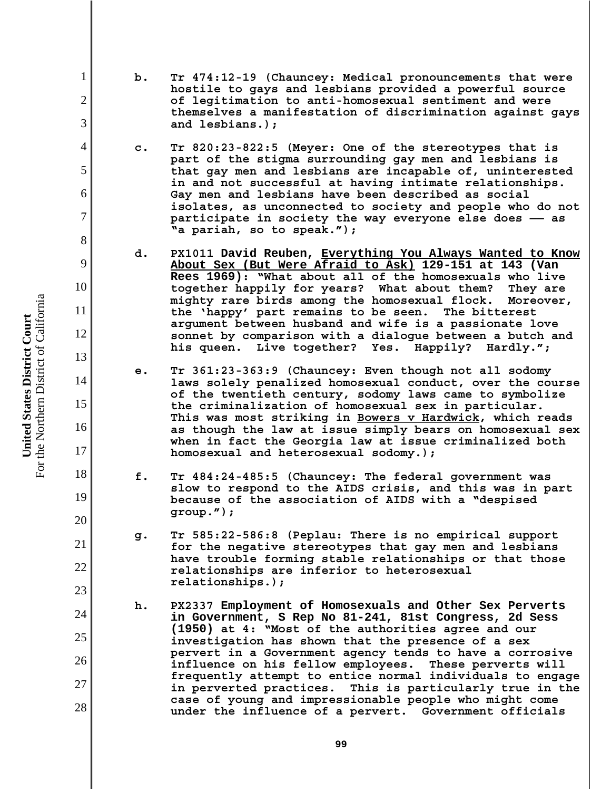- **b. Tr 474:12-19 (Chauncey: Medical pronouncements that were hostile to gays and lesbians provided a powerful source of legitimation to anti-homosexual sentiment and were themselves a manifestation of discrimination against gays and lesbians.);**
- **c. Tr 820:23-822:5 (Meyer: One of the stereotypes that is part of the stigma surrounding gay men and lesbians is that gay men and lesbians are incapable of, uninterested in and not successful at having intimate relationships. Gay men and lesbians have been described as social isolates, as unconnected to society and people who do not participate in society the way everyone else does —— as "a pariah, so to speak.");**
- **d. PX1011 David Reuben, Everything You Always Wanted to Know About Sex (But Were Afraid to Ask) 129-151 at 143 (Van Rees 1969): "What about all of the homosexuals who live** together happily for years? What about them? **mighty rare birds among the homosexual flock. Moreover, the 'happy' part remains to be seen. The bitterest argument between husband and wife is a passionate love sonnet by comparison with a dialogue between a butch and his queen. Live together? Yes. Happily? Hardly.";**
- **e. Tr 361:23-363:9 (Chauncey: Even though not all sodomy laws solely penalized homosexual conduct, over the course of the twentieth century, sodomy laws came to symbolize the criminalization of homosexual sex in particular. This was most striking in Bowers v Hardwick, which reads as though the law at issue simply bears on homosexual sex when in fact the Georgia law at issue criminalized both homosexual and heterosexual sodomy.);**
- **f. Tr 484:24-485:5 (Chauncey: The federal government was slow to respond to the AIDS crisis, and this was in part because of the association of AIDS with a "despised group.");**
- **g. Tr 585:22-586:8 (Peplau: There is no empirical support for the negative stereotypes that gay men and lesbians have trouble forming stable relationships or that those relationships are inferior to heterosexual relationships.);**
- **h. PX2337 Employment of Homosexuals and Other Sex Perverts in Government, S Rep No 81-241, 81st Congress, 2d Sess (1950) at 4: "Most of the authorities agree and our investigation has shown that the presence of a sex pervert in a Government agency tends to have a corrosive influence on his fellow employees. These perverts will frequently attempt to entice normal individuals to engage in perverted practices. This is particularly true in the case of young and impressionable people who might come under the influence of a pervert. Government officials**

1

2

3

4

5

6

7

8

9

10

11

12

13

14

15

16

17

18

19

20

21

22

23

24

25

26

27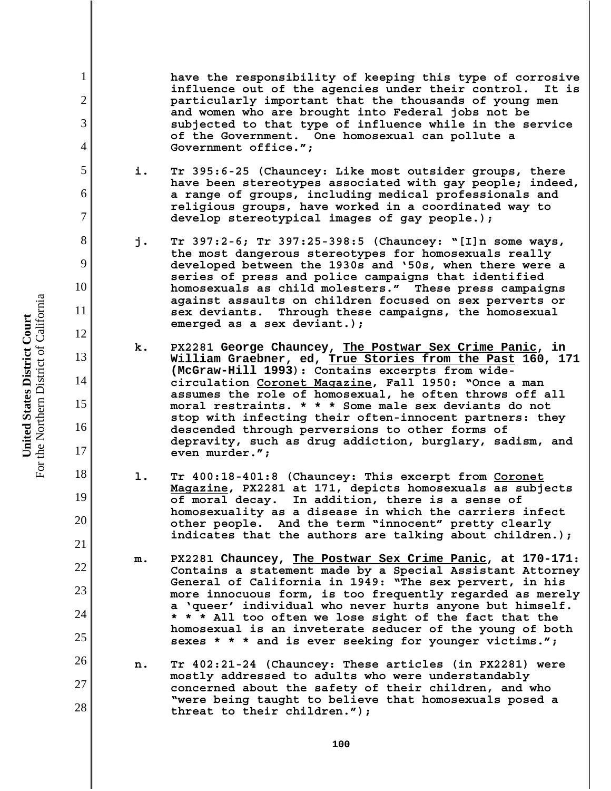**have the responsibility of keeping this type of corrosive influence out of the agencies under their control. It is particularly important that the thousands of young men and women who are brought into Federal jobs not be subjected to that type of influence while in the service of the Government. One homosexual can pollute a Government office.";**

- **i. Tr 395:6-25 (Chauncey: Like most outsider groups, there have been stereotypes associated with gay people; indeed, a range of groups, including medical professionals and religious groups, have worked in a coordinated way to develop stereotypical images of gay people.);**
- **j. Tr 397:2-6; Tr 397:25-398:5 (Chauncey: "[I]n some ways, the most dangerous stereotypes for homosexuals really developed between the 1930s and '50s, when there were a series of press and police campaigns that identified homosexuals as child molesters." These press campaigns against assaults on children focused on sex perverts or sex deviants. Through these campaigns, the homosexual emerged as a sex deviant.);**
- **k. PX2281 George Chauncey, The Postwar Sex Crime Panic, in William Graebner, ed, True Stories from the Past 160, 171 (McGraw-Hill 1993): Contains excerpts from widecirculation Coronet Magazine, Fall 1950: "Once a man assumes the role of homosexual, he often throws off all moral restraints. \* \* \* Some male sex deviants do not stop with infecting their often-innocent partners: they descended through perversions to other forms of depravity, such as drug addiction, burglary, sadism, and even murder.";**
- **l. Tr 400:18-401:8 (Chauncey: This excerpt from Coronet Magazine, PX2281 at 171, depicts homosexuals as subjects of moral decay. In addition, there is a sense of homosexuality as a disease in which the carriers infect other people. And the term "innocent" pretty clearly indicates that the authors are talking about children.);**
- **m. PX2281 Chauncey, The Postwar Sex Crime Panic, at 170-171: Contains a statement made by a Special Assistant Attorney General of California in 1949: "The sex pervert, in his more innocuous form, is too frequently regarded as merely a 'queer' individual who never hurts anyone but himself. \* \* \* All too often we lose sight of the fact that the homosexual is an inveterate seducer of the young of both sexes \* \* \* and is ever seeking for younger victims.";**
- **n. Tr 402:21-24 (Chauncey: These articles (in PX2281) were mostly addressed to adults who were understandably concerned about the safety of their children, and who "were being taught to believe that homosexuals posed a threat to their children.");**

For the Northern District of California For the Northern District of California United States District Court **United States District Court**

1

2

3

4

5

6

7

8

9

10

11

12

13

14

15

16

17

18

19

20

21

22

23

24

25

26

27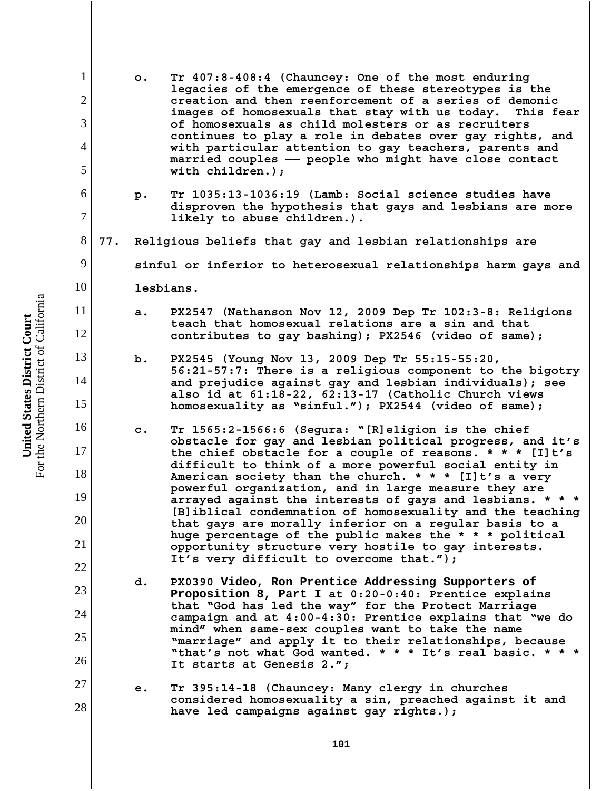1 2 3 4 5 6 7 8 9 10 11 12 13 14 15 16 17 18 19 20 21 22 23 24 25 26 27 28 **o. Tr 407:8-408:4 (Chauncey: One of the most enduring legacies of the emergence of these stereotypes is the creation and then reenforcement of a series of demonic images of homosexuals that stay with us today. This fear of homosexuals as child molesters or as recruiters continues to play a role in debates over gay rights, and with particular attention to gay teachers, parents and married couples —— people who might have close contact with children.); p. Tr 1035:13-1036:19 (Lamb: Social science studies have disproven the hypothesis that gays and lesbians are more likely to abuse children.). 77. Religious beliefs that gay and lesbian relationships are sinful or inferior to heterosexual relationships harm gays and lesbians. a. PX2547 (Nathanson Nov 12, 2009 Dep Tr 102:3-8: Religions teach that homosexual relations are a sin and that contributes to gay bashing); PX2546 (video of same); b. PX2545 (Young Nov 13, 2009 Dep Tr 55:15-55:20, 56:21-57:7: There is a religious component to the bigotry and prejudice against gay and lesbian individuals); see also id at 61:18-22, 62:13-17 (Catholic Church views homosexuality as "sinful."); PX2544 (video of same); c. Tr 1565:2-1566:6 (Segura: "[R]eligion is the chief obstacle for gay and lesbian political progress, and it's the chief obstacle for a couple of reasons. \* \* \* [I]t's difficult to think of a more powerful social entity in American society than the church. \* \* \* [I]t's a very powerful organization, and in large measure they are arrayed against the interests of gays and lesbians. \* \* \* [B]iblical condemnation of homosexuality and the teaching that gays are morally inferior on a regular basis to a huge percentage of the public makes the \* \* \* political opportunity structure very hostile to gay interests. It's very difficult to overcome that."); d. PX0390 Video, Ron Prentice Addressing Supporters of Proposition 8, Part I at 0:20-0:40: Prentice explains that "God has led the way" for the Protect Marriage campaign and at 4:00-4:30: Prentice explains that "we do mind" when same-sex couples want to take the name "marriage" and apply it to their relationships, because "that's not what God wanted. \* \* \* It's real basic. \* \* \* It starts at Genesis 2."; e. Tr 395:14-18 (Chauncey: Many clergy in churches considered homosexuality a sin, preached against it and have led campaigns against gay rights.);**

For the Northern District of California For the Northern District of California United States District Court **United States District Court**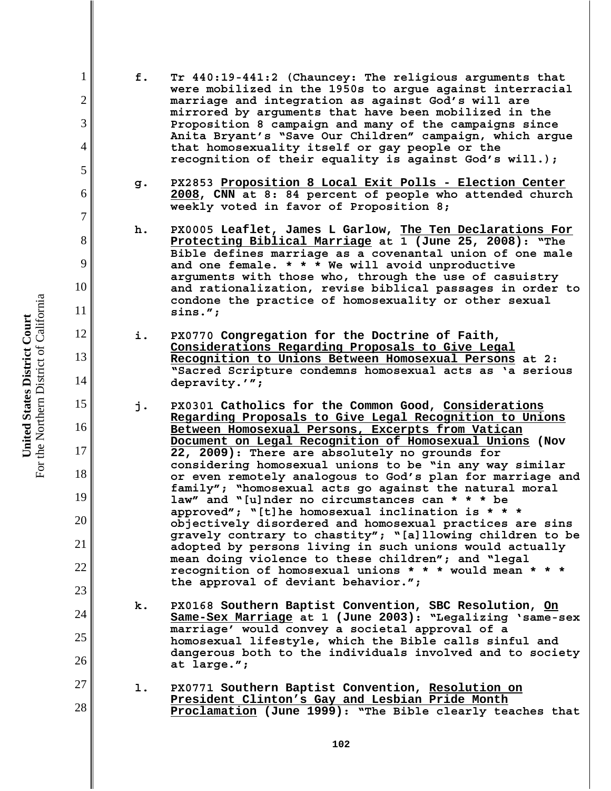For the Northern District of California For the Northern District of California United States District Court **United States District Court**

1

2

3

4

5

6

7

8

9

10

11

12

13

14

15

16

17

18

19

20

21

22

23

24

25

26

27

- **f. Tr 440:19-441:2 (Chauncey: The religious arguments that were mobilized in the 1950s to argue against interracial marriage and integration as against God's will are mirrored by arguments that have been mobilized in the Proposition 8 campaign and many of the campaigns since Anita Bryant's "Save Our Children" campaign, which argue that homosexuality itself or gay people or the recognition of their equality is against God's will.);**
- **g. PX2853 Proposition 8 Local Exit Polls Election Center 2008, CNN at 8: 84 percent of people who attended church weekly voted in favor of Proposition 8;**
- **h. PX0005 Leaflet, James L Garlow, The Ten Declarations For Protecting Biblical Marriage at 1 (June 25, 2008): "The Bible defines marriage as a covenantal union of one male and one female. \* \* \* We will avoid unproductive arguments with those who, through the use of casuistry and rationalization, revise biblical passages in order to condone the practice of homosexuality or other sexual sins.";**
- **i. PX0770 Congregation for the Doctrine of Faith, Considerations Regarding Proposals to Give Legal Recognition to Unions Between Homosexual Persons at 2: "Sacred Scripture condemns homosexual acts as 'a serious depravity.'";**
- **j. PX0301 Catholics for the Common Good, Considerations Regarding Proposals to Give Legal Recognition to Unions Between Homosexual Persons, Excerpts from Vatican Document on Legal Recognition of Homosexual Unions (Nov 22, 2009): There are absolutely no grounds for considering homosexual unions to be "in any way similar or even remotely analogous to God's plan for marriage and family"; "homosexual acts go against the natural moral law" and "[u]nder no circumstances can \* \* \* be approved"; "[t]he homosexual inclination is \* \* \* objectively disordered and homosexual practices are sins gravely contrary to chastity"; "[a]llowing children to be adopted by persons living in such unions would actually mean doing violence to these children"; and "legal recognition of homosexual unions \* \* \* would mean \* \* \* the approval of deviant behavior.";**
- **k. PX0168 Southern Baptist Convention, SBC Resolution, On Same-Sex Marriage at 1 (June 2003): "Legalizing 'same-sex marriage' would convey a societal approval of a homosexual lifestyle, which the Bible calls sinful and dangerous both to the individuals involved and to society at large.";**
- **l. PX0771 Southern Baptist Convention, Resolution on President Clinton's Gay and Lesbian Pride Month Proclamation (June 1999): "The Bible clearly teaches that**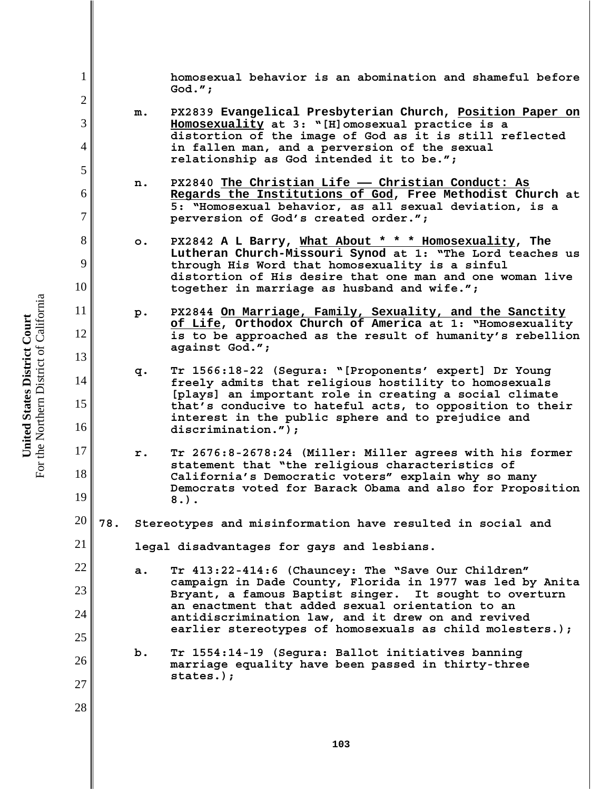**homosexual behavior is an abomination and shameful before God.";**

- **m. PX2839 Evangelical Presbyterian Church, Position Paper on Homosexuality at 3: "[H]omosexual practice is a distortion of the image of God as it is still reflected in fallen man, and a perversion of the sexual relationship as God intended it to be.";**
- **n. PX2840 The Christian Life —— Christian Conduct: As Regards the Institutions of God, Free Methodist Church at 5: "Homosexual behavior, as all sexual deviation, is a perversion of God's created order.";**
- **o. PX2842 A L Barry, What About \* \* \* Homosexuality, The Lutheran Church-Missouri Synod at 1: "The Lord teaches us through His Word that homosexuality is a sinful distortion of His desire that one man and one woman live together in marriage as husband and wife.";**
- **p. PX2844 On Marriage, Family, Sexuality, and the Sanctity of Life, Orthodox Church of America at 1: "Homosexuality is to be approached as the result of humanity's rebellion against God.";**
- **q. Tr 1566:18-22 (Segura: "[Proponents' expert] Dr Young freely admits that religious hostility to homosexuals [plays] an important role in creating a social climate that's conducive to hateful acts, to opposition to their interest in the public sphere and to prejudice and discrimination.");**
- **r. Tr 2676:8-2678:24 (Miller: Miller agrees with his former statement that "the religious characteristics of California's Democratic voters" explain why so many Democrats voted for Barack Obama and also for Proposition 8.).**
- 20 **78. Stereotypes and misinformation have resulted in social and**

**legal disadvantages for gays and lesbians.**

- **a. Tr 413:22-414:6 (Chauncey: The "Save Our Children" campaign in Dade County, Florida in 1977 was led by Anita Bryant, a famous Baptist singer. It sought to overturn an enactment that added sexual orientation to an antidiscrimination law, and it drew on and revived earlier stereotypes of homosexuals as child molesters.);**
	- **b. Tr 1554:14-19 (Segura: Ballot initiatives banning marriage equality have been passed in thirty-three states.);**

For the Northern District of California For the Northern District of California United States District Court **United States District Court**

1

2

3

4

5

6

7

8

9

10

11

12

13

14

15

16

17

18

19

21

22

23

24

25

26

27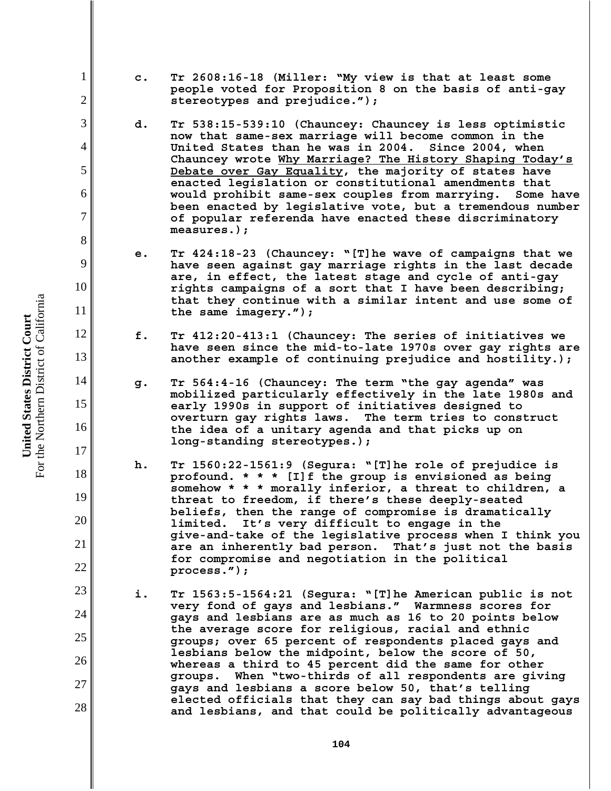- **c. Tr 2608:16-18 (Miller: "My view is that at least some people voted for Proposition 8 on the basis of anti-gay stereotypes and prejudice.");**
- **d. Tr 538:15-539:10 (Chauncey: Chauncey is less optimistic now that same-sex marriage will become common in the United States than he was in 2004. Since 2004, when Chauncey wrote Why Marriage? The History Shaping Today's Debate over Gay Equality, the majority of states have enacted legislation or constitutional amendments that would prohibit same-sex couples from marrying. Some have been enacted by legislative vote, but a tremendous number of popular referenda have enacted these discriminatory measures.);**
- **e. Tr 424:18-23 (Chauncey: "[T]he wave of campaigns that we have seen against gay marriage rights in the last decade are, in effect, the latest stage and cycle of anti-gay rights campaigns of a sort that I have been describing; that they continue with a similar intent and use some of the same imagery.");**
- **f. Tr 412:20-413:1 (Chauncey: The series of initiatives we have seen since the mid-to-late 1970s over gay rights are another example of continuing prejudice and hostility.);**
- **g. Tr 564:4-16 (Chauncey: The term "the gay agenda" was mobilized particularly effectively in the late 1980s and early 1990s in support of initiatives designed to overturn gay rights laws. The term tries to construct the idea of a unitary agenda and that picks up on long-standing stereotypes.);**
- **h. Tr 1560:22-1561:9 (Segura: "[T]he role of prejudice is profound. \* \* \* [I]f the group is envisioned as being somehow \* \* \* morally inferior, a threat to children, a threat to freedom, if there's these deeply-seated beliefs, then the range of compromise is dramatically limited. It's very difficult to engage in the give-and-take of the legislative process when I think you are an inherently bad person. That's just not the basis for compromise and negotiation in the political process.");**
- **i. Tr 1563:5-1564:21 (Segura: "[T]he American public is not very fond of gays and lesbians." Warmness scores for gays and lesbians are as much as 16 to 20 points below the average score for religious, racial and ethnic groups; over 65 percent of respondents placed gays and lesbians below the midpoint, below the score of 50, whereas a third to 45 percent did the same for other groups. When "two-thirds of all respondents are giving gays and lesbians a score below 50, that's telling elected officials that they can say bad things about gays and lesbians, and that could be politically advantageous**

1

2

3

4

5

6

7

8

9

10

11

12

13

14

15

16

17

18

19

20

21

22

23

24

25

26

27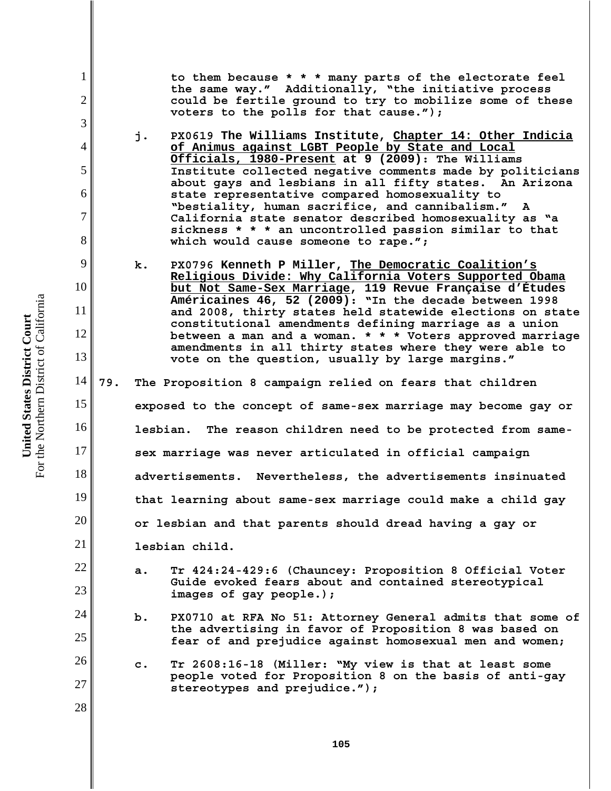**to them because \* \* \* many parts of the electorate feel the same way." Additionally, "the initiative process could be fertile ground to try to mobilize some of these voters to the polls for that cause.");** 

- **j. PX0619 The Williams Institute, Chapter 14: Other Indicia of Animus against LGBT People by State and Local Officials, 1980-Present at 9 (2009): The Williams Institute collected negative comments made by politicians about gays and lesbians in all fifty states. An Arizona state representative compared homosexuality to "bestiality, human sacrifice, and cannibalism." A California state senator described homosexuality as "a sickness \* \* \* an uncontrolled passion similar to that which would cause someone to rape.";**
- **k. PX0796 Kenneth P Miller, The Democratic Coalition's Religious Divide: Why California Voters Supported Obama but Not Same-Sex Marriage, 119 Revue Française d'Études Américaines 46, 52 (2009): "In the decade between 1998 and 2008, thirty states held statewide elections on state constitutional amendments defining marriage as a union between a man and a woman. \* \* \* Voters approved marriage amendments in all thirty states where they were able to vote on the question, usually by large margins."**
- 14 15 16 17 18 19 20 21 22 **79. The Proposition 8 campaign relied on fears that children exposed to the concept of same-sex marriage may become gay or lesbian. The reason children need to be protected from samesex marriage was never articulated in official campaign advertisements. Nevertheless, the advertisements insinuated that learning about same-sex marriage could make a child gay or lesbian and that parents should dread having a gay or lesbian child.** 
	- **a. Tr 424:24-429:6 (Chauncey: Proposition 8 Official Voter Guide evoked fears about and contained stereotypical images of gay people.);**
		- **b. PX0710 at RFA No 51: Attorney General admits that some of the advertising in favor of Proposition 8 was based on fear of and prejudice against homosexual men and women;**
	- **c. Tr 2608:16-18 (Miller: "My view is that at least some people voted for Proposition 8 on the basis of anti-gay stereotypes and prejudice.");**

For the Northern District of California For the Northern District of California United States District Court **United States District Court**

1

2

3

4

5

6

7

8

9

10

11

12

13

23

24

25

26

27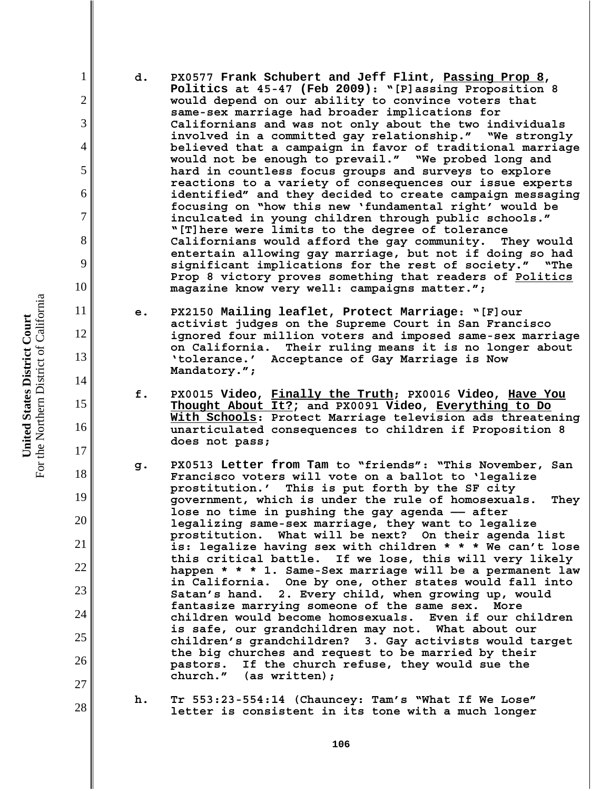**d. PX0577 Frank Schubert and Jeff Flint, Passing Prop 8, Politics at 45-47 (Feb 2009): "[P]assing Proposition 8 would depend on our ability to convince voters that same-sex marriage had broader implications for Californians and was not only about the two individuals involved in a committed gay relationship." "We strongly believed that a campaign in favor of traditional marriage would not be enough to prevail." "We probed long and hard in countless focus groups and surveys to explore reactions to a variety of consequences our issue experts identified" and they decided to create campaign messaging focusing on "how this new 'fundamental right' would be inculcated in young children through public schools." "[T]here were limits to the degree of tolerance Californians would afford the gay community. They would entertain allowing gay marriage, but not if doing so had significant implications for the rest of society." "The Prop 8 victory proves something that readers of Politics magazine know very well: campaigns matter.";**

- **e. PX2150 Mailing leaflet, Protect Marriage: "[F]our activist judges on the Supreme Court in San Francisco ignored four million voters and imposed same-sex marriage on California. Their ruling means it is no longer about 'tolerance.' Acceptance of Gay Marriage is Now Mandatory.";**
- **f. PX0015 Video, Finally the Truth; PX0016 Video, Have You Thought About It?; and PX0091 Video, Everything to Do With Schools: Protect Marriage television ads threatening unarticulated consequences to children if Proposition 8 does not pass;**

**g. PX0513 Letter from Tam to "friends": "This November, San Francisco voters will vote on a ballot to 'legalize prostitution.' This is put forth by the SF city government, which is under the rule of homosexuals. They lose no time in pushing the gay agenda —— after legalizing same-sex marriage, they want to legalize prostitution. What will be next? On their agenda list is: legalize having sex with children \* \* \* We can't lose this critical battle. If we lose, this will very likely happen \* \* \* 1. Same-Sex marriage will be a permanent law in California. One by one, other states would fall into Satan's hand. 2. Every child, when growing up, would fantasize marrying someone of the same sex. More children would become homosexuals. Even if our children is safe, our grandchildren may not. What about our children's grandchildren? 3. Gay activists would target the big churches and request to be married by their pastors. If the church refuse, they would sue the church." (as written);** 

**h. Tr 553:23-554:14 (Chauncey: Tam's "What If We Lose" letter is consistent in its tone with a much longer**

For the Northern District of California For the Northern District of California United States District Court **United States District Court**

1

2

3

4

5

6

7

8

9

10

11

12

13

14

15

16

17

18

19

20

21

22

23

24

25

26

27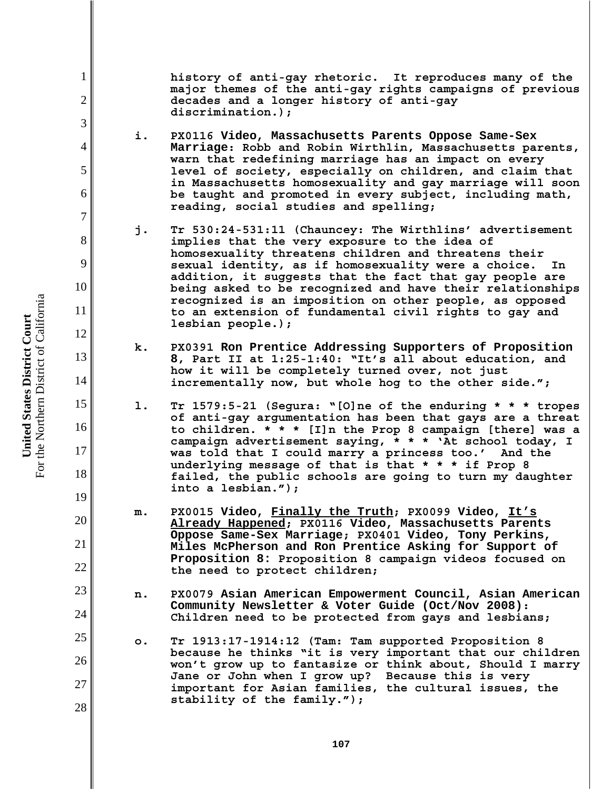**history of anti-gay rhetoric. It reproduces many of the major themes of the anti-gay rights campaigns of previous decades and a longer history of anti-gay discrimination.);**

- **i. PX0116 Video, Massachusetts Parents Oppose Same-Sex Marriage: Robb and Robin Wirthlin, Massachusetts parents, warn that redefining marriage has an impact on every level of society, especially on children, and claim that in Massachusetts homosexuality and gay marriage will soon be taught and promoted in every subject, including math, reading, social studies and spelling;**
- **j. Tr 530:24-531:11 (Chauncey: The Wirthlins' advertisement implies that the very exposure to the idea of homosexuality threatens children and threatens their sexual identity, as if homosexuality were a choice. In addition, it suggests that the fact that gay people are being asked to be recognized and have their relationships recognized is an imposition on other people, as opposed to an extension of fundamental civil rights to gay and lesbian people.);**
- **k. PX0391 Ron Prentice Addressing Supporters of Proposition 8, Part II at 1:25-1:40: "It's all about education, and how it will be completely turned over, not just incrementally now, but whole hog to the other side.";**
- **l. Tr 1579:5-21 (Segura: "[O]ne of the enduring \* \* \* tropes of anti-gay argumentation has been that gays are a threat to children. \* \* \* [I]n the Prop 8 campaign [there] was a campaign advertisement saying, \* \* \* 'At school today, I was told that I could marry a princess too.' And the underlying message of that is that \* \* \* if Prop 8 failed, the public schools are going to turn my daughter into a lesbian.");**
- **m. PX0015 Video, Finally the Truth; PX0099 Video, It's Already Happened; PX0116 Video, Massachusetts Parents Oppose Same-Sex Marriage; PX0401 Video, Tony Perkins, Miles McPherson and Ron Prentice Asking for Support of Proposition 8: Proposition 8 campaign videos focused on the need to protect children;**
- **n. PX0079 Asian American Empowerment Council, Asian American Community Newsletter & Voter Guide (Oct/Nov 2008): Children need to be protected from gays and lesbians;**
- **o. Tr 1913:17-1914:12 (Tam: Tam supported Proposition 8 because he thinks "it is very important that our children won't grow up to fantasize or think about, Should I marry Jane or John when I grow up? Because this is very important for Asian families, the cultural issues, the stability of the family.");**

1

2

3

4

5

6

7

8

9

10

11

12

13

14

15

16

17

18

19

20

21

22

23

24

25

26

27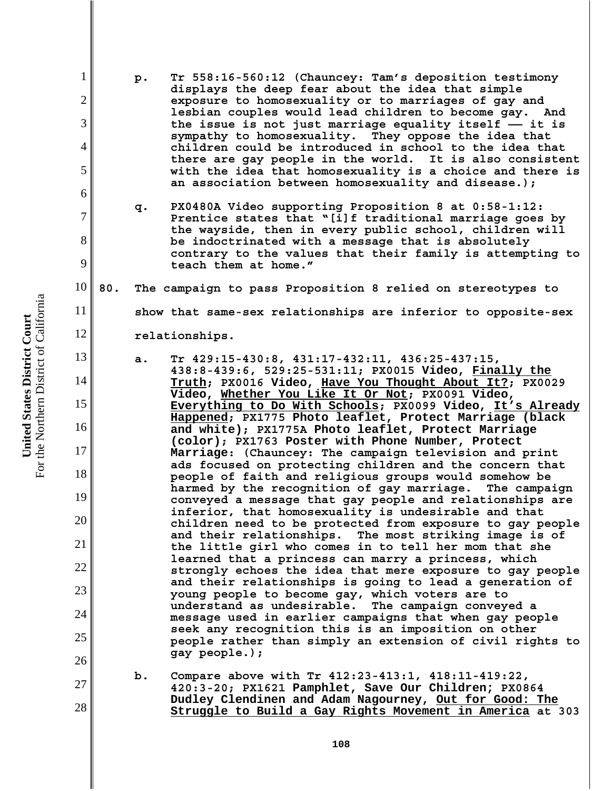- **p. Tr 558:16-560:12 (Chauncey: Tam's deposition testimony displays the deep fear about the idea that simple exposure to homosexuality or to marriages of gay and lesbian couples would lead children to become gay. And the issue is not just marriage equality itself —— it is sympathy to homosexuality. They oppose the idea that children could be introduced in school to the idea that there are gay people in the world. It is also consistent with the idea that homosexuality is a choice and there is an association between homosexuality and disease.);**
	- **q. PX0480A Video supporting Proposition 8 at 0:58-1:12: Prentice states that "[i]f traditional marriage goes by the wayside, then in every public school, children will be indoctrinated with a message that is absolutely contrary to the values that their family is attempting to teach them at home."**

10 **80. The campaign to pass Proposition 8 relied on stereotypes to**

**show that same-sex relationships are inferior to opposite-sex**

**relationships.** 

- **a. Tr 429:15-430:8, 431:17-432:11, 436:25-437:15, 438:8-439:6, 529:25-531:11; PX0015 Video, Finally the Truth; PX0016 Video, Have You Thought About It?; PX0029 Video, Whether You Like It Or Not; PX0091 Video, Everything to Do With Schools; PX0099 Video, It's Already Happened; PX1775 Photo leaflet, Protect Marriage (black and white); PX1775A Photo leaflet, Protect Marriage (color); PX1763 Poster with Phone Number, Protect Marriage: (Chauncey: The campaign television and print ads focused on protecting children and the concern that people of faith and religious groups would somehow be harmed by the recognition of gay marriage. The campaign conveyed a message that gay people and relationships are inferior, that homosexuality is undesirable and that children need to be protected from exposure to gay people and their relationships. The most striking image is of the little girl who comes in to tell her mom that she learned that a princess can marry a princess, which strongly echoes the idea that mere exposure to gay people and their relationships is going to lead a generation of young people to become gay, which voters are to understand as undesirable. The campaign conveyed a message used in earlier campaigns that when gay people seek any recognition this is an imposition on other people rather than simply an extension of civil rights to gay people.);**
- **b. Compare above with Tr 412:23-413:1, 418:11-419:22, 420:3-20; PX1621 Pamphlet, Save Our Children; PX0864 Dudley Clendinen and Adam Nagourney, Out for Good: The Struggle to Build a Gay Rights Movement in America at 303**

For the Northern District of California For the Northern District of California United States District Court **United States District Court**

1

2

3

4

5

6

7

8

9

11

12

13

14

15

16

17

18

19

20

21

22

23

24

25

26

27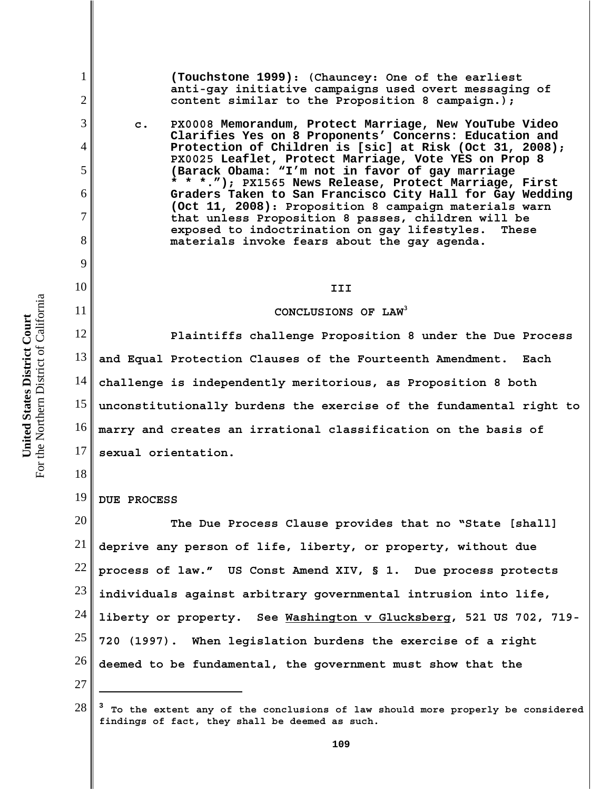1

2

3

4

5

6

7

8

9

10

11

18

**(Touchstone 1999): (Chauncey: One of the earliest anti-gay initiative campaigns used overt messaging of content similar to the Proposition 8 campaign.);**

**c. PX0008 Memorandum, Protect Marriage, New YouTube Video Clarifies Yes on 8 Proponents' Concerns: Education and Protection of Children is [sic] at Risk (Oct 31, 2008); PX0025 Leaflet, Protect Marriage, Vote YES on Prop 8 (Barack Obama: "I'm not in favor of gay marriage \* \* \*."); PX1565 News Release, Protect Marriage, First Graders Taken to San Francisco City Hall for Gay Wedding (Oct 11, 2008): Proposition 8 campaign materials warn that unless Proposition 8 passes, children will be exposed to indoctrination on gay lifestyles. These materials invoke fears about the gay agenda.**

# **III**

### **CONCLUSIONS OF LAW3**

12 13 14 15 16 17 **Plaintiffs challenge Proposition 8 under the Due Process and Equal Protection Clauses of the Fourteenth Amendment. Each challenge is independently meritorious, as Proposition 8 both unconstitutionally burdens the exercise of the fundamental right to marry and creates an irrational classification on the basis of sexual orientation.**

19 **DUE PROCESS**

20 21 22 23 24 25 26 **The Due Process Clause provides that no "State [shall] deprive any person of life, liberty, or property, without due process of law." US Const Amend XIV, § 1. Due process protects individuals against arbitrary governmental intrusion into life, liberty or property. See Washington v Glucksberg, 521 US 702, 719- 720 (1997). When legislation burdens the exercise of a right deemed to be fundamental, the government must show that the**

<sup>28</sup> **<sup>3</sup> To the extent any of the conclusions of law should more properly be considered findings of fact, they shall be deemed as such.**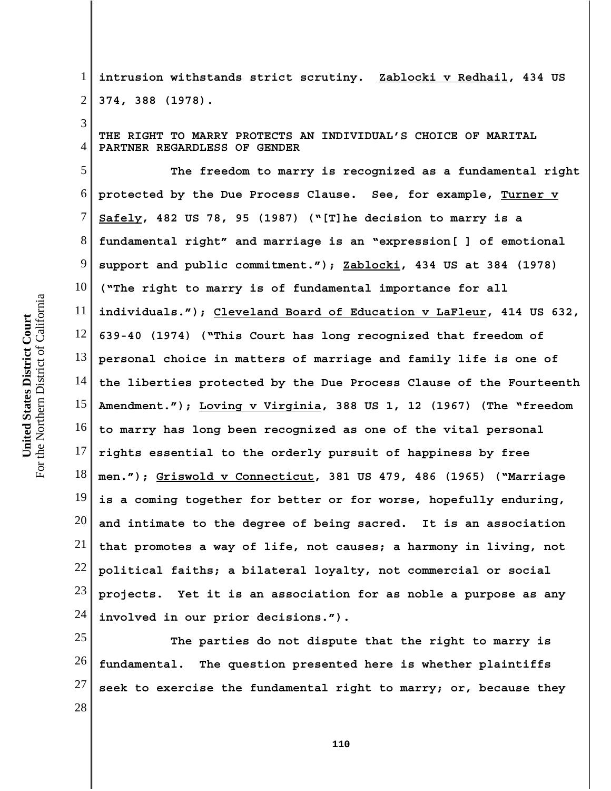3

1 2 **intrusion withstands strict scrutiny. Zablocki v Redhail, 434 US 374, 388 (1978).**

4 **THE RIGHT TO MARRY PROTECTS AN INDIVIDUAL'S CHOICE OF MARITAL PARTNER REGARDLESS OF GENDER**

5 6 7 8 9 10 11 12 13 14 15 16 17 18 19 20 21 22 23 24 **The freedom to marry is recognized as a fundamental right protected by the Due Process Clause. See, for example, Turner v Safely, 482 US 78, 95 (1987) ("[T]he decision to marry is a fundamental right" and marriage is an "expression[ ] of emotional support and public commitment."); Zablocki, 434 US at 384 (1978) ("The right to marry is of fundamental importance for all individuals."); Cleveland Board of Education v LaFleur, 414 US 632, 639-40 (1974) ("This Court has long recognized that freedom of personal choice in matters of marriage and family life is one of the liberties protected by the Due Process Clause of the Fourteenth Amendment."); Loving v Virginia, 388 US 1, 12 (1967) (The "freedom to marry has long been recognized as one of the vital personal rights essential to the orderly pursuit of happiness by free men."); Griswold v Connecticut, 381 US 479, 486 (1965) ("Marriage is a coming together for better or for worse, hopefully enduring, and intimate to the degree of being sacred. It is an association that promotes a way of life, not causes; a harmony in living, not political faiths; a bilateral loyalty, not commercial or social projects. Yet it is an association for as noble a purpose as any involved in our prior decisions.").** 

25 26 27 28 **The parties do not dispute that the right to marry is fundamental. The question presented here is whether plaintiffs seek to exercise the fundamental right to marry; or, because they**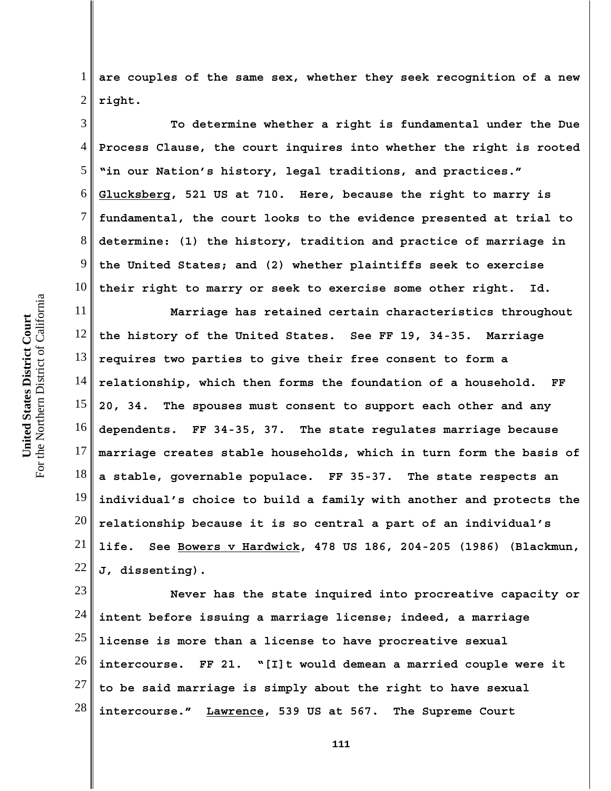1 2 **are couples of the same sex, whether they seek recognition of a new right.**

3 4 5 6 7 8 9 10 **To determine whether a right is fundamental under the Due Process Clause, the court inquires into whether the right is rooted "in our Nation's history, legal traditions, and practices." Glucksberg, 521 US at 710. Here, because the right to marry is fundamental, the court looks to the evidence presented at trial to determine: (1) the history, tradition and practice of marriage in the United States; and (2) whether plaintiffs seek to exercise their right to marry or seek to exercise some other right. Id.**

11 12 13 14 15 16 17 18 19 20 21 22 **Marriage has retained certain characteristics throughout the history of the United States. See FF 19, 34-35. Marriage requires two parties to give their free consent to form a relationship, which then forms the foundation of a household. FF 20, 34. The spouses must consent to support each other and any dependents. FF 34-35, 37. The state regulates marriage because marriage creates stable households, which in turn form the basis of a stable, governable populace. FF 35-37. The state respects an individual's choice to build a family with another and protects the relationship because it is so central a part of an individual's life. See Bowers v Hardwick, 478 US 186, 204-205 (1986) (Blackmun, J, dissenting).** 

23 24 25 26 27 28 **Never has the state inquired into procreative capacity or intent before issuing a marriage license; indeed, a marriage license is more than a license to have procreative sexual intercourse. FF 21. "[I]t would demean a married couple were it to be said marriage is simply about the right to have sexual intercourse." Lawrence, 539 US at 567. The Supreme Court**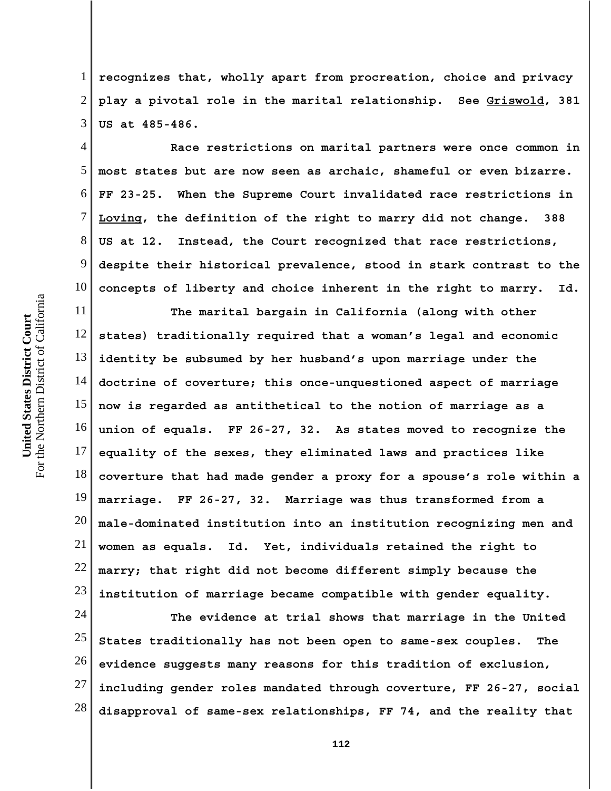1 2 3 **recognizes that, wholly apart from procreation, choice and privacy play a pivotal role in the marital relationship. See Griswold, 381 US at 485-486.**

4 5 6 7 8 9 10 **Race restrictions on marital partners were once common in most states but are now seen as archaic, shameful or even bizarre. FF 23-25. When the Supreme Court invalidated race restrictions in Loving, the definition of the right to marry did not change. 388 US at 12. Instead, the Court recognized that race restrictions, despite their historical prevalence, stood in stark contrast to the concepts of liberty and choice inherent in the right to marry. Id.**

11 12 13 14 15 16 17 18 19 20 21 22 23 **The marital bargain in California (along with other states) traditionally required that a woman's legal and economic identity be subsumed by her husband's upon marriage under the doctrine of coverture; this once-unquestioned aspect of marriage now is regarded as antithetical to the notion of marriage as a union of equals. FF 26-27, 32. As states moved to recognize the equality of the sexes, they eliminated laws and practices like coverture that had made gender a proxy for a spouse's role within a marriage. FF 26-27, 32. Marriage was thus transformed from a male-dominated institution into an institution recognizing men and women as equals. Id. Yet, individuals retained the right to marry; that right did not become different simply because the institution of marriage became compatible with gender equality.**

24 25 26 27 28 **The evidence at trial shows that marriage in the United States traditionally has not been open to same-sex couples. The evidence suggests many reasons for this tradition of exclusion, including gender roles mandated through coverture, FF 26-27, social disapproval of same-sex relationships, FF 74, and the reality that**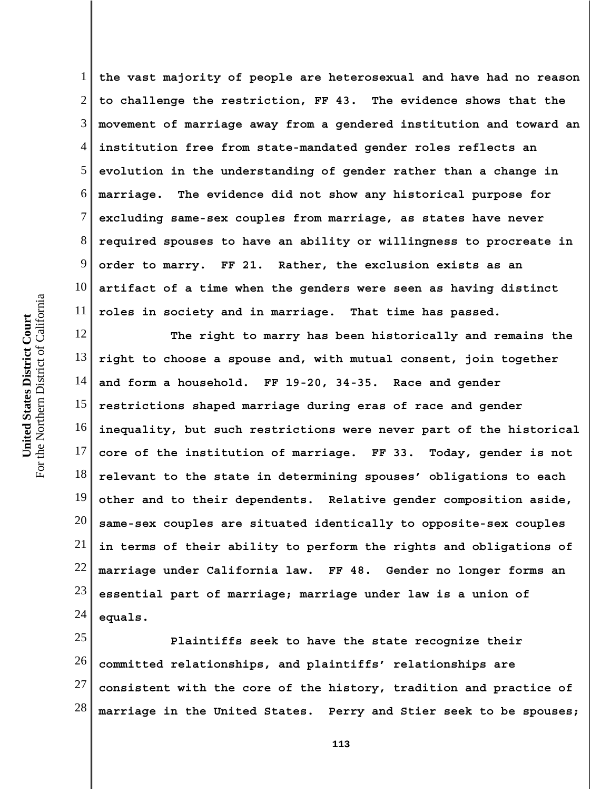1 2 3 4 5 6 7 8 9 10 11 **the vast majority of people are heterosexual and have had no reason to challenge the restriction, FF 43. The evidence shows that the movement of marriage away from a gendered institution and toward an institution free from state-mandated gender roles reflects an evolution in the understanding of gender rather than a change in marriage. The evidence did not show any historical purpose for excluding same-sex couples from marriage, as states have never required spouses to have an ability or willingness to procreate in order to marry. FF 21. Rather, the exclusion exists as an artifact of a time when the genders were seen as having distinct roles in society and in marriage. That time has passed.** 

12 13 14 15 16 17 18 19 20 21 22 23 24 **The right to marry has been historically and remains the right to choose a spouse and, with mutual consent, join together and form a household. FF 19-20, 34-35. Race and gender restrictions shaped marriage during eras of race and gender inequality, but such restrictions were never part of the historical core of the institution of marriage. FF 33. Today, gender is not relevant to the state in determining spouses' obligations to each other and to their dependents. Relative gender composition aside, same-sex couples are situated identically to opposite-sex couples in terms of their ability to perform the rights and obligations of marriage under California law. FF 48. Gender no longer forms an essential part of marriage; marriage under law is a union of equals.**

25 26 27 28 **Plaintiffs seek to have the state recognize their committed relationships, and plaintiffs' relationships are consistent with the core of the history, tradition and practice of marriage in the United States. Perry and Stier seek to be spouses;**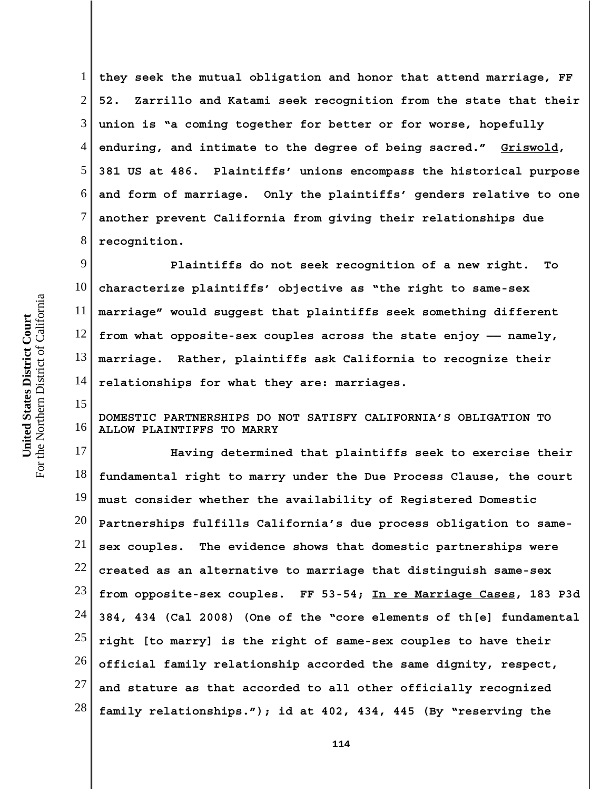1 2 3 4 5 6 7 8 **they seek the mutual obligation and honor that attend marriage, FF 52. Zarrillo and Katami seek recognition from the state that their union is "a coming together for better or for worse, hopefully enduring, and intimate to the degree of being sacred." Griswold, 381 US at 486. Plaintiffs' unions encompass the historical purpose and form of marriage. Only the plaintiffs' genders relative to one another prevent California from giving their relationships due recognition.** 

9 10 11 12 13 14 **Plaintiffs do not seek recognition of a new right. To characterize plaintiffs' objective as "the right to same-sex marriage" would suggest that plaintiffs seek something different from what opposite-sex couples across the state enjoy —— namely, marriage. Rather, plaintiffs ask California to recognize their relationships for what they are: marriages.** 

16 **DOMESTIC PARTNERSHIPS DO NOT SATISFY CALIFORNIA'S OBLIGATION TO ALLOW PLAINTIFFS TO MARRY**

17 18 19 20 21 22 23 24 25 26 27 28 **Having determined that plaintiffs seek to exercise their fundamental right to marry under the Due Process Clause, the court must consider whether the availability of Registered Domestic Partnerships fulfills California's due process obligation to samesex couples. The evidence shows that domestic partnerships were created as an alternative to marriage that distinguish same-sex from opposite-sex couples. FF 53-54; In re Marriage Cases, 183 P3d 384, 434 (Cal 2008) (One of the "core elements of th[e] fundamental right [to marry] is the right of same-sex couples to have their official family relationship accorded the same dignity, respect, and stature as that accorded to all other officially recognized family relationships."); id at 402, 434, 445 (By "reserving the**

15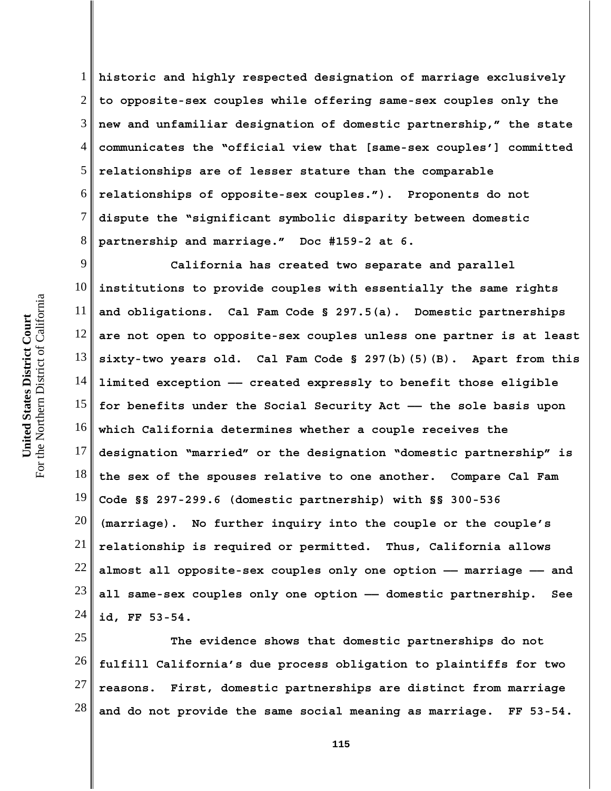1 2 3 4 5 6 7 8 **historic and highly respected designation of marriage exclusively to opposite-sex couples while offering same-sex couples only the new and unfamiliar designation of domestic partnership," the state communicates the "official view that [same-sex couples'] committed relationships are of lesser stature than the comparable relationships of opposite-sex couples."). Proponents do not dispute the "significant symbolic disparity between domestic partnership and marriage." Doc #159-2 at 6.** 

9 10 11 12 13 14 15 16 17 18 19 20 21 22 23 24 **California has created two separate and parallel institutions to provide couples with essentially the same rights and obligations. Cal Fam Code § 297.5(a). Domestic partnerships are not open to opposite-sex couples unless one partner is at least sixty-two years old. Cal Fam Code § 297(b)(5)(B). Apart from this limited exception —— created expressly to benefit those eligible for benefits under the Social Security Act —— the sole basis upon which California determines whether a couple receives the designation "married" or the designation "domestic partnership" is the sex of the spouses relative to one another. Compare Cal Fam Code §§ 297-299.6 (domestic partnership) with §§ 300-536 (marriage). No further inquiry into the couple or the couple's relationship is required or permitted. Thus, California allows almost all opposite-sex couples only one option —— marriage —— and all same-sex couples only one option —— domestic partnership. See id, FF 53-54.** 

25 26 27 28 **The evidence shows that domestic partnerships do not fulfill California's due process obligation to plaintiffs for two reasons. First, domestic partnerships are distinct from marriage and do not provide the same social meaning as marriage. FF 53-54.**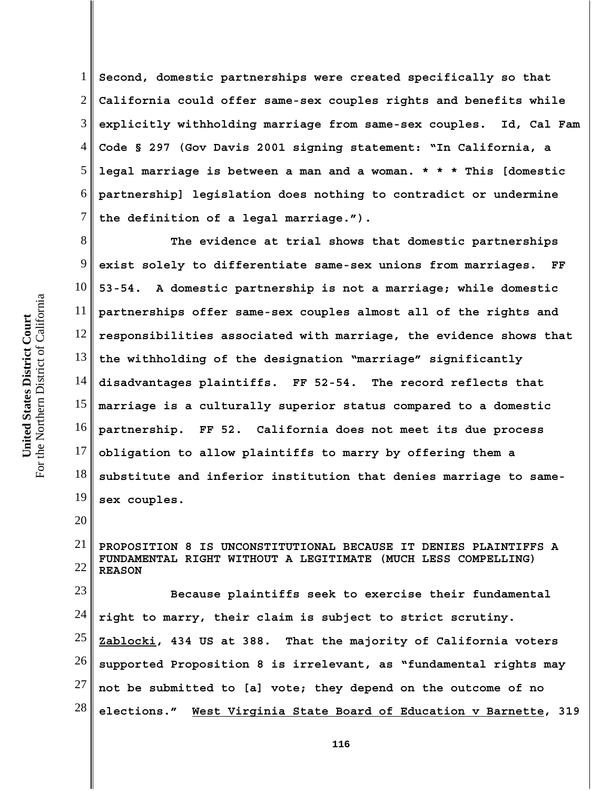1 2 3 4 5 6 7 **Second, domestic partnerships were created specifically so that California could offer same-sex couples rights and benefits while explicitly withholding marriage from same-sex couples. Id, Cal Fam Code § 297 (Gov Davis 2001 signing statement: "In California, a legal marriage is between a man and a woman. \* \* \* This [domestic partnership] legislation does nothing to contradict or undermine the definition of a legal marriage.").**

8 9 10 11 12 13 14 15 16 17 18 19 **The evidence at trial shows that domestic partnerships exist solely to differentiate same-sex unions from marriages. FF 53-54. A domestic partnership is not a marriage; while domestic partnerships offer same-sex couples almost all of the rights and responsibilities associated with marriage, the evidence shows that the withholding of the designation "marriage" significantly disadvantages plaintiffs. FF 52-54. The record reflects that marriage is a culturally superior status compared to a domestic partnership. FF 52. California does not meet its due process obligation to allow plaintiffs to marry by offering them a substitute and inferior institution that denies marriage to samesex couples.**

21 22 **PROPOSITION 8 IS UNCONSTITUTIONAL BECAUSE IT DENIES PLAINTIFFS A FUNDAMENTAL RIGHT WITHOUT A LEGITIMATE (MUCH LESS COMPELLING) REASON**

23 24 25 26 27 28 **Because plaintiffs seek to exercise their fundamental right to marry, their claim is subject to strict scrutiny. Zablocki, 434 US at 388. That the majority of California voters supported Proposition 8 is irrelevant, as "fundamental rights may not be submitted to [a] vote; they depend on the outcome of no elections." West Virginia State Board of Education v Barnette, 319**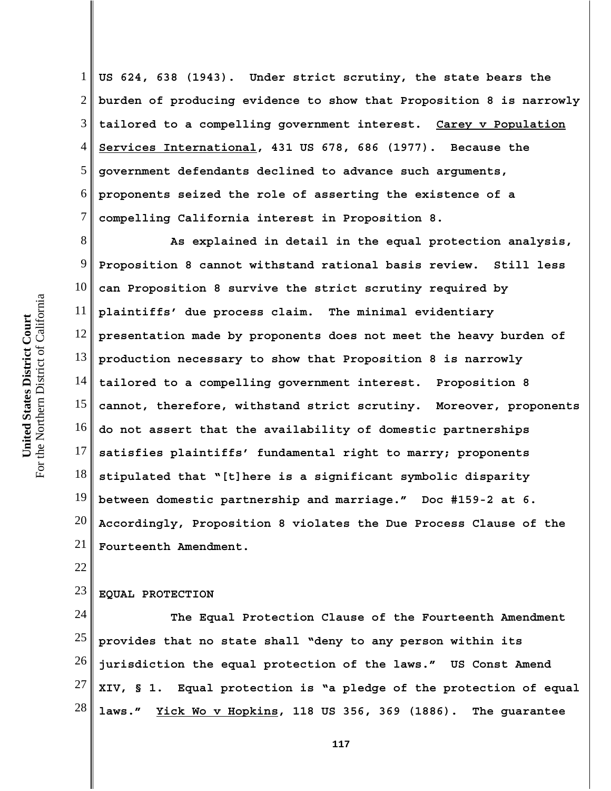1 2 3 4 5 6 7 **US 624, 638 (1943). Under strict scrutiny, the state bears the burden of producing evidence to show that Proposition 8 is narrowly tailored to a compelling government interest. Carey v Population Services International, 431 US 678, 686 (1977). Because the government defendants declined to advance such arguments, proponents seized the role of asserting the existence of a compelling California interest in Proposition 8.** 

8 9 10 11 12 13 14 15 16 17 18 19 20 21 **As explained in detail in the equal protection analysis, Proposition 8 cannot withstand rational basis review. Still less can Proposition 8 survive the strict scrutiny required by plaintiffs' due process claim. The minimal evidentiary presentation made by proponents does not meet the heavy burden of production necessary to show that Proposition 8 is narrowly tailored to a compelling government interest. Proposition 8 cannot, therefore, withstand strict scrutiny. Moreover, proponents do not assert that the availability of domestic partnerships satisfies plaintiffs' fundamental right to marry; proponents stipulated that "[t]here is a significant symbolic disparity between domestic partnership and marriage." Doc #159-2 at 6. Accordingly, Proposition 8 violates the Due Process Clause of the Fourteenth Amendment.**

22

### 23 **EQUAL PROTECTION**

24 25 26 27 28 **The Equal Protection Clause of the Fourteenth Amendment provides that no state shall "deny to any person within its jurisdiction the equal protection of the laws." US Const Amend XIV, § 1. Equal protection is "a pledge of the protection of equal laws." Yick Wo v Hopkins, 118 US 356, 369 (1886). The guarantee**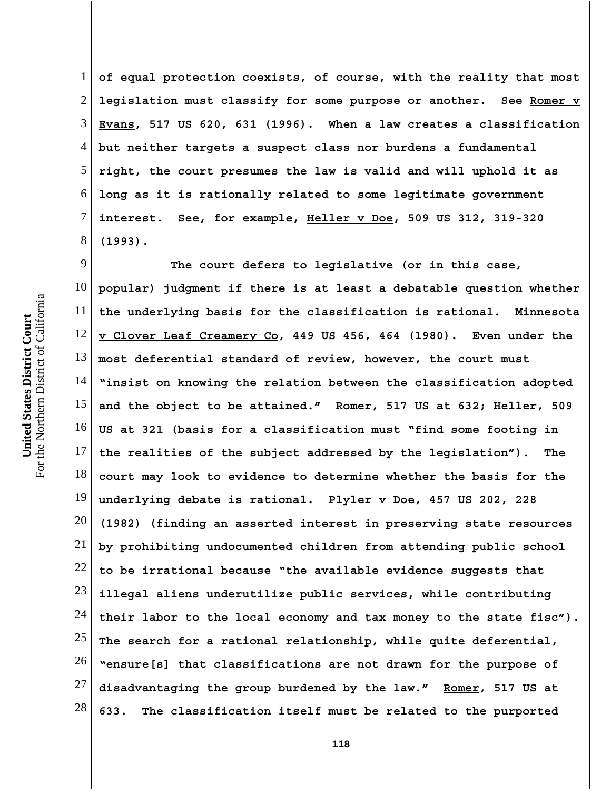1 2 3 4 **of equal protection coexists, of course, with the reality that most legislation must classify for some purpose or another. See Romer v Evans, 517 US 620, 631 (1996). When a law creates a classification but neither targets a suspect class nor burdens a fundamental right, the court presumes the law is valid and will uphold it as long as it is rationally related to some legitimate government interest. See, for example, Heller v Doe, 509 US 312, 319-320 (1993).** 

17 18 19 20 21 22 23 24 25 26 27 28 **The court defers to legislative (or in this case, popular) judgment if there is at least a debatable question whether the underlying basis for the classification is rational. Minnesota v Clover Leaf Creamery Co, 449 US 456, 464 (1980). Even under the most deferential standard of review, however, the court must "insist on knowing the relation between the classification adopted and the object to be attained." Romer, 517 US at 632; Heller, 509 US at 321 (basis for a classification must "find some footing in the realities of the subject addressed by the legislation"). The court may look to evidence to determine whether the basis for the underlying debate is rational. Plyler v Doe, 457 US 202, 228 (1982) (finding an asserted interest in preserving state resources by prohibiting undocumented children from attending public school to be irrational because "the available evidence suggests that illegal aliens underutilize public services, while contributing their labor to the local economy and tax money to the state fisc"). The search for a rational relationship, while quite deferential, "ensure[s] that classifications are not drawn for the purpose of disadvantaging the group burdened by the law." Romer, 517 US at 633. The classification itself must be related to the purported**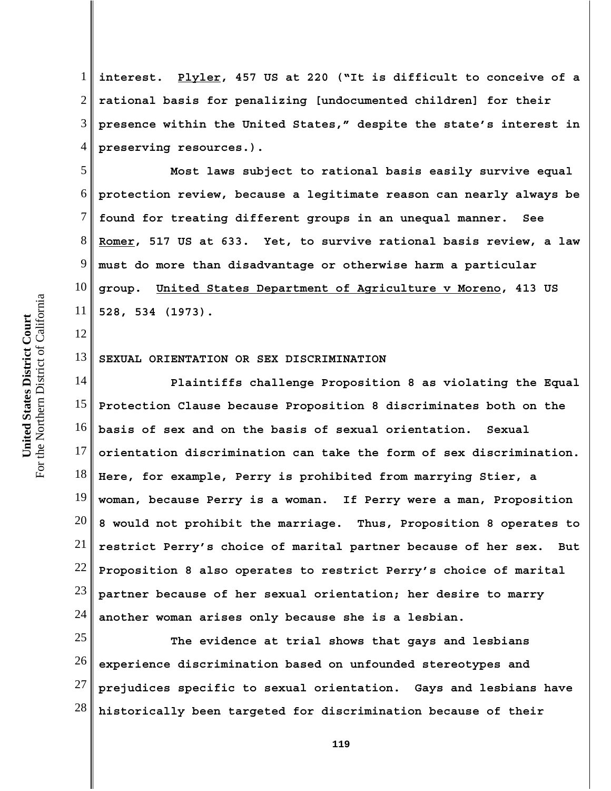1 2 3 4 **interest. Plyler, 457 US at 220 ("It is difficult to conceive of a rational basis for penalizing [undocumented children] for their presence within the United States," despite the state's interest in preserving resources.).** 

5 6 7 8 9 10 11 **Most laws subject to rational basis easily survive equal protection review, because a legitimate reason can nearly always be found for treating different groups in an unequal manner. See Romer, 517 US at 633. Yet, to survive rational basis review, a law must do more than disadvantage or otherwise harm a particular group. United States Department of Agriculture v Moreno, 413 US 528, 534 (1973).**

### 13 **SEXUAL ORIENTATION OR SEX DISCRIMINATION**

14 15 16 17 18 19 20 21 22 23 24 **Plaintiffs challenge Proposition 8 as violating the Equal Protection Clause because Proposition 8 discriminates both on the basis of sex and on the basis of sexual orientation. Sexual orientation discrimination can take the form of sex discrimination. Here, for example, Perry is prohibited from marrying Stier, a woman, because Perry is a woman. If Perry were a man, Proposition 8 would not prohibit the marriage. Thus, Proposition 8 operates to restrict Perry's choice of marital partner because of her sex. But Proposition 8 also operates to restrict Perry's choice of marital partner because of her sexual orientation; her desire to marry another woman arises only because she is a lesbian.**

25 26 27 28 **The evidence at trial shows that gays and lesbians experience discrimination based on unfounded stereotypes and prejudices specific to sexual orientation. Gays and lesbians have historically been targeted for discrimination because of their**

12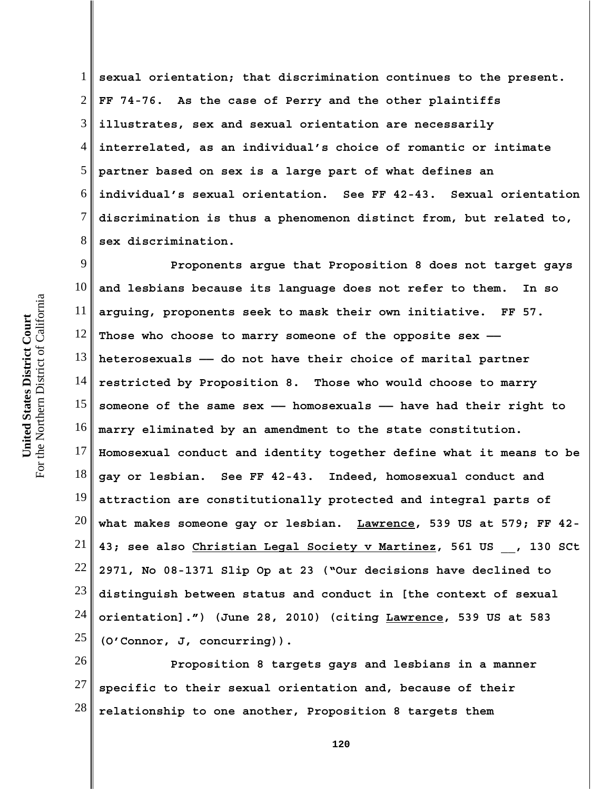1 2 3 4 5 6 7 8 **sexual orientation; that discrimination continues to the present. FF 74-76. As the case of Perry and the other plaintiffs illustrates, sex and sexual orientation are necessarily interrelated, as an individual's choice of romantic or intimate partner based on sex is a large part of what defines an individual's sexual orientation. See FF 42-43. Sexual orientation discrimination is thus a phenomenon distinct from, but related to, sex discrimination.**

9 10 11 12 13 14 15 16 17 18 19 20 21 22 23 24 25 **Proponents argue that Proposition 8 does not target gays and lesbians because its language does not refer to them. In so arguing, proponents seek to mask their own initiative. FF 57. Those who choose to marry someone of the opposite sex — heterosexuals —— do not have their choice of marital partner restricted by Proposition 8. Those who would choose to marry someone of the same sex —— homosexuals —— have had their right to marry eliminated by an amendment to the state constitution. Homosexual conduct and identity together define what it means to be gay or lesbian. See FF 42-43. Indeed, homosexual conduct and attraction are constitutionally protected and integral parts of what makes someone gay or lesbian. Lawrence, 539 US at 579; FF 42- 43; see also Christian Legal Society v Martinez, 561 US \_\_, 130 SCt 2971, No 08-1371 Slip Op at 23 ("Our decisions have declined to distinguish between status and conduct in [the context of sexual orientation].") (June 28, 2010) (citing Lawrence, 539 US at 583 (O'Connor, J, concurring)).**

26 27 28 **Proposition 8 targets gays and lesbians in a manner specific to their sexual orientation and, because of their relationship to one another, Proposition 8 targets them**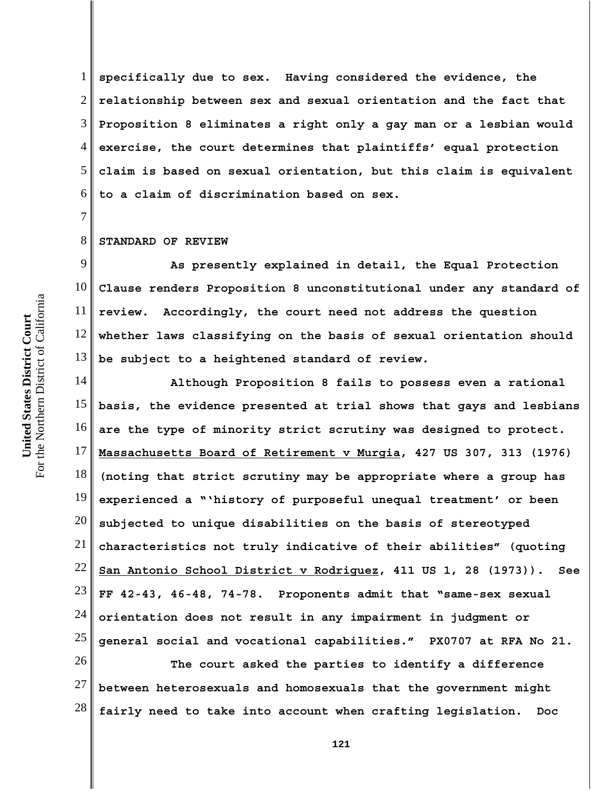1 2 3 4 5 6 **specifically due to sex. Having considered the evidence, the relationship between sex and sexual orientation and the fact that Proposition 8 eliminates a right only a gay man or a lesbian would exercise, the court determines that plaintiffs' equal protection claim is based on sexual orientation, but this claim is equivalent to a claim of discrimination based on sex.**

#### 8 **STANDARD OF REVIEW**

7

9 10 11 12 13 **As presently explained in detail, the Equal Protection Clause renders Proposition 8 unconstitutional under any standard of review. Accordingly, the court need not address the question whether laws classifying on the basis of sexual orientation should be subject to a heightened standard of review.** 

14 15 16 17 18 19 20 21 22 23 24 25 **Although Proposition 8 fails to possess even a rational basis, the evidence presented at trial shows that gays and lesbians are the type of minority strict scrutiny was designed to protect. Massachusetts Board of Retirement v Murgia, 427 US 307, 313 (1976) (noting that strict scrutiny may be appropriate where a group has experienced a "'history of purposeful unequal treatment' or been subjected to unique disabilities on the basis of stereotyped characteristics not truly indicative of their abilities" (quoting San Antonio School District v Rodriguez, 411 US 1, 28 (1973)). See FF 42-43, 46-48, 74-78. Proponents admit that "same-sex sexual orientation does not result in any impairment in judgment or general social and vocational capabilities." PX0707 at RFA No 21.** 

26 27 28 **The court asked the parties to identify a difference between heterosexuals and homosexuals that the government might fairly need to take into account when crafting legislation. Doc**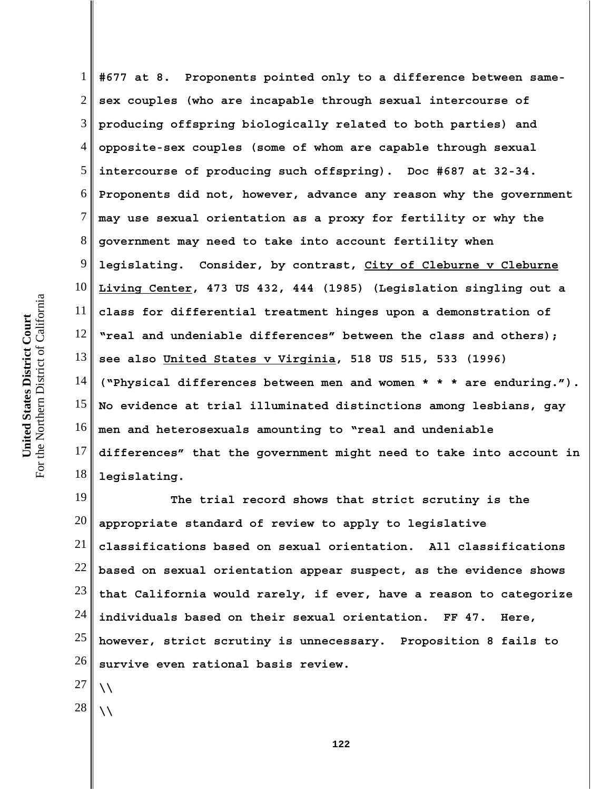1

20 21 22 23 24 25 26 **The trial record shows that strict scrutiny is the appropriate standard of review to apply to legislative classifications based on sexual orientation. All classifications based on sexual orientation appear suspect, as the evidence shows that California would rarely, if ever, have a reason to categorize individuals based on their sexual orientation. FF 47. Here, however, strict scrutiny is unnecessary. Proposition 8 fails to survive even rational basis review.**

27

**\\**

**\\**

28

2 18 19 **sex couples (who are incapable through sexual intercourse of producing offspring biologically related to both parties) and opposite-sex couples (some of whom are capable through sexual intercourse of producing such offspring). Doc #687 at 32-34. Proponents did not, however, advance any reason why the government may use sexual orientation as a proxy for fertility or why the government may need to take into account fertility when legislating. Consider, by contrast, City of Cleburne v Cleburne Living Center, 473 US 432, 444 (1985) (Legislation singling out a class for differential treatment hinges upon a demonstration of "real and undeniable differences" between the class and others); see also United States v Virginia, 518 US 515, 533 (1996) ("Physical differences between men and women \* \* \* are enduring."). No evidence at trial illuminated distinctions among lesbians, gay men and heterosexuals amounting to "real and undeniable differences" that the government might need to take into account in legislating.**

**#677 at 8. Proponents pointed only to a difference between same-**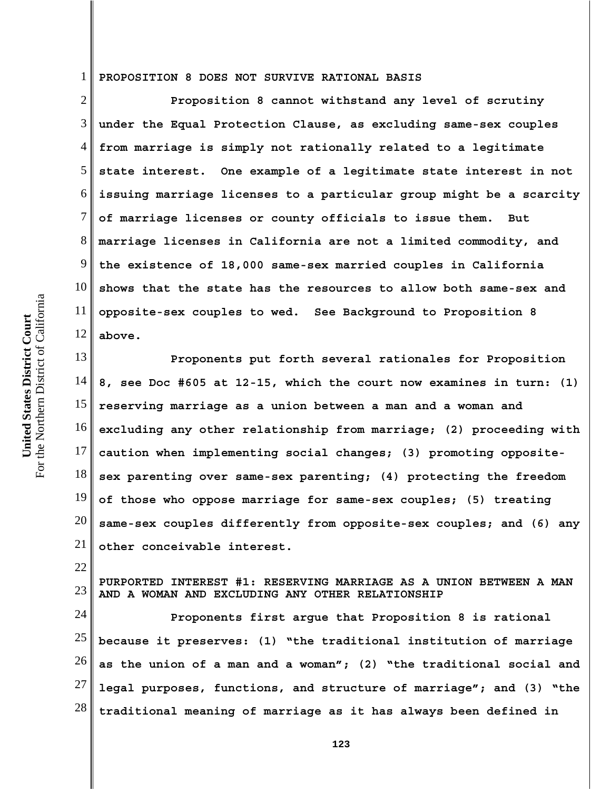1 **PROPOSITION 8 DOES NOT SURVIVE RATIONAL BASIS**

2 3 4 5 6 7 8 9 10 11 12 **Proposition 8 cannot withstand any level of scrutiny under the Equal Protection Clause, as excluding same-sex couples from marriage is simply not rationally related to a legitimate state interest. One example of a legitimate state interest in not issuing marriage licenses to a particular group might be a scarcity of marriage licenses or county officials to issue them. But marriage licenses in California are not a limited commodity, and the existence of 18,000 same-sex married couples in California shows that the state has the resources to allow both same-sex and opposite-sex couples to wed. See Background to Proposition 8 above.** 

13 14 15 16 17 18 19 20 21 **Proponents put forth several rationales for Proposition 8, see Doc #605 at 12-15, which the court now examines in turn: (1) reserving marriage as a union between a man and a woman and excluding any other relationship from marriage; (2) proceeding with caution when implementing social changes; (3) promoting oppositesex parenting over same-sex parenting; (4) protecting the freedom of those who oppose marriage for same-sex couples; (5) treating same-sex couples differently from opposite-sex couples; and (6) any other conceivable interest.**

23 **PURPORTED INTEREST #1: RESERVING MARRIAGE AS A UNION BETWEEN A MAN AND A WOMAN AND EXCLUDING ANY OTHER RELATIONSHIP**

24 25 26 27 28 **Proponents first argue that Proposition 8 is rational because it preserves: (1) "the traditional institution of marriage as the union of a man and a woman"; (2) "the traditional social and legal purposes, functions, and structure of marriage"; and (3) "the traditional meaning of marriage as it has always been defined in**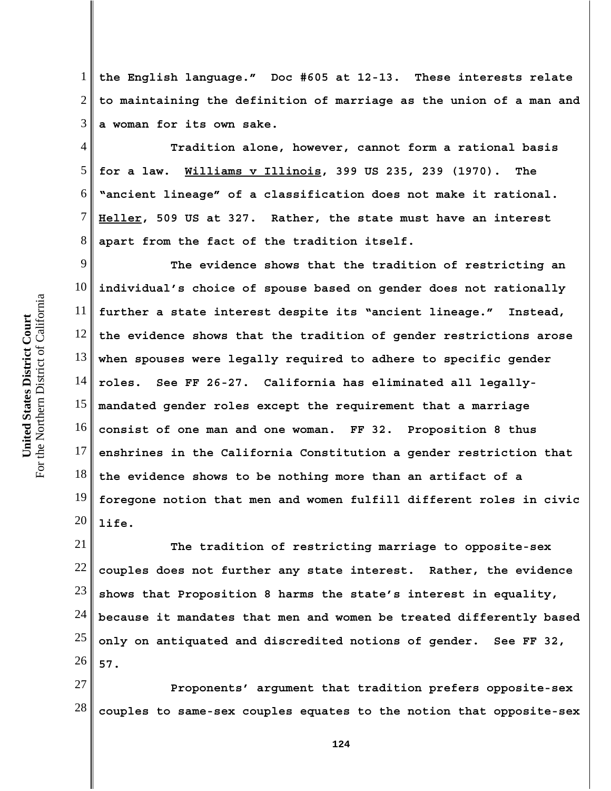1 2 3 **the English language." Doc #605 at 12-13. These interests relate to maintaining the definition of marriage as the union of a man and a woman for its own sake.** 

4 5 6 7 8 **Tradition alone, however, cannot form a rational basis for a law. Williams v Illinois, 399 US 235, 239 (1970). The "ancient lineage" of a classification does not make it rational. Heller, 509 US at 327. Rather, the state must have an interest apart from the fact of the tradition itself.**

9 10 11 12 13 14 15 16 17 18 19 20 **The evidence shows that the tradition of restricting an individual's choice of spouse based on gender does not rationally further a state interest despite its "ancient lineage." Instead, the evidence shows that the tradition of gender restrictions arose when spouses were legally required to adhere to specific gender roles. See FF 26-27. California has eliminated all legallymandated gender roles except the requirement that a marriage consist of one man and one woman. FF 32. Proposition 8 thus enshrines in the California Constitution a gender restriction that the evidence shows to be nothing more than an artifact of a foregone notion that men and women fulfill different roles in civic life.** 

21 22 23 24 25 26 **The tradition of restricting marriage to opposite-sex couples does not further any state interest. Rather, the evidence shows that Proposition 8 harms the state's interest in equality, because it mandates that men and women be treated differently based only on antiquated and discredited notions of gender. See FF 32, 57.**

27 28 **Proponents' argument that tradition prefers opposite-sex couples to same-sex couples equates to the notion that opposite-sex**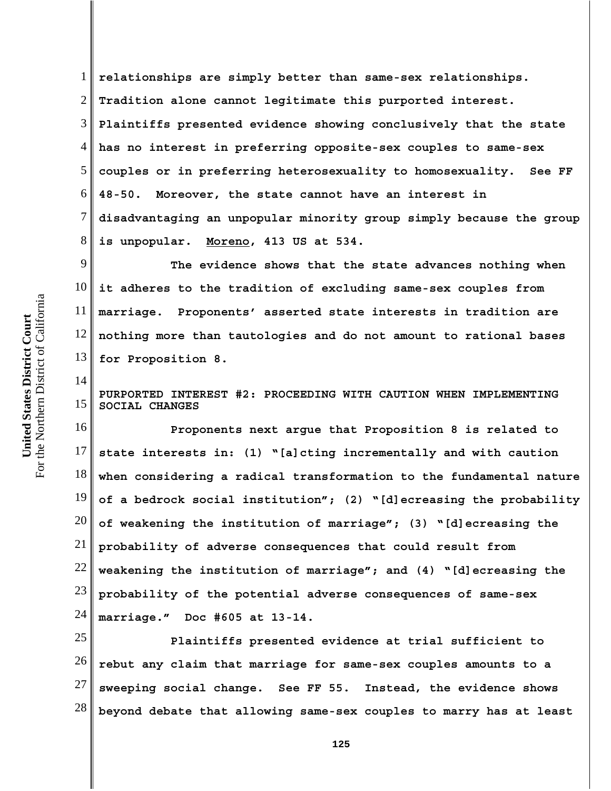1 2 3 4 5 6 7 8 **relationships are simply better than same-sex relationships. Tradition alone cannot legitimate this purported interest. Plaintiffs presented evidence showing conclusively that the state has no interest in preferring opposite-sex couples to same-sex couples or in preferring heterosexuality to homosexuality. See FF 48-50. Moreover, the state cannot have an interest in disadvantaging an unpopular minority group simply because the group is unpopular. Moreno, 413 US at 534.** 

9 10 11 12 13 **The evidence shows that the state advances nothing when it adheres to the tradition of excluding same-sex couples from marriage. Proponents' asserted state interests in tradition are nothing more than tautologies and do not amount to rational bases for Proposition 8.**

**PURPORTED INTEREST #2: PROCEEDING WITH CAUTION WHEN IMPLEMENTING SOCIAL CHANGES**

16 17 18 19 20 21 22 23 24 **Proponents next argue that Proposition 8 is related to state interests in: (1) "[a]cting incrementally and with caution when considering a radical transformation to the fundamental nature of a bedrock social institution"; (2) "[d]ecreasing the probability of weakening the institution of marriage"; (3) "[d]ecreasing the probability of adverse consequences that could result from weakening the institution of marriage"; and (4) "[d]ecreasing the probability of the potential adverse consequences of same-sex marriage." Doc #605 at 13-14.** 

25 26 27 28 **Plaintiffs presented evidence at trial sufficient to rebut any claim that marriage for same-sex couples amounts to a sweeping social change. See FF 55. Instead, the evidence shows beyond debate that allowing same-sex couples to marry has at least**

14

15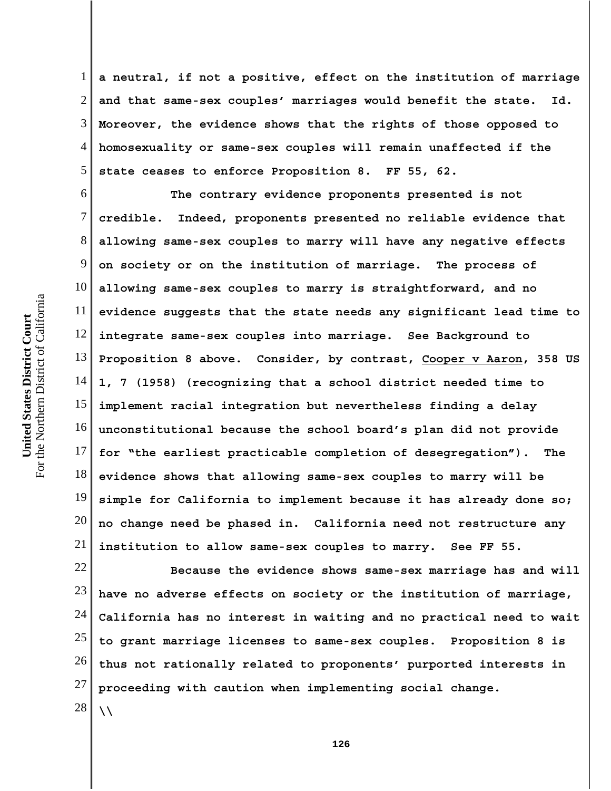1 2 3 4 5 **a neutral, if not a positive, effect on the institution of marriage and that same-sex couples' marriages would benefit the state. Id. Moreover, the evidence shows that the rights of those opposed to homosexuality or same-sex couples will remain unaffected if the state ceases to enforce Proposition 8. FF 55, 62.** 

6 16 17 18 19 20 21 **The contrary evidence proponents presented is not credible. Indeed, proponents presented no reliable evidence that allowing same-sex couples to marry will have any negative effects on society or on the institution of marriage. The process of allowing same-sex couples to marry is straightforward, and no evidence suggests that the state needs any significant lead time to integrate same-sex couples into marriage. See Background to Proposition 8 above. Consider, by contrast, Cooper v Aaron, 358 US 1, 7 (1958) (recognizing that a school district needed time to implement racial integration but nevertheless finding a delay unconstitutional because the school board's plan did not provide for "the earliest practicable completion of desegregation"). The evidence shows that allowing same-sex couples to marry will be simple for California to implement because it has already done so; no change need be phased in. California need not restructure any institution to allow same-sex couples to marry. See FF 55.**

22 23 24 25 26 27 28 **Because the evidence shows same-sex marriage has and will have no adverse effects on society or the institution of marriage, California has no interest in waiting and no practical need to wait to grant marriage licenses to same-sex couples. Proposition 8 is thus not rationally related to proponents' purported interests in proceeding with caution when implementing social change. \\**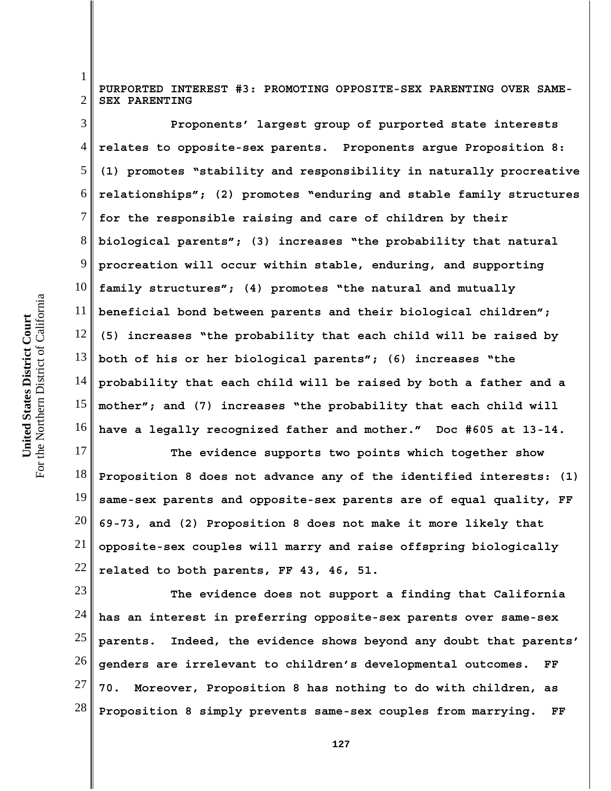1

2

**PURPORTED INTEREST #3: PROMOTING OPPOSITE-SEX PARENTING OVER SAME-SEX PARENTING**

3 4 5 6 7 8 9 10 11 12 13 14 15 16 **Proponents' largest group of purported state interests relates to opposite-sex parents. Proponents argue Proposition 8: (1) promotes "stability and responsibility in naturally procreative relationships"; (2) promotes "enduring and stable family structures for the responsible raising and care of children by their biological parents"; (3) increases "the probability that natural procreation will occur within stable, enduring, and supporting family structures"; (4) promotes "the natural and mutually beneficial bond between parents and their biological children"; (5) increases "the probability that each child will be raised by both of his or her biological parents"; (6) increases "the probability that each child will be raised by both a father and a mother"; and (7) increases "the probability that each child will have a legally recognized father and mother." Doc #605 at 13-14.**

17 18 19 20 21 22 **The evidence supports two points which together show Proposition 8 does not advance any of the identified interests: (1) same-sex parents and opposite-sex parents are of equal quality, FF 69-73, and (2) Proposition 8 does not make it more likely that opposite-sex couples will marry and raise offspring biologically related to both parents, FF 43, 46, 51.**

23 24 25 26 27 28 **The evidence does not support a finding that California has an interest in preferring opposite-sex parents over same-sex parents. Indeed, the evidence shows beyond any doubt that parents' genders are irrelevant to children's developmental outcomes. FF 70. Moreover, Proposition 8 has nothing to do with children, as Proposition 8 simply prevents same-sex couples from marrying. FF**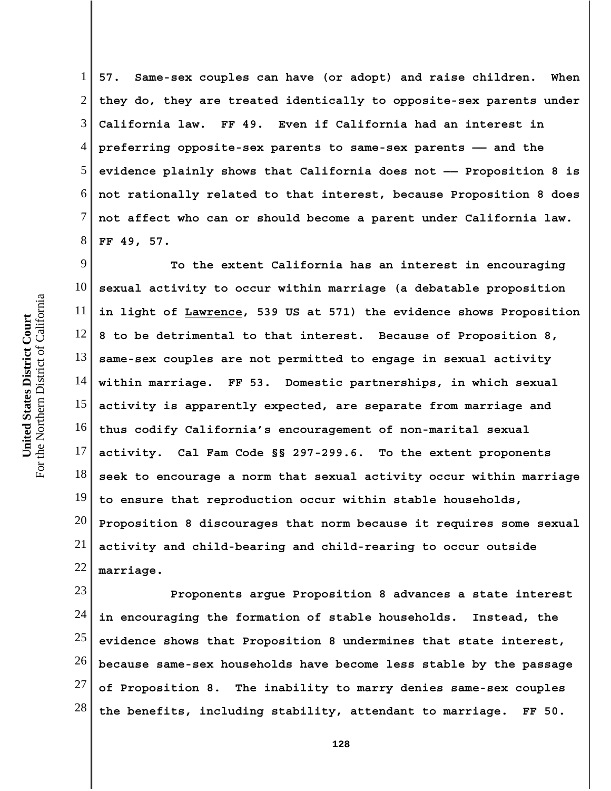1 2 3 4 5 6 7 8 **57. Same-sex couples can have (or adopt) and raise children. When they do, they are treated identically to opposite-sex parents under California law. FF 49. Even if California had an interest in preferring opposite-sex parents to same-sex parents —— and the evidence plainly shows that California does not —— Proposition 8 is not rationally related to that interest, because Proposition 8 does not affect who can or should become a parent under California law. FF 49, 57.**

9 10 11 12 13 14 15 16 17 18 19 20 21 22 **To the extent California has an interest in encouraging sexual activity to occur within marriage (a debatable proposition in light of Lawrence, 539 US at 571) the evidence shows Proposition 8 to be detrimental to that interest. Because of Proposition 8, same-sex couples are not permitted to engage in sexual activity within marriage. FF 53. Domestic partnerships, in which sexual activity is apparently expected, are separate from marriage and thus codify California's encouragement of non-marital sexual activity. Cal Fam Code §§ 297-299.6. To the extent proponents seek to encourage a norm that sexual activity occur within marriage to ensure that reproduction occur within stable households, Proposition 8 discourages that norm because it requires some sexual activity and child-bearing and child-rearing to occur outside marriage.**

23 24 25 26 27 28 **Proponents argue Proposition 8 advances a state interest in encouraging the formation of stable households. Instead, the evidence shows that Proposition 8 undermines that state interest, because same-sex households have become less stable by the passage of Proposition 8. The inability to marry denies same-sex couples the benefits, including stability, attendant to marriage. FF 50.**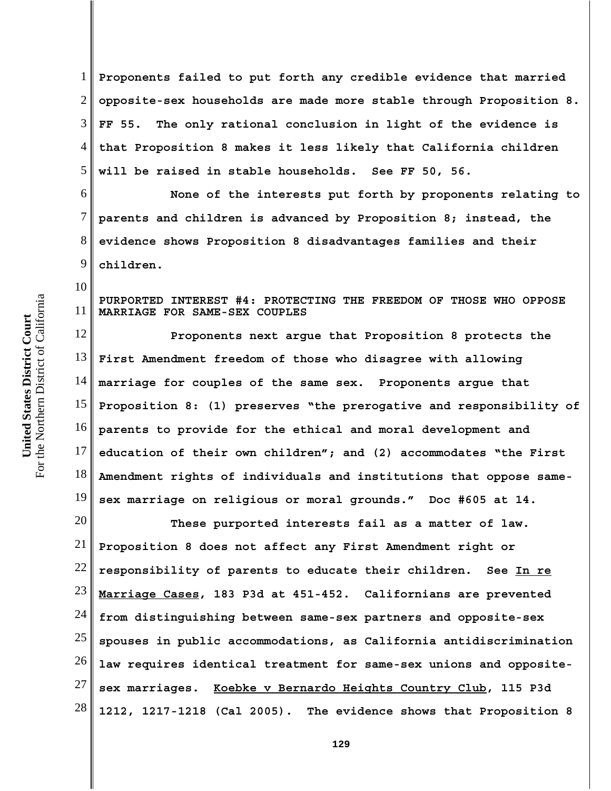1 2 3 4 5 **Proponents failed to put forth any credible evidence that married opposite-sex households are made more stable through Proposition 8. FF 55. The only rational conclusion in light of the evidence is that Proposition 8 makes it less likely that California children will be raised in stable households. See FF 50, 56.** 

6 7 8 9 **None of the interests put forth by proponents relating to parents and children is advanced by Proposition 8; instead, the evidence shows Proposition 8 disadvantages families and their children.** 

**PURPORTED INTEREST #4: PROTECTING THE FREEDOM OF THOSE WHO OPPOSE MARRIAGE FOR SAME-SEX COUPLES**

12 13 14 15 16 17 18 19 **Proponents next argue that Proposition 8 protects the First Amendment freedom of those who disagree with allowing marriage for couples of the same sex. Proponents argue that Proposition 8: (1) preserves "the prerogative and responsibility of parents to provide for the ethical and moral development and education of their own children"; and (2) accommodates "the First Amendment rights of individuals and institutions that oppose samesex marriage on religious or moral grounds." Doc #605 at 14.**

20 21 22 23 24 25 26 27 28 **These purported interests fail as a matter of law. Proposition 8 does not affect any First Amendment right or responsibility of parents to educate their children. See In re Marriage Cases, 183 P3d at 451-452. Californians are prevented from distinguishing between same-sex partners and opposite-sex spouses in public accommodations, as California antidiscrimination law requires identical treatment for same-sex unions and oppositesex marriages. Koebke v Bernardo Heights Country Club, 115 P3d 1212, 1217-1218 (Cal 2005). The evidence shows that Proposition 8**

10

11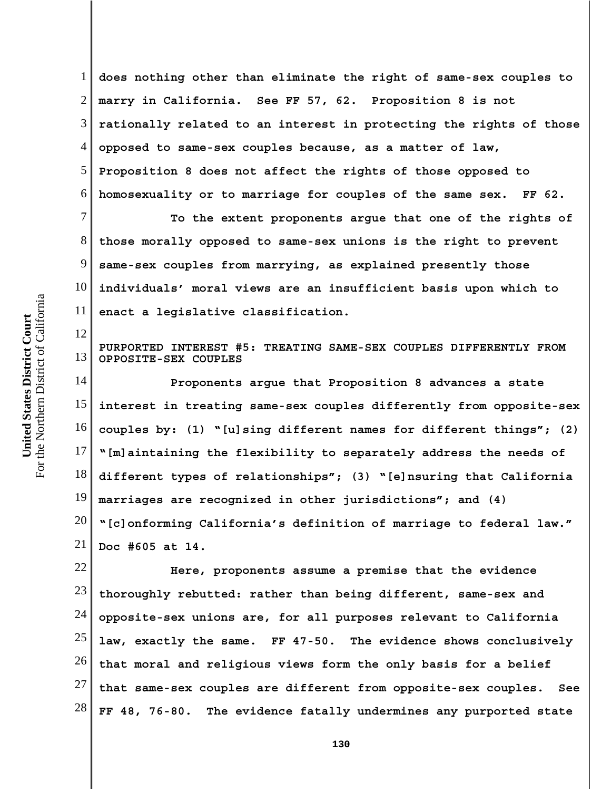1 2 3 4 5 6 **does nothing other than eliminate the right of same-sex couples to marry in California. See FF 57, 62. Proposition 8 is not rationally related to an interest in protecting the rights of those opposed to same-sex couples because, as a matter of law, Proposition 8 does not affect the rights of those opposed to homosexuality or to marriage for couples of the same sex. FF 62.** 

7 8 9 10 11 **To the extent proponents argue that one of the rights of those morally opposed to same-sex unions is the right to prevent same-sex couples from marrying, as explained presently those individuals' moral views are an insufficient basis upon which to enact a legislative classification.**

13 **PURPORTED INTEREST #5: TREATING SAME-SEX COUPLES DIFFERENTLY FROM OPPOSITE-SEX COUPLES**

14 15 16 17 18 19 20 21 **Proponents argue that Proposition 8 advances a state interest in treating same-sex couples differently from opposite-sex couples by: (1) "[u]sing different names for different things"; (2) "[m]aintaining the flexibility to separately address the needs of different types of relationships"; (3) "[e]nsuring that California marriages are recognized in other jurisdictions"; and (4) "[c]onforming California's definition of marriage to federal law." Doc #605 at 14.**

22 23 24 25 26 27 28 **Here, proponents assume a premise that the evidence thoroughly rebutted: rather than being different, same-sex and opposite-sex unions are, for all purposes relevant to California law, exactly the same. FF 47-50. The evidence shows conclusively that moral and religious views form the only basis for a belief that same-sex couples are different from opposite-sex couples. See FF 48, 76-80. The evidence fatally undermines any purported state**

12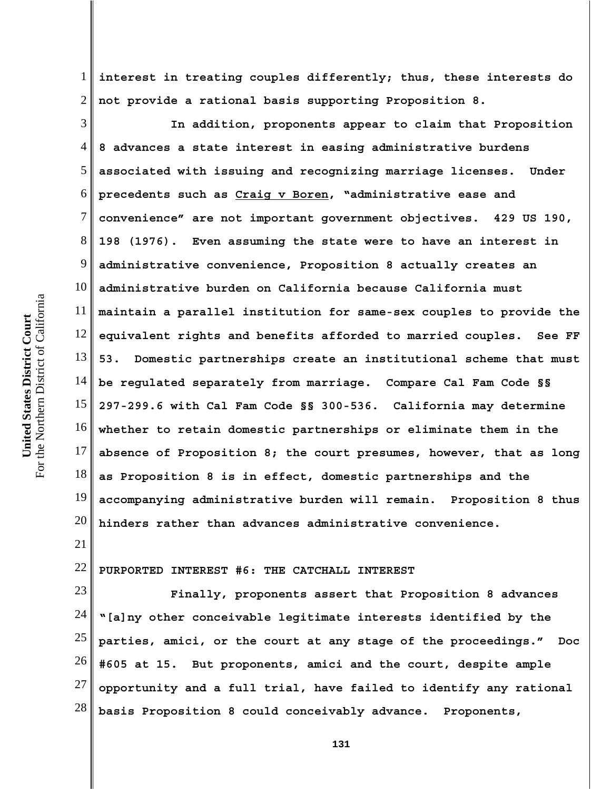1 2 **interest in treating couples differently; thus, these interests do not provide a rational basis supporting Proposition 8.** 

3 4 5 6 7 8 9 10 11 12 13 14 15 16 17 18 19 20 **In addition, proponents appear to claim that Proposition 8 advances a state interest in easing administrative burdens associated with issuing and recognizing marriage licenses. Under precedents such as Craig v Boren, "administrative ease and convenience" are not important government objectives. 429 US 190, 198 (1976). Even assuming the state were to have an interest in administrative convenience, Proposition 8 actually creates an administrative burden on California because California must maintain a parallel institution for same-sex couples to provide the equivalent rights and benefits afforded to married couples. See FF 53. Domestic partnerships create an institutional scheme that must be regulated separately from marriage. Compare Cal Fam Code §§ 297-299.6 with Cal Fam Code §§ 300-536. California may determine whether to retain domestic partnerships or eliminate them in the absence of Proposition 8; the court presumes, however, that as long as Proposition 8 is in effect, domestic partnerships and the accompanying administrative burden will remain. Proposition 8 thus hinders rather than advances administrative convenience.** 

22 **PURPORTED INTEREST #6: THE CATCHALL INTEREST**

23 24 25 26 27 28 **Finally, proponents assert that Proposition 8 advances "[a]ny other conceivable legitimate interests identified by the parties, amici, or the court at any stage of the proceedings." Doc #605 at 15. But proponents, amici and the court, despite ample opportunity and a full trial, have failed to identify any rational basis Proposition 8 could conceivably advance. Proponents,**

21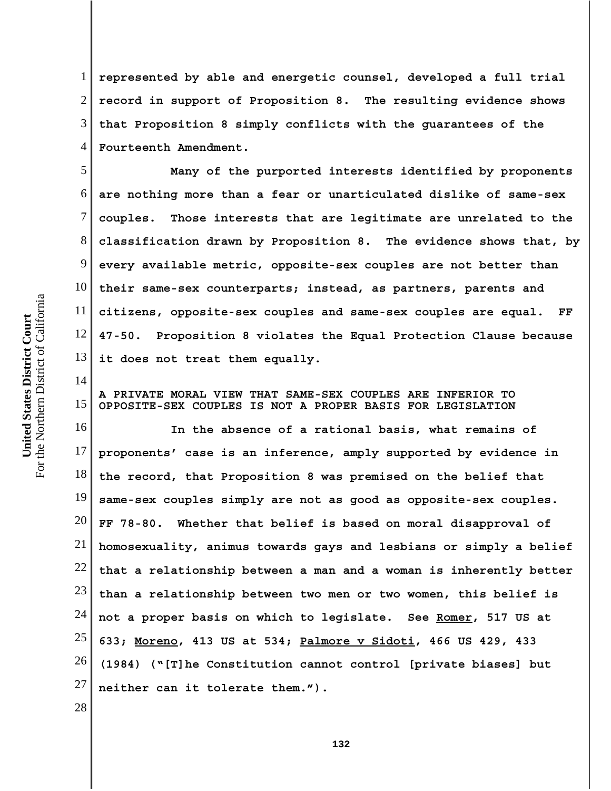1 2 3 4 **represented by able and energetic counsel, developed a full trial record in support of Proposition 8. The resulting evidence shows that Proposition 8 simply conflicts with the guarantees of the Fourteenth Amendment.**

5 6 7 8 9 10 11 12 13 **Many of the purported interests identified by proponents are nothing more than a fear or unarticulated dislike of same-sex couples. Those interests that are legitimate are unrelated to the classification drawn by Proposition 8. The evidence shows that, by every available metric, opposite-sex couples are not better than their same-sex counterparts; instead, as partners, parents and citizens, opposite-sex couples and same-sex couples are equal. FF 47-50. Proposition 8 violates the Equal Protection Clause because it does not treat them equally.**

15 **A PRIVATE MORAL VIEW THAT SAME-SEX COUPLES ARE INFERIOR TO OPPOSITE-SEX COUPLES IS NOT A PROPER BASIS FOR LEGISLATION**

16 17 18 19 20 21 22 23 24 25 26 27 **In the absence of a rational basis, what remains of proponents' case is an inference, amply supported by evidence in the record, that Proposition 8 was premised on the belief that same-sex couples simply are not as good as opposite-sex couples. FF 78-80. Whether that belief is based on moral disapproval of homosexuality, animus towards gays and lesbians or simply a belief that a relationship between a man and a woman is inherently better than a relationship between two men or two women, this belief is not a proper basis on which to legislate. See Romer, 517 US at 633; Moreno, 413 US at 534; Palmore v Sidoti, 466 US 429, 433 (1984) ("[T]he Constitution cannot control [private biases] but neither can it tolerate them.").**

28

For the Northern District of California For the Northern District of California United States District Court **United States District Court**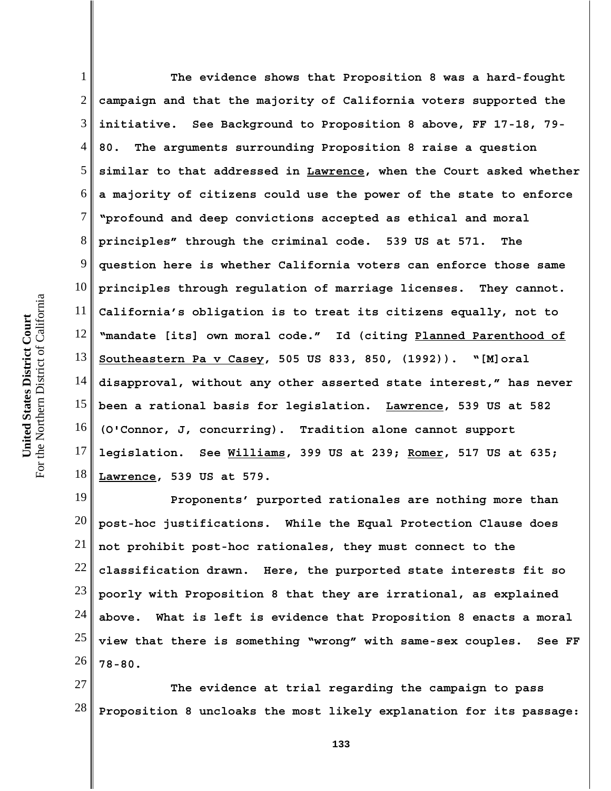1 2 3 4 5 6 7 8 9 10 11 12 13 14 15 16 17 18 **The evidence shows that Proposition 8 was a hard-fought campaign and that the majority of California voters supported the initiative. See Background to Proposition 8 above, FF 17-18, 79- 80. The arguments surrounding Proposition 8 raise a question similar to that addressed in Lawrence, when the Court asked whether a majority of citizens could use the power of the state to enforce "profound and deep convictions accepted as ethical and moral principles" through the criminal code. 539 US at 571. The question here is whether California voters can enforce those same principles through regulation of marriage licenses. They cannot. California's obligation is to treat its citizens equally, not to "mandate [its] own moral code." Id (citing Planned Parenthood of Southeastern Pa v Casey, 505 US 833, 850, (1992)). "[M]oral disapproval, without any other asserted state interest," has never been a rational basis for legislation. Lawrence, 539 US at 582 (O'Connor, J, concurring). Tradition alone cannot support legislation. See Williams, 399 US at 239; Romer, 517 US at 635; Lawrence, 539 US at 579.** 

19 20 21 22 23 24 25 26 **Proponents' purported rationales are nothing more than post-hoc justifications. While the Equal Protection Clause does not prohibit post-hoc rationales, they must connect to the classification drawn. Here, the purported state interests fit so poorly with Proposition 8 that they are irrational, as explained above. What is left is evidence that Proposition 8 enacts a moral view that there is something "wrong" with same-sex couples. See FF 78-80.** 

27 28 **The evidence at trial regarding the campaign to pass Proposition 8 uncloaks the most likely explanation for its passage:**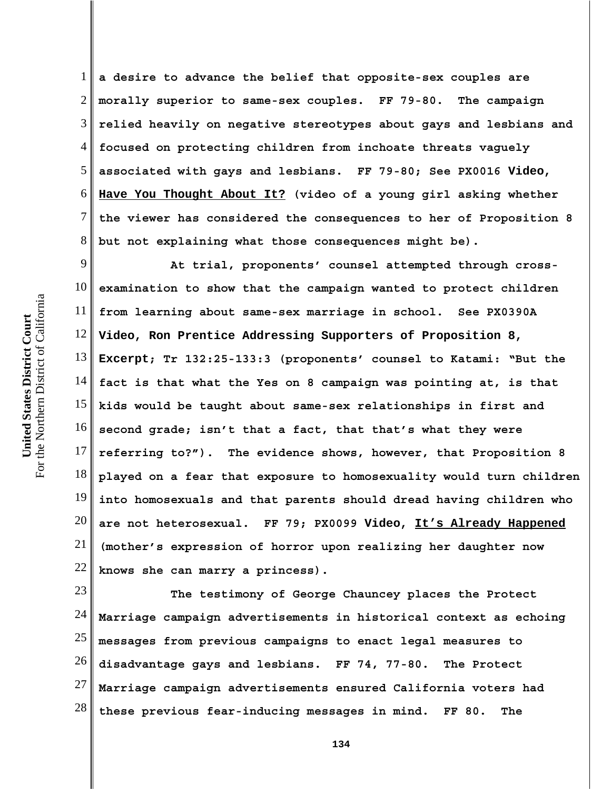1 2 3 4 5 6 7 8 **a desire to advance the belief that opposite-sex couples are morally superior to same-sex couples. FF 79-80. The campaign relied heavily on negative stereotypes about gays and lesbians and focused on protecting children from inchoate threats vaguely associated with gays and lesbians. FF 79-80; See PX0016 Video, Have You Thought About It? (video of a young girl asking whether the viewer has considered the consequences to her of Proposition 8 but not explaining what those consequences might be).**

9 10 11 12 13 14 15 16 17 18 19 20 21 22 **At trial, proponents' counsel attempted through crossexamination to show that the campaign wanted to protect children from learning about same-sex marriage in school. See PX0390A Video, Ron Prentice Addressing Supporters of Proposition 8, Excerpt; Tr 132:25-133:3 (proponents' counsel to Katami: "But the fact is that what the Yes on 8 campaign was pointing at, is that kids would be taught about same-sex relationships in first and second grade; isn't that a fact, that that's what they were referring to?"). The evidence shows, however, that Proposition 8 played on a fear that exposure to homosexuality would turn children into homosexuals and that parents should dread having children who are not heterosexual. FF 79; PX0099 Video, It's Already Happened (mother's expression of horror upon realizing her daughter now knows she can marry a princess).**

23 24 25 26 27 28 **The testimony of George Chauncey places the Protect Marriage campaign advertisements in historical context as echoing messages from previous campaigns to enact legal measures to disadvantage gays and lesbians. FF 74, 77-80. The Protect Marriage campaign advertisements ensured California voters had these previous fear-inducing messages in mind. FF 80. The**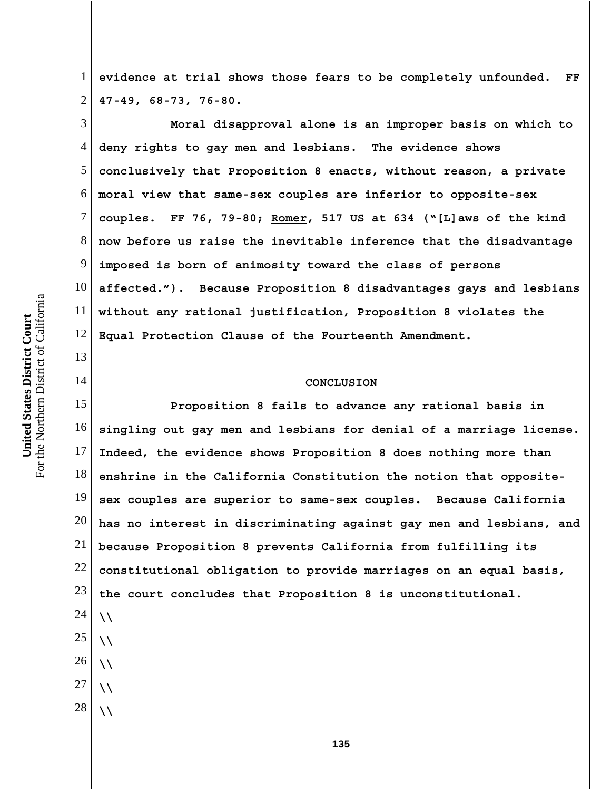13

14

1 2 **evidence at trial shows those fears to be completely unfounded. FF 47-49, 68-73, 76-80.**

3 4 5 6 7 8 9 10 11 12 **Moral disapproval alone is an improper basis on which to deny rights to gay men and lesbians. The evidence shows conclusively that Proposition 8 enacts, without reason, a private moral view that same-sex couples are inferior to opposite-sex couples. FF 76, 79-80; Romer, 517 US at 634 ("[L]aws of the kind now before us raise the inevitable inference that the disadvantage imposed is born of animosity toward the class of persons affected."). Because Proposition 8 disadvantages gays and lesbians without any rational justification, Proposition 8 violates the Equal Protection Clause of the Fourteenth Amendment.**

## **CONCLUSION**

15 16 17 18 19 20 21 22 23 24 25 26 **Proposition 8 fails to advance any rational basis in singling out gay men and lesbians for denial of a marriage license. Indeed, the evidence shows Proposition 8 does nothing more than enshrine in the California Constitution the notion that oppositesex couples are superior to same-sex couples. Because California has no interest in discriminating against gay men and lesbians, and because Proposition 8 prevents California from fulfilling its constitutional obligation to provide marriages on an equal basis, the court concludes that Proposition 8 is unconstitutional. \\ \\ \\**

- 27 **\\**
- 28 **\\**